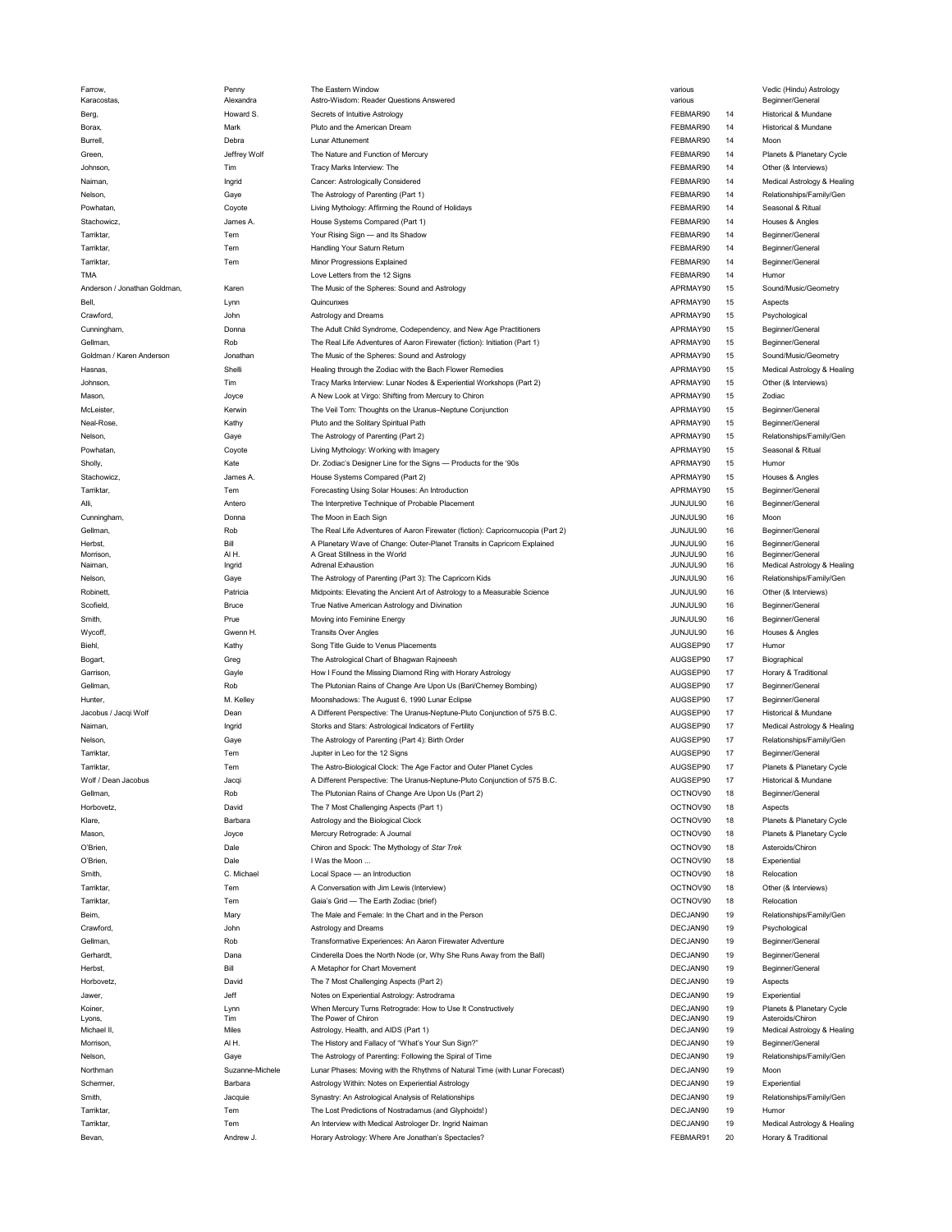| Farrow,                      | Penny           | The Eastern Window                                                              | various  |    | Vedic (Hindu) Astrology     |
|------------------------------|-----------------|---------------------------------------------------------------------------------|----------|----|-----------------------------|
| Karacostas,                  | Alexandra       | Astro-Wisdom: Reader Questions Answered                                         | various  |    | Beginner/General            |
| Berg,                        | Howard S.       | Secrets of Intuitive Astrology                                                  | FEBMAR90 | 14 | Historical & Mundane        |
| Borax,                       | Mark            | Pluto and the American Dream                                                    | FEBMAR90 | 14 | Historical & Mundane        |
| <b>Burrell</b>               | Debra           | Lunar Attunement                                                                | FEBMAR90 | 14 | Moon                        |
| Green,                       | Jeffrey Wolf    | The Nature and Function of Mercury                                              | FEBMAR90 | 14 | Planets & Planetary Cycle   |
|                              |                 |                                                                                 |          |    |                             |
| Johnson.                     | Tim             | Tracy Marks Interview: The                                                      | FEBMAR90 | 14 | Other (& Interviews)        |
| Naiman,                      | Ingrid          | Cancer: Astrologically Considered                                               | FEBMAR90 | 14 | Medical Astrology & Healing |
| Nelson,                      | Gaye            | The Astrology of Parenting (Part 1)                                             | FEBMAR90 | 14 | Relationships/Family/Gen    |
| Powhatan,                    | Coyote          | Living Mythology: Affirming the Round of Holidays                               | FEBMAR90 | 14 | Seasonal & Ritual           |
| Stachowicz,                  | James A.        | House Systems Compared (Part 1)                                                 | FEBMAR90 | 14 | Houses & Angles             |
| Tarriktar,                   | Tem             |                                                                                 | FEBMAR90 | 14 |                             |
|                              |                 | Your Rising Sign - and Its Shadow                                               |          |    | Beginner/General            |
| Tarriktar,                   | Tem             | Handling Your Saturn Return                                                     | FEBMAR90 | 14 | Beginner/General            |
| Tarriktar,                   | Tem             | Minor Progressions Explained                                                    | FEBMAR90 | 14 | Beginner/General            |
| TMA                          |                 | Love Letters from the 12 Signs                                                  | FEBMAR90 | 14 | Humor                       |
| Anderson / Jonathan Goldman, | Karen           | The Music of the Spheres: Sound and Astrology                                   | APRMAY90 | 15 | Sound/Music/Geometry        |
| Bell,                        | Lynn            | Quincunxes                                                                      | APRMAY90 | 15 | Aspects                     |
|                              |                 |                                                                                 |          |    |                             |
| Crawford,                    | John            | Astrology and Dreams                                                            | APRMAY90 | 15 | Psychological               |
| Cunningham,                  | Donna           | The Adult Child Syndrome, Codependency, and New Age Practitioners               | APRMAY90 | 15 | Beginner/General            |
| Gellman,                     | Rob             | The Real Life Adventures of Aaron Firewater (fiction): Initiation (Part 1)      | APRMAY90 | 15 | Beginner/General            |
| Goldman / Karen Anderson     | Jonathan        | The Music of the Spheres: Sound and Astrology                                   | APRMAY90 | 15 | Sound/Music/Geometry        |
| Hasnas,                      | Shelli          | Healing through the Zodiac with the Bach Flower Remedies                        | APRMAY90 | 15 | Medical Astrology & Healing |
|                              | Tim             |                                                                                 | APRMAY90 | 15 | Other (& Interviews)        |
| Johnson,                     |                 | Tracy Marks Interview: Lunar Nodes & Experiential Workshops (Part 2)            |          |    |                             |
| Mason,                       | Joyce           | A New Look at Virgo: Shifting from Mercury to Chiron                            | APRMAY90 | 15 | Zodiac                      |
| McLeister,                   | Kerwin          | The Veil Torn: Thoughts on the Uranus-Neptune Conjunction                       | APRMAY90 | 15 | Beginner/General            |
| Neal-Rose,                   | Kathy           | Pluto and the Solitary Spiritual Path                                           | APRMAY90 | 15 | Beginner/General            |
| Nelson,                      | Gaye            | The Astrology of Parenting (Part 2)                                             | APRMAY90 | 15 | Relationships/Family/Gen    |
|                              |                 |                                                                                 | APRMAY90 |    | Seasonal & Ritual           |
| Powhatan,                    | Coyote          | Living Mythology: Working with Imagery                                          |          | 15 |                             |
| Sholly,                      | Kate            | Dr. Zodiac's Designer Line for the Signs - Products for the '90s                | APRMAY90 | 15 | Humor                       |
| Stachowicz,                  | James A.        | House Systems Compared (Part 2)                                                 | APRMAY90 | 15 | Houses & Angles             |
| Tarriktar,                   | Tem             | Forecasting Using Solar Houses: An Introduction                                 | APRMAY90 | 15 | Beginner/General            |
| Alli,                        | Antero          | The Interpretive Technique of Probable Placement                                | JUNJUL90 | 16 | Beginner/General            |
|                              |                 | The Moon in Each Sign                                                           |          |    |                             |
| Cunningham,                  | Donna           |                                                                                 | JUNJUL90 | 16 | Moon                        |
| Gellman,                     | Rob             | The Real Life Adventures of Aaron Firewater (fiction): Capricornucopia (Part 2) | JUNJUL90 | 16 | Beginner/General            |
| Herbst,                      | Bill            | A Planetary Wave of Change: Outer-Planet Transits in Capricorn Explained        | JUNJUL90 | 16 | Beginner/General            |
| Morrison,                    | AIH.            | A Great Stillness in the World                                                  | JUNJUL90 | 16 | Beginner/General            |
| Naiman,                      | Ingrid          | <b>Adrenal Exhaustion</b>                                                       | JUNJUL90 | 16 | Medical Astrology & Healing |
| Nelson,                      | Gaye            | The Astrology of Parenting (Part 3): The Capricorn Kids                         | JUNJUL90 | 16 | Relationships/Family/Gen    |
| Robinett,                    | Patricia        | Midpoints: Elevating the Ancient Art of Astrology to a Measurable Science       | JUNJUL90 | 16 | Other (& Interviews)        |
|                              |                 |                                                                                 |          |    |                             |
| Scofield,                    | Bruce           | True Native American Astrology and Divination                                   | JUNJUL90 | 16 | Beginner/General            |
| Smith,                       | Prue            | Moving into Feminine Energy                                                     | JUNJUL90 | 16 | Beginner/General            |
| Wycoff,                      | Gwenn H.        | <b>Transits Over Angles</b>                                                     | JUNJUL90 | 16 | Houses & Angles             |
| Biehl,                       | Kathy           | Song Title Guide to Venus Placements                                            | AUGSEP90 | 17 | Humor                       |
|                              |                 |                                                                                 |          |    |                             |
| Bogart,                      | Greg            | The Astrological Chart of Bhagwan Rajneesh                                      | AUGSEP90 | 17 | Biographical                |
| Garrison,                    | Gayle           | How I Found the Missing Diamond Ring with Horary Astrology                      | AUGSEP90 | 17 | Horary & Traditional        |
| Gellman,                     | Rob             | The Plutonian Rains of Change Are Upon Us (Bari/Cherney Bombing)                | AUGSEP90 | 17 | Beginner/General            |
| Hunter,                      | M. Kelley       | Moonshadows: The August 6, 1990 Lunar Eclipse                                   | AUGSEP90 | 17 | Beginner/General            |
| Jacobus / Jacqi Wolf         |                 |                                                                                 |          | 17 |                             |
|                              | Dean            | A Different Perspective: The Uranus-Neptune-Pluto Conjunction of 575 B.C.       | AUGSEP90 |    | Historical & Mundane        |
| Naiman,                      | Ingrid          | Storks and Stars: Astrological Indicators of Fertility                          | AUGSEP90 | 17 | Medical Astrology & Healing |
| Nelson,                      | Gaye            | The Astrology of Parenting (Part 4): Birth Order                                | AUGSEP90 | 17 | Relationships/Family/Gen    |
| Tarriktar,                   | Tem             | Jupiter in Leo for the 12 Signs                                                 | AUGSEP90 | 17 | Beginner/General            |
| Tarriktar.                   | Tem             | The Astro-Biological Clock: The Age Factor and Outer Planet Cycles              | AUGSEP90 | 17 | Planets & Planetary Cycle   |
|                              |                 |                                                                                 | AUGSEP90 |    |                             |
| Wolf / Dean Jacobus          | Jacqi           | A Different Perspective: The Uranus-Neptune-Pluto Conjunction of 575 B.C.       |          | 17 | Historical & Mundane        |
| Gellman,                     | Rob             | The Plutonian Rains of Change Are Upon Us (Part 2)                              | OCTNOV90 | 18 | Beginner/General            |
| Horbovetz,                   | David           | The 7 Most Challenging Aspects (Part 1)                                         | OCTNOV90 | 18 | Aspects                     |
| Klare,                       | Barbara         | Astrology and the Biological Clock                                              | OCTNOV90 | 18 | Planets & Planetary Cycle   |
| Mason,                       | Joyce           | Mercury Retrograde: A Journal                                                   | OCTNOV90 | 18 | Planets & Planetary Cycle   |
|                              |                 |                                                                                 |          |    |                             |
| O'Brien,                     | Dale            | Chiron and Spock: The Mythology of Star Trek                                    | OCTNOV90 | 18 | Asteroids/Chiron            |
| O'Brien,                     | Dale            | I Was the Moon                                                                  | OCTNOV90 | 18 | Experiential                |
| Smith.                       | C. Michael      | Local Space - an Introduction                                                   | OCTNOV90 | 18 | Relocation                  |
| Tarriktar,                   | Tem             | A Conversation with Jim Lewis (Interview)                                       | OCTNOV90 | 18 | Other (& Interviews)        |
| Tarriktar,                   | Tem             | Gaia's Grid - The Earth Zodiac (brief)                                          | OCTNOV90 | 18 | Relocation                  |
|                              |                 |                                                                                 |          |    |                             |
| Beim,                        | Mary            | The Male and Female: In the Chart and in the Person                             | DECJAN90 | 19 | Relationships/Family/Gen    |
| Crawford,                    | John            | Astrology and Dreams                                                            | DECJAN90 | 19 | Psychological               |
| Gellman,                     | Rob             | Transformative Experiences: An Aaron Firewater Adventure                        | DECJAN90 | 19 | Beginner/General            |
| Gerhardt,                    | Dana            | Cinderella Does the North Node (or, Why She Runs Away from the Ball)            | DECJAN90 | 19 | Beginner/General            |
|                              |                 |                                                                                 |          |    |                             |
| Herbst,                      | Bill            | A Metaphor for Chart Movement                                                   | DECJAN90 | 19 | Beginner/General            |
| Horbovetz,                   | David           | The 7 Most Challenging Aspects (Part 2)                                         | DECJAN90 | 19 | Aspects                     |
| Jawer,                       | Jeff            | Notes on Experiential Astrology: Astrodrama                                     | DECJAN90 | 19 | Experiential                |
| Koiner,                      | Lynn            | When Mercury Turns Retrograde: How to Use It Constructively                     | DECJAN90 | 19 | Planets & Planetary Cycle   |
| Lyons,                       | Tim             | The Power of Chiron                                                             | DECJAN90 | 19 | Asteroids/Chiron            |
| Michael II,                  | Miles           | Astrology, Health, and AIDS (Part 1)                                            | DECJAN90 | 19 | Medical Astrology & Healing |
| Morrison,                    | AIH.            | The History and Fallacy of "What's Your Sun Sign?"                              | DECJAN90 | 19 | Beginner/General            |
|                              |                 |                                                                                 |          |    |                             |
| Nelson,                      | Gaye            | The Astrology of Parenting: Following the Spiral of Time                        | DECJAN90 | 19 | Relationships/Family/Gen    |
| Northman                     | Suzanne-Michele | Lunar Phases: Moving with the Rhythms of Natural Time (with Lunar Forecast)     | DECJAN90 | 19 | Moon                        |
| Schermer,                    | Barbara         | Astrology Within: Notes on Experiential Astrology                               | DECJAN90 | 19 | Experiential                |
| Smith,                       | Jacquie         | Synastry: An Astrological Analysis of Relationships                             | DECJAN90 | 19 | Relationships/Family/Gen    |
|                              |                 |                                                                                 |          |    |                             |
| Tarriktar,                   | Tem             | The Lost Predictions of Nostradamus (and Glyphoids!)                            | DECJAN90 | 19 | Humor                       |
| Tarriktar,                   | Tem             | An Interview with Medical Astrologer Dr. Ingrid Naiman                          | DECJAN90 | 19 | Medical Astrology & Healing |
| Bevan,                       | Andrew J.       | Horary Astrology: Where Are Jonathan's Spectacles?                              | FEBMAR91 | 20 | Horary & Traditional        |

| Vedic (Hindu) Astrology<br>Beginner/General   |
|-----------------------------------------------|
| Historical & Mundane                          |
| Historical & Mundane                          |
| Moon                                          |
| Planets & Planetary Cycle                     |
| Other (& Interviews)                          |
| Medical Astrology & Healing                   |
| Relationships/Family/Gen                      |
| Seasonal & Ritual                             |
| Houses & Angles                               |
| Beginner/General<br>Beginner/General          |
| Beginner/General                              |
| Humor                                         |
| Sound/Music/Geometry                          |
| Aspects                                       |
| Psychological                                 |
| Beginner/General                              |
| Beginner/General                              |
| Sound/Music/Geometry                          |
| Medical Astrology & Healing                   |
| Other (& Interviews)<br>Zodiac                |
| Beginner/General                              |
| Beginner/General                              |
| Relationships/Family/Gen                      |
| Seasonal & Ritual                             |
| Humor                                         |
| Houses & Angles                               |
| Beginner/General                              |
| Beginner/General                              |
| Moon                                          |
| Beginner/General                              |
| Beginner/General<br>Beginner/General          |
| Medical Astrology & Healing                   |
| Relationships/Family/Gen                      |
| Other (& Interviews)                          |
| Beginner/General                              |
|                                               |
| Beginner/General                              |
| Houses & Angles                               |
| Humor                                         |
| Biographical                                  |
| Horary & Traditional                          |
| Beginner/General                              |
| Beginner/General<br>Historical & Mundane      |
| Medical Astrology & Healing                   |
| Relationships/Family/Gen                      |
| Beginner/General                              |
| Planets & Planetary Cycle                     |
| Historical & Mundar                           |
| Beginner/General                              |
| Aspects                                       |
| Planets & Planetary Cycle                     |
| Planets & Planetary Cycle                     |
| Asteroids/Chiron<br>Experiential              |
| Relocation                                    |
| Other (& Interviews)                          |
| Relocation                                    |
| Relationships/Family/Gen                      |
| Psychological                                 |
| Beginner/General                              |
| Beginner/General                              |
| Beginner/General                              |
| Aspects                                       |
| Experiential                                  |
| Planets & Planetary Cycle<br>Asteroids/Chiron |
| Medical Astrology & Healing                   |
| Beginner/General                              |
| Relationships/Family/Gen                      |
| Moon                                          |
| Experiential                                  |
| Relationships/Family/Gen                      |
| Humor<br>Medical Astrology & Healing          |
|                                               |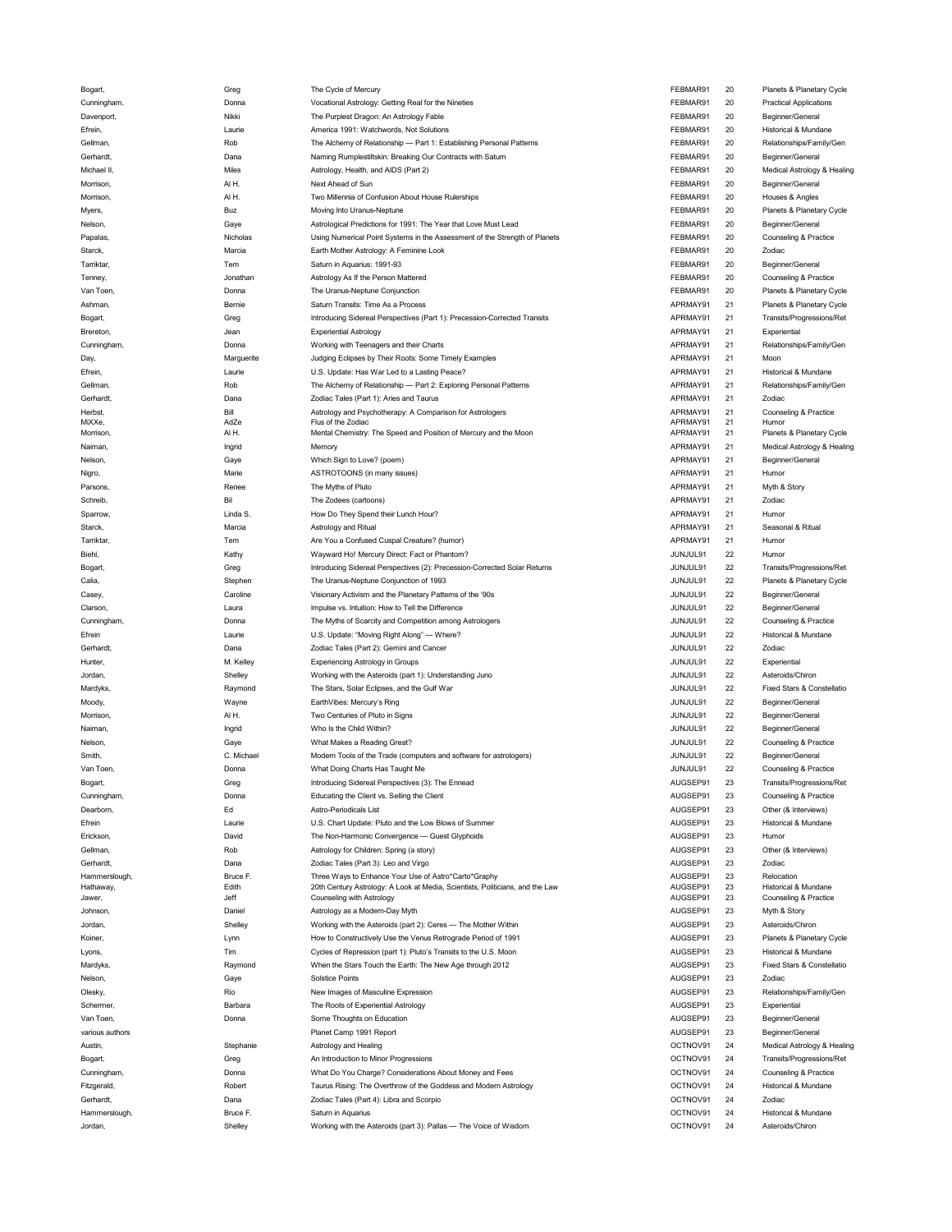| Bogart,                 |                     | The Cycle of Mercury                                                                    |                      |          |                                          |
|-------------------------|---------------------|-----------------------------------------------------------------------------------------|----------------------|----------|------------------------------------------|
| Cunningham,             | Donna               | Vocational Astrology: Getting Real for the Nineties                                     | FEBMAR91             | 20       | <b>Practical Applications</b>            |
| Davenport,              | Nikki               | The Purplest Dragon: An Astrology Fable                                                 | FEBMAR91             | 20       | Beginner/General                         |
|                         |                     |                                                                                         |                      |          |                                          |
| Efrein,                 | Laurie              | America 1991: Watchwords, Not Solutions                                                 | FEBMAR91             | 20       | Historical & Mundane                     |
| Gellman,                | Rob                 | The Alchemy of Relationship - Part 1: Establishing Personal Patterns                    | FEBMAR91             | 20       | Relationships/Family/Gen                 |
| Gerhardt,               | Dana                | Naming Rumplestiltskin: Breaking Our Contracts with Saturn                              | FEBMAR91             | 20       | Beginner/General                         |
| Michael II,             | Miles               | Astrology, Health, and AIDS (Part 2)                                                    | FEBMAR91             | 20       | Medical Astrology & Healing              |
|                         |                     |                                                                                         |                      |          |                                          |
| Morrison,               | AIH.                | Next Ahead of Sun                                                                       | FEBMAR91             | 20       | Beginner/General                         |
| Morrison,               | AIH.                | Two Millennia of Confusion About House Rulerships                                       | FEBMAR91             | 20       | Houses & Angles                          |
| Myers,                  | Buz                 | Moving Into Uranus-Neptune                                                              | FEBMAR91             | 20       | Planets & Planetary Cycle                |
|                         |                     |                                                                                         |                      |          |                                          |
| Nelson,                 | Gaye                | Astrological Predictions for 1991: The Year that Love Must Lead                         | FEBMAR91             | 20       | Beginner/General                         |
| Papalas,                | Nicholas            | Using Numerical Point Systems in the Assessment of the Strength of Planets              | FEBMAR91             | 20       | Counseling & Practice                    |
| Starck,                 | Marcia              | Earth Mother Astrology: A Feminine Look                                                 | FEBMAR91             | 20       | Zodiac                                   |
|                         |                     |                                                                                         |                      |          |                                          |
| Tarriktar,              | Tem                 | Saturn in Aquarius: 1991-93                                                             | FEBMAR91             | 20       | Beginner/General                         |
| Tenney,                 | Jonathan            | Astrology As If the Person Mattered                                                     | FEBMAR91             | 20       | Counseling & Practice                    |
| Van Toen,               | Donna               | The Uranus-Neptune Conjunction                                                          | FEBMAR91             | 20       | Planets & Planetary Cycle                |
|                         |                     | Saturn Transits: Time As a Process                                                      |                      |          |                                          |
| Ashman,                 | Bernie              |                                                                                         | APRMAY91             | 21       | Planets & Planetary Cycle                |
| Bogart,                 | Greg                | Introducing Sidereal Perspectives (Part 1): Precession-Corrected Transits               | APRMAY91             | 21       | Transits/Progressions/Ret                |
| Brereton,               | Jean                | <b>Experiential Astrology</b>                                                           | APRMAY91             | 21       | Experiential                             |
| Cunningham,             | Donna               | Working with Teenagers and their Charts                                                 | APRMAY91             | 21       | Relationships/Family/Gen                 |
|                         |                     |                                                                                         |                      |          |                                          |
| Day,                    | Marguerite          | Judging Eclipses by Their Roots: Some Timely Examples                                   | APRMAY91             | 21       | Moon                                     |
| Efrein,                 | Laurie              | U.S. Update: Has War Led to a Lasting Peace?                                            | APRMAY91             | 21       | Historical & Mundane                     |
|                         |                     | The Alchemy of Relationship - Part 2: Exploring Personal Patterns                       | APRMAY91             | 21       | Relationships/Family/Gen                 |
| Gellman,                | Rob                 |                                                                                         |                      |          |                                          |
| Gerhardt,               | Dana                | Zodiac Tales (Part 1): Aries and Taurus                                                 | APRMAY91             | 21       | Zodiac                                   |
| Herbst,                 | Bill                | Astrology and Psychotherapy: A Comparison for Astrologers                               | APRMAY91             | 21       | Counseling & Practice                    |
| MiXXe,                  | AdZe                | Flus of the Zodiac                                                                      | APRMAY91             | 21       | Humor                                    |
| Morrison,               | AIH.                | Mental Chemistry: The Speed and Position of Mercury and the Moon                        | APRMAY91             | 21       | Planets & Planetary Cycle                |
|                         |                     |                                                                                         |                      | 21       | Medical Astrology & Healing              |
| Naiman,                 | Ingrid              | Memory                                                                                  | APRMAY91             |          |                                          |
| Nelson,                 | Gaye                | Which Sign to Love? (poem)                                                              | APRMAY91             | 21       | Beginner/General                         |
| Nigro,                  | Marie               | ASTROTOONS (in many issues)                                                             | APRMAY91             | 21       | Humor                                    |
| Parsons,                | Renee               | The Myths of Pluto                                                                      | APRMAY91             | 21       | Myth & Story                             |
|                         |                     |                                                                                         |                      |          |                                          |
| Schreib,                | Bil                 | The Zodees (cartoons)                                                                   | APRMAY91             | 21       | Zodiac                                   |
| Sparrow,                | Linda S.            | How Do They Spend their Lunch Hour?                                                     | APRMAY91             | 21       | Humor                                    |
| Starck,                 | Marcia              | Astrology and Ritual                                                                    | APRMAY91             | 21       | Seasonal & Ritual                        |
|                         |                     |                                                                                         |                      |          |                                          |
| Tarriktar,              | Tem                 | Are You a Confused Cuspal Creature? (humor)                                             | APRMAY91             | 21       | Humor                                    |
| Biehl,                  | Kathy               | Wayward Ho! Mercury Direct: Fact or Phantom?                                            | JUNJUL91             | 22       | Humor                                    |
| Bogart,                 | Greg                | Introducing Sidereal Perspectives (2): Precession-Corrected Solar Returns               | JUNJUL91             | 22       | Transits/Progressions/Ret                |
|                         |                     |                                                                                         |                      |          |                                          |
| Calia,                  | Stephen             | The Uranus-Neptune Conjunction of 1993                                                  | JUNJUL91             | 22       | Planets & Planetary Cycle                |
| Casey,                  | Caroline            | Visionary Activism and the Planetary Patterns of the '90s                               | JUNJUL91             | 22       | Beginner/General                         |
| Clarson,                | Laura               | Impulse vs. Intuition: How to Tell the Difference                                       | JUNJUL91             | 22       | Beginner/General                         |
|                         |                     |                                                                                         |                      |          |                                          |
| Cunningham,             | Donna               | The Myths of Scarcity and Competition among Astrologers                                 | JUNJUL91             | 22       | Counseling & Practice                    |
| Efrein                  | Laurie              | U.S. Update: "Moving Right Along" - Where?                                              | JUNJUL91             | 22       | Historical & Mundane                     |
|                         |                     |                                                                                         |                      |          |                                          |
|                         |                     |                                                                                         |                      | 22       | Zodiac                                   |
| Gerhardt,               | Dana                | Zodiac Tales (Part 2): Gemini and Cancer                                                | JUNJUL91             |          |                                          |
| Hunter,                 | M. Kelley           | Experiencing Astrology in Groups                                                        | JUNJUL91             | 22       | Experiential                             |
| Jordan,                 | Shelley             | Working with the Asteroids (part 1): Understanding Juno                                 | JUNJUL91             | 22       | Asteroids/Chiron                         |
| Mardyks,                | Raymond             | The Stars, Solar Eclipses, and the Gulf War                                             | JUNJUL91             | 22       | Fixed Stars & Constellatio               |
|                         |                     |                                                                                         |                      |          |                                          |
| Moody,                  | Wayne               | EarthVibes: Mercury's Ring                                                              | JUNJUL91             | 22       | Beginner/General                         |
| Morrison,               | AIH.                | Two Centuries of Pluto in Signs                                                         | JUNJUL91             | 22       | Beginner/General                         |
| Naiman,                 | Ingrid              | Who Is the Child Within?                                                                | JUNJUL91             | 22       | Beginner/General                         |
|                         |                     |                                                                                         |                      |          |                                          |
| Nelson,                 | Gaye                | What Makes a Reading Great?                                                             | JUNJUL91             | 22       | Counseling & Practice                    |
| Smith,                  | C. Michael          | Modern Tools of the Trade (computers and software for astrologers)                      | JUNJUL91             | 22       | Beginner/General                         |
| Van Toen.               | Donna               | What Doing Charts Has Taught Me                                                         | JUNJUL91             | 22       | Counseling & Practice                    |
|                         |                     |                                                                                         | AUGSEP91             |          |                                          |
| Bogart,                 | Greg                | Introducing Sidereal Perspectives (3): The Ennead                                       |                      | 23       | Transits/Progressions/Ret                |
| Cunningham,             | Donna               | Educating the Client vs. Selling the Client                                             | AUGSEP91             | 23       | Counseling & Practice                    |
| Dearborn,               | Ed                  | Astro-Periodicals List                                                                  | AUGSEP91             | 23       | Other (& Interviews)                     |
| Efrein                  | Laurie              | U.S. Chart Update: Pluto and the Low Blows of Summer                                    | AUGSEP91             | 23       | Historical & Mundane                     |
|                         |                     |                                                                                         |                      |          |                                          |
| Erickson,               | David               | The Non-Harmonic Convergence - Guest Glyphoids                                          | AUGSEP91             | 23       | Humor                                    |
| Gellman,                | Rob                 | Astrology for Children: Spring (a story)                                                | AUGSEP91             | 23       | Other (& Interviews)                     |
| Gerhardt,               | Dana                | Zodiac Tales (Part 3): Leo and Virgo                                                    | AUGSEP91             | 23       | Zodiac                                   |
|                         |                     |                                                                                         |                      |          |                                          |
| Hammerslough,           | Bruce F.            | Three Ways to Enhance Your Use of Astro*Carto*Graphy                                    | AUGSEP91             | 23       | Relocation                               |
| Hathaway,               | Edith               | 20th Century Astrology: A Look at Media, Scientists, Politicians, and the Law           | AUGSEP91             | 23       | Historical & Mundane                     |
| Jawer,                  | Jeff                | Counseling with Astrology                                                               | AUGSEP91             | 23       | Counseling & Practice                    |
| <b>Johnson</b>          | Daniel              | Astrology as a Modern-Day Myth                                                          | AUGSEP91             | 23       | Myth & Story                             |
| Jordan,                 | Shelley             | Working with the Asteroids (part 2): Ceres - The Mother Within                          | AUGSEP91             | 23       | Asteroids/Chiron                         |
|                         |                     |                                                                                         |                      |          |                                          |
| Koiner,                 | Lynn                | How to Constructively Use the Venus Retrograde Period of 1991                           | AUGSEP91             | 23       | Planets & Planetary Cycle                |
| Lyons,                  | Tim                 | Cycles of Repression (part 1): Pluto's Transits to the U.S. Moon                        | AUGSEP91             | 23       | Historical & Mundane                     |
| Mardyks,                | Raymond             | When the Stars Touch the Earth: The New Age through 2012                                | AUGSEP91             | 23       | Fixed Stars & Constellatio               |
|                         |                     |                                                                                         |                      |          |                                          |
| Nelson,                 | Gaye                | <b>Solstice Points</b>                                                                  | AUGSEP91             | 23       | Zodiac                                   |
| Olesky,                 | Rio                 | New Images of Masculine Expression                                                      | AUGSEP91             | 23       | Relationships/Family/Gen                 |
| Schermer,               | Barbara             | The Roots of Experiential Astrology                                                     | AUGSEP91             | 23       | Experiential                             |
| Van Toen,               | Donna               |                                                                                         |                      | 23       |                                          |
|                         |                     | Some Thoughts on Education                                                              | AUGSEP91             |          | Beginner/General                         |
| various authors         |                     | Planet Camp 1991 Report                                                                 | AUGSEP91             | 23       | Beginner/General                         |
| Austin,                 | Stephanie           | Astrology and Healing                                                                   | OCTNOV91             | 24       | Medical Astrology & Healing              |
|                         |                     | An Introduction to Minor Progressions                                                   | OCTNOV91             | 24       | Transits/Progressions/Ret                |
| Bogart,                 | Greg                |                                                                                         |                      |          |                                          |
| Cunningham,             | Donna               | What Do You Charge? Considerations About Money and Fees                                 | OCTNOV91             | 24       | Counseling & Practice                    |
| Fitzgerald,             | Robert              | Taurus Rising: The Overthrow of the Goddess and Modern Astrology                        | OCTNOV91             | 24       | Historical & Mundane                     |
| Gerhardt,               | Dana                | Zodiac Tales (Part 4): Libra and Scorpio                                                | OCTNOV91             | 24       | Zodiac                                   |
|                         |                     |                                                                                         |                      |          |                                          |
| Hammerslough<br>Jordan, | Bruce F.<br>Shelley | Saturn in Aquarius<br>Working with the Asteroids (part 3): Pallas - The Voice of Wisdom | OCTNOV91<br>OCTNOV91 | 24<br>24 | Historical & Mundane<br>Asteroids/Chiron |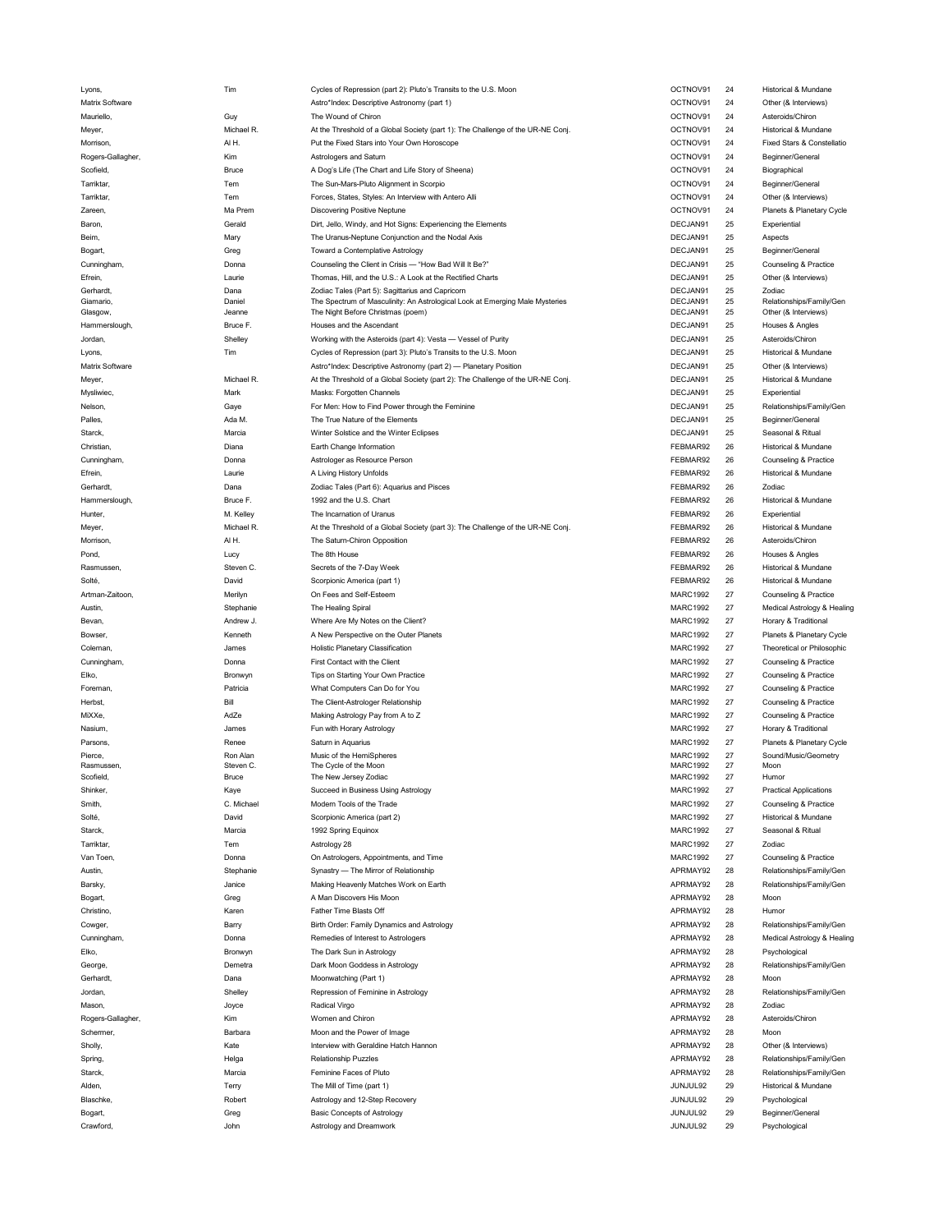| Lyons,                | 1 Im             | Cycles of Repression (part 2): Pluto's Transits to the U.S. Moon                                                  | <b>OCTNOV91</b>      | 24       | Historical & Mundane                             |
|-----------------------|------------------|-------------------------------------------------------------------------------------------------------------------|----------------------|----------|--------------------------------------------------|
| Matrix Software       |                  | Astro*Index: Descriptive Astronomy (part 1)                                                                       | OCTNOV91             | 24       | Other (& Interviews)                             |
| Mauriello,            | Guy              | The Wound of Chiron                                                                                               | OCTNOV91             | 24       | Asteroids/Chiron                                 |
| Meyer,                | Michael R.       | At the Threshold of a Global Society (part 1): The Challenge of the UR-NE Conj.                                   | OCTNOV91             | 24       | Historical & Mundane                             |
|                       |                  |                                                                                                                   |                      | 24       |                                                  |
| Morrison,             | AIH.             | Put the Fixed Stars into Your Own Horoscope                                                                       | OCTNOV91             |          | Fixed Stars & Constellatio                       |
| Rogers-Gallagher,     | Kim              | Astrologers and Saturn                                                                                            | OCTNOV91             | 24       | Beginner/General                                 |
| Scofield,             | Bruce            | A Dog's Life (The Chart and Life Story of Sheena)                                                                 | OCTNOV91             | 24       | Biographical                                     |
| Tarriktar,            | Tem              | The Sun-Mars-Pluto Alignment in Scorpio                                                                           | OCTNOV91             | 24       | Beginner/General                                 |
| Tarriktar,            | Tem              | Forces, States, Styles: An Interview with Antero Alli                                                             | OCTNOV91             | 24       | Other (& Interviews)                             |
| Zareen,               | Ma Prem          | <b>Discovering Positive Neptune</b>                                                                               | OCTNOV91             | 24       | Planets & Planetary Cycle                        |
|                       |                  |                                                                                                                   |                      |          |                                                  |
| Baron,                | Gerald           | Dirt, Jello, Windy, and Hot Signs: Experiencing the Elements                                                      | DECJAN91             | 25       | Experiential                                     |
| Beim,                 | Mary             | The Uranus-Neptune Conjunction and the Nodal Axis                                                                 | DECJAN91             | 25       | Aspects                                          |
| Bogart,               | Greg             | Toward a Contemplative Astrology                                                                                  | DECJAN91             | 25       | Beginner/General                                 |
| Cunningham,           | Donna            | Counseling the Client in Crisis - "How Bad Will It Be?"                                                           | DECJAN91             | 25       | Counseling & Practice                            |
| Efrein,               | Laurie           | Thomas, Hill, and the U.S.: A Look at the Rectified Charts                                                        | DECJAN91             | 25       | Other (& Interviews)                             |
|                       |                  |                                                                                                                   |                      |          |                                                  |
| Gerhardt,             | Dana             | Zodiac Tales (Part 5): Sagittarius and Capricorn                                                                  | DECJAN91             | 25       | Zodiac                                           |
| Giamario,<br>Glasgow, | Daniel<br>Jeanne | The Spectrum of Masculinity: An Astrological Look at Emerging Male Mysteries<br>The Night Before Christmas (poem) | DECJAN91<br>DECJAN91 | 25<br>25 | Relationships/Family/Gen<br>Other (& Interviews) |
|                       |                  |                                                                                                                   |                      |          |                                                  |
| Hammerslough,         | Bruce F.         | Houses and the Ascendant                                                                                          | DECJAN91             | 25       | Houses & Angles                                  |
| Jordan,               | Shelley          | Working with the Asteroids (part 4): Vesta - Vessel of Purity                                                     | DECJAN91             | 25       | Asteroids/Chiron                                 |
| Lyons,                | Tim              | Cycles of Repression (part 3): Pluto's Transits to the U.S. Moon                                                  | DECJAN91             | 25       | Historical & Mundane                             |
| Matrix Software       |                  | Astro*Index: Descriptive Astronomy (part 2) - Planetary Position                                                  | DECJAN91             | 25       | Other (& Interviews)                             |
|                       |                  |                                                                                                                   |                      |          |                                                  |
| Meyer,                | Michael R.       | At the Threshold of a Global Society (part 2): The Challenge of the UR-NE Conj.                                   | DECJAN91             | 25       | Historical & Mundane                             |
| Mysliwiec,            | Mark             | Masks: Forgotten Channels                                                                                         | DECJAN91             | 25       | Experiential                                     |
| Nelson,               | Gaye             | For Men: How to Find Power through the Feminine                                                                   | DECJAN91             | 25       | Relationships/Family/Gen                         |
| Palles,               | Ada M.           | The True Nature of the Elements                                                                                   | DECJAN91             | 25       | Beginner/General                                 |
| Starck,               | Marcia           | Winter Solstice and the Winter Eclipses                                                                           | DECJAN91             | 25       | Seasonal & Ritual                                |
|                       |                  | Earth Change Information                                                                                          |                      | 26       |                                                  |
| Christian,            | Diana            |                                                                                                                   | FEBMAR92             |          | Historical & Mundane                             |
| Cunningham,           | Donna            | Astrologer as Resource Person                                                                                     | FEBMAR92             | 26       | Counseling & Practice                            |
| Efrein,               | Laurie           | A Living History Unfolds                                                                                          | FEBMAR92             | 26       | Historical & Mundane                             |
| Gerhardt,             | Dana             | Zodiac Tales (Part 6): Aquarius and Pisces                                                                        | FEBMAR92             | 26       | Zodiac                                           |
| Hammerslough,         | Bruce F.         | 1992 and the U.S. Chart                                                                                           | FEBMAR92             | 26       | Historical & Mundane                             |
|                       | M. Kelley        | The Incarnation of Uranus                                                                                         | FEBMAR92             | 26       | Experiential                                     |
| Hunter,               |                  |                                                                                                                   |                      |          |                                                  |
| Meyer,                | Michael R.       | At the Threshold of a Global Society (part 3): The Challenge of the UR-NE Conj.                                   | FEBMAR92             | 26       | Historical & Mundane                             |
| Morrison,             | AIH.             | The Saturn-Chiron Opposition                                                                                      | FEBMAR92             | 26       | Asteroids/Chiron                                 |
| Pond,                 | Lucy             | The 8th House                                                                                                     | FEBMAR92             | 26       | Houses & Angles                                  |
| Rasmussen,            | Steven C.        | Secrets of the 7-Day Week                                                                                         | FEBMAR92             | 26       | Historical & Mundane                             |
| Solté,                | David            | Scorpionic America (part 1)                                                                                       | FEBMAR92             | 26       | Historical & Mundane                             |
|                       |                  |                                                                                                                   |                      |          |                                                  |
| Artman-Zaitoon,       | Merilyn          | On Fees and Self-Esteem                                                                                           | <b>MARC1992</b>      | 27       | Counseling & Practice                            |
| Austin,               | Stephanie        | The Healing Spiral                                                                                                | <b>MARC1992</b>      | 27       | Medical Astrology & Healing                      |
| Bevan,                | Andrew J.        | Where Are My Notes on the Client?                                                                                 | <b>MARC1992</b>      | 27       | Horary & Traditional                             |
| Bowser,               | Kenneth          | A New Perspective on the Outer Planets                                                                            | <b>MARC1992</b>      | 27       | Planets & Planetary Cycle                        |
| Coleman,              | James            | <b>Holistic Planetary Classification</b>                                                                          | <b>MARC1992</b>      | 27       | Theoretical or Philosophic                       |
|                       |                  |                                                                                                                   |                      |          |                                                  |
| Cunningham,           | Donna            | First Contact with the Client                                                                                     | <b>MARC1992</b>      | 27       | Counseling & Practice                            |
| Elko,                 | Bronwyn          | Tips on Starting Your Own Practice                                                                                | <b>MARC1992</b>      | 27       | Counseling & Practice                            |
| Foreman,              | Patricia         | What Computers Can Do for You                                                                                     | <b>MARC1992</b>      | 27       | Counseling & Practice                            |
| Herbst,               | Bill             | The Client-Astrologer Relationship                                                                                | <b>MARC1992</b>      | 27       | Counseling & Practice                            |
| MiXXe,                | AdZe             | Making Astrology Pay from A to Z                                                                                  | <b>MARC1992</b>      | 27       | Counseling & Practice                            |
|                       |                  |                                                                                                                   |                      |          |                                                  |
| Nasium,               | James            | Fun with Horary Astrology                                                                                         | <b>MARC1992</b>      | 27       | Horary & Traditional                             |
| Parsons,              | Renee            | Saturn in Aquarius                                                                                                | <b>MARC1992</b>      | 27       | Planets & Planetary Cycle                        |
| Pierce,               | Ron Alan         | Music of the HemiSpheres                                                                                          | <b>MARC1992</b>      | 27       | Sound/Music/Geometry                             |
| Rasmussen,            | Steven C.        | The Cycle of the Moon                                                                                             | <b>MARC1992</b>      | 27       | Moon                                             |
| Scofield,             | <b>Bruce</b>     | The New Jersey Zodiac                                                                                             | <b>MARC1992</b>      | 27       | Humor                                            |
| Shinker,              | Kaye             | Succeed in Business Using Astrology                                                                               | <b>MARC1992</b>      | 27       | <b>Practical Applications</b>                    |
| Smith,                | C. Michael       | Modern Tools of the Trade                                                                                         | <b>MARC1992</b>      | 27       | Counseling & Practice                            |
| Solté,                | David            | Scorpionic America (part 2)                                                                                       | <b>MARC1992</b>      | 27       | Historical & Mundane                             |
|                       |                  |                                                                                                                   |                      |          |                                                  |
| Starck,               | Marcia           | 1992 Spring Equinox                                                                                               | <b>MARC1992</b>      | 27       | Seasonal & Ritual                                |
| Tarriktar,            | Tem              | Astrology 28                                                                                                      | <b>MARC1992</b>      | 27       | Zodiac                                           |
| Van Toen,             | Donna            | On Astrologers, Appointments, and Time                                                                            | <b>MARC1992</b>      | 27       | Counseling & Practice                            |
| Austin,               | Stephanie        | Synastry - The Mirror of Relationship                                                                             | APRMAY92             | 28       | Relationships/Family/Gen                         |
|                       |                  |                                                                                                                   |                      |          |                                                  |
| Barsky,               | Janice           | Making Heavenly Matches Work on Earth                                                                             | APRMAY92             | 28       | Relationships/Family/Gen                         |
| Bogart,               | Greg             | A Man Discovers His Moon                                                                                          | APRMAY92             | 28       | Moon                                             |
| Christino,            | Karen            | Father Time Blasts Off                                                                                            | APRMAY92             | 28       | Humor                                            |
| Cowger,               | Barry            | Birth Order: Family Dynamics and Astrology                                                                        | APRMAY92             | 28       | Relationships/Family/Gen                         |
| Cunningham,           | Donna            | Remedies of Interest to Astrologers                                                                               | APRMAY92             | 28       | Medical Astrology & Healing                      |
|                       |                  |                                                                                                                   |                      |          |                                                  |
| Elko,                 | Bronwyn          | The Dark Sun in Astrology                                                                                         | APRMAY92             | 28       | Psychological                                    |
| George,               | Demetra          | Dark Moon Goddess in Astrology                                                                                    | APRMAY92             | 28       | Relationships/Family/Gen                         |
| Gerhardt,             | Dana             | Moonwatching (Part 1)                                                                                             | APRMAY92             | 28       | Moon                                             |
| Jordan,               | Shelley          | Repression of Feminine in Astrology                                                                               | APRMAY92             | 28       | Relationships/Family/Gen                         |
| Mason,                | Joyce            | Radical Virgo                                                                                                     | APRMAY92             | 28       | Zodiac                                           |
|                       |                  |                                                                                                                   |                      |          |                                                  |
| Rogers-Gallagher,     | Kim              | Women and Chiron                                                                                                  | APRMAY92             | 28       | Asteroids/Chiron                                 |
| Schermer,             | Barbara          | Moon and the Power of Image                                                                                       | APRMAY92             | 28       | Moon                                             |
| Sholly,               | Kate             | Interview with Geraldine Hatch Hannon                                                                             | APRMAY92             | 28       | Other (& Interviews)                             |
| Spring,               | Helga            | <b>Relationship Puzzles</b>                                                                                       | APRMAY92             | 28       | Relationships/Family/Gen                         |
|                       |                  |                                                                                                                   |                      |          |                                                  |
| Starck,               | Marcia           | Feminine Faces of Pluto                                                                                           | APRMAY92             | 28       | Relationships/Family/Gen                         |
| Alden,                | Terry            | The Mill of Time (part 1)                                                                                         | JUNJUL92             | 29       | Historical & Mundane                             |
| Blaschke,             | Robert           | Astrology and 12-Step Recovery                                                                                    | JUNJUL92             | 29       | Psychological                                    |
| Bogart,               | Greg             | <b>Basic Concepts of Astrology</b>                                                                                | JUNJUL92             | 29       | Beginner/General                                 |
|                       | John             | Astrology and Dreamwork                                                                                           | JUNJUL92             | 29       | Psychological                                    |
| Crawford,             |                  |                                                                                                                   |                      |          |                                                  |

| TNOV91           | 24       | Historical & Mundane                             |
|------------------|----------|--------------------------------------------------|
| TNOV91           | 24       | Other (& Interviews)                             |
| TNOV91           | 24       | Asteroids/Chiron                                 |
| TNOV91           | 24       | Historical & Mundane                             |
| TNOV91           | 24       | Fixed Stars & Constellatio                       |
| TNOV91           | 24       | Beginner/General                                 |
| TNOV91           | 24       | Biographical                                     |
| TNOV91           | 24       | Beginner/General                                 |
| TNOV91           | 24       | Other (& Interviews)                             |
| TNOV91           | 24       | Planets & Planetary Cycle                        |
| CJAN91           | 25       |                                                  |
|                  |          | Experiential                                     |
| CJAN91           | 25       | Aspects                                          |
| CJAN91           | 25       | Beginner/General                                 |
| CJAN91           | 25       | Counseling & Practice                            |
| CJAN91           | 25       | Other (& Interviews)                             |
| CJAN91           | 25       | Zodiac                                           |
| CJAN91<br>CJAN91 | 25<br>25 | Relationships/Family/Gen<br>Other (& Interviews) |
| CJAN91           | 25       | Houses & Angles                                  |
|                  |          | Asteroids/Chiron                                 |
| CJAN91           | 25       |                                                  |
| CJAN91           | 25       | Historical & Mundane                             |
| CJAN91           | 25       | Other (& Interviews)                             |
| CJAN91           | 25       | Historical & Mundane                             |
| CJAN91           | 25       | Experiential                                     |
| CJAN91           | 25       | Relationships/Family/Gen                         |
| CJAN91           | 25       | Beginner/General                                 |
| CJAN91           | 25       | Seasonal & Ritual                                |
| BMAR92           | 26       | <b>Historical &amp; Mundane</b>                  |
| BMAR92           | 26       | Counseling & Practice                            |
| BMAR92           | 26       | Historical & Mundane                             |
| BMAR92           | 26       | Zodiac                                           |
| BMAR92           | 26       | Historical & Mundane                             |
| BMAR92           | 26       | Experiential                                     |
| BMAR92           | 26       | Historical & Mundane                             |
| BMAR92           | 26       | Asteroids/Chiron                                 |
| BMAR92           | 26       | Houses & Angles                                  |
|                  |          |                                                  |
| BMAR92           | 26       | Historical & Mundane                             |
| BMAR92           | 26       | Historical & Mundane                             |
| RC1992           | 27       | Counseling & Practice                            |
| RC1992           | 27       | Medical Astrology & Healin                       |
| RC1992           | 27       | Horary & Traditional                             |
| RC1992           | 27       | Planets & Planetary Cycle                        |
| RC1992           | 27       | Theoretical or Philosophic                       |
| RC1992           | 27       | Counseling & Practice                            |
| RC1992           | 27       | Counseling & Practice                            |
| RC1992           | 27       | Counseling & Practice                            |
| RC1992           | 27       | Counseling & Practice                            |
| RC1992           | 27       | Counseling & Practice                            |
| RC1992           | 27       | Horary & Traditional                             |
| RC1992           | 27       | Planets & Planetary Cycle                        |
| RC1992           | 27       | Sound/Music/Geometry                             |
| RC1992           | 27       | Moon                                             |
| RC1992           | 27       | Humor                                            |
| RC1992           | 27       | <b>Practical Applications</b>                    |
| RC1992           | 27       | Counseling & Practice                            |
| RC1992           | 27       | Historical & Mundane                             |
| RC1992           | 27       | Seasonal & Ritual                                |
| RC1992           | 27       | <b>Zodiac</b>                                    |
| RC1992           | 27       | Counseling & Practice                            |
| RMAY92           | 28       | Relationships/Family/Gen                         |
| RMAY92           | 28       | Relationships/Family/Gen                         |
|                  |          |                                                  |
| RMAY92           | 28       | Moon                                             |
| RMAY92           | 28       | Humor                                            |
| RMAY92           | 28       | Relationships/Family/Gen                         |
| RMAY92           | 28       | Medical Astrology & Healin                       |
| RMAY92           | 28       | Psychological                                    |
| RMAY92           | 28       | Relationships/Family/Gen                         |
| RMAY92           | 28       | Moon                                             |
| RMAY92           | 28       | Relationships/Family/Gen                         |
| RMAY92           | 28       | Zodiac                                           |
| RMAY92           | 28       | Asteroids/Chiron                                 |
| RMAY92           | 28       | Moon                                             |
| RMAY92           | 28       | Other (& Interviews)                             |
| RMAY92           | 28       | Relationships/Family/Gen                         |
| RMAY92           | 28       | Relationships/Family/Gen                         |
| NJUL92           | 29       | Historical & Mundane                             |
| NJUL92           | 29       | Psychological                                    |
|                  |          |                                                  |
| NJUL92           | 29       | Beginner/General                                 |
| NJUL92           | 29       | Psychological                                    |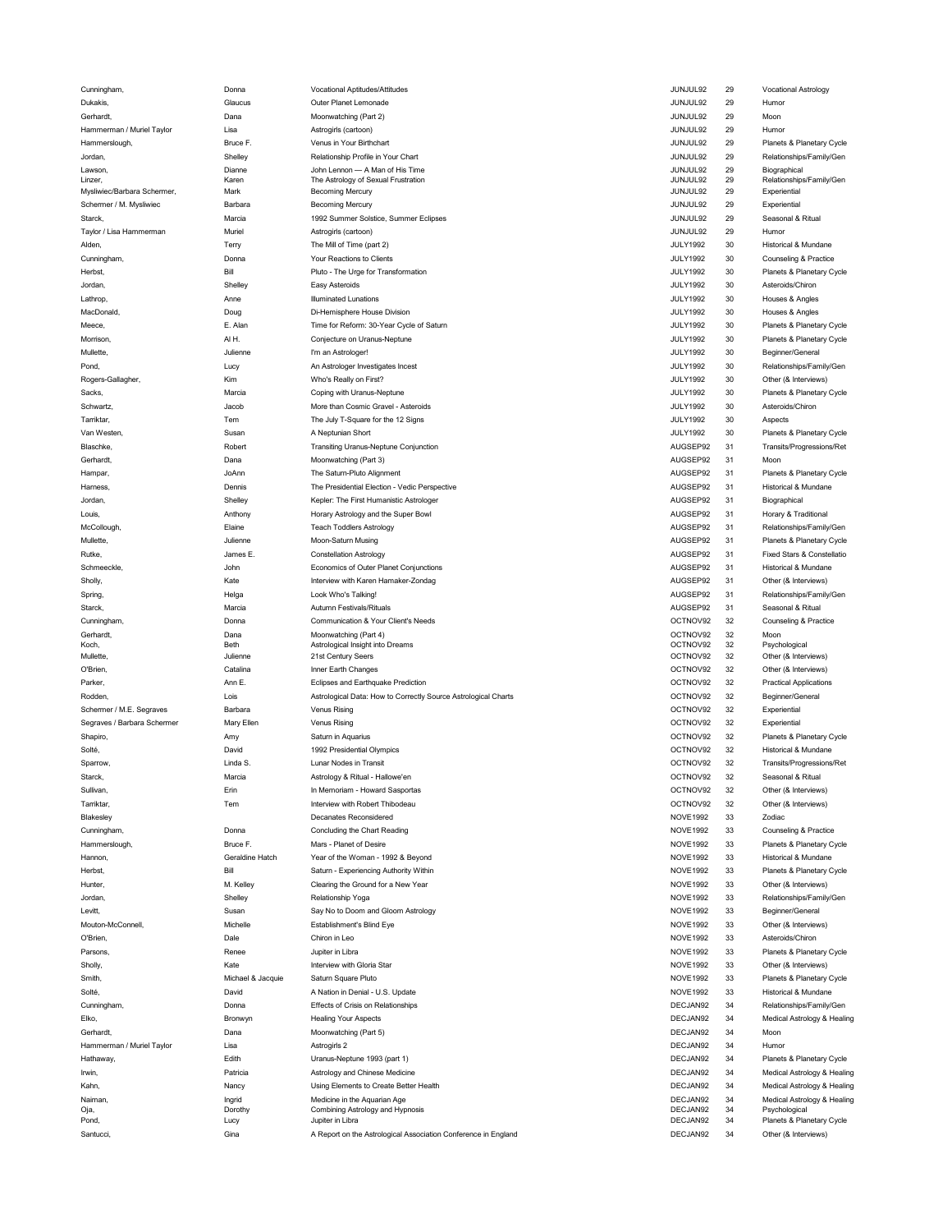Cunningham, and the control of the control of the control of the control of the control of the control of the control of the control of the control of the control of the control of the control of the control of the control Dukakis, Glaucus JUNJUL92 29 Humor Gerhardt, Dana JUNJUL92 29 Moon Hammerman / Muriel Taylor Lisa Lisa Lisa Astrogirls (cartoon) and the control of the control of the control of the Humor Astrogirls (cartoon) and the control of the control of the Humor Astrogirls (cartoon) and the control Lawson, Dianne JUNJUL92 29 Biographical John Lennon — A Man of His Time Mysliwiec/Barbara Schermer, Mark Becoming Mercury JUNJUL92 29 Experientia Schermer / M. Mysliwiec Barbara JUNJUL92 29 Experiential Starck, Summer Solstice, Summer Solstice, Summer Eclipses (Summer Lection Controller Summer Started Article Seasonal & Ritual Started Article Seasonal & Ritual Started Article Seasonal & Ritual Started Article Seasonal & R Taylor / Lisa Hammerman Muriel Muriel Muriel Astrogin's (cartoon) and the state of the state of the state of the Murie Murie Astrogin's (cartoon) and the state of the state of the Murie Murie Murie Murie Murie Murie Murie Alden, the Monocology of the Mill of Ime (part 2) and the Mill of the Mill of the Mill of Ime (part 2) and the Mill of the Mill of the Mill of Ime (part 2) and the Mill of the Mill of the Mill of the Mill of Ime (part 2) a Cunningham, **Donna** Donna Donna Prour Reactions to Clients **Cunning Company and Company and Counseling & Practice** Jordan, Shelley JULY1992 30 Asteroids/Chiron Lathrop, which the control of the control of the control of the control of the control of the control of the control of the control of the control of the control of the control of the control of the control of the control MacDonald, Doug JULY1992 30 Houses & Angles Mullette, Julienne I'm an Astrologer! JULY1992 30 Beginner/Genera Rogers-Gallagher, Kim Who's Really on First? JULY1992 30 Other (& Interviews) Schwartz, Jacob JULY1992 30 Asteroids/Chiron More than Cosmic Gravel - Asteroids Tarriktar, Tem The July T-Square for the 12 Signs JULY1992 30 Aspects Gerhardt, Dana Moonwatching (Part 3) AUGSEP92 31 Moor Harness, Dennis The Presidential Election - Vedic Perspective AUGSEP92 31 Historical & Mundane Jordan, Kepler: The First Humanistic Astrologer AUGSEP92 31 Biographica Louis, Anthony Horary Astrology and the Super Bowl AUGSEP92 31 Horary & Traditiona Schmeeckle, weblood on the seconomics of Outer Planet Conjunctions and the seconomic of the SCSEP92 31 Historical & Mundane Sholly, Kate AUGSEP92 31 Other (& Interviews) Interview with Karen Hamaker-Zondag Starck, Marcia Autumn Festivals/Rituals AUGSEP92 31 Seasonal & Ritua Cunningham, Communication & Your Client's Needs OCTNOV92 32 Counseling & Practice Gerhardt, Dana Moonwatching (Part 4) OCTNOV92 32 Moor Koch, Beth OCTNOV92 32 Psychological Astrological Insight into Dreams Mullette, Julienne 21st Century Seers OCTNOV92 32 Other (& Interviews) O'Brien, Catalina Inner Earth Changes OCTNOV92 32 Other (& Interviews) Parker, Ann E. Eclipses and Earthquake Prediction OCTNOV92 32 Practical Applications Rodden, Lois Astrological Data: How to Correctly Source Astrological Charts OCTNOV92 32 Beginner/Genera Schermer / M.E. Segraves Barbara Venus Rising OCTNOV92 32 Experientia Segraves / Barbara Schermer Mary Ellen OCTNOV92 32 Experiential Solté, David 1992 Presidential Olympics OCTNOV92 32 Historical & Mundane Starck, Astrology & Ritual - Hallowe'en OCTNOV92 32 Seasonal & Ritua Sullivan, Erin In Memoriam - Howard Sasportas OCTNOV92 32 Other (& Interviews) Tarriktar, Tem Interview with Robert Thibodeau OCTNOV92 32 Other (& Interviews) Blakesley NOVE1992 33 Zodiac Cunningham, Donna Concluding the Chart Reading NOVE1992 33 Counseling & Practice Hannon, Geraldine Hatch NOVE1992 33 Historical & Mundane Year of the Woman - 1992 & Beyond Hunter, M. Kelley Clearing the Ground for a New Year NOVE1992 33 Other (& Interviews Levitt, Susan Say No to Doom and Gloom Astrology NOVE1992 33 Beginner/Genera Mouton-McConnell, Michelle Establishment's Blind Eye NOVE1992 33 Other (& Interviews) O'Brien, Dale Chiron in Leo NOVE1992 33 Asteroids/Chiron Sholly, Kate Interview with Gloria Star NOVE1992 33 Other (& Interviews Solté, **Exercía de Solté de Solté de Solté de Solté** de Solté de Solté de Solté de Solté de Solté de Solté de Sol Gerhardt, Dana Moonwatching (Part 5) DECJAN92 34 Moor Hammerman / Muriel Taylor Lisa DECJAN92 34 Humor A Nation in Denial - U.S. Update Effects of Crisis on Relationships Healing Your Aspects Moonwatching (Part 5) Astrogirls 2 Jupiter in Libra Lunar Nodes in Transit In Memoriam - Howard Sasportas Interview with Robert Thibodeau Decanates Reconsidered Mars - Planet of Desire Relationship Yoga Chiron in Leo Jupiter in Libra Interview with Gloria Star Saturn Square Pluto Moon-Saturn Musing Constellation Astrology Look Who's Talking! Moonwatching (Part 4) 21st Century Seers Inner Earth Changes Venus Rising Venus Rising Saturn in Aquarius 1992 Presidential Olympics Di-Hemisphere House Division Conjecture on Uranus-Neptune I'm an Astrologer! Who's Really on First? Coping with Uranus-Neptune A Neptunian Short Moonwatching (Part 3) The Saturn-Pluto Alignment Teach Toddlers Astrology Vocational Aptitudes/Attitudes Outer Planet Lemonade Moonwatching (Part 2) Astrogirls (cartoon) Venus in Your Birthchart Relationship Profile in Your Chart Becoming Mercury Becoming Mercury Astrogirls (cartoon) The Mill of Time (part 2) Your Reactions to Clients Easy Asteroids Illuminated Lunations

Hammerslough, Bruce F. JUNJUL92 29 Planets & Planetary Cycle Jordan, Shelley JUNJUL92 29 Relationships/Family/Gen Linzer, which the Astrology of Sexual Frustration and the Astrology of Sexual Frustration and the Astrology of Sexual Frustration and the Astrology of Sexual Frustration and the Astrology of Sexual Frustration and the Astr Herbst, Bill JULY1992 30 Planets & Planetary Cycle Pluto - The Urge for Transformation Meece, which the same of the control of the control of the control of the control of the control of the control of the cycle of Saturn Meece, and the control of the control of the control of the control of the control of t Morrison, Al H. Conjecture on Uranus-Neptune JULY1992 30 Planets & Planetary Cycle Pond, Lucy An Astrologer Investigates Incest JULY1992 30 Relationships/Family/Ger Sacks, Coping with Uranus-Neptune JULY1992 30 Planets & Planetary Cycle Van Westen, Susan A Neptunian Short JULY1992 30 Planets & Planetary Cycle Blaschke, Transiting Uranus-Neptune Conjunction AUGSEP92 31 Transits/Progressions/Re Hampar, JoAnn AUGSEP92 31 Planets & Planetary Cycle McCollough, Elaine Teach Toddlers Astrology AUGSEP92 31 Relationships/Family/Gen Mullette, which are the different of the Moon-Saturn Musing the State of the State of the AUGSEP92 31 Planets & Planetary Cycle Rutke, James E. Constellation Astrology AUGSEP92 31 Fixed Stars & Constellatio Spring, 2006 and the spring of the second temperature of the spring of the spring of the spring and the spring of the spring of the spring of the spring of the spring of the spring of the spring of the spring of the spring Shapiro, Amy Saturn in Aquarius OCTNOV92 32 Planets & Planetary Cycle Sparrow, Linda S. Lunar Nodes in Transit OCTNOV92 32 Transits/Progressions/Re Hammerslough, Bruce F. Mars - Planet of Desire NOVE1992 33 Planets & Planetary Cycle Herbst, Bill NOVE1992 33 Planets & Planetary Cycle Saturn - Experiencing Authority Within Jordan, Shelley Relationship Yoga NOVE1992 33 Relationships/Family/Gen Parsons, **Example 20 Parts A Planets & Planetary Cycle** Parsons, Renee November 2014 and the Upper Section of Planets and Planets & Planetary Cycle Smith, **Michael & Jacquie Saturn Square Pluto** and Michael Business and the Move 1992 33 Planets & Planetary Cycle Cunningham, Donna DECJAN92 34 Relationships/Family/Gen .<br>Elko, Bronwyn Bronwyn Healing Your Aspects<br>Gerhardt, Dana Moonwatching (Part 5) Cerhardt, DECJAN92 34 Moon Decland Decland Moon Hathaway, Edith DECJAN92 34 Planets & Planetary Cycle Uranus-Neptune 1993 (part 1) Irwin, the patricia control of the patricia control of the Medical Astrology & Healing and DECJAN92 34 Medical Astrology & Healing Kahn, the DECJAN92 34 Medical Astrology & Healing Declements to Create Better Health the and the content of the DECJAN92 34 Medical Astrology & Healing Naiman, Ingrid DECJAN92 34 Medical Astrology & Healing Oja, Dorothy DECJAN92 34 Psychological Medicine in the Aquarian Age Combining Astrology and Hypnosis Pond, **Example 20 Provide Conducts Conducts** Conducts Conducts and DECJAN92 34 Planets & Planetary Cycle Santucci, state of the Sina China China Association Conference in England China Decletion DeCJAN92 34 Other (& Interviews)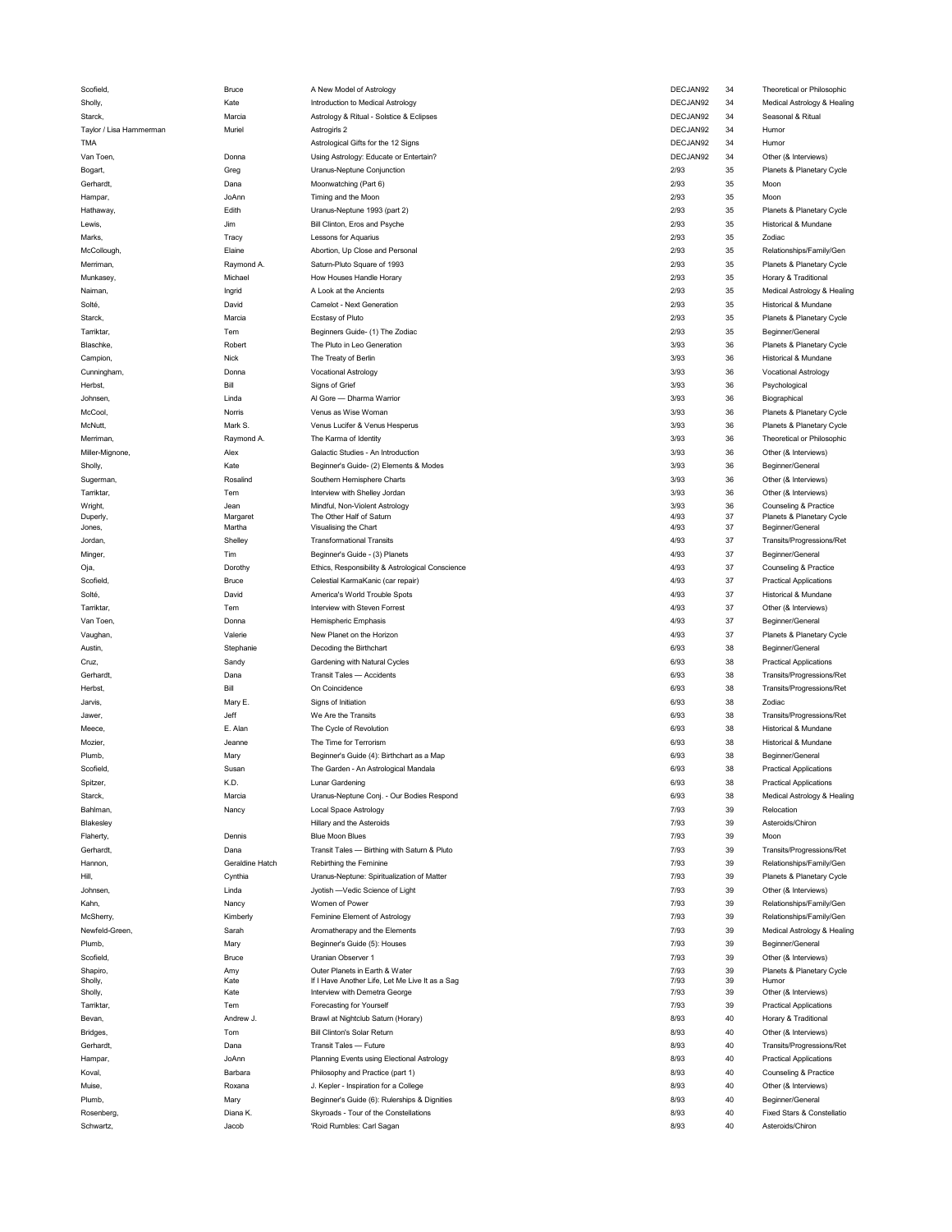| Scofield,               | Bruce             | A New Model of Astrology                                           | DECJAN92     | 34       | <b>I heoretical or Philosophic</b>             |
|-------------------------|-------------------|--------------------------------------------------------------------|--------------|----------|------------------------------------------------|
| Sholly,                 | Kate              | Introduction to Medical Astrology                                  | DECJAN92     | 34       | Medical Astrology & Healing                    |
| Starck,                 | Marcia            | Astrology & Ritual - Solstice & Eclipses                           | DECJAN92     | 34       | Seasonal & Ritual                              |
| Taylor / Lisa Hammerman | Muriel            | Astrogirls 2                                                       | DECJAN92     | 34       | Humor                                          |
| <b>TMA</b>              |                   |                                                                    | DECJAN92     | 34       | Humor                                          |
|                         |                   | Astrological Gifts for the 12 Signs                                |              |          |                                                |
| Van Toen,               | Donna             | Using Astrology: Educate or Entertain?                             | DECJAN92     | 34       | Other (& Interviews)                           |
| Bogart,                 | Greg              | Uranus-Neptune Conjunction                                         | 2/93         | 35       | Planets & Planetary Cycle                      |
| Gerhardt,               | Dana              | Moonwatching (Part 6)                                              | 2/93         | 35       | Moon                                           |
| Hampar,                 | JoAnn             | Timing and the Moon                                                | 2/93         | 35       | Moon                                           |
| Hathaway,               | Edith             | Uranus-Neptune 1993 (part 2)                                       | 2/93         | 35       | Planets & Planetary Cycle                      |
|                         |                   |                                                                    | 2/93         | 35       |                                                |
| Lewis,                  | Jim               | Bill Clinton, Eros and Psyche                                      |              |          | Historical & Mundane                           |
| Marks,                  | Tracy             | Lessons for Aquarius                                               | 2/93         | 35       | Zodiac                                         |
| McCollough,             | Elaine            | Abortion, Up Close and Personal                                    | 2/93         | 35       | Relationships/Family/Gen                       |
| Merriman,               | Raymond A.        | Saturn-Pluto Square of 1993                                        | 2/93         | 35       | Planets & Planetary Cycle                      |
| Munkasey,               | Michael           | How Houses Handle Horary                                           | 2/93         | 35       | Horary & Traditional                           |
| Naiman,                 | Ingrid            | A Look at the Ancients                                             | 2/93         | 35       | Medical Astrology & Healing                    |
|                         |                   |                                                                    |              |          |                                                |
| Solté,                  | David             | Camelot - Next Generation                                          | 2/93         | 35       | Historical & Mundane                           |
| Starck,                 | Marcia            | <b>Ecstasy of Pluto</b>                                            | 2/93         | 35       | Planets & Planetary Cycle                      |
| Tarriktar,              | Tem               | Beginners Guide- (1) The Zodiac                                    | 2/93         | 35       | Beginner/General                               |
| Blaschke,               | Robert            | The Pluto in Leo Generation                                        | 3/93         | 36       | Planets & Planetary Cycle                      |
| Campion,                | Nick              | The Treaty of Berlin                                               | 3/93         | 36       | Historical & Mundane                           |
|                         |                   |                                                                    |              |          |                                                |
| Cunningham,             | Donna             | <b>Vocational Astrology</b>                                        | 3/93         | 36       | <b>Vocational Astrology</b>                    |
| Herbst,                 | Bill              | Signs of Grief                                                     | 3/93         | 36       | Psychological                                  |
| Johnsen,                | Linda             | Al Gore - Dharma Warrior                                           | 3/93         | 36       | Biographical                                   |
| McCool,                 | Norris            | Venus as Wise Woman                                                | 3/93         | 36       | Planets & Planetary Cycle                      |
| McNutt,                 | Mark S.           | Venus Lucifer & Venus Hesperus                                     | 3/93         | 36       | Planets & Planetary Cycle                      |
|                         |                   |                                                                    |              |          |                                                |
| Merriman,               | Raymond A.        | The Karma of Identity                                              | 3/93         | 36       | Theoretical or Philosophic                     |
| Miller-Mignone          | Alex              | Galactic Studies - An Introduction                                 | 3/93         | 36       | Other (& Interviews)                           |
| Sholly,                 | Kate              | Beginner's Guide- (2) Elements & Modes                             | 3/93         | 36       | Beginner/General                               |
| Sugerman,               | Rosalind          | Southern Hemisphere Charts                                         | 3/93         | 36       | Other (& Interviews)                           |
| Tarriktar,              | Tem               | Interview with Shelley Jordan                                      | 3/93         | 36       | Other (& Interviews)                           |
|                         |                   |                                                                    |              |          |                                                |
| Wright,                 | Jean              | Mindful, Non-Violent Astrology                                     | 3/93         | 36       | Counseling & Practice                          |
| Duperly,                | Margaret          | The Other Half of Saturn<br>Visualising the Chart                  | 4/93         | 37<br>37 | Planets & Planetary Cycle<br>Beginner/General  |
| Jones,                  | Martha            |                                                                    | 4/93         |          |                                                |
| Jordan,                 | Shelley           | <b>Transformational Transits</b>                                   | 4/93         | 37       | Transits/Progressions/Ret                      |
| Minger,                 | Tim               | Beginner's Guide - (3) Planets                                     | 4/93         | 37       | Beginner/General                               |
| Oja,                    | Dorothy           | Ethics, Responsibility & Astrological Conscience                   | 4/93         | 37       | Counseling & Practice                          |
| Scofield,               | <b>Bruce</b>      | Celestial KarmaKanic (car repair)                                  | 4/93         | 37       | <b>Practical Applications</b>                  |
| Solté,                  | David             | America's World Trouble Spots                                      | 4/93         | 37       | Historical & Mundane                           |
|                         |                   |                                                                    |              |          |                                                |
| Tarriktar,              | Tem               | Interview with Steven Forrest                                      | 4/93         | 37       | Other (& Interviews)                           |
| Van Toen,               | Donna             | Hemispheric Emphasis                                               | 4/93         | 37       | Beginner/General                               |
| Vaughan,                | Valerie           | New Planet on the Horizon                                          | 4/93         | 37       | Planets & Planetary Cycle                      |
| Austin,                 | Stephanie         | Decoding the Birthchart                                            | 6/93         | 38       | Beginner/General                               |
|                         |                   |                                                                    | 6/93         | 38       |                                                |
|                         |                   |                                                                    |              |          | <b>Practical Applications</b>                  |
| Cruz,                   | Sandy             | Gardening with Natural Cycles                                      |              |          |                                                |
| Gerhardt,               | Dana              | Transit Tales - Accidents                                          | 6/93         | 38       | Transits/Progressions/Ret                      |
| Herbst,                 | Bill              | On Coincidence                                                     | 6/93         | 38       | Transits/Progressions/Ret                      |
| Jarvis,                 | Mary E.           | Signs of Initiation                                                | 6/93         | 38       | Zodiac                                         |
|                         |                   |                                                                    |              |          |                                                |
| Jawer,                  | Jeff              | We Are the Transits                                                | 6/93         | 38       | Transits/Progressions/Ret                      |
| Meece.                  | E. Alan           | The Cycle of Revolution                                            | 6/93         | 38       | Historical & Mundane                           |
| Mozier,                 | Jeanne            | The Time for Terrorism                                             | 6/93         | 38       | Historical & Mundane                           |
| Plumb,                  | Mary              | Beginner's Guide (4): Birthchart as a Map                          | 6/93         | 38       | Beginner/General                               |
| Scofield,               | Susar             | The Garden - An Astrological Mandala                               | 6/93         | 38       | <b>Practical Applications</b>                  |
|                         |                   |                                                                    |              | 38       |                                                |
| Spitzer,                | K.D.              | Lunar Gardening                                                    | 6/93         |          | <b>Practical Applications</b>                  |
| Starck,                 | Marcia            | Uranus-Neptune Conj. - Our Bodies Respond                          | 6/93         | 38       | Medical Astrology & Healing                    |
| Bahlman,                | Nancy             | <b>Local Space Astrology</b>                                       | 7/93         | 39       | Relocation                                     |
| Blakesley               |                   | Hillary and the Asteroids                                          | 7/93         | 39       | Asteroids/Chiron                               |
| Flaherty,               | Dennis            | <b>Blue Moon Blues</b>                                             | 7/93         | 39       | Moon                                           |
| Gerhardt,               | Dana              | Transit Tales - Birthing with Saturn & Pluto                       | 7/93         | 39       | Transits/Progressions/Ret                      |
|                         |                   |                                                                    |              |          |                                                |
| Hannon,                 | Geraldine Hatch   | Rebirthing the Feminine                                            | 7/93         | 39       | Relationships/Family/Gen                       |
| Hill,                   | Cynthia           | Uranus-Neptune: Spiritualization of Matter                         | 7/93         | 39       | Planets & Planetary Cycle                      |
| Johnsen,                | Linda             | Jyotish -Vedic Science of Light                                    | 7/93         | 39       | Other (& Interviews)                           |
| Kahn,                   | Nancy             | Women of Power                                                     | 7/93         | 39       | Relationships/Family/Gen                       |
|                         |                   |                                                                    |              |          |                                                |
| McSherry,               | Kimberly          | Feminine Element of Astrology                                      | 7/93         | 39       | Relationships/Family/Gen                       |
| Newfeld-Green,          | Sarah             | Aromatherapy and the Elements                                      | 7/93         | 39       | Medical Astrology & Healing                    |
| Plumb,                  | Mary              | Beginner's Guide (5): Houses                                       | 7/93         | 39       | Beginner/General                               |
| Scofield,               | Bruce             | Uranian Observer 1                                                 | 7/93         | 39       | Other (& Interviews)                           |
| Shapiro,                | Amy               | Outer Planets in Earth & Water                                     | 7/93         | 39       | Planets & Planetary Cycle                      |
| Sholly,                 | Kate              | If I Have Another Life, Let Me Live It as a Sag                    | 7/93         | 39       | Humor                                          |
| Sholly,                 | Kate              | Interview with Demetra George                                      | 7/93         | 39       | Other (& Interviews)                           |
| Tarriktar,              | Tem               | Forecasting for Yourself                                           | 7/93         | 39       | <b>Practical Applications</b>                  |
| Bevan,                  | Andrew J.         |                                                                    | 8/93         | 40       |                                                |
|                         |                   | Brawl at Nightclub Saturn (Horary)                                 |              |          | Horary & Traditional                           |
| Bridges,                | Tom               | <b>Bill Clinton's Solar Return</b>                                 | 8/93         | 40       | Other (& Interviews)                           |
| Gerhardt,               | Dana              | Transit Tales - Future                                             | 8/93         | 40       | Transits/Progressions/Ret                      |
| Hampar,                 | JoAnn             | Planning Events using Electional Astrology                         | 8/93         | 40       | <b>Practical Applications</b>                  |
| Koval,                  | Barbara           | Philosophy and Practice (part 1)                                   | 8/93         | 40       | Counseling & Practice                          |
| Muise.                  | Roxana            |                                                                    | 8/93         | 40       |                                                |
|                         |                   | J. Kepler - Inspiration for a College                              |              |          | Other (& Interviews)                           |
| Plumb,                  | Mary              | Beginner's Guide (6): Rulerships & Dignities                       | 8/93         | 40       | Beginner/General                               |
| Rosenberg,<br>Schwartz, | Diana K.<br>Jacob | Skyroads - Tour of the Constellations<br>'Roid Rumbles: Carl Sagan | 8/93<br>8/93 | 40<br>40 | Fixed Stars & Constellatio<br>Asteroids/Chiron |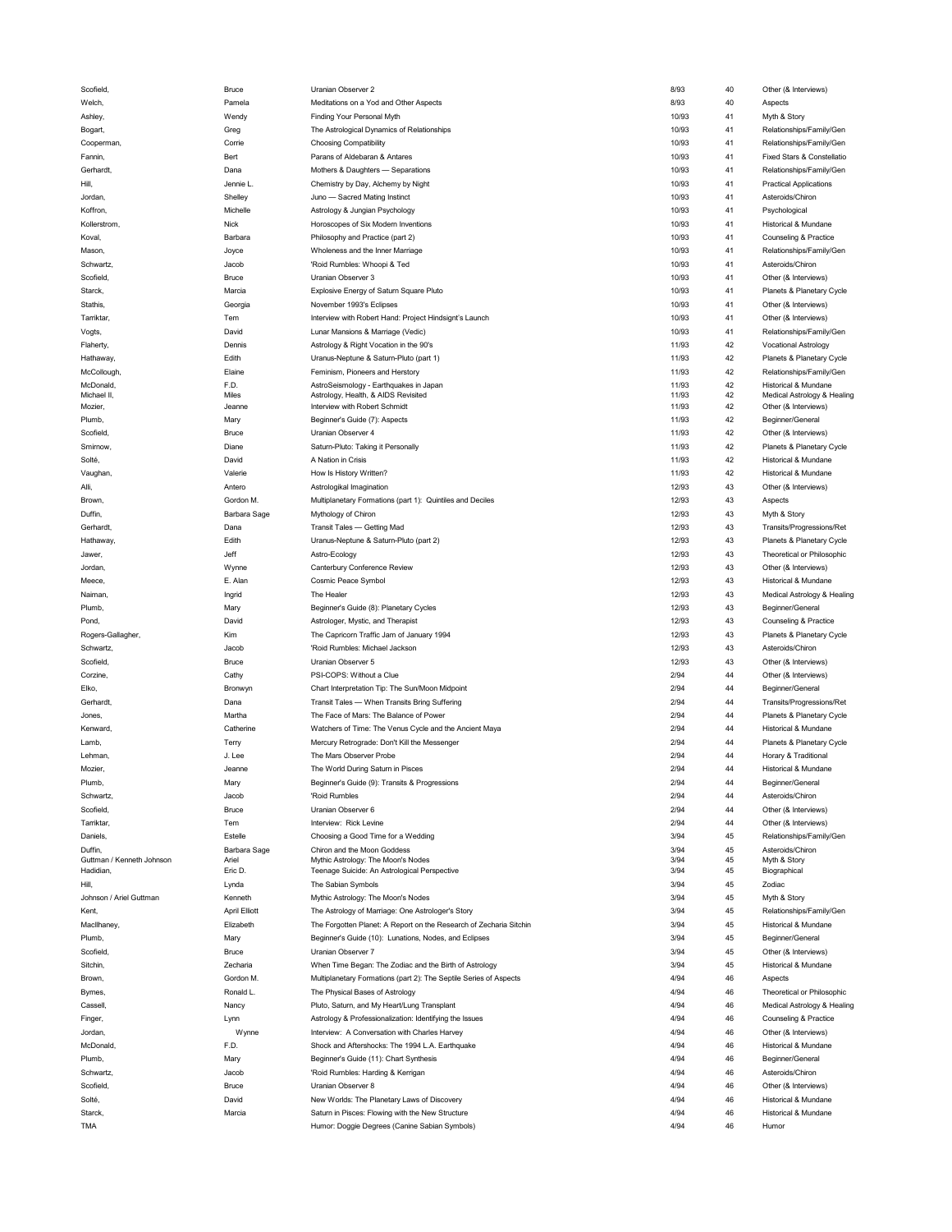| Scofield,                 | Bruce                | Uranian Observer 2                                                 | 8/93  | 40 | Other (& Interviews)          |
|---------------------------|----------------------|--------------------------------------------------------------------|-------|----|-------------------------------|
|                           |                      |                                                                    |       |    |                               |
| Welch,                    | Pamela               | Meditations on a Yod and Other Aspects                             | 8/93  | 40 | Aspects                       |
| Ashley,                   | Wendy                | Finding Your Personal Myth                                         | 10/93 | 41 | Myth & Story                  |
| Bogart,                   | Greg                 | The Astrological Dynamics of Relationships                         | 10/93 | 41 | Relationships/Family/Gen      |
|                           |                      |                                                                    |       |    |                               |
| Cooperman,                | Corrie               | <b>Choosing Compatibility</b>                                      | 10/93 | 41 | Relationships/Family/Gen      |
| Fannin,                   | Bert                 | Parans of Aldebaran & Antares                                      | 10/93 | 41 | Fixed Stars & Constellatio    |
| Gerhardt,                 | Dana                 | Mothers & Daughters - Separations                                  | 10/93 | 41 | Relationships/Family/Gen      |
|                           |                      |                                                                    |       |    |                               |
| Hill,                     | Jennie L.            | Chemistry by Day, Alchemy by Night                                 | 10/93 | 41 | <b>Practical Applications</b> |
| Jordan,                   | Shelley              | Juno - Sacred Mating Instinct                                      | 10/93 | 41 | Asteroids/Chiron              |
|                           |                      |                                                                    |       |    |                               |
| Koffron,                  | Michelle             | Astrology & Jungian Psychology                                     | 10/93 | 41 | Psychological                 |
| Kollerstrom,              | Nick                 | Horoscopes of Six Modern Inventions                                | 10/93 | 41 | Historical & Mundane          |
|                           |                      |                                                                    |       |    |                               |
| Koval,                    | Barbara              | Philosophy and Practice (part 2)                                   | 10/93 | 41 | Counseling & Practice         |
| Mason,                    | Joyce                | Wholeness and the Inner Marriage                                   | 10/93 | 41 | Relationships/Family/Gen      |
|                           |                      |                                                                    |       |    |                               |
| Schwartz,                 | Jacob                | 'Roid Rumbles: Whoopi & Ted                                        | 10/93 | 41 | Asteroids/Chiron              |
| Scofield                  | Bruce                | Uranian Observer 3                                                 | 10/93 | 41 | Other (& Interviews)          |
| Starck,                   | Marcia               | Explosive Energy of Saturn Square Pluto                            | 10/93 | 41 | Planets & Planetary Cycle     |
|                           |                      |                                                                    |       |    |                               |
| Stathis,                  | Georgia              | November 1993's Eclipses                                           | 10/93 | 41 | Other (& Interviews)          |
| Tarriktar,                | Tem                  | Interview with Robert Hand: Project Hindsignt's Launch             | 10/93 | 41 | Other (& Interviews)          |
|                           |                      |                                                                    |       |    |                               |
| Vogts,                    | David                | Lunar Mansions & Marriage (Vedic)                                  | 10/93 | 41 | Relationships/Family/Gen      |
| Flaherty,                 | Dennis               | Astrology & Right Vocation in the 90's                             | 11/93 | 42 | <b>Vocational Astrology</b>   |
|                           |                      |                                                                    |       |    |                               |
| Hathaway,                 | Edith                | Uranus-Neptune & Saturn-Pluto (part 1)                             | 11/93 | 42 | Planets & Planetary Cycle     |
| McCollough                | Elaine               | Feminism, Pioneers and Herstory                                    | 11/93 | 42 | Relationships/Family/Gen      |
|                           | F.D.                 |                                                                    | 11/93 | 42 |                               |
| McDonald,                 |                      | AstroSeismology - Earthquakes in Japan                             |       |    | Historical & Mundane          |
| Michael II,               | Miles                | Astrology, Health, & AIDS Revisited                                | 11/93 | 42 | Medical Astrology & Healing   |
| Mozier,                   | Jeanne               | Interview with Robert Schmidt                                      | 11/93 | 42 | Other (& Interviews)          |
| Plumb,                    | Mary                 | Beginner's Guide (7): Aspects                                      | 11/93 | 42 | Beginner/General              |
|                           |                      |                                                                    |       |    |                               |
| Scofield,                 | Bruce                | Uranian Observer 4                                                 | 11/93 | 42 | Other (& Interviews)          |
| Smirnow,                  | Diane                | Saturn-Pluto: Taking it Personally                                 | 11/93 | 42 | Planets & Planetary Cycle     |
|                           |                      |                                                                    |       |    |                               |
| Solté,                    | David                | A Nation in Crisis                                                 | 11/93 | 42 | Historical & Mundane          |
| Vaughan,                  | Valerie              | How Is History Written?                                            | 11/93 | 42 | Historical & Mundane          |
|                           |                      |                                                                    | 12/93 | 43 |                               |
| Alli,                     | Antero               | Astrologikal Imagination                                           |       |    | Other (& Interviews)          |
| Brown,                    | Gordon M.            | Multiplanetary Formations (part 1): Quintiles and Deciles          | 12/93 | 43 | Aspects                       |
| Duffin,                   | Barbara Sage         | Mythology of Chiron                                                | 12/93 | 43 | Myth & Story                  |
|                           |                      |                                                                    |       |    |                               |
| Gerhardt,                 | Dana                 | Transit Tales - Getting Mad                                        | 12/93 | 43 | Transits/Progressions/Ret     |
| Hathaway,                 | Edith                | Uranus-Neptune & Saturn-Pluto (part 2)                             | 12/93 | 43 | Planets & Planetary Cycle     |
|                           |                      |                                                                    |       |    |                               |
| Jawer.                    | Jeff                 | Astro-Ecology                                                      | 12/93 | 43 | Theoretical or Philosophic    |
| Jordan,                   | Wynne                | Canterbury Conference Review                                       | 12/93 | 43 | Other (& Interviews)          |
|                           |                      |                                                                    |       |    |                               |
| Meece,                    | E. Alan              | Cosmic Peace Symbol                                                | 12/93 | 43 | Historical & Mundane          |
| Naiman,                   | Ingrid               | The Healer                                                         | 12/93 | 43 | Medical Astrology & Healing   |
|                           |                      |                                                                    |       |    |                               |
| Plumb,                    | Mary                 | Beginner's Guide (8): Planetary Cycles                             | 12/93 | 43 | Beginner/General              |
|                           |                      |                                                                    |       |    |                               |
|                           |                      |                                                                    |       |    |                               |
| Pond,                     | David                | Astrologer, Mystic, and Therapist                                  | 12/93 | 43 | Counseling & Practice         |
| Rogers-Gallagher,         | Kim                  | The Capricorn Traffic Jam of January 1994                          | 12/93 | 43 | Planets & Planetary Cycle     |
| Schwartz,                 | Jacob                | 'Roid Rumbles: Michael Jackson                                     | 12/93 | 43 | Asteroids/Chiron              |
|                           |                      |                                                                    |       |    |                               |
| Scofield,                 | Bruce                | Uranian Observer 5                                                 | 12/93 | 43 | Other (& Interviews)          |
| Corzine,                  | Cathy                | PSI-COPS: Without a Clue                                           | 2/94  | 44 | Other (& Interviews)          |
|                           |                      |                                                                    |       |    |                               |
| Elko,                     | Bronwyn              | Chart Interpretation Tip: The Sun/Moon Midpoint                    | 2/94  | 44 | Beginner/General              |
| Gerhardt,                 | Dana                 | Transit Tales - When Transits Bring Suffering                      | 2/94  | 44 | Transits/Progressions/Ret     |
|                           |                      |                                                                    |       |    |                               |
| Jones,                    | Martha               | The Face of Mars: The Balance of Power                             | 2/94  | 44 | Planets & Planetary Cycle     |
| Kenward,                  | Catherine            | Watchers of Time: The Venus Cycle and the Ancient Maya             | 2/94  | 44 | Historical & Mundane          |
|                           |                      |                                                                    |       | 44 |                               |
| Lamb,                     | Terry                | Mercury Retrograde: Don't Kill the Messenger                       | 2/94  |    | Planets & Planetary Cycle     |
| Lehman                    | J. Lee               | The Mars Observer Probe                                            | 2/94  | 44 | Horary & Traditional          |
| Mozier,                   | Jeanne               | The World During Saturn in Pisces                                  | 2/94  | 44 | Historical & Mundane          |
|                           |                      |                                                                    |       |    |                               |
| Plumb.                    | Mary                 | Beginner's Guide (9): Transits & Progressions                      | 2/94  | 44 | Beginner/General              |
| Schwartz,                 | Jacob                | 'Roid Rumbles                                                      | 2/94  | 44 | Asteroids/Chiron              |
|                           |                      |                                                                    |       |    |                               |
| Scofield,                 | Bruce                | Uranian Observer 6                                                 | 2/94  | 44 | Other (& Interviews)          |
| Tarriktar,                | Tem                  | Interview: Rick Levine                                             | 2/94  | 44 | Other (& Interviews)          |
| Daniels,                  | Estelle              | Choosing a Good Time for a Wedding                                 | 3/94  | 45 | Relationships/Family/Gen      |
|                           |                      |                                                                    |       |    |                               |
| Duffin,                   | Barbara Sage         | Chiron and the Moon Goddess                                        | 3/94  | 45 | Asteroids/Chiron              |
| Guttman / Kenneth Johnson | Ariel                | Mythic Astrology: The Moon's Nodes                                 | 3/94  | 45 | Myth & Story                  |
| Hadidian,                 | Eric D.              | Teenage Suicide: An Astrological Perspective                       | 3/94  | 45 | Biographical                  |
|                           |                      |                                                                    |       |    |                               |
| Hill,                     | Lynda                | The Sabian Symbols                                                 | 3/94  | 45 | Zodiac                        |
| Johnson / Ariel Guttman   | Kenneth              | Mythic Astrology: The Moon's Nodes                                 | 3/94  | 45 | Myth & Story                  |
|                           |                      |                                                                    |       |    |                               |
| Kent,                     | <b>April Elliott</b> | The Astrology of Marriage: One Astrologer's Story                  | 3/94  | 45 | Relationships/Family/Gen      |
| MacIlhaney,               | Elizabeth            | The Forgotten Planet: A Report on the Research of Zecharia Sitchin | 3/94  | 45 | Historical & Mundane          |
|                           |                      | Beginner's Guide (10): Lunations, Nodes, and Eclipses              |       |    |                               |
| Plumb,                    | Mary                 |                                                                    | 3/94  | 45 | Beginner/General              |
| Scofield,                 | Bruce                | Uranian Observer 7                                                 | 3/94  | 45 | Other (& Interviews)          |
| Sitchin,                  | Zecharia             | When Time Began: The Zodiac and the Birth of Astrology             | 3/94  | 45 | Historical & Mundane          |
|                           |                      |                                                                    |       |    |                               |
| Brown,                    | Gordon M.            | Multiplanetary Formations (part 2): The Septile Series of Aspects  | 4/94  | 46 | Aspects                       |
| Byrnes,                   | Ronald L.            | The Physical Bases of Astrology                                    | 4/94  | 46 | Theoretical or Philosophic    |
|                           |                      |                                                                    |       |    |                               |
| Cassell                   | Nancy                | Pluto, Saturn, and My Heart/Lung Transplant                        | 4/94  | 46 | Medical Astrology & Healing   |
| Finger,                   | Lynn                 | Astrology & Professionalization: Identifying the Issues            | 4/94  | 46 | Counseling & Practice         |
|                           |                      |                                                                    |       |    |                               |
| Jordan,                   | Wynne                | Interview: A Conversation with Charles Harvey                      | 4/94  | 46 | Other (& Interviews)          |
| McDonald,                 | F.D.                 | Shock and Aftershocks: The 1994 L.A. Earthquake                    | 4/94  | 46 | Historical & Mundane          |
|                           |                      |                                                                    |       |    |                               |
| Plumb,                    | Mary                 | Beginner's Guide (11): Chart Synthesis                             | 4/94  | 46 | Beginner/General              |
| Schwartz,                 | Jacob                | 'Roid Rumbles: Harding & Kerrigan                                  | 4/94  | 46 | Asteroids/Chiron              |
| Scofield,                 | <b>Bruce</b>         | Uranian Observer 8                                                 | 4/94  | 46 | Other (& Interviews)          |
|                           |                      |                                                                    |       |    |                               |
| Solté,                    | David                | New Worlds: The Planetary Laws of Discovery                        | 4/94  | 46 | Historical & Mundane          |
| Starck,                   | Marcia               | Saturn in Pisces: Flowing with the New Structure                   | 4/94  | 46 | Historical & Mundane          |
| TMA                       |                      | Humor: Doggie Degrees (Canine Sabian Symbols)                      | 4/94  | 46 | Humor                         |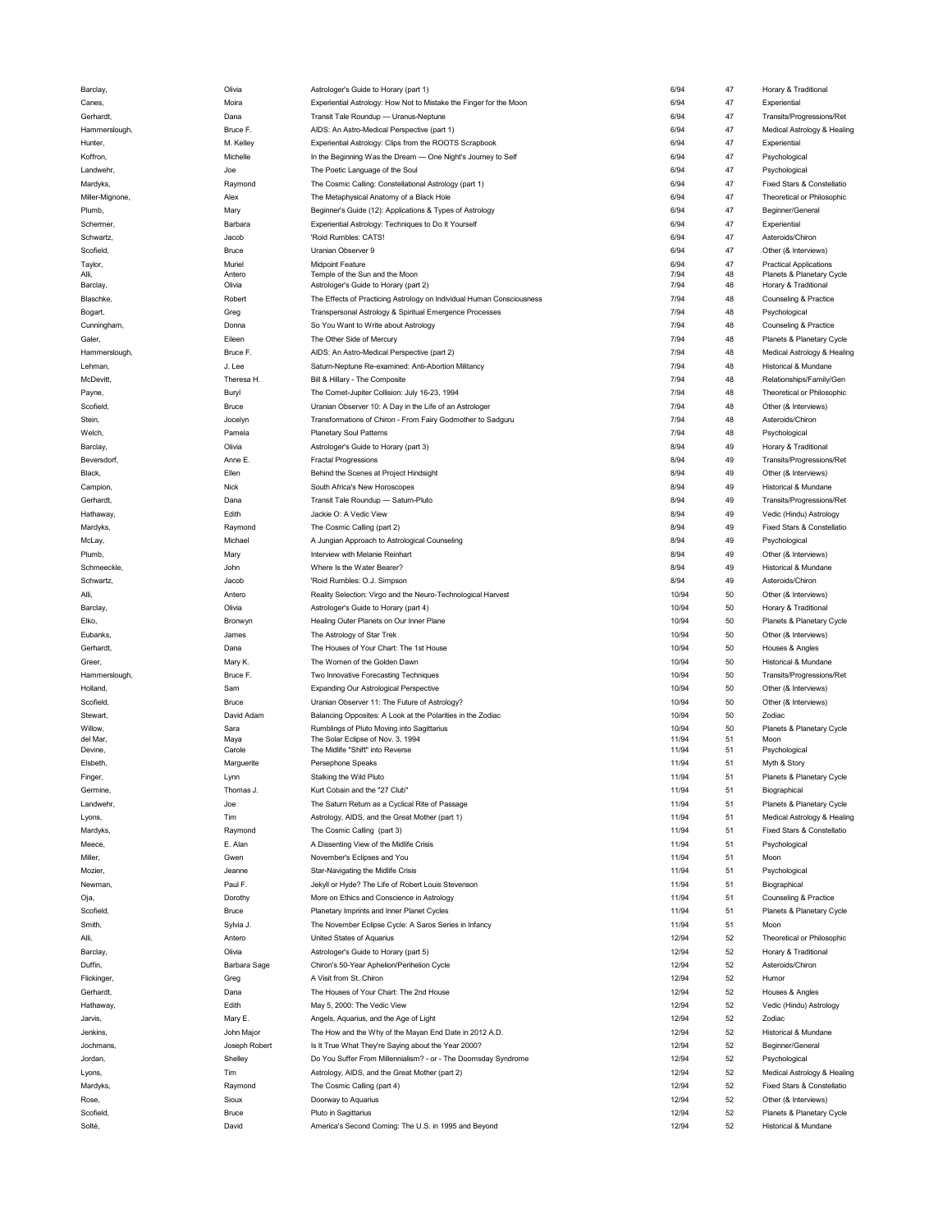| Barclay,            | UIMS           | (part 1) Astrologer's Guide to Horary (part 1)                               | 0/94           | 41       | Horary & Traditional                              |
|---------------------|----------------|------------------------------------------------------------------------------|----------------|----------|---------------------------------------------------|
| Canes,              | Moira          | Experiential Astrology: How Not to Mistake the Finger for the Moon           | 6/94           | 47       | Experiential                                      |
| Gerhardt,           | Dana           | Transit Tale Roundup - Uranus-Neptune                                        | 6/94           | 47       | Transits/Progressions/Ret                         |
|                     |                |                                                                              |                |          |                                                   |
| Hammerslough,       | Bruce F.       | AIDS: An Astro-Medical Perspective (part 1)                                  | 6/94           | 47       | Medical Astrology & Healing                       |
| Hunter,             | M. Kelley      | Experiential Astrology: Clips from the ROOTS Scrapbook                       | 6/94           | 47       | Experiential                                      |
| Koffron,            | Michelle       | In the Beginning Was the Dream - One Night's Journey to Self                 | 6/94           | 47       | Psychological                                     |
| Landwehr,           | Joe            | The Poetic Language of the Soul                                              | 6/94           | 47       | Psychological                                     |
|                     |                |                                                                              |                |          |                                                   |
| Mardyks,            | Raymond        | The Cosmic Calling: Constellational Astrology (part 1)                       | 6/94           | 47       | Fixed Stars & Constellatio                        |
| Miller-Mignone,     | Alex           | The Metaphysical Anatomy of a Black Hole                                     | 6/94           | 47       | Theoretical or Philosophic                        |
| Plumb,              | Mary           | Beginner's Guide (12): Applications & Types of Astrology                     | 6/94           | 47       | Beginner/General                                  |
|                     |                |                                                                              |                |          |                                                   |
| Schermer,           | Barbara        | Experiential Astrology: Techniques to Do It Yourself                         | 6/94           | 47       | Experiential                                      |
| Schwartz,           | Jacob          | 'Roid Rumbles: CATS!                                                         | 6/94           | 47       | Asteroids/Chiron                                  |
| Scofield,           | Bruce          | Uranian Observer 9                                                           | 6/94           | 47       | Other (& Interviews)                              |
|                     |                |                                                                              |                |          |                                                   |
| Taylor,             | Muriel         | <b>Midpoint Feature</b>                                                      | 6/94           | 47       | <b>Practical Applications</b>                     |
| Alli,               | Antero         | Temple of the Sun and the Moon                                               | 7/94           | 48       | Planets & Planetary Cycle                         |
| Barclay,            | Olivia         | Astrologer's Guide to Horary (part 2)                                        | 7/94           | 48       | Horary & Traditional                              |
| Blaschke,           | Robert         | The Effects of Practicing Astrology on Individual Human Consciousness        | 7/94           | 48       | Counseling & Practice                             |
| Bogart,             | Greg           | Transpersonal Astrology & Spiritual Emergence Processes                      | 7/94           | 48       | Psychological                                     |
|                     |                |                                                                              |                |          |                                                   |
| Cunningham,         | Donna          | So You Want to Write about Astrology                                         | 7/94           | 48       | Counseling & Practice                             |
| Galer,              | Eileen         | The Other Side of Mercury                                                    | 7/94           | 48       | Planets & Planetary Cycle                         |
| Hammerslough,       | Bruce F.       | AIDS: An Astro-Medical Perspective (part 2)                                  | 7/94           | 48       | Medical Astrology & Healing                       |
|                     |                |                                                                              |                |          |                                                   |
| Lehman,             | J. Lee         | Saturn-Neptune Re-examined: Anti-Abortion Militancy                          | 7/94           | 48       | Historical & Mundane                              |
| McDevitt,           | Theresa H.     | Bill & Hillary - The Composite                                               | 7/94           | 48       | Relationships/Family/Gen                          |
| Payne,              | Buryl          | The Comet-Jupiter Collision: July 16-23, 1994                                | 7/94           | 48       | Theoretical or Philosophic                        |
|                     |                |                                                                              |                |          | Other (& Interviews)                              |
| Scofield,           | Bruce          | Uranian Observer 10: A Day in the Life of an Astrologer                      | 7/94           | 48       |                                                   |
| Stein,              | Jocelyn        | Transformations of Chiron - From Fairy Godmother to Sadguru                  | 7/94           | 48       | Asteroids/Chiron                                  |
| Welch,              | Pamela         | <b>Planetary Soul Patterns</b>                                               | 7/94           | 48       | Psychological                                     |
|                     |                |                                                                              | 8/94           |          |                                                   |
| Barclay,            | Olivia         | Astrologer's Guide to Horary (part 3)                                        |                | 49       | Horary & Traditional                              |
| Beversdorf,         | Anne E         | <b>Fractal Progressions</b>                                                  | 8/94           | 49       | Transits/Progressions/Ret                         |
| Black,              | Ellen          | Behind the Scenes at Project Hindsight                                       | 8/94           | 49       | Other (& Interviews)                              |
| Campion,            | Nick           | South Africa's New Horoscopes                                                | 8/94           | 49       | Historical & Mundane                              |
|                     |                |                                                                              |                |          |                                                   |
| Gerhardt,           | Dana           | Transit Tale Roundup - Saturn-Pluto                                          | 8/94           | 49       | Transits/Progressions/Ret                         |
| Hathaway,           | Edith          | Jackie O: A Vedic View                                                       | 8/94           | 49       | Vedic (Hindu) Astrology                           |
| Mardyks,            | Raymond        | The Cosmic Calling (part 2)                                                  | 8/94           | 49       | Fixed Stars & Constellatio                        |
|                     |                |                                                                              |                |          |                                                   |
| McLay,              | Michael        | A Jungian Approach to Astrological Counseling                                | 8/94           | 49       | Psychological                                     |
| Plumb,              | Mary           | Interview with Melanie Reinhart                                              | 8/94           | 49       | Other (& Interviews)                              |
| Schmeeckle,         | John           | Where Is the Water Bearer?                                                   | 8/94           | 49       | Historical & Mundane                              |
|                     |                |                                                                              |                |          |                                                   |
| Schwartz,           | Jacob          | 'Roid Rumbles: O.J. Simpson                                                  | 8/94           | 49       | Asteroids/Chiron                                  |
| Alli,               | Antero         | Reality Selection: Virgo and the Neuro-Technological Harvest                 | 10/94          | 50       | Other (& Interviews)                              |
|                     | Olivia         | Astrologer's Guide to Horary (part 4)                                        | 10/94          | 50       | Horary & Traditional                              |
|                     |                |                                                                              |                |          |                                                   |
| Barclay,            |                |                                                                              |                |          |                                                   |
| Elko,               | Bronwyn        | Healing Outer Planets on Our Inner Plane                                     | 10/94          | 50       | Planets & Planetary Cycle                         |
| Eubanks,            | James          | The Astrology of Star Trek                                                   | 10/94          | 50       | Other (& Interviews)                              |
|                     |                | The Houses of Your Chart: The 1st House                                      | 10/94          | 50       |                                                   |
| Gerhardt,           | Dana           |                                                                              |                |          | Houses & Angles                                   |
| Greer,              | Mary K.        | The Women of the Golden Dawn                                                 | 10/94          | 50       | Historical & Mundane                              |
| Hammerslough,       | Bruce F.       | Two Innovative Forecasting Techniques                                        | 10/94          | 50       | Transits/Progressions/Ret                         |
| Holland,            | Sam            | <b>Expanding Our Astrological Perspective</b>                                | 10/94          | 50       | Other (& Interviews)                              |
|                     |                |                                                                              |                |          |                                                   |
| Scofield,           | Bruce          | Uranian Observer 11: The Future of Astrology?                                | 10/94          | 50       | Other (& Interviews)                              |
| Stewart,            | David Adam     | Balancing Opposites: A Look at the Polarities in the Zodiac                  | 10/94          | 50       | Zodiac                                            |
| Willow,             | Sara           | Rumblings of Pluto Moving into Sagittarius                                   | 10/94          | 50       | Planets & Planetary Cycle                         |
| del Mar,            | Maya           | The Solar Eclipse of Nov. 3, 1994                                            | 11/94          | 51       | Moon                                              |
| Devine,             | Carole         | The Midlife "Shift" into Reverse                                             | 11/94          | 51       | Psychological                                     |
|                     |                |                                                                              |                |          |                                                   |
| Elsbeth,            | Marguerite     | Persephone Speaks                                                            | 11/94          | 51       | Myth & Story                                      |
| Finger,             | Lynn           | Stalking the Wild Pluto                                                      | 11/94          | 51       | Planets & Planetary Cycle                         |
| Germine,            | Thomas J.      | Kurt Cobain and the "27 Club"                                                | 11/94          | 51       | Biographical                                      |
| Landwehr,           | Joe            | The Saturn Return as a Cyclical Rite of Passage                              | 11/94          | 51       | Planets & Planetary Cycle                         |
|                     |                |                                                                              |                |          |                                                   |
| Lyons,              | Tim            | Astrology, AIDS, and the Great Mother (part 1)                               | 11/94          | 51       | Medical Astrology & Healing                       |
| Mardyks,            | Raymond        | The Cosmic Calling (part 3)                                                  | 11/94          | 51       | Fixed Stars & Constellatio                        |
| Meece,              | E. Alan        | A Dissenting View of the Midlife Crisis                                      | 11/94          | 51       | Psychological                                     |
|                     |                |                                                                              |                |          |                                                   |
| Miller,             | Gwen           | November's Eclipses and You                                                  | 11/94          | 51       | Moon                                              |
| Mozier,             | Jeanne         | Star-Navigating the Midlife Crisis                                           | 11/94          | 51       | Psychological                                     |
| Newman,             | Paul F.        | Jekyll or Hyde? The Life of Robert Louis Stevenson                           | 11/94          | 51       | Biographical                                      |
|                     |                |                                                                              |                |          |                                                   |
| Oja,                | Dorothy        | More on Ethics and Conscience in Astrology                                   | 11/94          | 51       | Counseling & Practice                             |
| Scofield,           | Bruce          | Planetary Imprints and Inner Planet Cycles                                   | 11/94          | 51       | Planets & Planetary Cycle                         |
| Smith,              | Sylvia J.      | The November Eclipse Cycle: A Saros Series in Infancy                        | 11/94          | 51       | Moon                                              |
|                     |                |                                                                              |                |          |                                                   |
| Alli,               | Antero         | United States of Aquarius                                                    | 12/94          | 52       | Theoretical or Philosophic                        |
| Barclay,            | Olivia         | Astrologer's Guide to Horary (part 5)                                        | 12/94          | 52       | Horary & Traditional                              |
| Duffin,             | Barbara Sage   | Chiron's 50-Year Aphelion/Perihelion Cycle                                   | 12/94          | 52       | Asteroids/Chiron                                  |
|                     |                |                                                                              |                |          | Humor                                             |
| Flickinger,         | Greg           | A Visit from St. Chiron                                                      | 12/94          | 52       |                                                   |
| Gerhardt,           | Dana           | The Houses of Your Chart: The 2nd House                                      | 12/94          | 52       | Houses & Angles                                   |
| Hathaway,           | Edith          | May 5, 2000: The Vedic View                                                  | 12/94          | 52       | Vedic (Hindu) Astrology                           |
| Jarvis,             | Mary E.        | Angels, Aquarius, and the Age of Light                                       | 12/94          | 52       | Zodiac                                            |
|                     |                |                                                                              |                |          |                                                   |
| Jenkins,            | John Major     | The How and the Why of the Mayan End Date in 2012 A.D.                       | 12/94          | 52       | Historical & Mundane                              |
| Jochmans,           | Joseph Robert  | Is It True What They're Saying about the Year 2000?                          | 12/94          | 52       | Beginner/General                                  |
| Jordan,             | Shelley        | Do You Suffer From Millennialism? - or - The Doomsday Syndrome               | 12/94          | 52       | Psychological                                     |
|                     |                |                                                                              |                |          |                                                   |
| Lyons,              | Tim            | Astrology, AIDS, and the Great Mother (part 2)                               | 12/94          | 52       | Medical Astrology & Healing                       |
| Mardyks,            | Raymond        | The Cosmic Calling (part 4)                                                  | 12/94          | 52       | Fixed Stars & Constellatio                        |
| Rose,               | Sioux          | Doorway to Aquarius                                                          | 12/94          | 52       | Other (& Interviews)                              |
|                     |                |                                                                              |                |          |                                                   |
| Scofield,<br>Solté, | Bruce<br>David | Pluto in Sagittarius<br>America's Second Coming: The U.S. in 1995 and Beyond | 12/94<br>12/94 | 52<br>52 | Planets & Planetary Cycle<br>Historical & Mundane |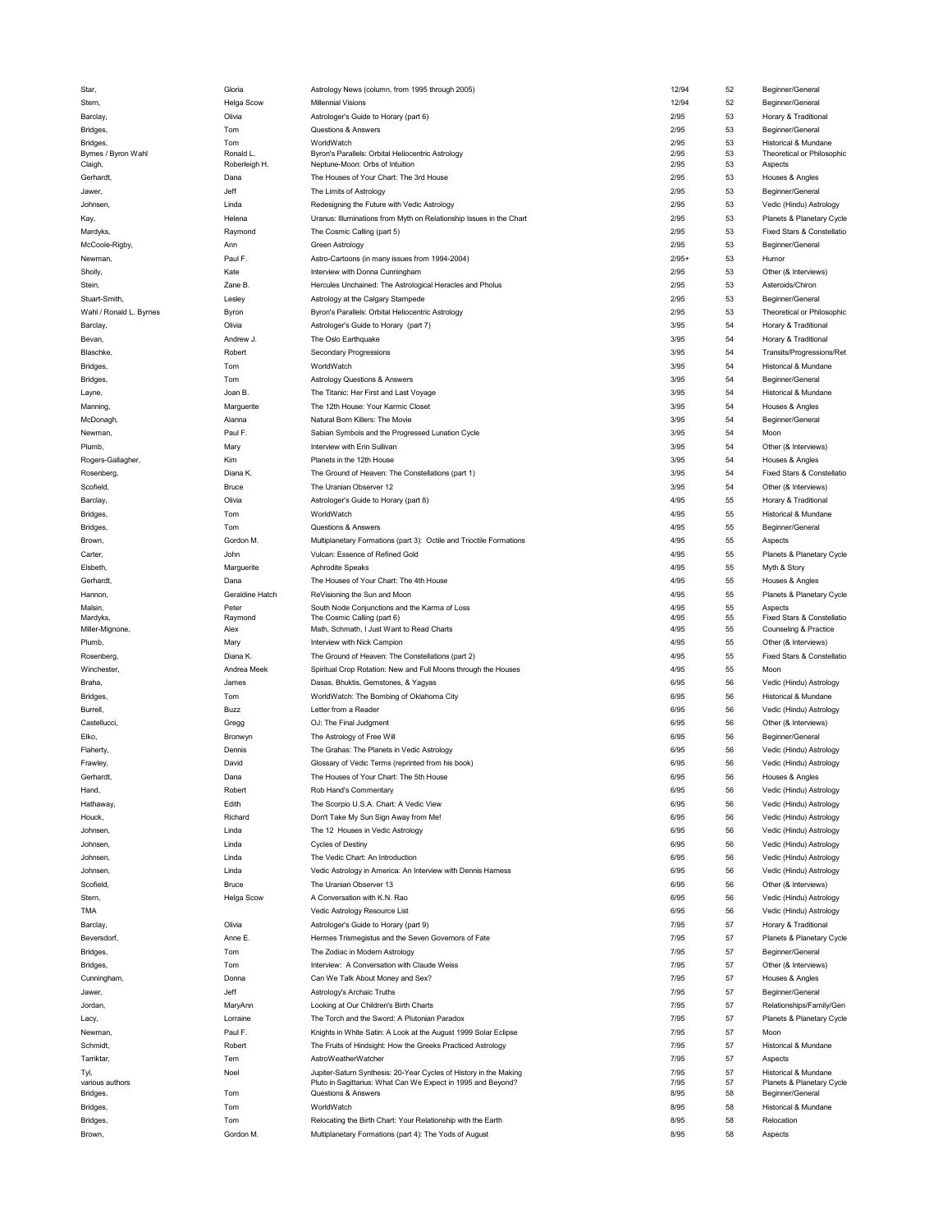| Star,                   | Gloria                    | Astrology News (column, from 1995 through 2005)                                      | 12/94        | 52       | Beginner/General           |
|-------------------------|---------------------------|--------------------------------------------------------------------------------------|--------------|----------|----------------------------|
| Stern,                  | Helga Scow                | <b>Millennial Visions</b>                                                            | 12/94        | 52       | Beginner/General           |
| Barclay,                | Olivia                    | Astrologer's Guide to Horary (part 6)                                                | 2/95         | 53       | Horary & Traditional       |
|                         |                           |                                                                                      |              |          |                            |
| Bridges,                | Tom                       | Questions & Answers                                                                  | 2/95         | 53       | Beginner/General           |
| Bridges,                | Tom                       | <b>WorldWatch</b>                                                                    | 2/95         | 53       | Historical & Mundane       |
| Byrnes / Byron Wahl     | Ronald L<br>Roberleigh H. | Byron's Parallels: Orbital Heliocentric Astrology<br>Neptune-Moon: Orbs of Intuition | 2/95<br>2/95 | 53<br>53 | Theoretical or Philosophic |
| Claigh,                 |                           |                                                                                      |              |          | Aspects                    |
| Gerhardt,               | Dana                      | The Houses of Your Chart: The 3rd House                                              | 2/95         | 53       | Houses & Angles            |
| Jawer,                  | Jeff                      | The Limits of Astrology                                                              | 2/95         | 53       | Beginner/General           |
| Johnsen,                | Linda                     | Redesigning the Future with Vedic Astrology                                          | 2/95         | 53       | Vedic (Hindu) Astrology    |
| Kay,                    | Helena                    | Uranus: Illuminations from Myth on Relationship Issues in the Chart                  | 2/95         | 53       | Planets & Planetary Cycle  |
| Mardyks,                | Raymond                   | The Cosmic Calling (part 5)                                                          | 2/95         | 53       | Fixed Stars & Constellatio |
| McCoole-Rigby,          | Ann                       | Green Astrology                                                                      | 2/95         | 53       | Beginner/General           |
|                         |                           |                                                                                      |              |          |                            |
| Newman,                 | Paul F.                   | Astro-Cartoons (in many issues from 1994-2004)                                       | $2/95+$      | 53       | Humor                      |
| Sholly,                 | Kate                      | Interview with Donna Cunningham                                                      | 2/95         | 53       | Other (& Interviews)       |
| Stein,                  | Zane B.                   | Hercules Unchained: The Astrological Heracles and Pholus                             | 2/95         | 53       | Asteroids/Chiron           |
| Stuart-Smith,           | Lesley                    | Astrology at the Calgary Stampede                                                    | 2/95         | 53       | Beginner/General           |
| Wahl / Ronald L. Byrnes | Byron                     | Byron's Parallels: Orbital Heliocentric Astrology                                    | 2/95         | 53       | Theoretical or Philosophic |
| Barclay,                | Olivia                    | Astrologer's Guide to Horary (part 7)                                                | 3/95         | 54       | Horary & Traditional       |
|                         | Andrew J.                 |                                                                                      | 3/95         | 54       |                            |
| Bevan,                  |                           | The Oslo Earthquake                                                                  |              |          | Horary & Traditional       |
| Blaschke,               | Robert                    | <b>Secondary Progressions</b>                                                        | 3/95         | 54       | Transits/Progressions/Ret  |
| Bridges,                | Tom                       | WorldWatch                                                                           | 3/95         | 54       | Historical & Mundane       |
| Bridges,                | Tom                       | <b>Astrology Questions &amp; Answers</b>                                             | 3/95         | 54       | Beginner/General           |
| Layne,                  | Joan B.                   | The Titanic: Her First and Last Voyage                                               | 3/95         | 54       | Historical & Mundane       |
| Manning,                | Marguerite                | The 12th House: Your Karmic Closet                                                   | 3/95         | 54       | Houses & Angles            |
|                         |                           |                                                                                      |              |          |                            |
| McDonagh                | Alanna                    | Natural Born Killers: The Movie                                                      | 3/95         | 54       | Beginner/General           |
| Newman,                 | Paul F.                   | Sabian Symbols and the Progressed Lunation Cycle                                     | 3/95         | 54       | Moon                       |
| Plumb,                  | Mary                      | Interview with Erin Sullivan                                                         | 3/95         | 54       | Other (& Interviews)       |
| Rogers-Gallagher,       | Kim                       | Planets in the 12th House                                                            | 3/95         | 54       | Houses & Angles            |
| Rosenberg,              | Diana K.                  | The Ground of Heaven: The Constellations (part 1)                                    | 3/95         | 54       | Fixed Stars & Constellatio |
| Scofield,               | Bruce                     | The Uranian Observer 12                                                              | 3/95         | 54       | Other (& Interviews)       |
|                         |                           |                                                                                      | 4/95         | 55       |                            |
| Barclay,                | Olivia                    | Astrologer's Guide to Horary (part 8)                                                |              |          | Horary & Traditional       |
| Bridges,                | Tom                       | WorldWatch                                                                           | 4/95         | 55       | Historical & Mundane       |
| Bridges,                | Tom                       | Questions & Answers                                                                  | 4/95         | 55       | Beginner/General           |
| Brown,                  | Gordon M.                 | Multiplanetary Formations (part 3): Octile and Trioctile Formations                  | 4/95         | 55       | Aspects                    |
| Carter,                 | John                      | Vulcan: Essence of Refined Gold                                                      | 4/95         | 55       | Planets & Planetary Cycle  |
| Elsbeth,                | Marguerite                | Aphrodite Speaks                                                                     | 4/95         | 55       | Myth & Story               |
| Gerhardt,               | Dana                      | The Houses of Your Chart: The 4th House                                              | 4/95         | 55       | Houses & Angles            |
|                         |                           |                                                                                      |              |          |                            |
| Hannon,                 | Geraldine Hatch           | ReVisioning the Sun and Moon                                                         | 4/95         | 55       | Planets & Planetary Cycle  |
| Malsin,                 | Peter                     | South Node Conjunctions and the Karma of Loss                                        | 4/95         | 55       | Aspects                    |
| Mardyks,                | Raymond                   | The Cosmic Calling (part 6)                                                          | 4/95         | 55       | Fixed Stars & Constellatio |
| Miller-Mignone,         | Alex                      | Math, Schmath, I Just Want to Read Charts                                            | 4/95         | 55       | Counseling & Practice      |
| Plumb,                  | Mary                      | Interview with Nick Campion                                                          | 4/95         | 55       | Other (& Interviews)       |
| Rosenberg,              | Diana K.                  | The Ground of Heaven: The Constellations (part 2)                                    | 4/95         | 55       | Fixed Stars & Constellatio |
| Winchester,             | Andrea Meek               | Spiritual Crop Rotation: New and Full Moons through the Houses                       | 4/95         | 55       | Moon                       |
| Braha,                  | James                     | Dasas, Bhuktis, Gemstones, & Yagyas                                                  | 6/95         | 56       | Vedic (Hindu) Astrology    |
| Bridges,                | Tom                       | WorldWatch: The Bombing of Oklahoma City                                             | 6/95         | 56       | Historical & Mundane       |
|                         |                           |                                                                                      |              |          |                            |
| Burrell,                | Buzz                      | Letter from a Reader                                                                 | 6/95         | 56       | Vedic (Hindu) Astrology    |
| Castellucci,            | Gregg                     | OJ: The Final Judgment                                                               | 6/95         | 56       | Other (& Interviews)       |
| Elko,                   | Bronwyn                   |                                                                                      |              |          |                            |
| Flaherty,               |                           | The Astrology of Free Will                                                           | 6/95         | 56       | Beginner/General           |
|                         | Dennis                    | The Grahas: The Planets in Vedic Astrology                                           | 6/95         | 56       | Vedic (Hindu) Astrology    |
|                         | David                     |                                                                                      | 6/95         | 56       |                            |
| Frawley,                |                           | Glossary of Vedic Terms (reprinted from his book)                                    |              |          | Vedic (Hindu) Astrology    |
| Gerhardt,               | Dana                      | The Houses of Your Chart: The 5th House                                              | 6/95         | 56       | Houses & Angles            |
| Hand,                   | Robert                    | Rob Hand's Commentary                                                                | 6/95         | 56       | Vedic (Hindu) Astrology    |
| Hathaway,               | Edith                     | The Scorpio U.S.A. Chart: A Vedic View                                               | 6/95         | 56       | Vedic (Hindu) Astrology    |
| Houck,                  | Richard                   | Don't Take My Sun Sign Away from Me!                                                 | 6/95         | 56       | Vedic (Hindu) Astrology    |
| Johnsen,                | Linda                     | The 12 Houses in Vedic Astrology                                                     | 6/95         | 56       | Vedic (Hindu) Astrology    |
| Johnsen,                | Linda                     | <b>Cycles of Destiny</b>                                                             | 6/95         | 56       | Vedic (Hindu) Astrology    |
|                         |                           |                                                                                      |              |          |                            |
| Johnsen,                | Linda                     | The Vedic Chart: An Introduction                                                     | 6/95         | 56       | Vedic (Hindu) Astrology    |
| Johnsen,                | Linda                     | Vedic Astrology in America: An Interview with Dennis Harness                         | 6/95         | 56       | Vedic (Hindu) Astrology    |
| Scofield,               | <b>Bruce</b>              | The Uranian Observer 13                                                              | 6/95         | 56       | Other (& Interviews)       |
| Stern,                  | Helga Scow                | A Conversation with K.N. Rao                                                         | 6/95         | 56       | Vedic (Hindu) Astrology    |
| TMA                     |                           | Vedic Astrology Resource List                                                        | 6/95         | 56       | Vedic (Hindu) Astrology    |
| Barclay,                | Olivia                    | Astrologer's Guide to Horary (part 9)                                                | 7/95         | 57       | Horary & Traditional       |
| Beversdorf,             | Anne E.                   | Hermes Trismegistus and the Seven Governors of Fate                                  | 7/95         | 57       | Planets & Planetary Cycle  |
|                         |                           |                                                                                      |              |          |                            |
| Bridges,                | Tom                       | The Zodiac in Modern Astrology                                                       | 7/95         | 57       | Beginner/General           |
| Bridges,                | Tom                       | Interview: A Conversation with Claude Weiss                                          | 7/95         | 57       | Other (& Interviews)       |
| Cunningham,             | Donna                     | Can We Talk About Money and Sex?                                                     | 7/95         | 57       | Houses & Angles            |
| Jawer.                  | Jeff                      | Astrology's Archaic Truths                                                           | 7/95         | 57       | Beginner/General           |
| Jordan,                 | MaryAnn                   | Looking at Our Children's Birth Charts                                               | 7/95         | 57       | Relationships/Family/Gen   |
| Lacy,                   | Lorraine                  | The Torch and the Sword: A Plutonian Paradox                                         | 7/95         | 57       | Planets & Planetary Cycle  |
|                         |                           |                                                                                      |              |          |                            |
| Newman,                 | Paul F.                   | Knights in White Satin: A Look at the August 1999 Solar Eclipse                      | 7/95         | 57       | Moon                       |
| Schmidt,                | Robert                    | The Fruits of Hindsight: How the Greeks Practiced Astrology                          | 7/95         | 57       | Historical & Mundane       |
| Tarriktar,              | Tem                       | AstroWeatherWatcher                                                                  | 7/95         | 57       | Aspects                    |
| Tyl,                    | Noel                      | Jupiter-Saturn Synthesis: 20-Year Cycles of History in the Making                    | 7/95         | 57       | Historical & Mundane       |
| various authors         |                           | Pluto in Sagittarius: What Can We Expect in 1995 and Beyond?                         | 7/95         | 57       | Planets & Planetary Cycle  |
| Bridges,                | Tom                       | Questions & Answers                                                                  | 8/95         | 58       | Beginner/General           |
| Bridges,                | Tom                       | WorldWatch                                                                           | 8/95         | 58       | Historical & Mundane       |
| Bridges,                | Tom                       | Relocating the Birth Chart: Your Relationship with the Earth                         | 8/95         | 58       | Relocation                 |
| Brown,                  | Gordon M.                 | Multiplanetary Formations (part 4): The Yods of August                               | 8/95         | 58       | Aspects                    |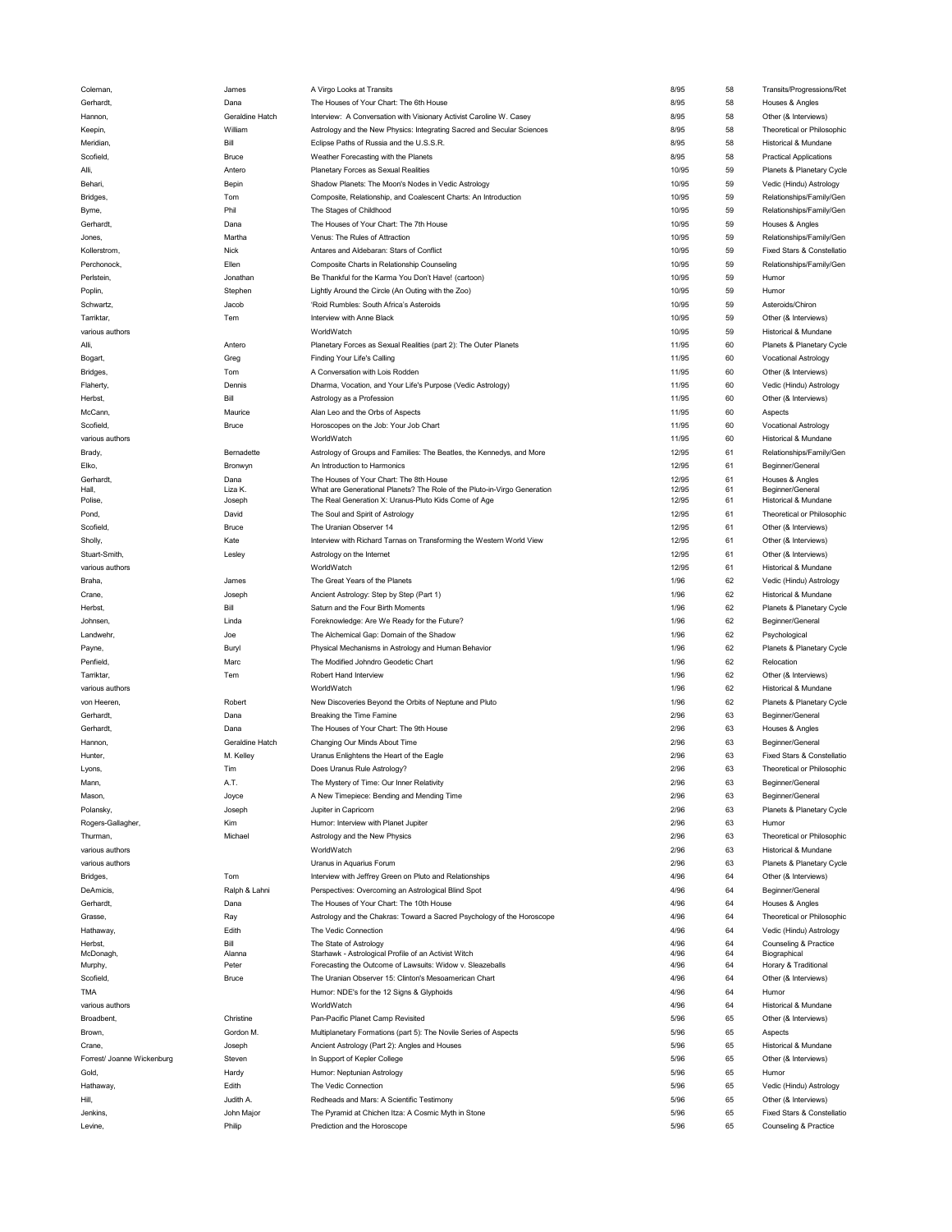| Coleman,                   | James                | A Virgo Looks at Transits                                                           | 8/95         | 58       | Transits/Progressions/Ret                           |
|----------------------------|----------------------|-------------------------------------------------------------------------------------|--------------|----------|-----------------------------------------------------|
| Gerhardt,                  | Dana                 | The Houses of Your Chart: The 6th House                                             | 8/95         | 58       | Houses & Angles                                     |
| Hannon,                    | Geraldine Hatch      | Interview: A Conversation with Visionary Activist Caroline W. Casey                 | 8/95         | 58       | Other (& Interviews)                                |
|                            | William              |                                                                                     |              | 58       |                                                     |
| Keepin,                    |                      | Astrology and the New Physics: Integrating Sacred and Secular Sciences              | 8/95         |          | Theoretical or Philosophic                          |
| Meridian,                  | Bill                 | Eclipse Paths of Russia and the U.S.S.R.                                            | 8/95         | 58       | Historical & Mundane                                |
| Scofield,                  | Bruce                | Weather Forecasting with the Planets                                                | 8/95         | 58       | <b>Practical Applications</b>                       |
| Alli,                      | Antero               | Planetary Forces as Sexual Realities                                                | 10/95        | 59       | Planets & Planetary Cycle                           |
| Behari,                    | Bepin                | Shadow Planets: The Moon's Nodes in Vedic Astrology                                 | 10/95        | 59       | Vedic (Hindu) Astrology                             |
| Bridges,                   | Tom                  | Composite, Relationship, and Coalescent Charts: An Introduction                     | 10/95        | 59       | Relationships/Family/Gen                            |
|                            |                      |                                                                                     |              |          |                                                     |
| Byrne,                     | Phil                 | The Stages of Childhood                                                             | 10/95        | 59       | Relationships/Family/Gen                            |
| Gerhardt,                  | Dana                 | The Houses of Your Chart: The 7th House                                             | 10/95        | 59       | Houses & Angles                                     |
| Jones,                     | Martha               | Venus: The Rules of Attraction                                                      | 10/95        | 59       | Relationships/Family/Gen                            |
| Kollerstrom,               | Nick                 | Antares and Aldebaran: Stars of Conflict                                            | 10/95        | 59       | Fixed Stars & Constellatio                          |
| Perchonock,                | Ellen                | Composite Charts in Relationship Counseling                                         | 10/95        | 59       | Relationships/Family/Gen                            |
|                            |                      | Be Thankful for the Karma You Don't Have! (cartoon)                                 |              |          |                                                     |
| Perlstein,                 | Jonathan             |                                                                                     | 10/95        | 59       | Humor                                               |
| Poplin,                    | Stephen              | Lightly Around the Circle (An Outing with the Zoo)                                  | 10/95        | 59       | Humor                                               |
| Schwartz,                  | Jacob                | 'Roid Rumbles: South Africa's Asteroids                                             | 10/95        | 59       | Asteroids/Chiron                                    |
| Tarriktar,                 | Tem                  | Interview with Anne Black                                                           | 10/95        | 59       | Other (& Interviews)                                |
| various authors            |                      | WorldWatch                                                                          | 10/95        | 59       | Historical & Mundane                                |
|                            |                      | Planetary Forces as Sexual Realities (part 2): The Outer Planets                    | 11/95        | 60       | Planets & Planetary Cycle                           |
| Alli,                      | Antero               |                                                                                     |              |          |                                                     |
| Bogart,                    | Greg                 | Finding Your Life's Calling                                                         | 11/95        | 60       | <b>Vocational Astrology</b>                         |
| Bridges,                   | Tom                  | A Conversation with Lois Rodden                                                     | 11/95        | 60       | Other (& Interviews)                                |
| Flaherty,                  | Dennis               | Dharma, Vocation, and Your Life's Purpose (Vedic Astrology)                         | 11/95        | 60       | Vedic (Hindu) Astrology                             |
| Herbst,                    | Bill                 | Astrology as a Profession                                                           | 11/95        | 60       | Other (& Interviews)                                |
|                            |                      |                                                                                     |              |          |                                                     |
| McCann,                    | Maurice              | Alan Leo and the Orbs of Aspects                                                    | 11/95        | 60       | Aspects                                             |
| Scofield,                  | <b>Bruce</b>         | Horoscopes on the Job: Your Job Chart                                               | 11/95        | 60       | <b>Vocational Astrology</b>                         |
| various authors            |                      | WorldWatch                                                                          | 11/95        | 60       | Historical & Mundane                                |
| Brady,                     | Bernadette           | Astrology of Groups and Families: The Beatles, the Kennedys, and More               | 12/95        | 61       | Relationships/Family/Gen                            |
| Elko,                      | Bronwyn              | An Introduction to Harmonics                                                        | 12/95        | 61       | Beginner/General                                    |
| Gerhardt,                  | Dana                 | The Houses of Your Chart: The 8th House                                             | 12/95        | 61       | Houses & Angles                                     |
| Hall,                      | Liza K.              | What are Generational Planets? The Role of the Pluto-in-Virgo Generation            | 12/95        | 61       | Beginner/General                                    |
| Polise,                    | Joseph               | The Real Generation X: Uranus-Pluto Kids Come of Age                                | 12/95        | 61       | Historical & Mundane                                |
| Pond,                      | David                | The Soul and Spirit of Astrology                                                    | 12/95        | 61       | Theoretical or Philosophic                          |
|                            |                      |                                                                                     |              |          |                                                     |
| Scofield,                  | <b>Bruce</b>         | The Uranian Observer 14                                                             | 12/95        | 61       | Other (& Interviews)                                |
| Sholly,                    | Kate                 | Interview with Richard Tarnas on Transforming the Western World View                | 12/95        | 61       | Other (& Interviews)                                |
| Stuart-Smith,              | Lesley               | Astrology on the Internet                                                           | 12/95        | 61       | Other (& Interviews)                                |
| various authors            |                      | WorldWatch                                                                          | 12/95        | 61       | Historical & Mundane                                |
| Braha,                     | James                | The Great Years of the Planets                                                      | 1/96         | 62       | Vedic (Hindu) Astrology                             |
|                            |                      |                                                                                     |              |          |                                                     |
| Crane,                     | Joseph               | Ancient Astrology: Step by Step (Part 1)                                            | 1/96         | 62       | Historical & Mundane                                |
| Herbst,                    | Bill                 | Saturn and the Four Birth Moments                                                   | 1/96         | 62       | Planets & Planetary Cycle                           |
|                            |                      |                                                                                     |              |          |                                                     |
| Johnsen,                   | Linda                | Foreknowledge: Are We Ready for the Future?                                         | 1/96         | 62       | Beginner/General                                    |
|                            |                      |                                                                                     |              |          |                                                     |
| Landwehr,                  | Joe                  | The Alchemical Gap: Domain of the Shadow                                            | 1/96         | 62       | Psychological                                       |
| Payne,                     | Buryl                | Physical Mechanisms in Astrology and Human Behavior                                 | 1/96         | 62       | Planets & Planetary Cycle                           |
| Penfield,                  | Marc                 | The Modified Johndro Geodetic Chart                                                 | 1/96         | 62       | Relocation                                          |
| Tarriktar,                 | Tem                  | Robert Hand Interview                                                               | 1/96         | 62       | Other (& Interviews)                                |
| various authors            |                      | WorldWatch                                                                          | 1/96         | 62       | Historical & Mundane                                |
| von Heeren                 |                      |                                                                                     | 1/96         |          |                                                     |
|                            | Robert               | New Discoveries Beyond the Orbits of Neptune and Pluto                              |              | 62       | Planets & Planetary Cycle                           |
| Gerhardt,                  | Dana                 | Breaking the Time Famine                                                            | 2/96         | 63       | Beginner/General                                    |
| Gerhardt,                  | Dana                 | The Houses of Your Chart: The 9th House                                             | 2/96         | 63       | Houses & Angles                                     |
| Hannon,                    | Geraldine Hatch      | Changing Our Minds About Time                                                       | 2/96         | 63       | Beginner/General                                    |
| Hunter,                    | M. Kelley            | Uranus Enlightens the Heart of the Eagle                                            | 2/96         | 63       | Fixed Stars & Constellatio                          |
|                            |                      |                                                                                     | 2/96         | 63       | Theoretical or Philosophic                          |
| Lyons,                     | Tim<br>Δ             | Does Uranus Rule Astrology?                                                         | 2/96         |          |                                                     |
| Mann,                      |                      | The Mystery of Time: Our Inner Relativity                                           |              |          | Beginner/General                                    |
| Mason,                     | Joyce                | A New Timepiece: Bending and Mending Time                                           | 2/96         | 63       | Beginner/General                                    |
| Polansky,                  | Joseph               | Jupiter in Capricorn                                                                | 2/96         | 63       | Planets & Planetary Cycle                           |
| Rogers-Gallagher,          | Kim                  | Humor: Interview with Planet Jupiter                                                | 2/96         | 63       | Humor                                               |
| Thurman,                   | Michael              | Astrology and the New Physics                                                       | 2/96         | 63       | Theoretical or Philosophic                          |
| various authors            |                      | WorldWatch                                                                          | 2/96         | 63       | Historical & Mundane                                |
|                            |                      |                                                                                     |              |          |                                                     |
| various authors            |                      | Uranus in Aquarius Forum                                                            | 2/96         | 63       | Planets & Planetary Cycle                           |
| Bridges,                   | Tom                  | Interview with Jeffrey Green on Pluto and Relationships                             | 4/96         | 64       | Other (& Interviews)                                |
| DeAmicis,                  | Ralph & Lahni        | Perspectives: Overcoming an Astrological Blind Spot                                 | 4/96         | 64       | Beginner/General                                    |
| Gerhardt,                  | Dana                 | The Houses of Your Chart: The 10th House                                            | 4/96         | 64       | Houses & Angles                                     |
|                            |                      |                                                                                     | 4/96         | 64       |                                                     |
| Grasse,                    | Ray                  | Astrology and the Chakras: Toward a Sacred Psychology of the Horoscope              |              |          | Theoretical or Philosophic                          |
| Hathaway,                  | Edith                | The Vedic Connection                                                                | 4/96         | 64       | Vedic (Hindu) Astrology                             |
| Herbst,                    | Bill                 | The State of Astrology                                                              | 4/96         | 64       | Counseling & Practice                               |
| McDonagh,                  | Alanna               | Starhawk - Astrological Profile of an Activist Witch                                | 4/96         | 64       | Biographical                                        |
| Murphy,                    | Peter                | Forecasting the Outcome of Lawsuits: Widow v. Sleazeballs                           | 4/96         | 64       | Horary & Traditional                                |
| Scofield,                  | Bruce                | The Uranian Observer 15: Clinton's Mesoamerican Chart                               | 4/96         | 64       | Other (& Interviews)                                |
| TMA                        |                      | Humor: NDE's for the 12 Signs & Glyphoids                                           | 4/96         | 64       | Humor                                               |
| various authors            |                      | WorldWatch                                                                          | 4/96         | 64       | Historical & Mundane                                |
| Broadbent,                 | Christine            | Pan-Pacific Planet Camp Revisited                                                   | 5/96         | 65       | Other (& Interviews)                                |
|                            |                      |                                                                                     |              |          |                                                     |
| Brown,                     | Gordon M.            | Multiplanetary Formations (part 5): The Novile Series of Aspects                    | 5/96         | 65       | Aspects                                             |
| Crane.                     | Joseph               | Ancient Astrology (Part 2): Angles and Houses                                       | 5/96         | 65       | Historical & Mundane                                |
| Forrest/ Joanne Wickenburg | Steven               | In Support of Kepler College                                                        | 5/96         | 65       | Other (& Interviews)                                |
| Gold,                      | Hardy                | Humor: Neptunian Astrology                                                          | 5/96         | 65       | Humor                                               |
|                            | Edith                | The Vedic Connection                                                                | 5/96         | 65       |                                                     |
| Hathaway,                  |                      |                                                                                     |              |          | Vedic (Hindu) Astrology                             |
| Hill,                      | Judith A.            | Redheads and Mars: A Scientific Testimony                                           | 5/96         | 65       | Other (& Interviews)                                |
| Jenkins,<br>Levine,        | John Major<br>Philip | The Pyramid at Chichen Itza: A Cosmic Myth in Stone<br>Prediction and the Horoscope | 5/96<br>5/96 | 65<br>65 | Fixed Stars & Constellatio<br>Counseling & Practice |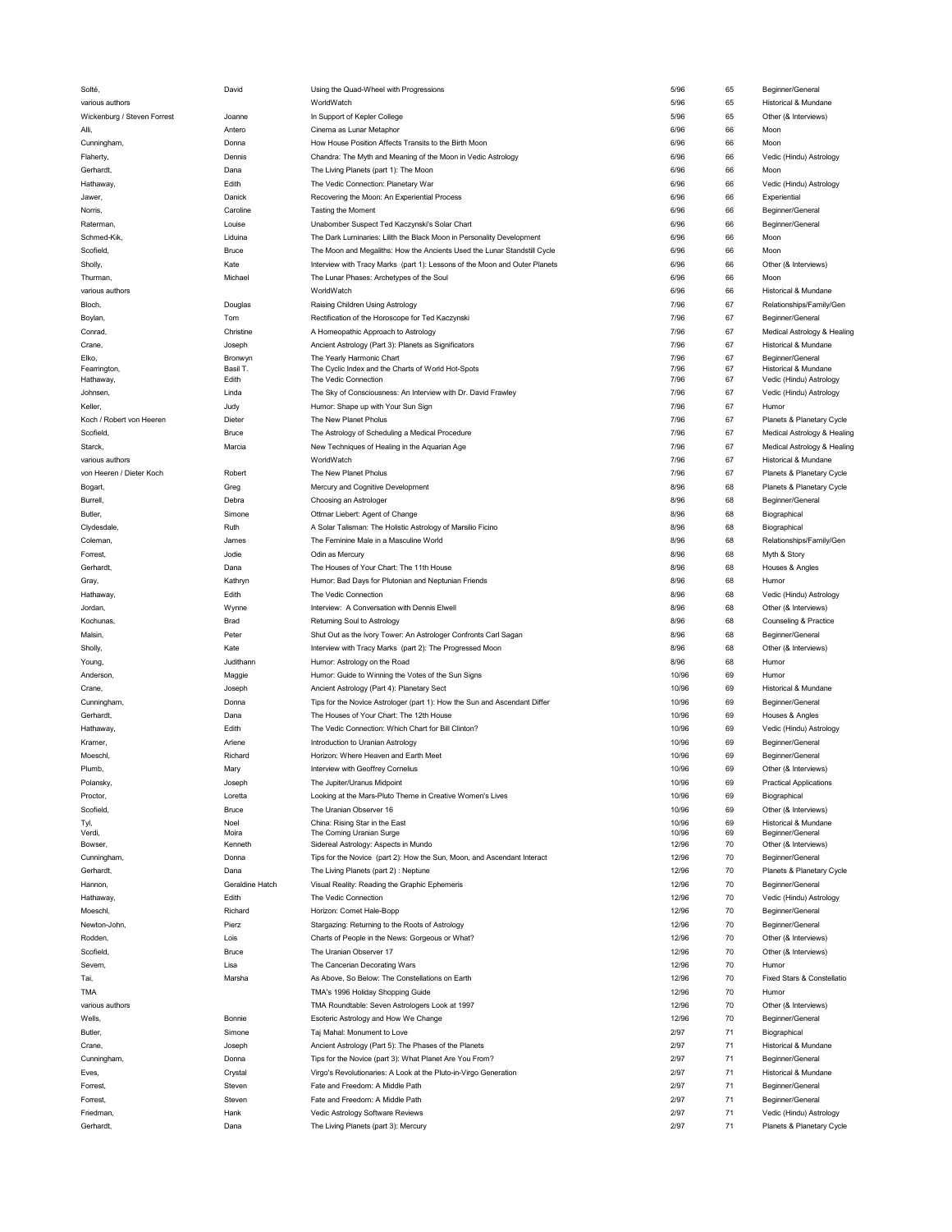| Solté,                      | David           | Using the Quad-Wheel with Progressions                                     | 5/96         | 65       | Beginner/General                                     |
|-----------------------------|-----------------|----------------------------------------------------------------------------|--------------|----------|------------------------------------------------------|
| various authors             |                 | WorldWatch                                                                 | 5/96         | 65       | Historical & Mundane                                 |
| Wickenburg / Steven Forrest | Joanne          | In Support of Kepler College                                               | 5/96         | 65       | Other (& Interviews)                                 |
| Alli,                       | Antero          | Cinema as Lunar Metaphor                                                   | 6/96         | 66       | Moon                                                 |
| Cunningham,                 | Donna           | How House Position Affects Transits to the Birth Moon                      | 6/96         | 66       | Moon                                                 |
| Flaherty,                   | Dennis          | Chandra: The Myth and Meaning of the Moon in Vedic Astrology               | 6/96         | 66       | Vedic (Hindu) Astrology                              |
| Gerhardt,                   | Dana            | The Living Planets (part 1): The Moon                                      | 6/96         | 66       | Moon                                                 |
|                             |                 |                                                                            |              |          |                                                      |
| Hathaway,                   | Edith           | The Vedic Connection: Planetary War                                        | 6/96         | 66       | Vedic (Hindu) Astrology                              |
| Jawer,                      | Danick          | Recovering the Moon: An Experiential Process                               | 6/96         | 66       | Experiential                                         |
| Norris,                     | Caroline        | Tasting the Moment                                                         | 6/96         | 66       | Beginner/General                                     |
| Raterman,                   | Louise          | Unabomber Suspect Ted Kaczynski's Solar Chart                              | 6/96         | 66       | Beginner/General                                     |
| Schmed-Kik,                 | Liduina         | The Dark Luminaries: Lilith the Black Moon in Personality Development      | 6/96         | 66       | Moon                                                 |
| Scofield,                   | Bruce           | The Moon and Megaliths: How the Ancients Used the Lunar Standstill Cycle   | 6/96         | 66       | Moon                                                 |
| Sholly,                     | Kate            | Interview with Tracy Marks (part 1): Lessons of the Moon and Outer Planets | 6/96         | 66       | Other (& Interviews)                                 |
| Thurman,                    | Michael         | The Lunar Phases: Archetypes of the Soul                                   | 6/96         | 66       | Moon                                                 |
|                             |                 |                                                                            |              |          |                                                      |
| various authors             |                 | WorldWatch                                                                 | 6/96         | 66       | Historical & Mundane                                 |
| Bloch,                      | Douglas         | Raising Children Using Astrology                                           | 7/96         | 67       | Relationships/Family/Gen                             |
| Boylan,                     | Tom             | Rectification of the Horoscope for Ted Kaczynski                           | 7/96         | 67       | Beginner/General                                     |
| Conrad,                     | Christine       | A Homeopathic Approach to Astrology                                        | 7/96         | 67       | Medical Astrology & Healing                          |
| Crane,                      | Joseph          | Ancient Astrology (Part 3): Planets as Significators                       | 7/96         | 67       | Historical & Mundane                                 |
| Elko,                       | Bronwyn         | The Yearly Harmonic Chart                                                  | 7/96         | 67       | Beginner/General                                     |
| Fearrington,                | Basil T.        | The Cyclic Index and the Charts of World Hot-Spots                         | 7/96         | 67       | Historical & Mundane                                 |
| Hathaway,                   | Edith           | The Vedic Connection                                                       | 7/96         | 67       | Vedic (Hindu) Astrology                              |
| Johnsen,                    | Linda           | The Sky of Consciousness: An Interview with Dr. David Frawley              | 7/96         | 67       | Vedic (Hindu) Astrology                              |
| Keller,                     | Judy            | Humor: Shape up with Your Sun Sign                                         | 7/96         | 67       | Humor                                                |
| Koch / Robert von Heeren    | Dieter          | The New Planet Pholus                                                      | 7/96         | 67       | Planets & Planetary Cycle                            |
|                             |                 |                                                                            |              |          |                                                      |
| Scofield,                   | Bruce           | The Astrology of Scheduling a Medical Procedure                            | 7/96         | 67       | Medical Astrology & Healing                          |
| Starck,                     | Marcia          | New Techniques of Healing in the Aquarian Age                              | 7/96         | 67       | Medical Astrology & Healing                          |
| various authors             |                 | WorldWatch                                                                 | 7/96         | 67       | Historical & Mundane                                 |
| von Heeren / Dieter Koch    | Robert          | The New Planet Pholus                                                      | 7/96         | 67       | Planets & Planetary Cycle                            |
| Bogart,                     | Greg            | Mercury and Cognitive Development                                          | 8/96         | 68       | Planets & Planetary Cycle                            |
| Burrell,                    | Debra           | Choosing an Astrologer                                                     | 8/96         | 68       | Beginner/General                                     |
| Butler,                     | Simone          | Ottmar Liebert: Agent of Change                                            | 8/96         | 68       | Biographical                                         |
|                             | Ruth            |                                                                            | 8/96         | 68       |                                                      |
| Clydesdale,                 |                 | A Solar Talisman: The Holistic Astrology of Marsilio Ficino                |              |          | Biographical                                         |
| Coleman,                    | James           | The Feminine Male in a Masculine World                                     | 8/96         | 68       | Relationships/Family/Gen                             |
| Forrest,                    | Jodie           | Odin as Mercury                                                            | 8/96         | 68       | Myth & Story                                         |
| Gerhardt,                   | Dana            | The Houses of Your Chart: The 11th House                                   | 8/96         | 68       | Houses & Angles                                      |
| Gray,                       | Kathryn         | Humor: Bad Days for Plutonian and Neptunian Friends                        | 8/96         | 68       | Humor                                                |
| Hathaway,                   | Edith           | The Vedic Connection                                                       | 8/96         | 68       | Vedic (Hindu) Astrology                              |
| Jordan,                     | Wynne           | Interview: A Conversation with Dennis Elwell                               | 8/96         | 68       | Other (& Interviews)                                 |
|                             | Brad            | Returning Soul to Astrology                                                | 8/96         | 68       |                                                      |
| Kochunas,                   |                 |                                                                            |              |          | Counseling & Practice                                |
| Malsin,                     | Peter           | Shut Out as the Ivory Tower: An Astrologer Confronts Carl Sagan            | 8/96         | 68       | Beginner/General                                     |
| Sholly,                     | Kate            | Interview with Tracy Marks (part 2): The Progressed Moon                   | 8/96         | 68       | Other (& Interviews)                                 |
| Young,                      | Judithann       | Humor: Astrology on the Road                                               | 8/96         | 68       | Humor                                                |
| Anderson,                   | Maggie          | Humor: Guide to Winning the Votes of the Sun Signs                         | 10/96        | 69       | Humor                                                |
| Crane,                      | Joseph          | Ancient Astrology (Part 4): Planetary Sect                                 | 10/96        | 69       | Historical & Mundane                                 |
| Cunningham,                 | Donna           | Tips for the Novice Astrologer (part 1): How the Sun and Ascendant Differ  | 10/96        | 69       | Beginner/General                                     |
| Gerhardt,                   | Dana            | The Houses of Your Chart: The 12th House                                   | 10/96        | 69       | Houses & Angles                                      |
|                             | Edith           | The Vedic Connection: Which Chart for Bill Clinton?                        | 10/96        | 69       | Vedic (Hindu) Astrology                              |
| Hathaway,                   |                 |                                                                            |              |          |                                                      |
| Kramer,                     | Arlene          | Introduction to Uranian Astrology                                          | 10/96        | 69       | Beginner/General                                     |
| Moeschl,                    | Richard         | Horizon: Where Heaven and Earth Meet                                       | 10/96        | 69       | Beginner/General                                     |
| Plumb,                      | Mary            | Interview with Geoffrey Cornelius                                          | 10/96        | 69       | Other (& Interviews)                                 |
| Polansky                    | Joseph          | The Jupiter/Uranus Midpoint                                                | 10/96        | 69       | <b>Practical Applications</b>                        |
| Proctor,                    | Loretta         | Looking at the Mars-Pluto Theme in Creative Women's Lives                  | 10/96        | 69       | Biographical                                         |
| Scofield,                   | Bruce           | The Uranian Observer 16                                                    | 10/96        | 69       | Other (& Interviews)                                 |
| Tyl,                        | Noel            | China: Rising Star in the East                                             | 10/96        | 69       | Historical & Mundane                                 |
| Verdi,                      | Moira           | The Coming Uranian Surge                                                   | 10/96        | 69       | Beginner/General                                     |
| Bowser,                     | Kenneth         | Sidereal Astrology: Aspects in Mundo                                       | 12/96        | 70       | Other (& Interviews)                                 |
| Cunningham,                 | Donna           | Tips for the Novice (part 2): How the Sun, Moon, and Ascendant Interact    | 12/96        | 70       | Beginner/General                                     |
| Gerhardt,                   | Dana            | The Living Planets (part 2) : Neptune                                      | 12/96        | 70       | Planets & Planetary Cycle                            |
|                             | Geraldine Hatch |                                                                            |              | 70       |                                                      |
| Hannon,                     |                 |                                                                            | 12/96        |          | Beginner/General                                     |
| Hathaway,                   |                 | Visual Reality: Reading the Graphic Ephemeris                              |              |          |                                                      |
|                             | Edith           | The Vedic Connection                                                       | 12/96        | 70       | Vedic (Hindu) Astrology                              |
| Moeschl,                    | Richard         | Horizon: Comet Hale-Bopp                                                   | 12/96        | 70       | Beginner/General                                     |
| Newton-John,                | Pierz           | Stargazing: Returning to the Roots of Astrology                            | 12/96        | 70       | Beginner/General                                     |
| Rodden,                     | Lois            | Charts of People in the News: Gorgeous or What?                            | 12/96        | 70       | Other (& Interviews)                                 |
| Scofield,                   | Bruce           | The Uranian Observer 17                                                    | 12/96        | 70       | Other (& Interviews)                                 |
|                             |                 |                                                                            |              |          |                                                      |
| Severn,                     | Lisa            | The Cancerian Decorating Wars                                              | 12/96        | 70       | Humor                                                |
| Tai,                        | Marsha          | As Above, So Below: The Constellations on Earth                            | 12/96        | 70       | Fixed Stars & Constellatio                           |
| <b>TMA</b>                  |                 | TMA's 1996 Holiday Shopping Guide                                          | 12/96        | 70       | Humor                                                |
| various authors             |                 | TMA Roundtable: Seven Astrologers Look at 1997                             | 12/96        | 70       | Other (& Interviews)                                 |
| Wells,                      | Bonnie          | Esoteric Astrology and How We Change                                       | 12/96        | 70       | Beginner/General                                     |
| Butler,                     | Simone          | Taj Mahal: Monument to Love                                                | 2/97         | 71       | Biographical                                         |
| Crane,                      | Joseph          | Ancient Astrology (Part 5): The Phases of the Planets                      | 2/97         | 71       | Historical & Mundane                                 |
| Cunningham,                 | Donna           | Tips for the Novice (part 3): What Planet Are You From?                    | 2/97         | 71       | Beginner/General                                     |
| Eves,                       | Crystal         | Virgo's Revolutionaries: A Look at the Pluto-in-Virgo Generation           | 2/97         | 71       | Historical & Mundane                                 |
|                             |                 |                                                                            |              |          |                                                      |
| Forrest,                    | Steven          | Fate and Freedom: A Middle Path                                            | 2/97         | 71       | Beginner/General                                     |
| Forrest,                    | Steven          | Fate and Freedom: A Middle Path                                            | 2/97         | 71       | Beginner/General                                     |
| Friedman,<br>Gerhardt,      | Hank<br>Dana    | Vedic Astrology Software Reviews<br>The Living Planets (part 3): Mercury   | 2/97<br>2/97 | 71<br>71 | Vedic (Hindu) Astrology<br>Planets & Planetary Cycle |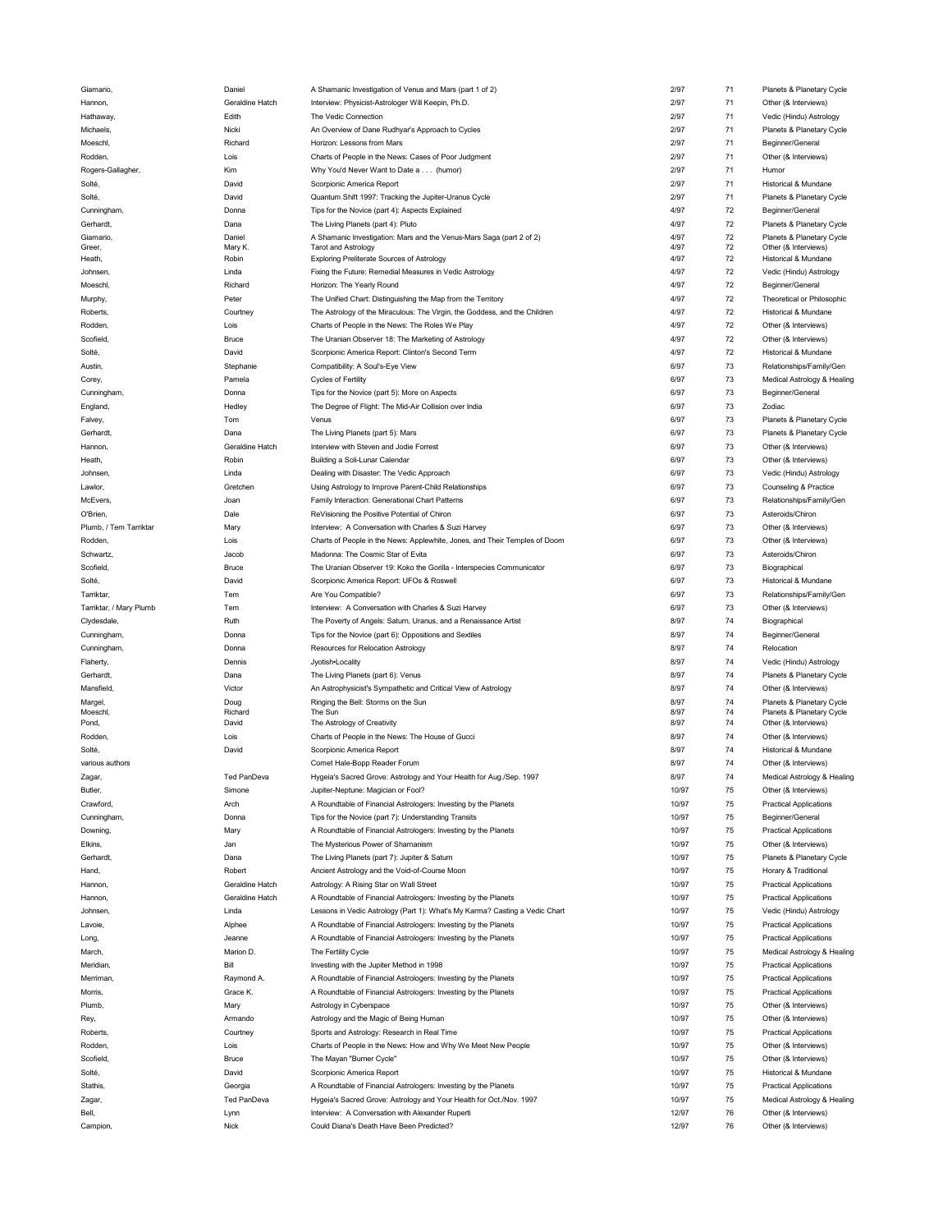| Giamario,               | Daniel             | A Shamanic Investigation of Venus and Mars (part 1 of 2)                    | 2/97  | 71 | Planets & Planetary Cycle     |
|-------------------------|--------------------|-----------------------------------------------------------------------------|-------|----|-------------------------------|
| Hannon,                 | Geraldine Hatch    | Interview: Physicist-Astrologer Will Keepin, Ph.D.                          | 2/97  | 71 | Other (& Interviews)          |
|                         |                    |                                                                             |       |    |                               |
| Hathaway,               | Edith              | The Vedic Connection                                                        | 2/97  | 71 | Vedic (Hindu) Astrology       |
| Michaels,               | Nicki              | An Overview of Dane Rudhyar's Approach to Cycles                            | 2/97  | 71 | Planets & Planetary Cycle     |
| Moeschl,                | Richard            | Horizon: Lessons from Mars                                                  | 2/97  | 71 | Beginner/General              |
|                         |                    |                                                                             |       |    |                               |
| Rodden,                 | Lois               | Charts of People in the News: Cases of Poor Judgment                        | 2/97  | 71 | Other (& Interviews)          |
| Rogers-Gallagher,       | Kim                | Why You'd Never Want to Date a (humor)                                      | 2/97  | 71 | Humor                         |
| Solté,                  | David              | Scorpionic America Report                                                   | 2/97  | 71 | Historical & Mundane          |
| Solté,                  | David              | Quantum Shift 1997: Tracking the Jupiter-Uranus Cycle                       | 2/97  | 71 | Planets & Planetary Cycle     |
|                         |                    |                                                                             |       |    |                               |
| Cunningham,             | Donna              | Tips for the Novice (part 4): Aspects Explained                             | 4/97  | 72 | Beginner/General              |
| Gerhardt,               | Dana               | The Living Planets (part 4): Pluto                                          | 4/97  | 72 | Planets & Planetary Cycle     |
| Giamario,               | Daniel             | A Shamanic Investigation: Mars and the Venus-Mars Saga (part 2 of 2)        | 4/97  | 72 | Planets & Planetary Cycle     |
| Greer,                  | Mary K.            | <b>Tarot and Astrology</b>                                                  | 4/97  | 72 | Other (& Interviews)          |
| Heath,                  | Robin              | Exploring Preliterate Sources of Astrology                                  | 4/97  | 72 | Historical & Mundane          |
|                         |                    |                                                                             |       |    |                               |
| Johnsen,                | Linda              | Fixing the Future: Remedial Measures in Vedic Astrology                     | 4/97  | 72 | Vedic (Hindu) Astrology       |
| Moeschl,                | Richard            | Horizon: The Yearly Round                                                   | 4/97  | 72 | Beginner/General              |
| Murphy,                 | Peter              | The Unified Chart: Distinguishing the Map from the Territory                | 4/97  | 72 | Theoretical or Philosophic    |
|                         |                    |                                                                             |       |    |                               |
| Roberts,                | Courtney           | The Astrology of the Miraculous: The Virgin, the Goddess, and the Children  | 4/97  | 72 | Historical & Mundane          |
| Rodden,                 | Lois               | Charts of People in the News: The Roles We Play                             | 4/97  | 72 | Other (& Interviews)          |
| Scofield                | Bruce              | The Uranian Observer 18: The Marketing of Astrology                         | 4/97  | 72 | Other (& Interviews)          |
|                         |                    |                                                                             |       |    |                               |
| Solté,                  | David              | Scorpionic America Report: Clinton's Second Term                            | 4/97  | 72 | Historical & Mundane          |
| Austin,                 | Stephanie          | Compatibility: A Soul's-Eye View                                            | 6/97  | 73 | Relationships/Family/Gen      |
| Corey,                  | Pamela             | Cycles of Fertility                                                         | 6/97  | 73 | Medical Astrology & Healing   |
|                         |                    |                                                                             |       |    |                               |
| Cunningham,             | Donna              | Tips for the Novice (part 5): More on Aspects                               | 6/97  | 73 | Beginner/General              |
| England,                | Hedley             | The Degree of Flight: The Mid-Air Collision over India                      | 6/97  | 73 | Zodiac                        |
| Falvey,                 | Tom                | Venus                                                                       | 6/97  | 73 | Planets & Planetary Cycle     |
|                         |                    |                                                                             |       | 73 |                               |
| Gerhardt,               | Dana               | The Living Planets (part 5): Mars                                           | 6/97  |    | Planets & Planetary Cycle     |
| Hannon,                 | Geraldine Hatch    | Interview with Steven and Jodie Forrest                                     | 6/97  | 73 | Other (& Interviews)          |
| Heath,                  | Robin              | Building a Soli-Lunar Calendar                                              | 6/97  | 73 | Other (& Interviews)          |
| Johnsen,                | Linda              | Dealing with Disaster: The Vedic Approach                                   | 6/97  | 73 | Vedic (Hindu) Astrology       |
|                         |                    |                                                                             |       |    |                               |
| Lawlor,                 | Gretchen           | Using Astrology to Improve Parent-Child Relationships                       | 6/97  | 73 | Counseling & Practice         |
| McEvers,                | Joan               | Family Interaction: Generational Chart Patterns                             | 6/97  | 73 | Relationships/Family/Gen      |
| O'Brien,                | Dale               | ReVisioning the Positive Potential of Chiron                                | 6/97  | 73 | Asteroids/Chiron              |
|                         |                    |                                                                             |       |    |                               |
| Plumb, / Tem Tarriktar  | Mary               | Interview: A Conversation with Charles & Suzi Harvey                        | 6/97  | 73 | Other (& Interviews)          |
| Rodden,                 | Lois               | Charts of People in the News: Applewhite, Jones, and Their Temples of Doom  | 6/97  | 73 | Other (& Interviews)          |
| Schwartz,               | Jacob              | Madonna: The Cosmic Star of Evita                                           | 6/97  | 73 | Asteroids/Chiron              |
|                         |                    |                                                                             |       |    |                               |
| Scofield                | Bruce              | The Uranian Observer 19: Koko the Gorilla - Interspecies Communicator       | 6/97  | 73 | Biographical                  |
| Solté,                  | David              | Scorpionic America Report: UFOs & Roswell                                   | 6/97  | 73 | Historical & Mundane          |
| Tarriktar,              | Tem                | Are You Compatible?                                                         | 6/97  | 73 | Relationships/Family/Gen      |
|                         | Tem                |                                                                             | 6/97  | 73 |                               |
| Tarriktar, / Mary Plumb |                    | Interview: A Conversation with Charles & Suzi Harvey                        |       |    | Other (& Interviews)          |
| Clydesdale,             | Ruth               | The Poverty of Angels: Saturn, Uranus, and a Renaissance Artist             | 8/97  | 74 | Biographical                  |
|                         |                    |                                                                             |       |    |                               |
| Cunningham,             | Donna              | Tips for the Novice (part 6): Oppositions and Sextiles                      | 8/97  | 74 | Beginner/General              |
|                         |                    |                                                                             |       |    |                               |
| Cunningham,             | Donna              | Resources for Relocation Astrology                                          | 8/97  | 74 | Relocation                    |
| Flaherty,               | Dennis             | Jyotish•Locality                                                            | 8/97  | 74 | Vedic (Hindu) Astrology       |
| Gerhardt,               | Dana               | The Living Planets (part 6): Venus                                          | 8/97  | 74 | Planets & Planetary Cycle     |
|                         |                    |                                                                             |       |    |                               |
| Mansfield,              | Victor             | An Astrophysicist's Sympathetic and Critical View of Astrology              | 8/97  | 74 | Other (& Interviews)          |
| Margel,                 | Doug               | Ringing the Bell: Storms on the Sun                                         | 8/97  | 74 | Planets & Planetary Cycle     |
| Moeschl,                | Richard            | The Sun                                                                     | 8/97  | 74 | Planets & Planetary Cycle     |
| Pond,                   | David              | The Astrology of Creativity                                                 | 8/97  | 74 | Other (& Interviews)          |
| <b>Rodden</b>           | Lois               | Charts of People in the News: The House of Gucci                            | 8/97  | 74 | Other (& Interviews)          |
|                         |                    |                                                                             |       |    |                               |
| Solté,                  | David              | Scorpionic America Report                                                   | 8/97  | 74 | Historical & Mundane          |
| various authors         |                    | Comet Hale-Bopp Reader Forum                                                | 8/97  | 74 | Other (& Interviews)          |
| Zagar,                  | <b>Ted PanDeva</b> | Hygeia's Sacred Grove: Astrology and Your Health for Aug./Sep. 1997         | 8/97  | 74 | Medical Astrology & Healing   |
| Butler,                 | Simone             | Jupiter-Neptune: Magician or Fool?                                          | 10/97 | 75 | Other (& Interviews)          |
|                         |                    |                                                                             |       |    |                               |
| Crawford,               | Arch               | A Roundtable of Financial Astrologers: Investing by the Planets             | 10/97 | 75 | <b>Practical Applications</b> |
| Cunningham,             | Donna              | Tips for the Novice (part 7): Understanding Transits                        | 10/97 | 75 | Beginner/General              |
|                         |                    |                                                                             | 10/97 | 75 |                               |
| Downing,                | Mary               | A Roundtable of Financial Astrologers: Investing by the Planets             |       |    | <b>Practical Applications</b> |
| Elkins,                 | Jan                | The Mysterious Power of Shamanism                                           | 10/97 | 75 | Other (& Interviews)          |
| Gerhardt,               | Dana               | The Living Planets (part 7): Jupiter & Saturn                               | 10/97 | 75 | Planets & Planetary Cycle     |
| Hand,                   | Robert             | Ancient Astrology and the Void-of-Course Moon                               | 10/97 | 75 | Horary & Traditional          |
|                         |                    |                                                                             |       |    |                               |
| Hannon,                 | Geraldine Hatch    | Astrology: A Rising Star on Wall Street                                     | 10/97 | 75 | <b>Practical Applications</b> |
| Hannon,                 | Geraldine Hatch    | A Roundtable of Financial Astrologers: Investing by the Planets             | 10/97 | 75 | <b>Practical Applications</b> |
| <b>Johnsen</b>          | Linda              | Lessons in Vedic Astrology (Part 1): What's My Karma? Casting a Vedic Chart | 10/97 | 75 | Vedic (Hindu) Astrology       |
|                         |                    |                                                                             |       |    |                               |
| Lavoie,                 | Alphee             | A Roundtable of Financial Astrologers: Investing by the Planets             | 10/97 | 75 | <b>Practical Applications</b> |
| Long,                   | Jeanne             | A Roundtable of Financial Astrologers: Investing by the Planets             | 10/97 | 75 | <b>Practical Applications</b> |
| March,                  | Marion D.          | The Fertility Cycle                                                         | 10/97 | 75 | Medical Astrology & Healing   |
| Meridian,               | Bill               | Investing with the Jupiter Method in 1998                                   | 10/97 | 75 | <b>Practical Applications</b> |
|                         |                    |                                                                             |       |    |                               |
| Merriman,               | Raymond A.         | A Roundtable of Financial Astrologers: Investing by the Planets             | 10/97 | 75 | <b>Practical Applications</b> |
| Morris,                 | Grace K.           | A Roundtable of Financial Astrologers: Investing by the Planets             | 10/97 | 75 | <b>Practical Applications</b> |
| Plumb,                  | Mary               |                                                                             | 10/97 | 75 |                               |
|                         |                    | Astrology in Cyberspace                                                     |       |    | Other (& Interviews)          |
| Rey,                    | Armando            | Astrology and the Magic of Being Human                                      | 10/97 | 75 | Other (& Interviews)          |
| Roberts,                | Courtney           | Sports and Astrology: Research in Real Time                                 | 10/97 | 75 | <b>Practical Applications</b> |
| Rodden,                 | Lois               | Charts of People in the News: How and Why We Meet New People                | 10/97 | 75 | Other (& Interviews)          |
|                         |                    |                                                                             |       |    |                               |
| Scofield,               | Bruce              | The Mayan "Burner Cycle"                                                    | 10/97 | 75 | Other (& Interviews)          |
| Solté,                  | David              | Scorpionic America Report                                                   | 10/97 | 75 | Historical & Mundane          |
| Stathis,                | Georgia            | A Roundtable of Financial Astrologers: Investing by the Planets             | 10/97 | 75 | <b>Practical Applications</b> |
|                         |                    |                                                                             |       |    |                               |
| Zagar,                  | Ted PanDeva        | Hygeia's Sacred Grove: Astrology and Your Health for Oct./Nov. 1997         | 10/97 | 75 | Medical Astrology & Healing   |
| Bell,                   | Lynn               | Interview: A Conversation with Alexander Ruperti                            | 12/97 | 76 | Other (& Interviews)          |
| Campion,                | Nick               | Could Diana's Death Have Been Predicted?                                    | 12/97 | 76 | Other (& Interviews)          |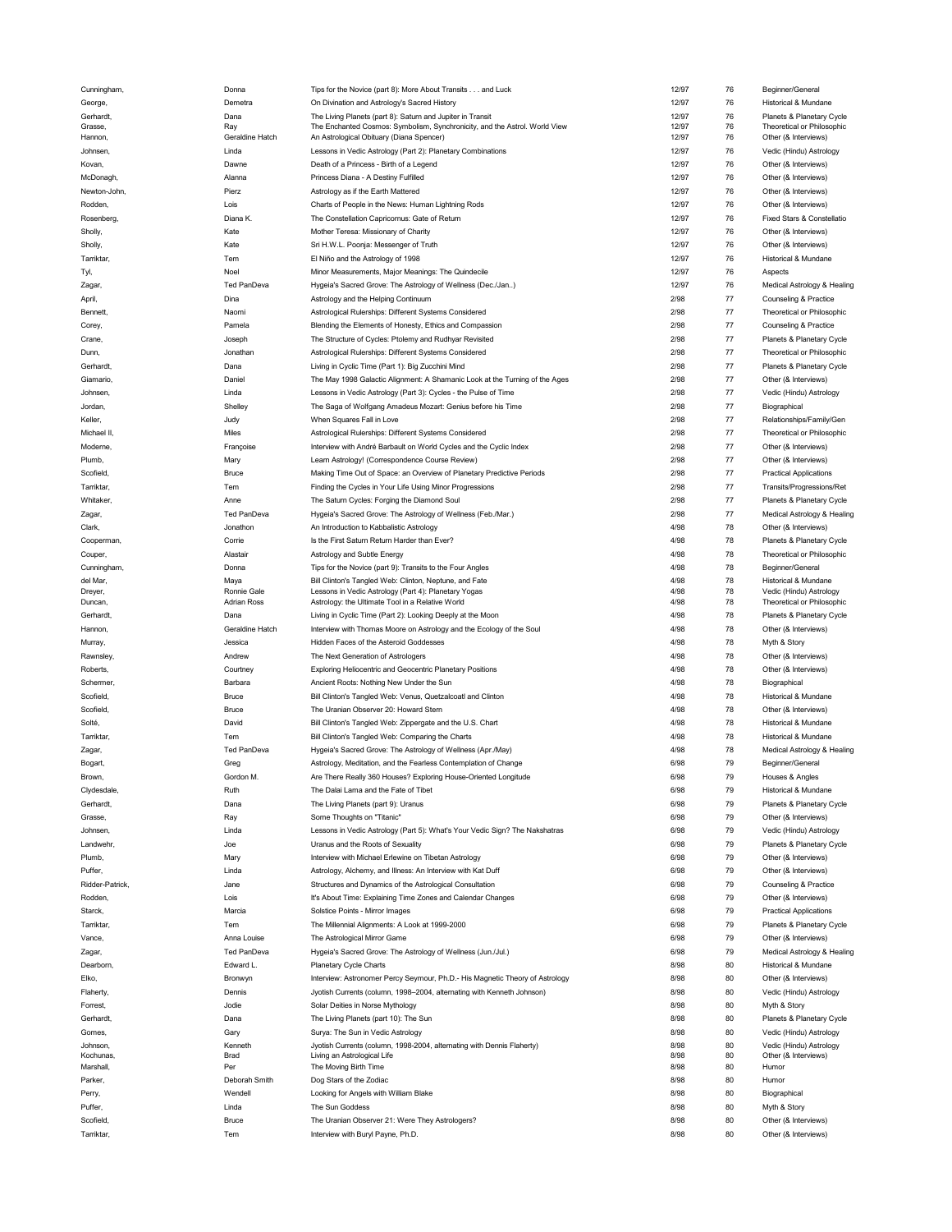| Cunningnam,     | Donna              | Tips for the Novice (part 8): More About Transits and Luck                   | 12/97 | 76      | Beginner/General              |
|-----------------|--------------------|------------------------------------------------------------------------------|-------|---------|-------------------------------|
| George,         | Demetra            | On Divination and Astrology's Sacred History                                 | 12/97 | 76      | Historical & Mundane          |
| Gerhardt,       | Dana               | The Living Planets (part 8): Saturn and Jupiter in Transit                   | 12/97 | 76      | Planets & Planetary Cycle     |
| Grasse,         | Ray                | The Enchanted Cosmos: Symbolism, Synchronicity, and the Astrol. World View   | 12/97 | 76      | Theoretical or Philosophic    |
| Hannon,         | Geraldine Hatch    | An Astrological Obituary (Diana Spencer)                                     | 12/97 | 76      | Other (& Interviews)          |
|                 |                    |                                                                              |       |         |                               |
| Johnsen,        | Linda              | Lessons in Vedic Astrology (Part 2): Planetary Combinations                  | 12/97 | 76      | Vedic (Hindu) Astrology       |
| Kovan,          | Dawne              | Death of a Princess - Birth of a Legend                                      | 12/97 | 76      | Other (& Interviews)          |
| McDonagh,       | Alanna             | Princess Diana - A Destiny Fulfilled                                         | 12/97 | 76      | Other (& Interviews)          |
|                 |                    |                                                                              |       |         |                               |
| Newton-John,    | Pierz              | Astrology as if the Earth Mattered                                           | 12/97 | 76      | Other (& Interviews)          |
| Rodden,         | Lois               | Charts of People in the News: Human Lightning Rods                           | 12/97 | 76      | Other (& Interviews)          |
| Rosenberg,      | Diana K.           | The Constellation Capricornus: Gate of Return                                | 12/97 | 76      | Fixed Stars & Constellatio    |
|                 |                    |                                                                              |       |         |                               |
| Sholly,         | Kate               | Mother Teresa: Missionary of Charity                                         | 12/97 | 76      | Other (& Interviews)          |
| Sholly,         | Kate               | Sri H.W.L. Poonja: Messenger of Truth                                        | 12/97 | 76      | Other (& Interviews)          |
| Tarriktar,      | Tem                | El Niño and the Astrology of 1998                                            | 12/97 | 76      | Historical & Mundane          |
| Tyl,            | Noel               | Minor Measurements, Major Meanings: The Quindecile                           | 12/97 | 76      | Aspects                       |
|                 |                    |                                                                              |       |         |                               |
| Zagar,          | Ted PanDeva        | Hygeia's Sacred Grove: The Astrology of Wellness (Dec./Jan)                  | 12/97 | 76      | Medical Astrology & Healing   |
| April,          | Dina               | Astrology and the Helping Continuum                                          | 2/98  | 77      | Counseling & Practice         |
| Bennett,        | Naomi              | Astrological Rulerships: Different Systems Considered                        | 2/98  | 77      | Theoretical or Philosophic    |
|                 |                    |                                                                              |       |         |                               |
| Corey,          | Pamela             | Blending the Elements of Honesty, Ethics and Compassion                      | 2/98  | 77      | Counseling & Practice         |
| Crane,          | Joseph             | The Structure of Cycles: Ptolemy and Rudhyar Revisited                       | 2/98  | $77 \,$ | Planets & Planetary Cycle     |
| Dunn,           | Jonathan           | Astrological Rulerships: Different Systems Considered                        | 2/98  | $77 \,$ | Theoretical or Philosophic    |
|                 |                    |                                                                              |       |         |                               |
| Gerhardt,       | Dana               | Living in Cyclic Time (Part 1): Big Zucchini Mind                            | 2/98  | 77      | Planets & Planetary Cycle     |
| Giamario,       | Daniel             | The May 1998 Galactic Alignment: A Shamanic Look at the Turning of the Ages  | 2/98  | 77      | Other (& Interviews)          |
| Johnsen,        | Linda              | Lessons in Vedic Astrology (Part 3): Cycles - the Pulse of Time              | 2/98  | 77      | Vedic (Hindu) Astrology       |
|                 |                    | The Saga of Wolfgang Amadeus Mozart: Genius before his Time                  | 2/98  | $77 \,$ |                               |
| Jordan,         | Shelley            |                                                                              |       |         | Biographical                  |
| Keller,         | Judy               | When Squares Fall in Love                                                    | 2/98  | 77      | Relationships/Family/Gen      |
| Michael II.     | Miles              | Astrological Rulerships: Different Systems Considered                        | 2/98  | 77      | Theoretical or Philosophic    |
| Moderne,        | Françoise          | Interview with André Barbault on World Cycles and the Cyclic Index           | 2/98  | 77      | Other (& Interviews)          |
|                 |                    |                                                                              |       |         |                               |
| Plumb,          | Mary               | Learn Astrology! (Correspondence Course Review)                              | 2/98  | $77 \,$ | Other (& Interviews)          |
| Scofield,       | <b>Bruce</b>       | Making Time Out of Space: an Overview of Planetary Predictive Periods        | 2/98  | $77 \,$ | <b>Practical Applications</b> |
| Tarriktar,      | Tem                | Finding the Cycles in Your Life Using Minor Progressions                     | 2/98  | 77      | Transits/Progressions/Ret     |
|                 |                    |                                                                              |       |         |                               |
| Whitaker,       | Anne               | The Saturn Cycles: Forging the Diamond Soul                                  | 2/98  | 77      | Planets & Planetary Cycle     |
| Zagar,          | Ted PanDeva        | Hygeia's Sacred Grove: The Astrology of Wellness (Feb./Mar.)                 | 2/98  | 77      | Medical Astrology & Healing   |
| Clark,          | Jonathon           | An Introduction to Kabbalistic Astrology                                     | 4/98  | 78      | Other (& Interviews)          |
| Cooperman,      | Corrie             | Is the First Saturn Return Harder than Ever?                                 | 4/98  | 78      |                               |
|                 |                    |                                                                              |       |         | Planets & Planetary Cycle     |
| Couper,         | Alastair           | Astrology and Subtle Energy                                                  | 4/98  | 78      | Theoretical or Philosophic    |
| Cunningham,     | Donna              | Tips for the Novice (part 9): Transits to the Four Angles                    | 4/98  | 78      | Beginner/General              |
| del Mar,        | Maya               | Bill Clinton's Tangled Web: Clinton, Neptune, and Fate                       | 4/98  | 78      | Historical & Mundane          |
| Dreyer,         | Ronnie Gale        | Lessons in Vedic Astrology (Part 4): Planetary Yogas                         | 4/98  | 78      | Vedic (Hindu) Astrology       |
|                 |                    |                                                                              |       |         |                               |
| Duncan,         | <b>Adrian Ross</b> | Astrology: the Ultimate Tool in a Relative World                             | 4/98  | 78      | Theoretical or Philosophic    |
| Gerhardt,       | Dana               | Living in Cyclic Time (Part 2): Looking Deeply at the Moon                   | 4/98  | 78      | Planets & Planetary Cycle     |
| Hannon,         | Geraldine Hatch    | Interview with Thomas Moore on Astrology and the Ecology of the Soul         | 4/98  | 78      | Other (& Interviews)          |
| Murray,         | Jessica            | Hidden Faces of the Asteroid Goddesses                                       | 4/98  | 78      | Myth & Story                  |
|                 |                    |                                                                              |       |         |                               |
| Rawnsley,       | Andrew             | The Next Generation of Astrologers                                           | 4/98  | 78      | Other (& Interviews)          |
| Roberts,        | Courtney           | Exploring Heliocentric and Geocentric Planetary Positions                    | 4/98  | 78      | Other (& Interviews)          |
| Schermer,       | Barbara            | Ancient Roots: Nothing New Under the Sun                                     | 4/98  | 78      | Biographical                  |
|                 |                    |                                                                              |       |         |                               |
|                 | <b>Bruce</b>       | Bill Clinton's Tangled Web: Venus, Quetzalcoatl and Clinton                  | 4/98  | 78      | Historical & Mundane          |
| Scofield,       |                    |                                                                              |       | 78      | Other (& Interviews)          |
| Scofield,       | <b>Bruce</b>       | The Uranian Observer 20: Howard Stern                                        | 4/98  |         |                               |
|                 |                    |                                                                              |       |         |                               |
| Solté,          | David              | Bill Clinton's Tangled Web: Zippergate and the U.S. Chart                    | 4/98  | 78      | Historical & Mundane          |
| Tarriktar,      | Tem                | Bill Clinton's Tangled Web: Comparing the Charts                             | 4/98  | 78      | Historical & Mundane          |
| Zagar,          | Ted PanDeva        | Hygeia's Sacred Grove: The Astrology of Wellness (Apr./May)                  | 4/98  | 78      | Medical Astrology & Healing   |
|                 |                    |                                                                              |       |         |                               |
| Bogart,         | Greg               | Astrology, Meditation, and the Fearless Contemplation of Change              | 6/98  | 79      | Beginner/General              |
| Brown,          | Gordon M.          | Are There Really 360 Houses? Exploring House-Oriented Longitude              | 6/98  | 79      | Houses & Angles               |
| Clydesdale,     | Ruth               | The Dalai Lama and the Fate of Tibet                                         | 6/98  | 79      | Historical & Mundane          |
| Gerhardt,       | Dana               | The Living Planets (part 9): Uranus                                          | 6/98  | 79      | Planets & Planetary Cycle     |
|                 |                    |                                                                              |       |         |                               |
| Grasse,         | Ray                | Some Thoughts on "Titanic"                                                   | 6/98  | 79      | Other (& Interviews)          |
| Johnsen,        | Linda              | Lessons in Vedic Astrology (Part 5): What's Your Vedic Sign? The Nakshatras  | 6/98  | 79      | Vedic (Hindu) Astrology       |
| Landwehr,       | Joe                | Uranus and the Roots of Sexuality                                            | 6/98  | 79      | Planets & Planetary Cycle     |
|                 |                    |                                                                              |       |         |                               |
| Plumb,          | Mary               | Interview with Michael Erlewine on Tibetan Astrology                         | 6/98  | 79      | Other (& Interviews)          |
| Puffer,         | Linda              | Astrology, Alchemy, and Illness: An Interview with Kat Duff                  | 6/98  | 79      | Other (& Interviews)          |
| Ridder-Patrick, | Jane               | Structures and Dynamics of the Astrological Consultation                     | 6/98  | 79      | Counseling & Practice         |
|                 |                    |                                                                              |       |         |                               |
| Rodden,         | Lois               | It's About Time: Explaining Time Zones and Calendar Changes                  | 6/98  | 79      | Other (& Interviews)          |
| Starck,         | Marcia             | Solstice Points - Mirror Images                                              | 6/98  | 79      | <b>Practical Applications</b> |
| Tarriktar,      | Tem                | The Millennial Alignments: A Look at 1999-2000                               | 6/98  | 79      | Planets & Planetary Cycle     |
| Vance,          | Anna Louise        | The Astrological Mirror Game                                                 | 6/98  | 79      | Other (& Interviews)          |
|                 |                    |                                                                              |       |         |                               |
| Zagar,          | Ted PanDeva        | Hygeia's Sacred Grove: The Astrology of Wellness (Jun./Jul.)                 | 6/98  | 79      | Medical Astrology & Healing   |
| Dearborn.       | Edward L.          | Planetary Cycle Charts                                                       | 8/98  | 80      | Historical & Mundane          |
| Elko,           | Bronwyn            | Interview: Astronomer Percy Seymour, Ph.D.- His Magnetic Theory of Astrology | 8/98  | 80      | Other (& Interviews)          |
|                 |                    |                                                                              |       |         |                               |
| Flaherty,       | Dennis             | Jyotish Currents (column, 1998-2004, alternating with Kenneth Johnson)       | 8/98  | 80      | Vedic (Hindu) Astrology       |
| Forrest,        | Jodie              | Solar Deities in Norse Mythology                                             | 8/98  | 80      | Myth & Story                  |
| Gerhardt,       | Dana               | The Living Planets (part 10): The Sun                                        | 8/98  | 80      | Planets & Planetary Cycle     |
|                 |                    |                                                                              |       |         |                               |
| Gomes,          | Gary               | Surya: The Sun in Vedic Astrology                                            | 8/98  | 80      | Vedic (Hindu) Astrology       |
| Johnson,        | Kenneth            | Jyotish Currents (column, 1998-2004, alternating with Dennis Flaherty)       | 8/98  | 80      | Vedic (Hindu) Astrology       |
| Kochunas,       | Brad               | Living an Astrological Life                                                  | 8/98  | 80      | Other (& Interviews)          |
| Marshall,       | Per                | The Moving Birth Time                                                        | 8/98  | 80      | Humor                         |
| Parker,         | Deborah Smith      | Dog Stars of the Zodiac                                                      | 8/98  | 80      | Humor                         |
|                 |                    |                                                                              |       |         |                               |
| Perry,          | Wendell            | Looking for Angels with William Blake                                        | 8/98  | 80      | Biographical                  |
| Puffer,         | Linda              | The Sun Goddess                                                              | 8/98  | 80      | Myth & Story                  |
| Scofield,       | <b>Bruce</b>       | The Uranian Observer 21: Were They Astrologers?                              | 8/98  | 80      | Other (& Interviews)          |
| Tarriktar,      | Tem                | Interview with Buryl Payne, Ph.D.                                            | 8/98  | 80      | Other (& Interviews)          |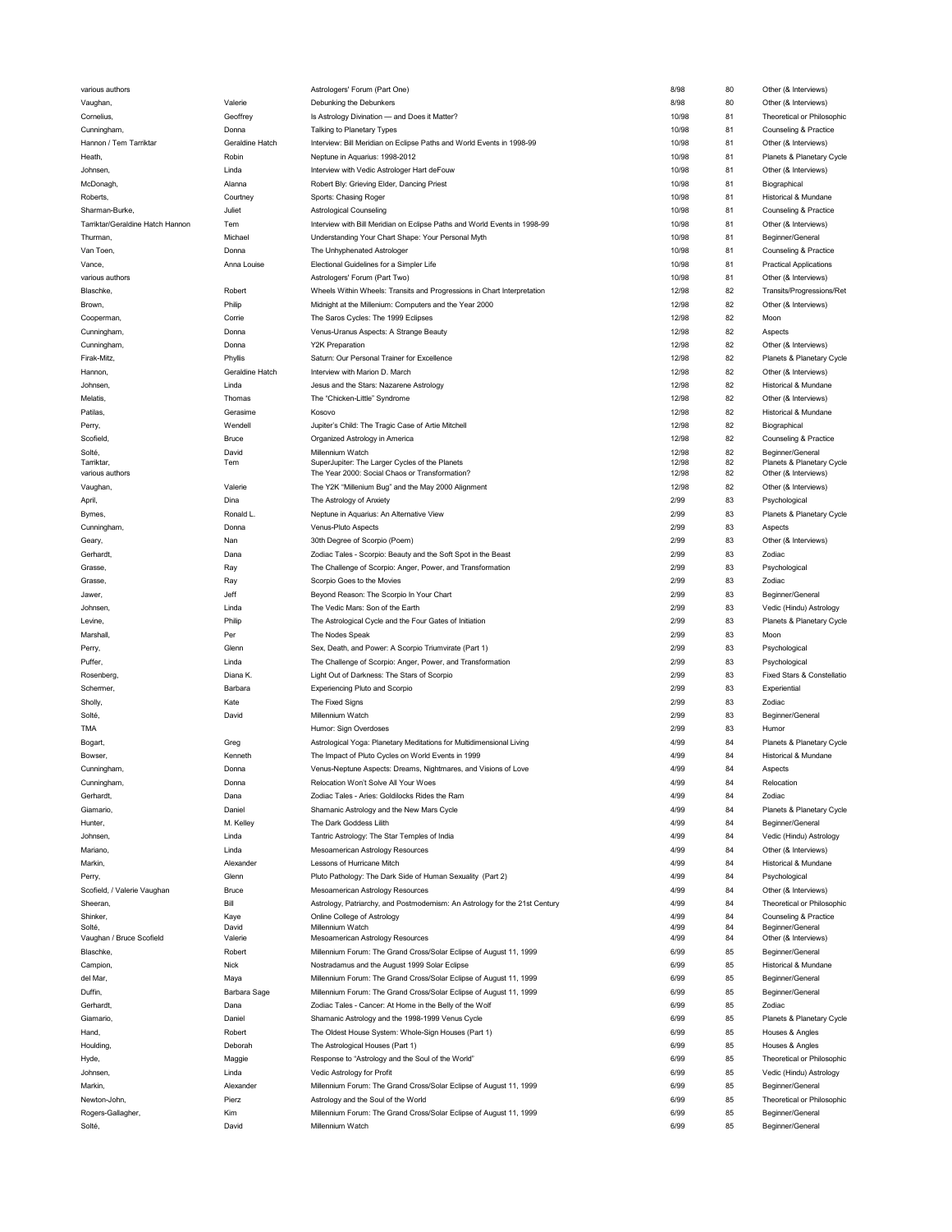| various authors                  |                 | Astrologers' Forum (Part One)                                                          | 8/98         | 80       | Other (& Interviews)                      |
|----------------------------------|-----------------|----------------------------------------------------------------------------------------|--------------|----------|-------------------------------------------|
| Vaughan,                         | Valerie         | Debunking the Debunkers                                                                | 8/98         | 80       | Other (& Interviews)                      |
| Cornelius,                       | Geoffrey        | Is Astrology Divination - and Does it Matter?                                          | 10/98        | 81       | Theoretical or Philosophic                |
|                                  |                 |                                                                                        |              |          |                                           |
| Cunningham,                      | Donna           | Talking to Planetary Types                                                             | 10/98        | 81       | Counseling & Practice                     |
| Hannon / Tem Tarriktar           | Geraldine Hatch | Interview: Bill Meridian on Eclipse Paths and World Events in 1998-99                  | 10/98        | 81       | Other (& Interviews)                      |
| Heath,                           | Robin           | Neptune in Aquarius: 1998-2012                                                         | 10/98        | 81       | Planets & Planetary Cycle                 |
| Johnsen                          | Linda           | Interview with Vedic Astrologer Hart deFouw                                            | 10/98        | 81       | Other (& Interviews)                      |
| McDonagh                         | Alanna          | Robert Bly: Grieving Elder, Dancing Priest                                             | 10/98        | 81       | Biographical                              |
| Roberts.                         | Courtney        | Sports: Chasing Roger                                                                  | 10/98        | 81       | Historical & Mundane                      |
|                                  |                 |                                                                                        |              |          |                                           |
| Sharman-Burke,                   | Juliet          | <b>Astrological Counseling</b>                                                         | 10/98        | 81       | Counseling & Practice                     |
| Tarriktar/Geraldine Hatch Hannon | Tem             | Interview with Bill Meridian on Eclipse Paths and World Events in 1998-99              | 10/98        | 81       | Other (& Interviews)                      |
| Thurman,                         | Michael         | Understanding Your Chart Shape: Your Personal Myth                                     | 10/98        | 81       | Beginner/General                          |
| Van Toen,                        | Donna           | The Unhyphenated Astrologer                                                            | 10/98        | 81       | Counseling & Practice                     |
| Vance.                           | Anna Louise     | Electional Guidelines for a Simpler Life                                               | 10/98        | 81       | <b>Practical Applications</b>             |
|                                  |                 |                                                                                        |              |          |                                           |
| various authors                  |                 | Astrologers' Forum (Part Two)                                                          | 10/98        | 81       | Other (& Interviews)                      |
| Blaschke,                        | Robert          | Wheels Within Wheels: Transits and Progressions in Chart Interpretation                | 12/98        | 82       | Transits/Progressions/Ret                 |
| Brown,                           | Philip          | Midnight at the Millenium: Computers and the Year 2000                                 | 12/98        | 82       | Other (& Interviews)                      |
| Cooperman,                       | Corrie          | The Saros Cycles: The 1999 Eclipses                                                    | 12/98        | 82       | Moon                                      |
| Cunningham,                      | Donna           | Venus-Uranus Aspects: A Strange Beauty                                                 | 12/98        | 82       | Aspects                                   |
|                                  |                 |                                                                                        |              |          |                                           |
| Cunningham,                      | Donna           | <b>Y2K Preparation</b>                                                                 | 12/98        | 82       | Other (& Interviews)                      |
| Firak-Mitz,                      | Phyllis         | Saturn: Our Personal Trainer for Excellence                                            | 12/98        | 82       | Planets & Planetary Cycle                 |
| Hannon,                          | Geraldine Hatch | Interview with Marion D. March                                                         | 12/98        | 82       | Other (& Interviews)                      |
| Johnsen,                         | Linda           | Jesus and the Stars: Nazarene Astrology                                                | 12/98        | 82       | Historical & Mundane                      |
| Melatis,                         | Thomas          | The "Chicken-Little" Syndrome                                                          | 12/98        | 82       | Other (& Interviews)                      |
|                                  |                 |                                                                                        |              |          |                                           |
| Patilas,                         | Gerasime        | Kosovo                                                                                 | 12/98        | 82       | Historical & Mundane                      |
| Perry,                           | Wendell         | Jupiter's Child: The Tragic Case of Artie Mitchell                                     | 12/98        | 82       | Biographical                              |
| Scofield,                        | Bruce           | Organized Astrology in America                                                         | 12/98        | 82       | Counseling & Practice                     |
| Solté,                           | David           | Millennium Watch                                                                       | 12/98        | 82       | Beginner/General                          |
| Tarriktar,                       | Tem             | SuperJupiter: The Larger Cycles of the Planets                                         | 12/98        | 82       | Planets & Planetary Cycle                 |
| various authors                  |                 | The Year 2000: Social Chaos or Transformation?                                         | 12/98        | 82       | Other (& Interviews)                      |
| Vaughan,                         | Valerie         | The Y2K "Millenium Bug" and the May 2000 Alignment                                     | 12/98        | 82       | Other (& Interviews)                      |
| April,                           | Dina            | The Astrology of Anxiety                                                               | 2/99         | 83       | Psychological                             |
|                                  |                 |                                                                                        |              |          |                                           |
| Byrnes,                          | Ronald L.       | Neptune in Aquarius: An Alternative View                                               | 2/99         | 83       | Planets & Planetary Cycle                 |
| Cunningham,                      | Donna           | Venus-Pluto Aspects                                                                    | 2/99         | 83       | Aspects                                   |
| Geary,                           | Nan             | 30th Degree of Scorpio (Poem)                                                          | 2/99         | 83       | Other (& Interviews)                      |
| Gerhardt,                        | Dana            | Zodiac Tales - Scorpio: Beauty and the Soft Spot in the Beast                          | 2/99         | 83       | Zodiac                                    |
| Grasse,                          | Ray             | The Challenge of Scorpio: Anger, Power, and Transformation                             | 2/99         | 83       | Psychological                             |
|                                  |                 |                                                                                        | 2/99         |          |                                           |
| Grasse,                          | Ray             | Scorpio Goes to the Movies                                                             |              | 83       | Zodiac                                    |
| Jawer,                           | Jeff            | Beyond Reason: The Scorpio In Your Chart                                               | 2/99         | 83       | Beginner/General                          |
| Johnsen                          | Linda           | The Vedic Mars: Son of the Earth                                                       | 2/99         | 83       | Vedic (Hindu) Astrology                   |
| Levine,                          | Philip          | The Astrological Cycle and the Four Gates of Initiation                                | 2/99         | 83       | Planets & Planetary Cycle                 |
| Marshall,                        | Per             | The Nodes Speak                                                                        | 2/99         | 83       | Moon                                      |
| Perry,                           | Glenn           | Sex, Death, and Power: A Scorpio Triumvirate (Part 1)                                  | 2/99         | 83       | Psychological                             |
|                                  |                 |                                                                                        |              |          |                                           |
| Puffer,                          | Linda           | The Challenge of Scorpio: Anger, Power, and Transformation                             | 2/99         | 83       | Psychological                             |
| Rosenberg,                       | Diana K.        | Light Out of Darkness: The Stars of Scorpio                                            | 2/99         | 83       | Fixed Stars & Constellatio                |
| Schermer,                        | Barbara         | Experiencing Pluto and Scorpio                                                         | 2/99         | 83       | Experiential                              |
| Sholly,                          |                 |                                                                                        |              |          |                                           |
|                                  |                 |                                                                                        |              |          |                                           |
|                                  | Kate            | The Fixed Signs                                                                        | 2/99         | 83       | Zodiac                                    |
| Solté,                           | David           | Millennium Watch                                                                       | 2/99         | 83       | Beginner/General                          |
| TMA                              |                 | Humor: Sign Overdoses                                                                  | 2/99         | 83       | Humor                                     |
| Bogart,                          | Greg            | Astrological Yoga: Planetary Meditations for Multidimensional Living                   | 4/99         | 84       | Planets & Planetary Cycle                 |
| Bowser,                          | Kenneth         | The Impact of Pluto Cycles on World Events in 1999                                     | 4/99         | 84       | Historical & Mundane                      |
|                                  |                 |                                                                                        |              |          |                                           |
| Cunningham,                      | Donna           | Venus-Neptune Aspects: Dreams, Nightmares, and Visions of Love                         | 4/99         | 84       | Aspects                                   |
| Cunningham,                      | Donna           | Relocation Won't Solve All Your Woes                                                   | 4/99         | R4       | Relocation                                |
| Gerhardt,                        | Dana            | Zodiac Tales - Aries: Goldilocks Rides the Ram                                         | 4/99         | 84       | Zodiac                                    |
| Giamario,                        | Daniel          | Shamanic Astrology and the New Mars Cycle                                              | 4/99         | 84       | Planets & Planetary Cycle                 |
| Hunter,                          | M. Kelley       | The Dark Goddess Lilith                                                                | 4/99         | 84       | Beginner/General                          |
| Johnsen,                         | Linda           | Tantric Astrology: The Star Temples of India                                           | 4/99         | 84       | Vedic (Hindu) Astrology                   |
|                                  |                 |                                                                                        |              |          |                                           |
| Mariano                          | Linda           | Mesoamerican Astrology Resources                                                       | 4/99         | 84       | Other (& Interviews)                      |
| Markin,                          | Alexander       | Lessons of Hurricane Mitch                                                             | 4/99         | 84       | Historical & Mundane                      |
| Perry,                           | Glenn           | Pluto Pathology: The Dark Side of Human Sexuality (Part 2)                             | 4/99         | 84       | Psychological                             |
| Scofield, / Valerie Vaughan      | Bruce           | Mesoamerican Astrology Resources                                                       | 4/99         | 84       | Other (& Interviews)                      |
| Sheeran,                         | Bill            | Astrology, Patriarchy, and Postmodernism: An Astrology for the 21st Century            | 4/99         | 84       | Theoretical or Philosophic                |
|                                  |                 |                                                                                        |              |          |                                           |
| Shinker,<br>Solté,               | Kaye<br>David   | Online College of Astrology<br>Millennium Watch                                        | 4/99<br>4/99 | 84<br>84 | Counseling & Practice<br>Beginner/General |
|                                  | Valerie         | Mesoamerican Astrology Resources                                                       | 4/99         | 84       |                                           |
| Vaughan / Bruce Scofield         |                 |                                                                                        |              |          | Other (& Interviews)                      |
| Blaschke,                        | Robert          | Millennium Forum: The Grand Cross/Solar Eclipse of August 11, 1999                     | 6/99         | 85       | Beginner/General                          |
| Campion,                         | Nick            | Nostradamus and the August 1999 Solar Eclipse                                          | 6/99         | 85       | Historical & Mundane                      |
| del Mar,                         | Maya            | Millennium Forum: The Grand Cross/Solar Eclipse of August 11, 1999                     | 6/99         | 85       | Beginner/General                          |
| Duffin,                          | Barbara Sage    | Millennium Forum: The Grand Cross/Solar Eclipse of August 11, 1999                     | 6/99         | 85       | Beginner/General                          |
| Gerhardt,                        | Dana            | Zodiac Tales - Cancer: At Home in the Belly of the Wolf                                | 6/99         | 85       | Zodiac                                    |
| Giamario,                        | Daniel          |                                                                                        | 6/99         | 85       | Planets & Planetary Cycle                 |
|                                  |                 | Shamanic Astrology and the 1998-1999 Venus Cycle                                       |              |          |                                           |
| Hand,                            | Robert          | The Oldest House System: Whole-Sign Houses (Part 1)                                    | 6/99         | 85       | Houses & Angles                           |
| Houlding,                        | Deborah         | The Astrological Houses (Part 1)                                                       | 6/99         | 85       | Houses & Angles                           |
| Hyde,                            | Maggie          | Response to "Astrology and the Soul of the World"                                      | 6/99         | 85       | Theoretical or Philosophic                |
| Johnsen,                         | Linda           | Vedic Astrology for Profit                                                             | 6/99         | 85       | Vedic (Hindu) Astrology                   |
|                                  | Alexander       |                                                                                        |              |          |                                           |
| Markin,                          |                 | Millennium Forum: The Grand Cross/Solar Eclipse of August 11, 1999                     | 6/99         | 85       | Beginner/General                          |
| Newton-John,                     | Pierz           | Astrology and the Soul of the World                                                    | 6/99         | 85       | Theoretical or Philosophic                |
| Rogers-Gallagher,<br>Solté,      | Kim<br>David    | Millennium Forum: The Grand Cross/Solar Eclipse of August 11, 1999<br>Millennium Watch | 6/99<br>6/99 | 85<br>85 | Beginner/General<br>Beginner/General      |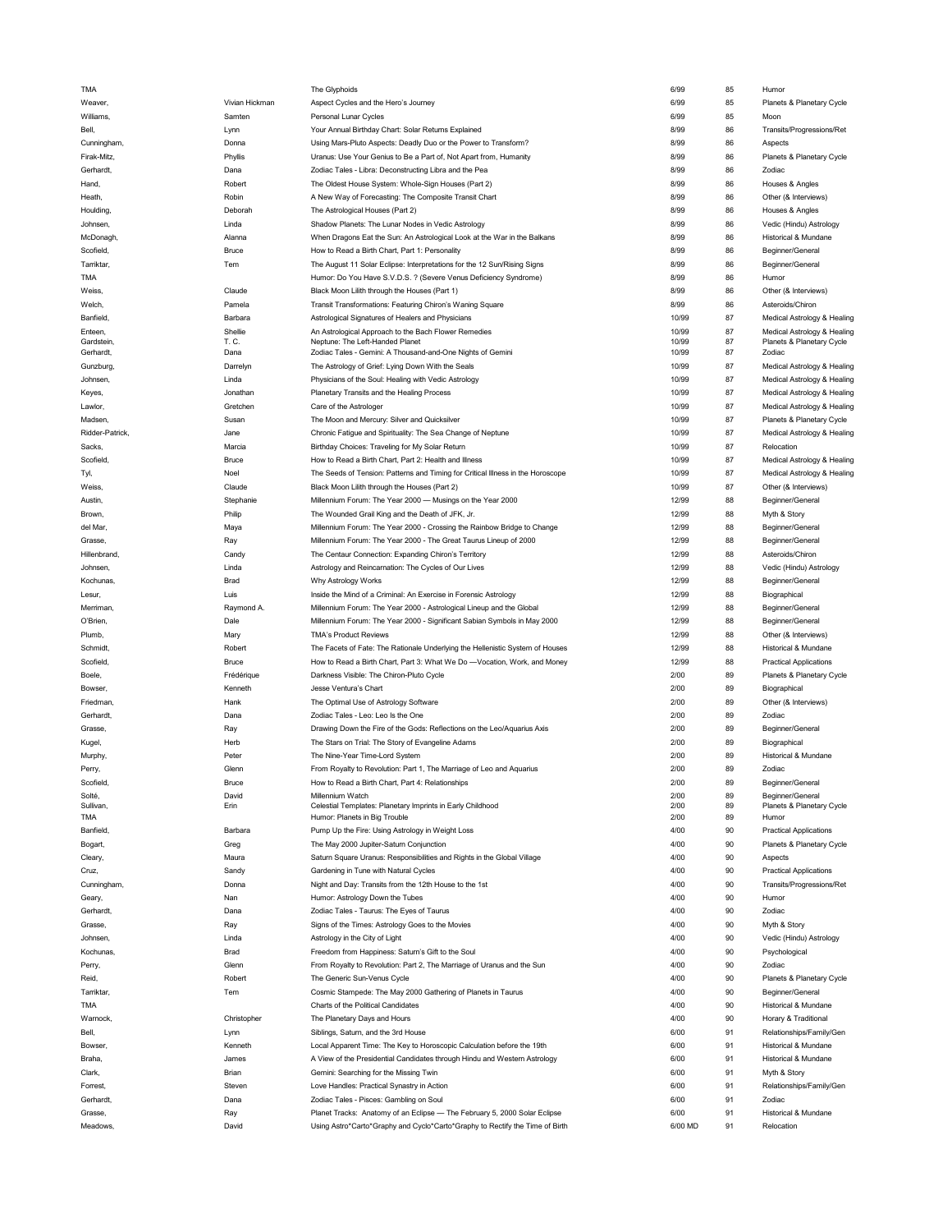| TMA                 |                | The Glyphoids                                                                                                                                             | 6/99            | 85       | Humor                                         |
|---------------------|----------------|-----------------------------------------------------------------------------------------------------------------------------------------------------------|-----------------|----------|-----------------------------------------------|
| Weaver,             | Vivian Hickman | Aspect Cycles and the Hero's Journey                                                                                                                      | 6/99            | 85       | Planets & Planetary Cycle                     |
| Williams,           | Samten         | Personal Lunar Cycles                                                                                                                                     | 6/99            | 85       | Moon                                          |
| Bell,               | Lynn           | Your Annual Birthday Chart: Solar Returns Explained                                                                                                       | 8/99            | 86       | Transits/Progressions/Ret                     |
|                     |                |                                                                                                                                                           | 8/99            | 86       |                                               |
| Cunningham,         | Donna          | Using Mars-Pluto Aspects: Deadly Duo or the Power to Transform?                                                                                           |                 |          | Aspects                                       |
| Firak-Mitz,         | Phyllis        | Uranus: Use Your Genius to Be a Part of, Not Apart from, Humanity                                                                                         | 8/99            | 86       | Planets & Planetary Cycle                     |
| Gerhardt,           | Dana           | Zodiac Tales - Libra: Deconstructing Libra and the Pea                                                                                                    | 8/99            | 86       | Zodiac                                        |
| Hand,               | Robert         | The Oldest House System: Whole-Sign Houses (Part 2)                                                                                                       | 8/99            | 86       | Houses & Angles                               |
| Heath,              | Robin          | A New Way of Forecasting: The Composite Transit Chart                                                                                                     | 8/99            | 86       | Other (& Interviews)                          |
| Houlding.           | Deborah        | The Astrological Houses (Part 2)                                                                                                                          | 8/99            | 86       | Houses & Angles                               |
|                     |                |                                                                                                                                                           |                 |          |                                               |
| Johnsen,            | Linda          | Shadow Planets: The Lunar Nodes in Vedic Astrology                                                                                                        | 8/99            | 86       | Vedic (Hindu) Astrology                       |
| McDonagh,           | Alanna         | When Dragons Eat the Sun: An Astrological Look at the War in the Balkans                                                                                  | 8/99            | 86       | Historical & Mundane                          |
| Scofield,           | Bruce          | How to Read a Birth Chart, Part 1: Personality                                                                                                            | 8/99            | 86       | Beginner/General                              |
| Tarriktar.          | Tem            | The August 11 Solar Eclipse: Interpretations for the 12 Sun/Rising Signs                                                                                  | 8/99            | 86       | Beginner/General                              |
| TMA                 |                | Humor: Do You Have S.V.D.S. ? (Severe Venus Deficiency Syndrome)                                                                                          | 8/99            | 86       | Humor                                         |
|                     |                |                                                                                                                                                           |                 |          |                                               |
| Weiss,              | Claude         | Black Moon Lilith through the Houses (Part 1)                                                                                                             | 8/99            | 86       | Other (& Interviews)                          |
| Welch,              | Pamela         | Transit Transformations: Featuring Chiron's Waning Square                                                                                                 | 8/99            | 86       | Asteroids/Chiron                              |
| Banfield,           | Barbara        | Astrological Signatures of Healers and Physicians                                                                                                         | 10/99           | 87       | Medical Astrology & Healing                   |
| Enteen,             | Shellie        | An Astrological Approach to the Bach Flower Remedies                                                                                                      | 10/99           | 87       | Medical Astrology & Healing                   |
| Gardstein,          | T. C.          | Neptune: The Left-Handed Planet                                                                                                                           | 10/99           | 87       | Planets & Planetary Cycle                     |
| Gerhardt,           | Dana           | Zodiac Tales - Gemini: A Thousand-and-One Nights of Gemini                                                                                                | 10/99           | 87       | Zodiac                                        |
| Gunzburg,           | Darrelyn       | The Astrology of Grief: Lying Down With the Seals                                                                                                         | 10/99           | 87       | Medical Astrology & Healing                   |
| Johnsen,            | Linda          | Physicians of the Soul: Healing with Vedic Astrology                                                                                                      | 10/99           | 87       | Medical Astrology & Healing                   |
|                     |                |                                                                                                                                                           |                 |          |                                               |
| Keyes,              | Jonathan       | Planetary Transits and the Healing Process                                                                                                                | 10/99           | 87       | Medical Astrology & Healing                   |
| Lawlor,             | Gretchen       | Care of the Astrologer                                                                                                                                    | 10/99           | 87       | Medical Astrology & Healing                   |
| Madsen,             | Susan          | The Moon and Mercury: Silver and Quicksilver                                                                                                              | 10/99           | 87       | Planets & Planetary Cycle                     |
| Ridder-Patrick,     | Jane           | Chronic Fatigue and Spirituality: The Sea Change of Neptune                                                                                               | 10/99           | 87       | Medical Astrology & Healing                   |
| Sacks,              | Marcia         | Birthday Choices: Traveling for My Solar Return                                                                                                           | 10/99           | 87       | Relocation                                    |
|                     |                |                                                                                                                                                           |                 |          |                                               |
| Scofield,           | Bruce          | How to Read a Birth Chart, Part 2: Health and Illness                                                                                                     | 10/99           | 87       | Medical Astrology & Healing                   |
| Tyl,                | Noel           | The Seeds of Tension: Patterns and Timing for Critical Illness in the Horoscope                                                                           | 10/99           | 87       | Medical Astrology & Healing                   |
| Weiss,              | Claude         | Black Moon Lilith through the Houses (Part 2)                                                                                                             | 10/99           | 87       | Other (& Interviews)                          |
| Austin,             | Stephanie      | Millennium Forum: The Year 2000 - Musings on the Year 2000                                                                                                | 12/99           | 88       | Beginner/General                              |
| Brown.              | Philip         | The Wounded Grail King and the Death of JFK, Jr.                                                                                                          | 12/99           | 88       | Myth & Story                                  |
|                     |                |                                                                                                                                                           |                 |          |                                               |
| del Mar,            | Maya           | Millennium Forum: The Year 2000 - Crossing the Rainbow Bridge to Change                                                                                   | 12/99           | 88       | Beginner/General                              |
| Grasse,             | Ray            | Millennium Forum: The Year 2000 - The Great Taurus Lineup of 2000                                                                                         | 12/99           | 88       | Beginner/General                              |
| Hillenbrand,        | Candy          | The Centaur Connection: Expanding Chiron's Territory                                                                                                      | 12/99           | 88       | Asteroids/Chiron                              |
| Johnsen,            | Linda          | Astrology and Reincarnation: The Cycles of Our Lives                                                                                                      | 12/99           | 88       | Vedic (Hindu) Astrology                       |
| Kochunas,           | Brad           | Why Astrology Works                                                                                                                                       | 12/99           | 88       | Beginner/General                              |
|                     |                |                                                                                                                                                           | 12/99           | 88       | Biographical                                  |
| Lesur,              | Luis           | Inside the Mind of a Criminal: An Exercise in Forensic Astrology                                                                                          |                 |          |                                               |
|                     |                |                                                                                                                                                           |                 |          |                                               |
| Merriman,           | Raymond A.     | Millennium Forum: The Year 2000 - Astrological Lineup and the Global                                                                                      | 12/99           | 88       | Beginner/General                              |
| O'Brien,            | Dale           | Millennium Forum: The Year 2000 - Significant Sabian Symbols in May 2000                                                                                  | 12/99           | 88       | Beginner/General                              |
| Plumb,              | Mary           | <b>TMA's Product Reviews</b>                                                                                                                              | 12/99           | 88       | Other (& Interviews)                          |
|                     |                |                                                                                                                                                           |                 |          |                                               |
| Schmidt,            | Robert         | The Facets of Fate: The Rationale Underlying the Hellenistic System of Houses                                                                             | 12/99           | 88       | Historical & Mundane                          |
| Scofield            | Bruce          | How to Read a Birth Chart, Part 3: What We Do -Vocation, Work, and Money                                                                                  | 12/99           | 88       | <b>Practical Applications</b>                 |
| Boele.              | Frédérique     | Darkness Visible: The Chiron-Pluto Cycle                                                                                                                  | 2/00            | 89       | Planets & Planetary Cycle                     |
| Bowser.             | Kenneth        | Jesse Ventura's Chart                                                                                                                                     | 2/00            | 89       | Biographical                                  |
| Friedman,           | Hank           | The Optimal Use of Astrology Software                                                                                                                     | 2/00            | 89       | Other (& Interviews)                          |
|                     |                |                                                                                                                                                           |                 |          |                                               |
| Gerhardt,           | Dana           | Zodiac Tales - Leo: Leo Is the One                                                                                                                        | 2/00            | 89       | Zodiac                                        |
| Grasse,             | Ray            | Drawing Down the Fire of the Gods: Reflections on the Leo/Aquarius Axis                                                                                   | 2/00            | 89       | Beginner/General                              |
| Kugel,              | Herb           | The Stars on Trial: The Story of Evangeline Adams                                                                                                         | 2/00            | 89       | Biographical                                  |
| Murphy,             | Peter          | The Nine-Year Time-Lord System                                                                                                                            | 2/00            | 89       | Historical & Mundane                          |
| Perry,              | Glenn          | From Royalty to Revolution: Part 1, The Marriage of Leo and Aquarius                                                                                      | 2/00            | 89       | Zodiac                                        |
| Scofield            | <b>Bruce</b>   |                                                                                                                                                           | 2/00            | 89       |                                               |
| Solté,              | David          | How to Read a Birth Chart, Part 4: Relationships<br>Millennium Watch                                                                                      | 2/00            | 89       | Beginner/General                              |
| Sullivan,           | Erin           | Celestial Templates: Planetary Imprints in Early Childhood                                                                                                | 2/00            | 89       | Beginner/General<br>Planets & Planetary Cycle |
| <b>TMA</b>          |                | Humor: Planets in Big Trouble                                                                                                                             | 2/00            | 89       | Humor                                         |
|                     |                |                                                                                                                                                           |                 |          |                                               |
| Banfield            | Barbara        | Pump Up the Fire: Using Astrology in Weight Loss                                                                                                          | 4/00            | 90       | <b>Practical Applications</b>                 |
| Bogart,             | Greg           | The May 2000 Jupiter-Saturn Conjunction                                                                                                                   | 4/00            | 90       | Planets & Planetary Cycle                     |
| Cleary,             | Maura          | Saturn Square Uranus: Responsibilities and Rights in the Global Village                                                                                   | 4/00            | 90       | Aspects                                       |
| Cruz,               | Sandy          | Gardening in Tune with Natural Cycles                                                                                                                     | 4/00            | 90       | <b>Practical Applications</b>                 |
|                     | Donna          |                                                                                                                                                           | 4/00            | 90       |                                               |
| Cunningham,         |                | Night and Day: Transits from the 12th House to the 1st                                                                                                    |                 |          | Transits/Progressions/Ret                     |
| Geary,              | Nan            | Humor: Astrology Down the Tubes                                                                                                                           | 4/00            | 90       | Humor                                         |
| Gerhardt,           | Dana           | Zodiac Tales - Taurus: The Eyes of Taurus                                                                                                                 | 4/00            | 90       | Zodiac                                        |
| Grasse,             | Ray            | Signs of the Times: Astrology Goes to the Movies                                                                                                          | 4/00            | 90       | Myth & Story                                  |
| Johnsen,            | Linda          | Astrology in the City of Light                                                                                                                            | 4/00            | 90       | Vedic (Hindu) Astrology                       |
| Kochunas,           | Brad           | Freedom from Happiness: Saturn's Gift to the Soul                                                                                                         | 4/00            | 90       | Psychological                                 |
|                     |                |                                                                                                                                                           | 4/00            |          |                                               |
| Perry,              | Glenn          | From Royalty to Revolution: Part 2, The Marriage of Uranus and the Sun                                                                                    |                 | 90       | Zodiac                                        |
| Reid,               | Robert         | The Generic Sun-Venus Cycle                                                                                                                               | 4/00            | 90       | Planets & Planetary Cycle                     |
| Tarriktar,          | Tem            | Cosmic Stampede: The May 2000 Gathering of Planets in Taurus                                                                                              | 4/00            | 90       | Beginner/General                              |
| TMA                 |                | Charts of the Political Candidates                                                                                                                        | 4/00            | 90       | Historical & Mundane                          |
| Warnock,            | Christopher    | The Planetary Days and Hours                                                                                                                              | 4/00            | 90       | Horary & Traditional                          |
|                     |                |                                                                                                                                                           | 6/00            |          |                                               |
| Bell,               | Lynn           | Siblings, Saturn, and the 3rd House                                                                                                                       |                 | 91       | Relationships/Family/Gen                      |
| Bowser.             | Kenneth        | Local Apparent Time: The Key to Horoscopic Calculation before the 19th                                                                                    | 6/00            | 91       | Historical & Mundane                          |
| Braha,              | James          | A View of the Presidential Candidates through Hindu and Western Astrology                                                                                 | 6/00            | 91       | Historical & Mundane                          |
| Clark,              | Brian          | Gemini: Searching for the Missing Twin                                                                                                                    | 6/00            | 91       | Myth & Story                                  |
| Forrest,            | Steven         | Love Handles: Practical Synastry in Action                                                                                                                | 6/00            | 91       | Relationships/Family/Gen                      |
| Gerhardt,           | Dana           | Zodiac Tales - Pisces: Gambling on Soul                                                                                                                   | 6/00            | 91       | Zodiac                                        |
|                     |                |                                                                                                                                                           |                 |          |                                               |
| Grasse,<br>Meadows, | Ray<br>David   | Planet Tracks: Anatomy of an Eclipse - The February 5, 2000 Solar Eclipse<br>Using Astro*Carto*Graphy and Cyclo*Carto*Graphy to Rectify the Time of Birth | 6/00<br>6/00 MD | 91<br>91 | Historical & Mundane<br>Relocation            |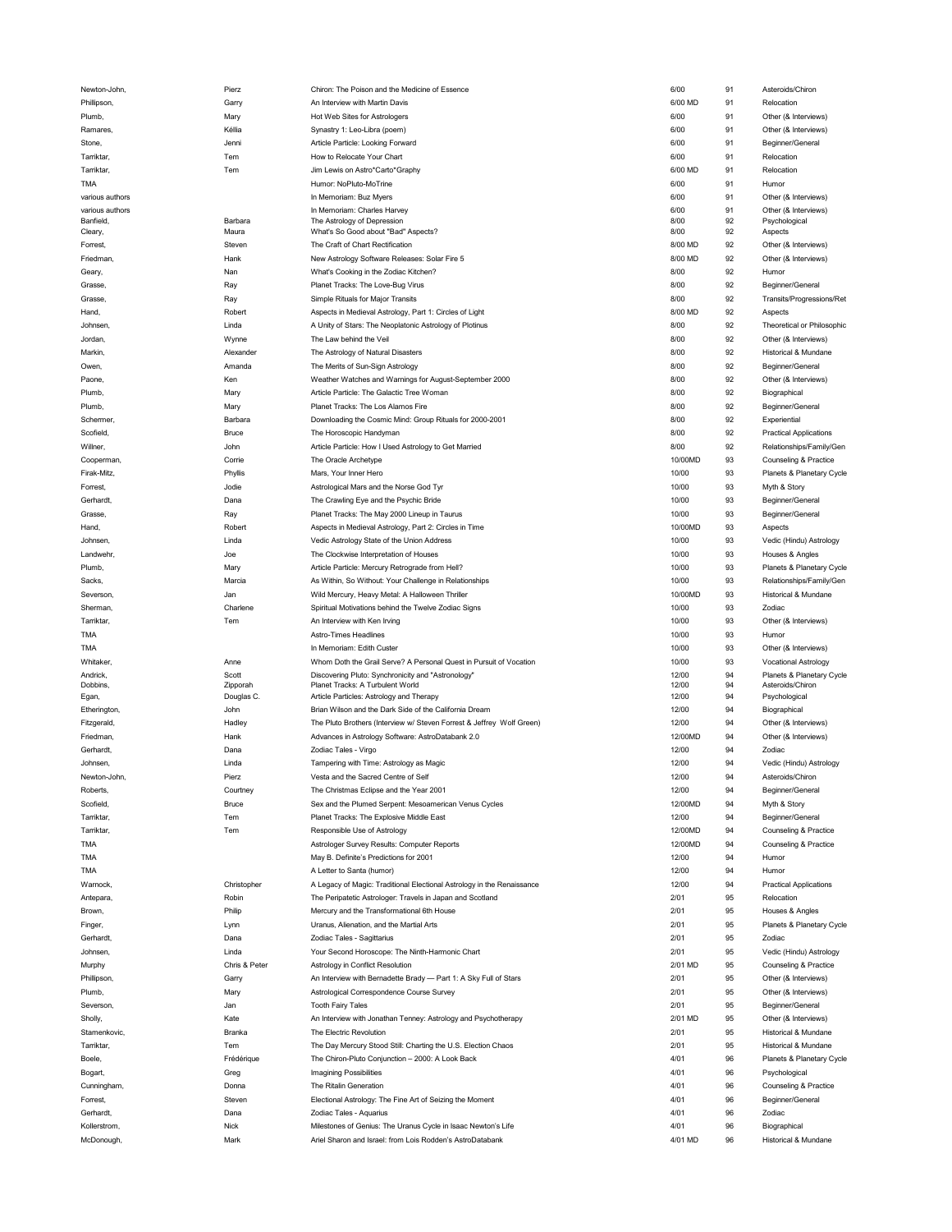| Newton-John,    | Pierz         | Chiron: The Poison and the Medicine of Essence                         | 6/00    | 91 | Asteroids/Chiron              |
|-----------------|---------------|------------------------------------------------------------------------|---------|----|-------------------------------|
| Phillipson,     | Garry         | An Interview with Martin Davis                                         | 6/00 MD | 91 | Relocation                    |
|                 |               |                                                                        |         |    |                               |
| Plumb,          | Mary          | Hot Web Sites for Astrologers                                          | 6/00    | 91 | Other (& Interviews)          |
| Ramares,        | Kéllia        | Synastry 1: Leo-Libra (poem)                                           | 6/00    | 91 | Other (& Interviews)          |
| Stone,          | Jenni         | Article Particle: Looking Forward                                      | 6/00    | 91 | Beginner/General              |
| Tarriktar,      | Tem           | How to Relocate Your Chart                                             | 6/00    | 91 | Relocation                    |
|                 |               |                                                                        |         |    |                               |
| Tarriktar,      | Tem           | Jim Lewis on Astro*Carto*Graphy                                        | 6/00 MD | 91 | Relocation                    |
| TMA             |               | Humor: NoPluto-MoTrine                                                 | 6/00    | 91 | Humor                         |
| various authors |               | In Memoriam: Buz Myers                                                 | 6/00    | 91 | Other (& Interviews)          |
| various authors |               |                                                                        | 6/00    | 91 |                               |
| Banfield,       | Barbara       | In Memoriam: Charles Harvey                                            | 8/00    | 92 | Other (& Interviews)          |
|                 |               | The Astrology of Depression                                            |         |    | Psychological                 |
| Cleary,         | Maura         | What's So Good about "Bad" Aspects?                                    | 8/00    | 92 | Aspects                       |
| Forrest,        | Steven        | The Craft of Chart Rectification                                       | 8/00 MD | 92 | Other (& Interviews)          |
| Friedman,       | Hank          | New Astrology Software Releases: Solar Fire 5                          | 8/00 MD | 92 | Other (& Interviews)          |
|                 | Nan           | What's Cooking in the Zodiac Kitchen?                                  | 8/00    | 92 | Humor                         |
| Geary,          |               |                                                                        |         |    |                               |
| Grasse.         | Ray           | Planet Tracks: The Love-Bug Virus                                      | 8/00    | 92 | Beginner/General              |
| Grasse,         | Ray           | Simple Rituals for Major Transits                                      | 8/00    | 92 | Transits/Progressions/Ret     |
| Hand,           | Robert        | Aspects in Medieval Astrology, Part 1: Circles of Light                | 8/00 MD | 92 | Aspects                       |
|                 |               |                                                                        |         |    |                               |
| Johnsen,        | Linda         | A Unity of Stars: The Neoplatonic Astrology of Plotinus                | 8/00    | 92 | Theoretical or Philosophic    |
| Jordan,         | Wynne         | The Law behind the Veil                                                | 8/00    | 92 | Other (& Interviews)          |
| Markin,         | Alexander     | The Astrology of Natural Disasters                                     | 8/00    | 92 | Historical & Mundane          |
|                 |               |                                                                        |         |    |                               |
| Owen,           | Amanda        | The Merits of Sun-Sign Astrology                                       | 8/00    | 92 | Beginner/General              |
| Paone,          | Ken           | Weather Watches and Warnings for August-September 2000                 | 8/00    | 92 | Other (& Interviews)          |
| Plumb,          | Mary          | Article Particle: The Galactic Tree Woman                              | 8/00    | 92 | Biographical                  |
| Plumb,          | Mary          | Planet Tracks: The Los Alamos Fire                                     | 8/00    | 92 | Beginner/General              |
|                 |               |                                                                        |         |    |                               |
| Schermer,       | Barbara       | Downloading the Cosmic Mind: Group Rituals for 2000-2001               | 8/00    | 92 | Experiential                  |
| Scofield,       | <b>Bruce</b>  | The Horoscopic Handyman                                                | 8/00    | 92 | <b>Practical Applications</b> |
| Willner,        | John          | Article Particle: How I Used Astrology to Get Married                  | 8/00    | 92 | Relationships/Family/Gen      |
|                 |               |                                                                        |         |    |                               |
| Cooperman,      | Corrie        | The Oracle Archetype                                                   | 10/00MD | 93 | Counseling & Practice         |
| Firak-Mitz,     | Phyllis       | Mars, Your Inner Hero                                                  | 10/00   | 93 | Planets & Planetary Cycle     |
| Forrest,        | Jodie         | Astrological Mars and the Norse God Tyr                                | 10/00   | 93 | Myth & Story                  |
|                 |               |                                                                        |         |    |                               |
| Gerhardt,       | Dana          | The Crawling Eye and the Psychic Bride                                 | 10/00   | 93 | Beginner/General              |
| Grasse.         | Ray           | Planet Tracks: The May 2000 Lineup in Taurus                           | 10/00   | 93 | Beginner/General              |
| Hand,           | Robert        | Aspects in Medieval Astrology, Part 2: Circles in Time                 | 10/00MD | 93 | Aspects                       |
| Johnsen,        | Linda         | Vedic Astrology State of the Union Address                             | 10/00   | 93 | Vedic (Hindu) Astrology       |
|                 |               |                                                                        |         |    |                               |
| Landwehr,       | Joe           | The Clockwise Interpretation of Houses                                 | 10/00   | 93 | Houses & Angles               |
| Plumb,          | Mary          | Article Particle: Mercury Retrograde from Hell?                        | 10/00   | 93 | Planets & Planetary Cycle     |
| Sacks,          | Marcia        | As Within, So Without: Your Challenge in Relationships                 | 10/00   | 93 | Relationships/Family/Gen      |
|                 |               |                                                                        |         |    |                               |
| Severson,       | Jan           | Wild Mercury, Heavy Metal: A Halloween Thriller                        | 10/00MD | 93 | Historical & Mundane          |
|                 | Charlene      | Spiritual Motivations behind the Twelve Zodiac Signs                   | 10/00   | 93 | Zodiac                        |
| Sherman,        |               |                                                                        |         |    |                               |
|                 |               |                                                                        |         |    |                               |
| Tarriktar,      | Tem           | An Interview with Ken Irving                                           | 10/00   | 93 | Other (& Interviews)          |
| TMA             |               | Astro-Times Headlines                                                  | 10/00   | 93 | Humor                         |
| TMA             |               | In Memoriam: Edith Custer                                              | 10/00   | 93 | Other (& Interviews)          |
| Whitaker,       | Anne          | Whom Doth the Grail Serve? A Personal Quest in Pursuit of Vocation     | 10/00   | 93 | <b>Vocational Astrology</b>   |
|                 |               |                                                                        |         |    |                               |
| Andrick,        | Scott         | Discovering Pluto: Synchronicity and "Astronology"                     | 12/00   | 94 | Planets & Planetary Cycle     |
| Dobbins,        | Zipporah      | Planet Tracks: A Turbulent World                                       | 12/00   | 94 | Asteroids/Chiron              |
| Egan,           | Douglas C.    | Article Particles: Astrology and Therapy                               | 12/00   | 94 | Psychological                 |
| Etherington,    | John          | Brian Wilson and the Dark Side of the California Dream                 | 12/00   | 94 | Biographical                  |
| Fitzgerald,     | Hadley        | The Pluto Brothers (Interview w/ Steven Forrest & Jeffrey Wolf Green)  | 12/00   | 94 | Other (& Interviews)          |
|                 |               |                                                                        |         |    |                               |
| Friedman,       | Hank          | Advances in Astrology Software: AstroDatabank 2.0                      | 12/00MD | 94 | Other (& Interviews)          |
| Gerhardt,       | Dana          | Zodiac Tales - Virgo                                                   | 12/00   | 94 | Zodiac                        |
| Johnsen,        | Linda         | Tampering with Time: Astrology as Magic                                | 12/00   | 94 | Vedic (Hindu) Astrology       |
| Newton-John     | Pierz         | Vesta and the Sacred Centre of Self                                    | 12/00   | 94 | Asteroids/Chiron              |
|                 |               |                                                                        |         |    |                               |
| Roberts,        | Courtney      | The Christmas Eclipse and the Year 2001                                | 12/00   | 94 | Beginner/General              |
| Scofield,       | <b>Bruce</b>  | Sex and the Plumed Serpent: Mesoamerican Venus Cycles                  | 12/00MD | 94 | Myth & Story                  |
| Tarriktar.      | Tem           | Planet Tracks: The Explosive Middle East                               | 12/00   | 94 | Beginner/General              |
|                 |               |                                                                        |         |    |                               |
| Tarriktar,      | Tem           | Responsible Use of Astrology                                           | 12/00MD | 94 | Counseling & Practice         |
| TMA             |               | Astrologer Survey Results: Computer Reports                            | 12/00MD | 94 | Counseling & Practice         |
| TMA             |               | May B. Definite's Predictions for 2001                                 | 12/00   | 94 | Humor                         |
|                 |               | A Letter to Santa (humor)                                              |         | 94 | Humor                         |
| TMA             |               |                                                                        | 12/00   |    |                               |
| Warnock,        | Christopher   | A Legacy of Magic: Traditional Electional Astrology in the Renaissance | 12/00   | 94 | <b>Practical Applications</b> |
| Antepara,       | Robin         | The Peripatetic Astrologer: Travels in Japan and Scotland              | 2/01    | 95 | Relocation                    |
| Brown,          | Philip        | Mercury and the Transformational 6th House                             | 2/01    | 95 | Houses & Angles               |
|                 |               |                                                                        |         |    |                               |
| Finger,         | Lynn          | Uranus, Alienation, and the Martial Arts                               | 2/01    | 95 | Planets & Planetary Cycle     |
| Gerhardt,       | Dana          | Zodiac Tales - Sagittarius                                             | 2/01    | 95 | Zodiac                        |
| Johnsen,        | Linda         | Your Second Horoscope: The Ninth-Harmonic Chart                        | 2/01    | 95 | Vedic (Hindu) Astrology       |
|                 | Chris & Peter | Astrology in Conflict Resolution                                       | 2/01 MD | 95 | Counseling & Practice         |
| Murphy          |               |                                                                        |         |    |                               |
| Phillipson,     | Garry         | An Interview with Bernadette Brady - Part 1: A Sky Full of Stars       | 2/01    | 95 | Other (& Interviews)          |
| Plumb,          | Mary          | Astrological Correspondence Course Survey                              | 2/01    | 95 | Other (& Interviews)          |
| Severson,       | Jan           | <b>Tooth Fairy Tales</b>                                               | 2/01    | 95 | Beginner/General              |
|                 |               |                                                                        |         |    |                               |
| Sholly,         | Kate          | An Interview with Jonathan Tenney: Astrology and Psychotherapy         | 2/01 MD | 95 | Other (& Interviews)          |
| Stamenkovic,    | Branka        | The Electric Revolution                                                | 2/01    | 95 | Historical & Mundane          |
| Tarriktar,      | Tem           | The Day Mercury Stood Still: Charting the U.S. Election Chaos          | 2/01    | 95 | Historical & Mundane          |
|                 |               |                                                                        | 4/01    |    |                               |
| Boele,          | Frédérique    | The Chiron-Pluto Conjunction - 2000: A Look Back                       |         | 96 | Planets & Planetary Cycle     |
| Bogart,         | Greg          | <b>Imagining Possibilities</b>                                         | 4/01    | 96 | Psychological                 |
| Cunningham,     | Donna         | The Ritalin Generation                                                 | 4/01    | 96 | Counseling & Practice         |
| Forrest,        | Steven        | Electional Astrology: The Fine Art of Seizing the Moment               | 4/01    | 96 | Beginner/General              |
|                 |               |                                                                        |         |    |                               |
| Gerhardt,       | Dana          | Zodiac Tales - Aquarius                                                | 4/01    | 96 | Zodiac                        |
| Kollerstrom,    | Nick          | Milestones of Genius: The Uranus Cycle in Isaac Newton's Life          | 4/01    | 96 | Biographical                  |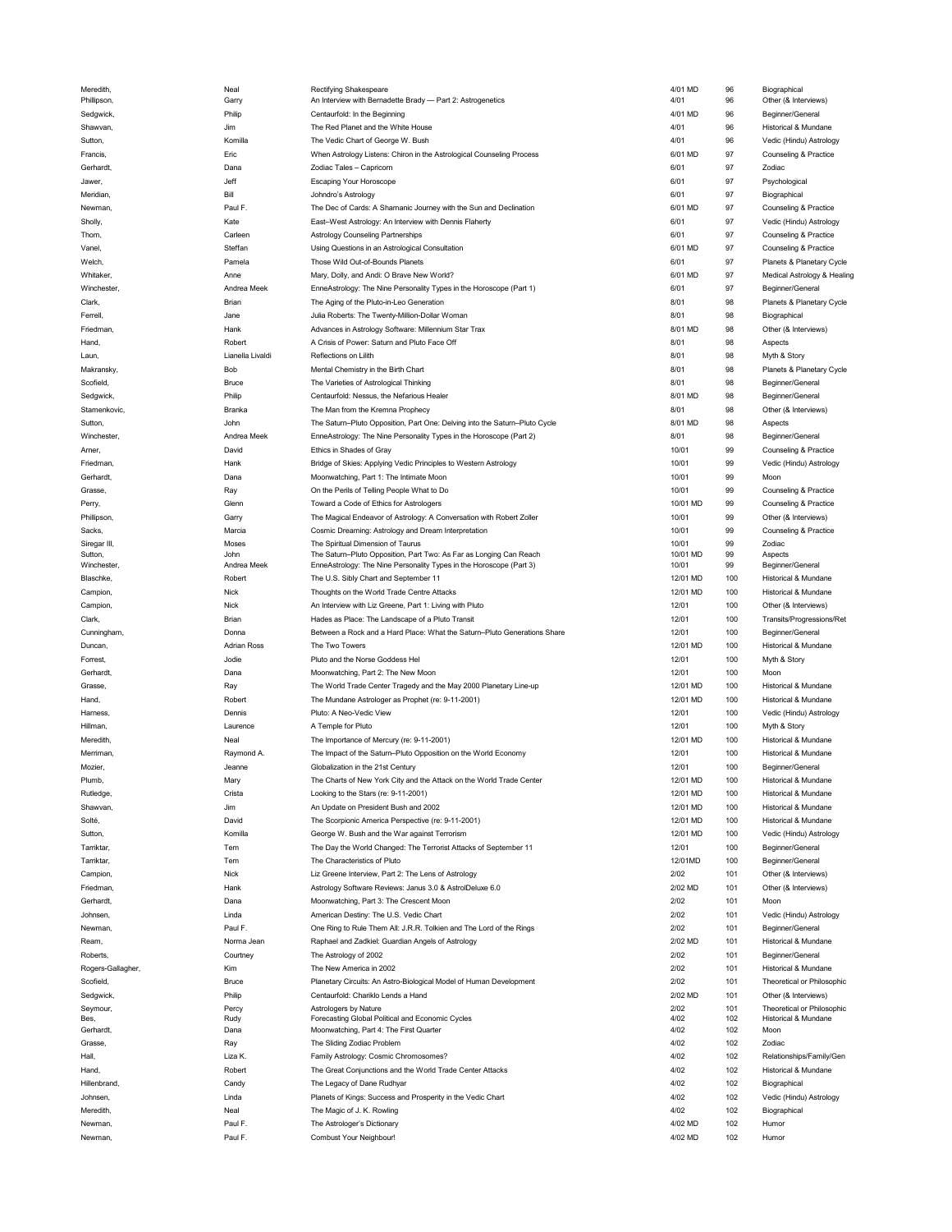| Meredith,         | Neal               | Rectifying Shakespeare                                                     | 4/01 MD  | 96  | Biographical                |
|-------------------|--------------------|----------------------------------------------------------------------------|----------|-----|-----------------------------|
| Phillipson,       | Garry              | An Interview with Bernadette Brady - Part 2: Astrogenetics                 | 4/01     | 96  | Other (& Interviews)        |
| Sedgwick,         | Philip             | Centaurfold: In the Beginning                                              | 4/01 MD  | 96  | Beginner/General            |
| Shawvan,          | Jim                | The Red Planet and the White House                                         | 4/01     | 96  | Historical & Mundane        |
| Sutton,           | Komilla            | The Vedic Chart of George W. Bush                                          | 4/01     | 96  | Vedic (Hindu) Astrology     |
| Francis,          | Eric               | When Astrology Listens: Chiron in the Astrological Counseling Process      | 6/01 MD  | 97  | Counseling & Practice       |
| Gerhardt,         | Dana               | Zodiac Tales - Capricorn                                                   | 6/01     | 97  | Zodiac                      |
| Jawer,            | Jeff               | <b>Escaping Your Horoscope</b>                                             | 6/01     | 97  | Psychological               |
| Meridian,         | Bill               | Johndro's Astrology                                                        | 6/01     | 97  | Biographical                |
| Newman,           | Paul F.            | The Dec of Cards: A Shamanic Journey with the Sun and Declination          | 6/01 MD  | 97  | Counseling & Practice       |
| Sholly,           | Kate               | East-West Astrology: An Interview with Dennis Flaherty                     | 6/01     | 97  | Vedic (Hindu) Astrology     |
| Thom,             | Carleen            | Astrology Counseling Partnerships                                          | 6/01     | 97  | Counseling & Practice       |
| Vanel,            | Steffan            | Using Questions in an Astrological Consultation                            | 6/01 MD  | 97  | Counseling & Practice       |
| Welch,            | Pamela             | Those Wild Out-of-Bounds Planets                                           | 6/01     | 97  | Planets & Planetary Cycle   |
| Whitaker,         | Anne               | Mary, Dolly, and Andi: O Brave New World?                                  | 6/01 MD  | 97  | Medical Astrology & Healing |
| Winchester.       | Andrea Meek        | EnneAstrology: The Nine Personality Types in the Horoscope (Part 1)        | 6/01     | 97  | Beginner/General            |
| Clark,            | Brian              | The Aging of the Pluto-in-Leo Generation                                   | 8/01     | 98  | Planets & Planetary Cycle   |
| Ferrell,          | Jane               | Julia Roberts: The Twenty-Million-Dollar Woman                             | 8/01     | 98  | Biographical                |
| Friedman,         | Hank               | Advances in Astrology Software: Millennium Star Trax                       | 8/01 MD  | 98  | Other (& Interviews)        |
| Hand,             | Robert             | A Crisis of Power: Saturn and Pluto Face Off                               | 8/01     | 98  | Aspects                     |
| Laun.             | Lianella Livaldi   | Reflections on Lilith                                                      | 8/01     | 98  | Myth & Story                |
| Makransky,        | Bob                | Mental Chemistry in the Birth Chart                                        | 8/01     | 98  | Planets & Planetary Cycle   |
| Scofield,         | Bruce              | The Varieties of Astrological Thinking                                     | 8/01     | 98  | Beginner/General            |
| Sedgwick,         | Philip             | Centaurfold: Nessus, the Nefarious Healer                                  | 8/01 MD  | 98  | Beginner/General            |
| Stamenkovic,      | Branka             | The Man from the Kremna Prophecy                                           | 8/01     | 98  | Other (& Interviews)        |
|                   |                    |                                                                            | 8/01 MD  |     |                             |
| Sutton,           | John               | The Saturn-Pluto Opposition, Part One: Delving into the Saturn-Pluto Cycle |          | 98  | Aspects                     |
| Winchester,       | Andrea Meek        | EnneAstrology: The Nine Personality Types in the Horoscope (Part 2)        | 8/01     | 98  | Beginner/General            |
| Arner,            | David              | Ethics in Shades of Gray                                                   | 10/01    | 99  | Counseling & Practice       |
| Friedman,         | Hank               | Bridge of Skies: Applying Vedic Principles to Western Astrology            | 10/01    | 99  | Vedic (Hindu) Astrology     |
| Gerhardt,         | Dana               | Moonwatching, Part 1: The Intimate Moon                                    | 10/01    | 99  | Moon                        |
| Grasse,           | Ray                | On the Perils of Telling People What to Do                                 | 10/01    | 99  | Counseling & Practice       |
| Perry,            | Glenn              | Toward a Code of Ethics for Astrologers                                    | 10/01 MD | 99  | Counseling & Practice       |
| Phillipson,       | Garry              | The Magical Endeavor of Astrology: A Conversation with Robert Zoller       | 10/01    | 99  | Other (& Interviews)        |
| Sacks,            | Marcia             | Cosmic Dreaming: Astrology and Dream Interpretation                        | 10/01    | 99  | Counseling & Practice       |
| Siregar III,      | Moses              | The Spiritual Dimension of Taurus                                          | 10/01    | 99  | Zodiac                      |
| Sutton,           | John               | The Saturn-Pluto Opposition, Part Two: As Far as Longing Can Reach         | 10/01 MD | 99  | Aspects                     |
| Winchester,       | Andrea Meek        | EnneAstrology: The Nine Personality Types in the Horoscope (Part 3)        | 10/01    | 99  | Beginner/General            |
| Blaschke,         | Robert             | The U.S. Sibly Chart and September 11                                      | 12/01 MD | 100 | Historical & Mundane        |
| Campion,          | <b>Nick</b>        | Thoughts on the World Trade Centre Attacks                                 | 12/01 MD | 100 | Historical & Mundane        |
| Campion,          | <b>Nick</b>        | An Interview with Liz Greene, Part 1: Living with Pluto                    | 12/01    | 100 | Other (& Interviews)        |
| Clark,            | Brian              | Hades as Place: The Landscape of a Pluto Transit                           | 12/01    | 100 | Transits/Progressions/Ret   |
|                   |                    |                                                                            |          |     |                             |
| Cunningham,       | Donna              | Between a Rock and a Hard Place: What the Saturn-Pluto Generations Share   | 12/01    | 100 | Beginner/General            |
|                   |                    | The Two Towers                                                             | 12/01 MD |     |                             |
| Duncan,           | <b>Adrian Ross</b> |                                                                            |          | 100 | Historical & Mundane        |
| Forrest,          | Jodie              | Pluto and the Norse Goddess Hel                                            | 12/01    | 100 | Myth & Story                |
| Gerhardt,         | Dana               | Moonwatching, Part 2: The New Moon                                         | 12/01    | 100 | Moon                        |
| Grasse,           | Ray                | The World Trade Center Tragedy and the May 2000 Planetary Line-up          | 12/01 MD | 100 | Historical & Mundane        |
| Hand,             | Robert             | The Mundane Astrologer as Prophet (re: 9-11-2001)                          | 12/01 MD | 100 | Historical & Mundane        |
| Harness           | Dennis             | Pluto: A Neo-Vedic View                                                    | 12/01    | 100 | Vedic (Hindu) Astrology     |
| Hillman,          | Laurence           | A Temple for Pluto                                                         | 12/01    | 100 | Myth & Story                |
| Meredith,         | Neal               | The Importance of Mercury (re: 9-11-2001)                                  | 12/01 MD | 100 | Historical & Mundane        |
| Merriman,         | Raymond A.         | The Impact of the Saturn-Pluto Opposition on the World Economy             | 12/01    | 100 | Historical & Mundane        |
| Mozier,           | Jeanne             | Globalization in the 21st Century                                          | 12/01    | 100 | Beginner/General            |
| Plumb,            | Mary               | The Charts of New York City and the Attack on the World Trade Center       | 12/01 MD | 100 | Historical & Mundane        |
| Rutledge,         | Crista             | Looking to the Stars (re: 9-11-2001)                                       | 12/01 MD | 100 | Historical & Mundane        |
| Shawvan,          | Jim                | An Update on President Bush and 2002                                       | 12/01 MD | 100 | Historical & Mundane        |
| Solté,            | David              | The Scorpionic America Perspective (re: 9-11-2001)                         | 12/01 MD | 100 | Historical & Mundane        |
| Sutton,           | Komilla            | George W. Bush and the War against Terrorism                               | 12/01 MD | 100 | Vedic (Hindu) Astrology     |
| Tarriktar,        | Tem                | The Day the World Changed: The Terrorist Attacks of September 11           | 12/01    | 100 | Beginner/General            |
| Tarriktar,        | Tem                | The Characteristics of Pluto                                               | 12/01MD  | 100 | Beginner/General            |
|                   | Nick               | Liz Greene Interview, Part 2: The Lens of Astrology                        | 2/02     | 101 |                             |
| Campion,          |                    |                                                                            |          |     | Other (& Interviews)        |
| Friedman,         | Hank               | Astrology Software Reviews: Janus 3.0 & AstrolDeluxe 6.0                   | 2/02 MD  | 101 | Other (& Interviews)        |
| Gerhardt,         | Dana               | Moonwatching, Part 3: The Crescent Moon                                    | 2/02     | 101 | Moon                        |
| Johnsen,          | Linda              | American Destiny: The U.S. Vedic Chart                                     | 2/02     | 101 | Vedic (Hindu) Astrology     |
| Newman,           | Paul F.            | One Ring to Rule Them All: J.R.R. Tolkien and The Lord of the Rings        | 2/02     | 101 | Beginner/General            |
| Ream,             | Norma Jean         | Raphael and Zadkiel: Guardian Angels of Astrology                          | 2/02 MD  | 101 | Historical & Mundane        |
| Roberts,          | Courtney           | The Astrology of 2002                                                      | 2/02     | 101 | Beginner/General            |
| Rogers-Gallagher, | Kim                | The New America in 2002                                                    | 2/02     | 101 | Historical & Mundane        |
| Scofield,         | <b>Bruce</b>       | Planetary Circuits: An Astro-Biological Model of Human Development         | 2/02     | 101 | Theoretical or Philosophic  |
| Sedgwick,         | Philip             | Centaurfold: Chariklo Lends a Hand                                         | 2/02 MD  | 101 | Other (& Interviews)        |
| Seymour,          | Percy              | Astrologers by Nature                                                      | 2/02     | 101 | Theoretical or Philosophic  |
| Bes,              | Rudy               | Forecasting Global Political and Economic Cycles                           | 4/02     | 102 | Historical & Mundane        |
| Gerhardt,         | Dana               | Moonwatching, Part 4: The First Quarter                                    | 4/02     | 102 | Moon                        |
| Grasse,           | Ray                | The Sliding Zodiac Problem                                                 | 4/02     | 102 | Zodiac                      |
| Hall,             | Liza K             | Family Astrology: Cosmic Chromosomes?                                      | 4/02     | 102 | Relationships/Family/Gen    |
| Hand,             | Robert             | The Great Conjunctions and the World Trade Center Attacks                  | 4/02     | 102 | Historical & Mundane        |
| Hillenbrand,      | Candy              | The Legacy of Dane Rudhyar                                                 | 4/02     | 102 | Biographical                |
| Johnsen,          | Linda              | Planets of Kings: Success and Prosperity in the Vedic Chart                | 4/02     | 102 | Vedic (Hindu) Astrology     |
| Meredith,         | Neal               | The Magic of J. K. Rowling                                                 | 4/02     | 102 | Biographical                |
| Newman,           | Paul F.            | The Astrologer's Dictionary                                                | 4/02 MD  | 102 | Humor                       |

| 1/01 MD           | 96              | Biographical                                      |
|-------------------|-----------------|---------------------------------------------------|
| 1/01<br>1/01 MD   | 96<br>96        | Other (& Interviews)<br>Beginner/General          |
| 1/01              | 96              | Historical & Mundane                              |
| 1/01              | 96              | Vedic (Hindu) Astrology                           |
| 3/01 MD           | 97              | Counseling & Practice                             |
| 3/01              | 97              | Zodiac                                            |
| 3/01              | 97              | Psychological                                     |
| 5/01              | 97              | Biographical                                      |
| 3/01 MD<br>3/01   | 97<br>97        | Counseling & Practice<br>Vedic (Hindu) Astrology  |
| 3/01              | 97              | Counseling & Practice                             |
| 3/01 MD           | 97              | Counseling & Practice                             |
| 3/01              | 97              | Planets & Planetary Cycle                         |
| 3/01 MD           | 97              | Medical Astrology & Healing                       |
| 3/01              | 97              | Beginner/General                                  |
| 3/01              | 98              | Planets & Planetary Cycle                         |
| 3/01<br>3/01 MD   | 98<br>98        | Biographical<br>Other (& Interviews)              |
| 3/01              | 98              | Aspects                                           |
| 3/01              | 98              | Myth & Story                                      |
| 3/01              | 98              | Planets & Planetary Cycle                         |
| 3/01              | 98              | Beginner/General                                  |
| 3/01 MD           | 98              | Beginner/General                                  |
| 3/01              | 98              | Other (& Interviews)                              |
| 3/01 MD           | 98              | Aspects                                           |
| 3/01<br>10/01     | 98<br>99        | Beginner/General<br>Counseling & Practice         |
| 10/01             | 99              | Vedic (Hindu) Astrology                           |
| 10/01             | 99              | Moon                                              |
| 10/01             | 99              | Counseling & Practice                             |
| 10/01 MD          | 99              | Counseling & Practice                             |
| 10/01             | 99              | Other (& Interviews)                              |
| 10/01             | 99              | Counseling & Practice                             |
| 10/01<br>10/01 MD | <b>QQ</b><br>99 | Zodiac<br>Aspects                                 |
| 10/01             | 99              | Beginner/General                                  |
| 12/01 MD          | 100             | Historical & Mundane                              |
| 12/01 MD          | 100             | Historical & Mundane                              |
| 12/01<br>12/01    | 100<br>100      | Other (& Interviews)<br>Transits/Progressions/Ret |
| 12/01             | 100             | Beginner/General                                  |
| 12/01 MD          | 100             | Historical & Mundane                              |
| 12/01             | 100             | Myth & Story                                      |
| 12/01             | 100             | Moon                                              |
| 12/01 MD          | 100             | Historical & Mundane                              |
| 12/01 MD          | 100             | Historical & Mundane                              |
| 12/01             | 100<br>100      | Vedic (Hindu) Astrology                           |
| 12/01<br>12/01 MD | 100             | Myth & Story<br>Historical & Mundane              |
| 12/01             | 100             | Historical & Mundane                              |
| 12/01             | 100             | Beginner/General                                  |
| 12/01 MD          | 100             | Historical & Mundane                              |
| 12/01 MD          | 100             | Historical & Mundane                              |
| 12/01 MD          | 100             | Historical & Mundane                              |
| 12/01 MD          | 100             | Historical & Mundane                              |
| 12/01 MD<br>12/01 | 100<br>100      | Vedic (Hindu) Astrology<br>Beginner/General       |
| 12/01MD           | 100             | Beginner/General                                  |
| 2/02              | 101             | Other (& Interviews)                              |
| 2/02 MD           | 101             | Other (& Interviews)                              |
| 2/02              | 101             | Moon                                              |
| 2/02              | 101             | Vedic (Hindu) Astrology                           |
| 2/02              | 101             | Beginner/General                                  |
| 2/02 MD<br>2/02   | 101<br>101      | Historical & Mundane<br>Beginner/General          |
| 2/02              | 101             | Historical & Mundane                              |
| 2/02              | 101             | Theoretical or Philosophic                        |
| 2/02 MD           | 101             | Other (& Interviews)                              |
| 2/02              | 101             | Theoretical or Philosophic                        |
| 1/02<br>1/02      | 102<br>102      | Historical & Mundane<br>Moon                      |
| 1/02              | 102             | Zodiac                                            |
| 1/02              | 102             | Relationships/Family/Gen                          |
| 1/02              | 102             | Historical & Mundane                              |
| 1/02              | 102             | Biographical                                      |
| 1/02              | 102             | Vedic (Hindu) Astrology                           |
| 1/02<br>1/02 MD   | 102<br>102      | Biographical<br>Humor                             |
| 1/02 MD           | 102             | Humor                                             |
|                   |                 |                                                   |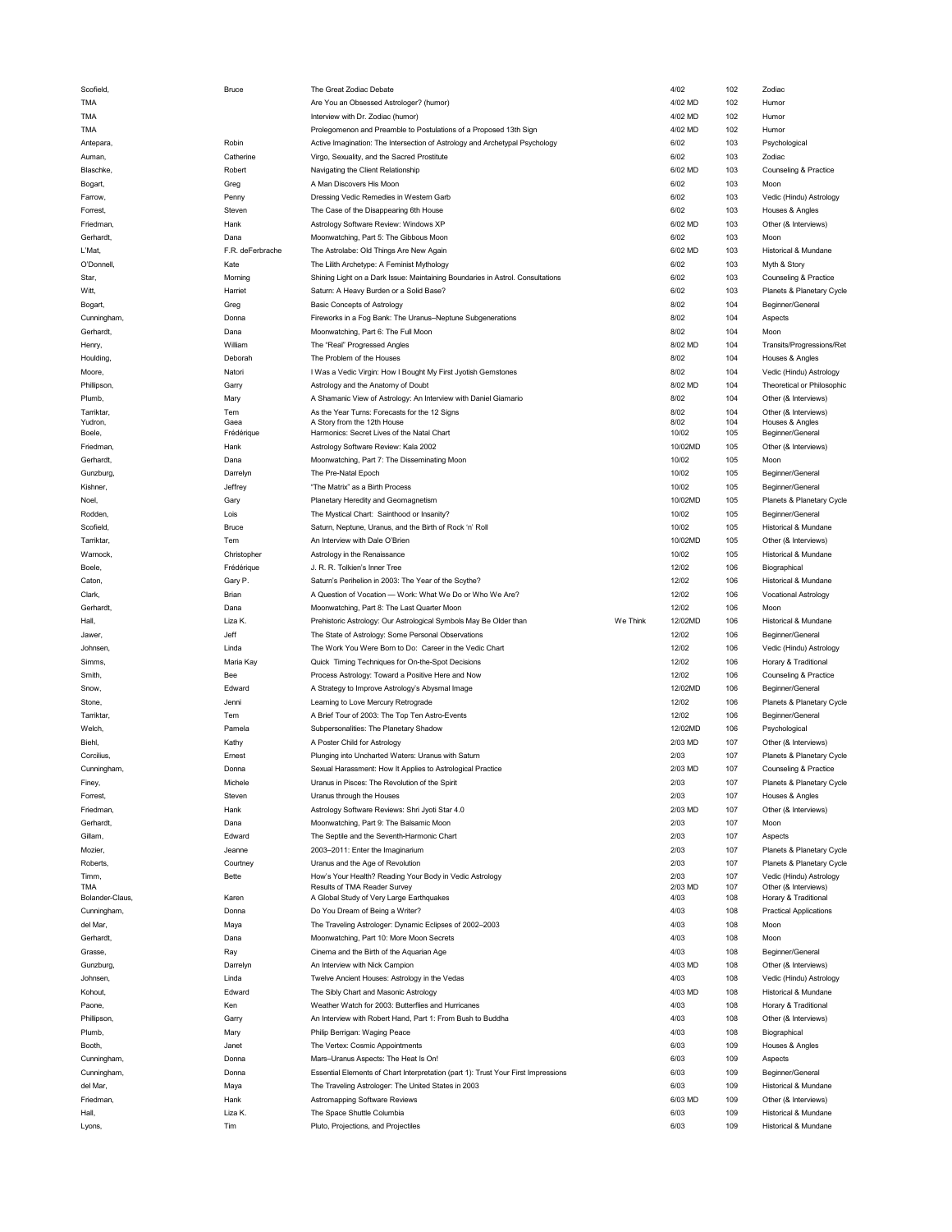| Scofield,                     | Bruce              | The Great Zodiac Debate                                                           |          | 4/02         | 102        | Zodiac                                  |
|-------------------------------|--------------------|-----------------------------------------------------------------------------------|----------|--------------|------------|-----------------------------------------|
| <b>TMA</b>                    |                    | Are You an Obsessed Astrologer? (humor)                                           |          | 4/02 MD      | 102        | Humor                                   |
| <b>TMA</b>                    |                    | Interview with Dr. Zodiac (humor)                                                 |          | 4/02 MD      | 102        | Humor                                   |
| <b>TMA</b>                    |                    | Prolegomenon and Preamble to Postulations of a Proposed 13th Sign                 |          | 4/02 MD      | 102        | Humor                                   |
| Antepara,                     | Robin              | Active Imagination: The Intersection of Astrology and Archetypal Psychology       |          | 6/02         | 103        | Psychological                           |
| Auman.                        | Catherine          | Virgo, Sexuality, and the Sacred Prostitute                                       |          | 6/02         | 103        | Zodiac                                  |
| Blaschke,                     | Robert             | Navigating the Client Relationship                                                |          | 6/02 MD      | 103        | Counseling & Practice                   |
|                               |                    |                                                                                   |          |              |            |                                         |
| Bogart,                       | Greg               | A Man Discovers His Moon                                                          |          | 6/02         | 103        | Moon                                    |
| Farrow,                       | Penny              | Dressing Vedic Remedies in Western Garb                                           |          | 6/02         | 103        | Vedic (Hindu) Astrology                 |
| Forrest,                      | Steven             | The Case of the Disappearing 6th House                                            |          | 6/02         | 103        | Houses & Angles                         |
| Friedman,                     | Hank               | Astrology Software Review: Windows XP                                             |          | 6/02 MD      | 103        | Other (& Interviews)                    |
| Gerhardt,                     | Dana               | Moonwatching, Part 5: The Gibbous Moon                                            |          | 6/02         | 103        | Moon                                    |
| L'Mat,                        | F.R. deFerbrache   | The Astrolabe: Old Things Are New Again                                           |          | 6/02 MD      | 103        | Historical & Mundane                    |
| O'Donnell,                    | Kate               | The Lilith Archetype: A Feminist Mythology                                        |          | 6/02         | 103        | Myth & Story                            |
| Star,                         | Morning            | Shining Light on a Dark Issue: Maintaining Boundaries in Astrol. Consultations    |          | 6/02         | 103        | Counseling & Practice                   |
|                               | Harriet            |                                                                                   |          | 6/02         | 103        | Planets & Planetary Cycle               |
| Witt,                         |                    | Saturn: A Heavy Burden or a Solid Base?                                           |          |              |            |                                         |
| Bogart,                       | Greg               | <b>Basic Concepts of Astrology</b>                                                |          | 8/02         | 104        | Beginner/General                        |
| Cunningham,                   | Donna              | Fireworks in a Fog Bank: The Uranus-Neptune Subgenerations                        |          | 8/02         | 104        | Aspects                                 |
| Gerhardt,                     | Dana               | Moonwatching, Part 6: The Full Moon                                               |          | 8/02         | 104        | Moon                                    |
| Henry,                        | William            | The "Real" Progressed Angles                                                      |          | 8/02 MD      | 104        | Transits/Progressions/Ret               |
| Houlding                      | Deborah            | The Problem of the Houses                                                         |          | 8/02         | 104        | Houses & Angles                         |
| Moore,                        | Natori             | I Was a Vedic Virgin: How I Bought My First Jyotish Gemstones                     |          | 8/02         | 104        | Vedic (Hindu) Astrology                 |
| Phillipson,                   | Garry              | Astrology and the Anatomy of Doubt                                                |          | 8/02 MD      | 104        | Theoretical or Philosophic              |
| Plumb,                        | Mary               | A Shamanic View of Astrology: An Interview with Daniel Giamario                   |          | 8/02         | 104        | Other (& Interviews)                    |
|                               |                    |                                                                                   |          |              |            |                                         |
| Tarriktar,                    | Tem                | As the Year Turns: Forecasts for the 12 Signs<br>A Story from the 12th House      |          | 8/02<br>8/02 | 104<br>104 | Other (& Interviews)<br>Houses & Angles |
| Yudron,<br>Boele,             | Gaea<br>Frédérique | Harmonics: Secret Lives of the Natal Chart                                        |          | 10/02        | 105        | Beginner/General                        |
|                               |                    |                                                                                   |          |              |            |                                         |
| Friedman,                     | Hank               | Astrology Software Review: Kala 2002                                              |          | 10/02MD      | 105        | Other (& Interviews)                    |
| Gerhardt,                     | Dana               | Moonwatching, Part 7: The Disseminating Moon                                      |          | 10/02        | 105        | Moon                                    |
| Gunzburg,                     | Darrelyn           | The Pre-Natal Epoch                                                               |          | 10/02        | 105        | Beginner/General                        |
| Kishner,                      | Jeffrey            | "The Matrix" as a Birth Process                                                   |          | 10/02        | 105        | Beginner/General                        |
| Noel,                         | Gary               | Planetary Heredity and Geomagnetism                                               |          | 10/02MD      | 105        | Planets & Planetary Cycle               |
| Rodden.                       | Lois               | The Mystical Chart: Sainthood or Insanity?                                        |          | 10/02        | 105        | Beginner/General                        |
| Scofield,                     | Bruce              | Saturn, Neptune, Uranus, and the Birth of Rock 'n' Roll                           |          | 10/02        | 105        | Historical & Mundane                    |
| Tarriktar,                    | Tem                | An Interview with Dale O'Brien                                                    |          | 10/02MD      | 105        | Other (& Interviews)                    |
|                               |                    |                                                                                   |          |              |            |                                         |
| Warnock,                      | Christopher        | Astrology in the Renaissance                                                      |          | 10/02        | 105        | Historical & Mundane                    |
| Boele,                        | Frédérique         | J. R. R. Tolkien's Inner Tree                                                     |          | 12/02        | 106        | Biographical                            |
| Caton,                        | Gary P.            | Saturn's Perihelion in 2003: The Year of the Scythe?                              |          | 12/02        | 106        | Historical & Mundane                    |
| Clark,                        | Brian              | A Question of Vocation - Work: What We Do or Who We Are?                          |          | 12/02        | 106        | <b>Vocational Astrology</b>             |
| Gerhardt,                     | Dana               | Moonwatching, Part 8: The Last Quarter Moon                                       |          | 12/02        | 106        | Moon                                    |
|                               |                    |                                                                                   |          |              |            |                                         |
|                               |                    |                                                                                   |          |              |            |                                         |
| Hall,                         | Liza K.            | Prehistoric Astrology: Our Astrological Symbols May Be Older than                 | We Think | 12/02MD      | 106        | Historical & Mundane                    |
| Jawer.                        | Jeff               | The State of Astrology: Some Personal Observations                                |          | 12/02        | 106        | Beginner/General                        |
| Johnsen,                      | Linda              | The Work You Were Born to Do: Career in the Vedic Chart                           |          | 12/02        | 106        | Vedic (Hindu) Astrology                 |
| Simms,                        | Maria Kay          | Quick Timing Techniques for On-the-Spot Decisions                                 |          | 12/02        | 106        | Horary & Traditional                    |
| Smith,                        | Bee                | Process Astrology: Toward a Positive Here and Now                                 |          | 12/02        | 106        | Counseling & Practice                   |
| Snow,                         | Edward             | A Strategy to Improve Astrology's Abysmal Image                                   |          | 12/02MD      | 106        | Beginner/General                        |
| Stone,                        | Jenni              | Learning to Love Mercury Retrograde                                               |          | 12/02        | 106        | Planets & Planetary Cycle               |
| Tarriktar,                    | Tem                | A Brief Tour of 2003: The Top Ten Astro-Events                                    |          | 12/02        | 106        | Beginner/General                        |
|                               |                    |                                                                                   |          |              |            |                                         |
| Welch,                        | Pamela             | Subpersonalities: The Planetary Shadow                                            |          | 12/02MD      | 106        | Psychological                           |
| Biehl,                        | Kathy              | A Poster Child for Astrology                                                      |          | 2/03 MD      | 107        | Other (& Interviews)                    |
| Corcilius,                    | Ernest             | Plunging into Uncharted Waters: Uranus with Saturn                                |          | 2/03         | 107        | Planets & Planetary Cycle               |
| Cunningham,                   | Donna              | Sexual Harassment: How It Applies to Astrological Practice                        |          | 2/03 MD      | 107        | Counseling & Practice                   |
| Finey,                        | Michel             | Uranus in Pisces: The Revolution of the Spirit                                    |          | 2/0.3        | 107        | Planets & Planetary Cycle               |
| Forrest,                      | Steven             | Uranus through the Houses                                                         |          | 2/03         | 107        | Houses & Angles                         |
| Friedman,                     | Hank               | Astrology Software Reviews: Shri Jyoti Star 4.0                                   |          | 2/03 MD      | 107        | Other (& Interviews)                    |
| Gerhardt,                     | Dana               | Moonwatching, Part 9: The Balsamic Moon                                           |          | 2/03         | 107        | Moon                                    |
| Gillam,                       | Edward             | The Septile and the Seventh-Harmonic Chart                                        |          | 2/03         | 107        | Aspects                                 |
| Mozier.                       | Jeanne             | 2003-2011: Enter the Imaginarium                                                  |          | 2/03         | 107        | Planets & Planetary Cycle               |
|                               |                    |                                                                                   |          | 2/03         |            |                                         |
| Roberts,                      | Courtney           | Uranus and the Age of Revolution                                                  |          |              | 107        | Planets & Planetary Cycle               |
| Timm.                         | Bette              | How's Your Health? Reading Your Body in Vedic Astrology                           |          | 2/03         | 107        | Vedic (Hindu) Astrology                 |
| <b>TMA</b><br>Bolander-Claus, |                    | Results of TMA Reader Survey                                                      |          | 2/03 MD      | 107        | Other (& Interviews)                    |
|                               | Karen              | A Global Study of Very Large Earthquakes                                          |          | 4/03         | 108        | Horary & Traditional                    |
| Cunningham,                   | Donna              | Do You Dream of Being a Writer?                                                   |          | 4/03         | 108        | <b>Practical Applications</b>           |
| del Mar,                      | Maya               | The Traveling Astrologer: Dynamic Eclipses of 2002-2003                           |          | 4/03         | 108        | Moon                                    |
| Gerhardt,                     | Dana               | Moonwatching, Part 10: More Moon Secrets                                          |          | 4/03         | 108        | Moon                                    |
| Grasse,                       | Ray                | Cinema and the Birth of the Aquarian Age                                          |          | 4/03         | 108        | Beginner/General                        |
| Gunzburg,                     | Darrelyn           | An Interview with Nick Campion                                                    |          | 4/03 MD      | 108        | Other (& Interviews)                    |
| Johnsen,                      | Linda              | Twelve Ancient Houses: Astrology in the Vedas                                     |          | 4/03         | 108        | Vedic (Hindu) Astrology                 |
| Kohout,                       | Edward             | The Sibly Chart and Masonic Astrology                                             |          | 4/03 MD      | 108        | Historical & Mundane                    |
| Paone,                        | Ken                | Weather Watch for 2003: Butterflies and Hurricanes                                |          | 4/03         | 108        | Horary & Traditional                    |
|                               |                    |                                                                                   |          |              |            |                                         |
| Phillipson,                   | Garry              | An Interview with Robert Hand, Part 1: From Bush to Buddha                        |          | 4/03         | 108        | Other (& Interviews)                    |
| Plumb,                        | Mary               | Philip Berrigan: Waging Peace                                                     |          | 4/03         | 108        | Biographical                            |
| Booth,                        | Janet              | The Vertex: Cosmic Appointments                                                   |          | 6/03         | 109        | Houses & Angles                         |
| Cunningham,                   | Donna              | Mars-Uranus Aspects: The Heat Is On!                                              |          | 6/03         | 109        | Aspects                                 |
| Cunningham,                   | Donna              | Essential Elements of Chart Interpretation (part 1): Trust Your First Impressions |          | 6/03         | 109        | Beginner/General                        |
| del Mar,                      | Maya               | The Traveling Astrologer: The United States in 2003                               |          | 6/03         | 109        | Historical & Mundane                    |
| Friedman,                     | Hank               | Astromapping Software Reviews                                                     |          | 6/03 MD      | 109        | Other (& Interviews)                    |
| Hall.                         | Liza K.            | The Space Shuttle Columbia                                                        |          | 6/03         | 109        | Historical & Mundane                    |
| Lyons,                        | Tim                | Pluto, Projections, and Projectiles                                               |          | 6/03         | 109        | Historical & Mundane                    |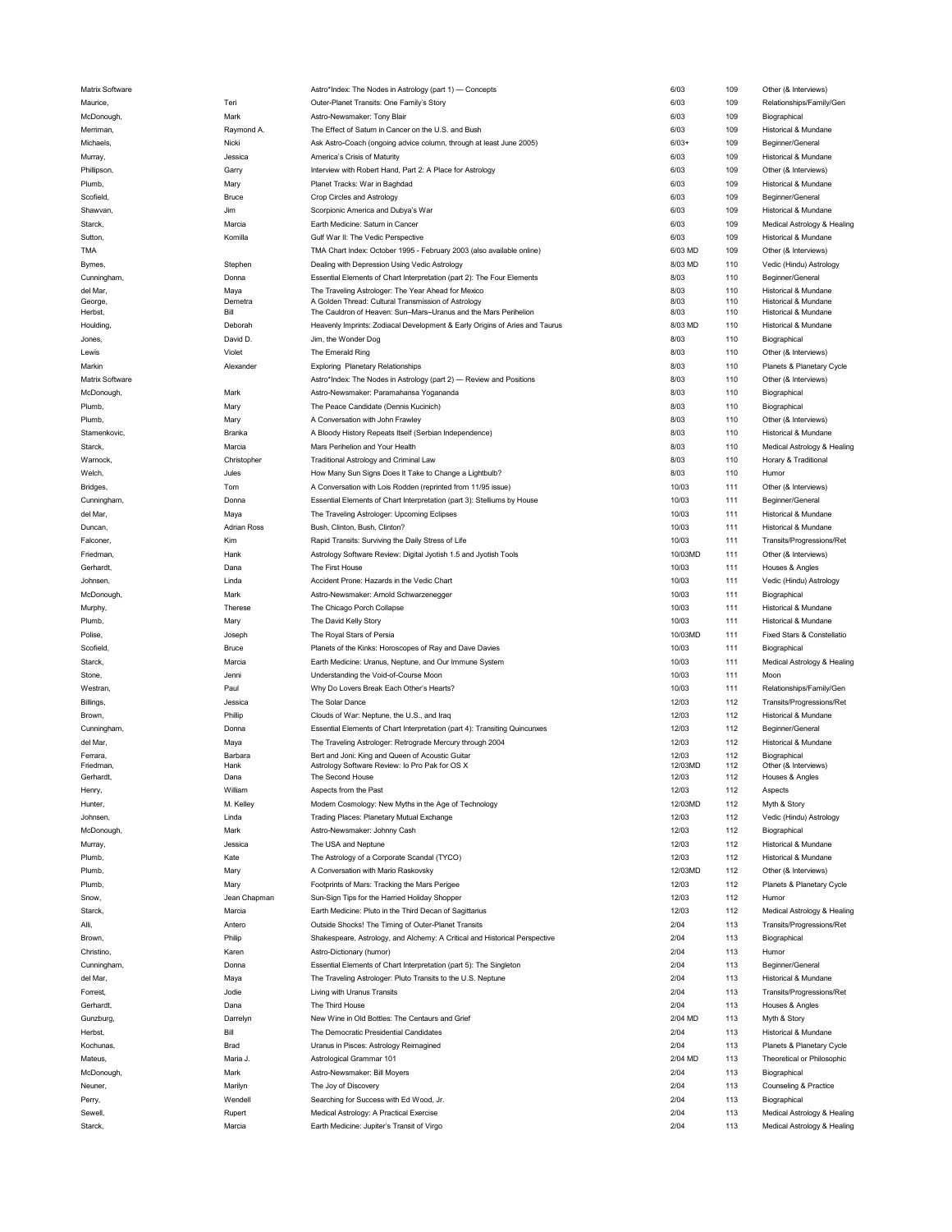| Matrix Software |                    | Astro*Index: The Nodes in Astrology (part 1) — Concepts                     | 6/03    | 109 | Other (& Interviews)        |
|-----------------|--------------------|-----------------------------------------------------------------------------|---------|-----|-----------------------------|
| Maurice,        | Teri               | Outer-Planet Transits: One Family's Story                                   | 6/03    | 109 | Relationships/Family/Gen    |
| McDonough,      | Mark               | Astro-Newsmaker: Tony Blair                                                 | 6/03    | 109 | Biographical                |
|                 |                    |                                                                             |         |     |                             |
| Merriman,       | Raymond A.         | The Effect of Saturn in Cancer on the U.S. and Bush                         | 6/03    | 109 | Historical & Mundane        |
| Michaels,       | Nicki              | Ask Astro-Coach (ongoing advice column, through at least June 2005)         | $6/03+$ | 109 | Beginner/General            |
| Murray,         | Jessica            | America's Crisis of Maturity                                                | 6/03    | 109 | Historical & Mundane        |
| Phillipson,     | Garry              | Interview with Robert Hand, Part 2: A Place for Astrology                   | 6/03    | 109 | Other (& Interviews)        |
| Plumb,          | Mary               | Planet Tracks: War in Baghdad                                               | 6/03    | 109 | Historical & Mundane        |
| Scofield,       | <b>Bruce</b>       | Crop Circles and Astrology                                                  | 6/03    | 109 | Beginner/General            |
|                 |                    |                                                                             |         |     |                             |
| Shawvan,        | Jim                | Scorpionic America and Dubya's War                                          | 6/03    | 109 | Historical & Mundane        |
| Starck,         | Marcia             | Earth Medicine: Saturn in Cancer                                            | 6/03    | 109 | Medical Astrology & Healing |
| Sutton,         | Komilla            | Gulf War II: The Vedic Perspective                                          | 6/03    | 109 | Historical & Mundane        |
| TMA             |                    | TMA Chart Index: October 1995 - February 2003 (also available online)       | 6/03 MD | 109 | Other (& Interviews)        |
| Byrnes,         | Stephen            | Dealing with Depression Using Vedic Astrology                               | 8/03 MD | 110 | Vedic (Hindu) Astrology     |
|                 |                    |                                                                             |         |     |                             |
| Cunningham,     | Donna              | Essential Elements of Chart Interpretation (part 2): The Four Elements      | 8/03    | 110 | Beginner/General            |
| del Mar,        | Maya               | The Traveling Astrologer: The Year Ahead for Mexico                         | 8/03    | 110 | Historical & Mundane        |
| George,         | Demetra            | A Golden Thread: Cultural Transmission of Astrology                         | 8/03    | 110 | Historical & Mundane        |
| Herbst,         | Bill               | The Cauldron of Heaven: Sun-Mars-Uranus and the Mars Perihelion             | 8/03    | 110 | Historical & Mundane        |
| Houlding.       | Deborah            | Heavenly Imprints: Zodiacal Development & Early Origins of Aries and Taurus | 8/03 MD | 110 | Historical & Mundane        |
| Jones,          | David D.           | Jim, the Wonder Dog                                                         | 8/03    | 110 | Biographical                |
| Lewis           | Violet             | The Emerald Ring                                                            | 8/03    | 110 | Other (& Interviews)        |
| Markin          | Alexander          | <b>Exploring Planetary Relationships</b>                                    | 8/03    | 110 | Planets & Planetary Cycle   |
|                 |                    |                                                                             |         |     |                             |
| Matrix Software |                    | Astro*Index: The Nodes in Astrology (part 2) - Review and Positions         | 8/03    | 110 | Other (& Interviews)        |
| McDonough       | Mark               | Astro-Newsmaker: Paramahansa Yogananda                                      | 8/03    | 110 | Biographical                |
| Plumb,          | Mary               | The Peace Candidate (Dennis Kucinich)                                       | 8/03    | 110 | Biographical                |
| Plumb,          | Mary               | A Conversation with John Frawley                                            | 8/03    | 110 | Other (& Interviews)        |
| Stamenkovic,    | Branka             | A Bloody History Repeats Itself (Serbian Independence)                      | 8/03    | 110 | Historical & Mundane        |
|                 |                    |                                                                             |         |     |                             |
| Starck,         | Marcia             | Mars Perihelion and Your Health                                             | 8/03    | 110 | Medical Astrology & Healing |
| Warnock         | Christopher        | Traditional Astrology and Criminal Law                                      | 8/03    | 110 | Horary & Traditional        |
| Welch,          | Jules              | How Many Sun Signs Does It Take to Change a Lightbulb?                      | 8/03    | 110 | Humor                       |
| Bridges,        | Tom                | A Conversation with Lois Rodden (reprinted from 11/95 issue)                | 10/03   | 111 | Other (& Interviews)        |
| Cunningham,     | Donna              | Essential Elements of Chart Interpretation (part 3): Stelliums by House     | 10/03   | 111 | Beginner/General            |
|                 |                    |                                                                             |         |     |                             |
| del Mar,        | Maya               | The Traveling Astrologer: Upcoming Eclipses                                 | 10/03   | 111 | Historical & Mundane        |
| Duncan,         | <b>Adrian Ross</b> | Bush, Clinton, Bush, Clinton?                                               | 10/03   | 111 | Historical & Mundane        |
| Falconer,       | Kim                | Rapid Transits: Surviving the Daily Stress of Life                          | 10/03   | 111 | Transits/Progressions/Ret   |
| Friedman,       | Hank               | Astrology Software Review: Digital Jyotish 1.5 and Jyotish Tools            | 10/03MD | 111 | Other (& Interviews)        |
| Gerhardt,       | Dana               | The First House                                                             | 10/03   | 111 | Houses & Angles             |
| Johnsen,        | Linda              |                                                                             | 10/03   | 111 |                             |
|                 |                    | Accident Prone: Hazards in the Vedic Chart                                  |         |     | Vedic (Hindu) Astrology     |
| McDonough,      | Mark               | Astro-Newsmaker: Arnold Schwarzenegger                                      | 10/03   | 111 | Biographical                |
| Murphy,         | Therese            | The Chicago Porch Collapse                                                  | 10/03   | 111 | Historical & Mundane        |
| Plumb,          | Mary               | The David Kelly Story                                                       | 10/03   | 111 | Historical & Mundane        |
| Polise,         | Joseph             | The Royal Stars of Persia                                                   | 10/03MD | 111 | Fixed Stars & Constellatio  |
|                 |                    |                                                                             |         |     |                             |
| Scofield,       | Bruce              | Planets of the Kinks: Horoscopes of Ray and Dave Davies                     | 10/03   | 111 | Biographical                |
| Starck,         | Marcia             | Earth Medicine: Uranus, Neptune, and Our Immune System                      | 10/03   | 111 | Medical Astrology & Healing |
| Stone,          | Jenni              | Understanding the Void-of-Course Moon                                       | 10/03   | 111 | Moon                        |
| Westran,        | Paul               | Why Do Lovers Break Each Other's Hearts?                                    | 10/03   | 111 | Relationships/Family/Gen    |
| Billings,       | Jessica            | The Solar Dance                                                             | 12/03   | 112 | Transits/Progressions/Ret   |
|                 |                    |                                                                             |         |     |                             |
| Brown,          | Phillip            | Clouds of War: Neptune, the U.S., and Iraq                                  | 12/03   | 112 | Historical & Mundane        |
| Cunningham,     | Donna              | Essential Elements of Chart Interpretation (part 4): Transiting Quincunxes  | 12/03   | 112 | Beginner/Genera             |
| del Mar,        | Maya               | The Traveling Astrologer: Retrograde Mercury through 2004                   | 12/03   | 112 | Historical & Mundane        |
| Ferrara,        | Barbara            | Bert and Joni: King and Queen of Acoustic Guitar                            | 12/03   | 112 | Biographical                |
| Friedman,       | Hank               | Astrology Software Review: Io Pro Pak for OS X                              | 12/03MD | 112 | Other (& Interviews)        |
| Gerhardt,       | Dana               | The Second House                                                            | 12/03   | 112 | Houses & Angles             |
| Henry,          | William            | Aspects from the Past                                                       | 12/03   | 112 |                             |
| Hunter,         |                    |                                                                             |         |     | Aspects                     |
|                 |                    |                                                                             |         |     |                             |
|                 | M. Kelley          | Modern Cosmology: New Myths in the Age of Technology                        | 12/03MD | 112 | Myth & Story                |
| Johnsen,        | Linda              | Trading Places: Planetary Mutual Exchange                                   | 12/03   | 112 | Vedic (Hindu) Astrology     |
| McDonough,      | Mark               | Astro-Newsmaker: Johnny Cash                                                | 12/03   | 112 | Biographical                |
| Murray,         | Jessica            | The USA and Neptune                                                         | 12/03   | 112 | Historical & Mundane        |
| Plumb,          | Kate               | The Astrology of a Corporate Scandal (TYCO)                                 | 12/03   | 112 | Historical & Mundane        |
|                 |                    |                                                                             |         |     |                             |
| Plumb,          | Mary               | A Conversation with Mario Raskovsky                                         | 12/03MD | 112 | Other (& Interviews)        |
| Plumb,          | Mary               | Footprints of Mars: Tracking the Mars Perigee                               | 12/03   | 112 | Planets & Planetary Cycle   |
| Snow.           | Jean Chapman       | Sun-Sign Tips for the Harried Holiday Shopper                               | 12/03   | 112 | Humor                       |
| Starck,         | Marcia             | Earth Medicine: Pluto in the Third Decan of Sagittarius                     | 12/03   | 112 | Medical Astrology & Healing |
| Alli,           | Antero             | Outside Shocks! The Timing of Outer-Planet Transits                         | 2/04    | 113 | Transits/Progressions/Ret   |
| Brown,          |                    |                                                                             |         |     |                             |
|                 | Philip             | Shakespeare, Astrology, and Alchemy: A Critical and Historical Perspective  | 2/04    | 113 | Biographical                |
| Christino,      | Karen              | Astro-Dictionary (humor)                                                    | 2/04    | 113 | Humor                       |
| Cunningham,     | Donna              | Essential Elements of Chart Interpretation (part 5): The Singleton          | 2/04    | 113 | Beginner/General            |
| del Mar         | Maya               | The Traveling Astrologer: Pluto Transits to the U.S. Neptune                | 2/04    | 113 | Historical & Mundane        |
| Forrest,        | Jodie              | Living with Uranus Transits                                                 | 2/04    | 113 | Transits/Progressions/Ret   |
| Gerhardt,       | Dana               | The Third House                                                             | 2/04    | 113 |                             |
|                 |                    |                                                                             |         |     | Houses & Angles             |
| Gunzburg,       | Darrelyn           | New Wine in Old Bottles: The Centaurs and Grief                             | 2/04 MD | 113 | Myth & Story                |
| Herbst,         | Bill               | The Democratic Presidential Candidates                                      | 2/04    | 113 | Historical & Mundane        |
| Kochunas,       | <b>Brad</b>        | Uranus in Pisces: Astrology Reimagined                                      | 2/04    | 113 | Planets & Planetary Cycle   |
| Mateus,         | Maria J.           | Astrological Grammar 101                                                    | 2/04 MD | 113 | Theoretical or Philosophic  |
|                 |                    |                                                                             |         |     |                             |
| McDonough,      | Mark               | Astro-Newsmaker: Bill Moyers                                                | 2/04    | 113 | Biographical                |
| Neuner,         | Marilyn            | The Joy of Discovery                                                        | 2/04    | 113 | Counseling & Practice       |
| Perry,          | Wendell            | Searching for Success with Ed Wood, Jr.                                     | 2/04    | 113 | Biographical                |
| Sewell.         | Rupert             | Medical Astrology: A Practical Exercise                                     | 2/04    | 113 | Medical Astrology & Healing |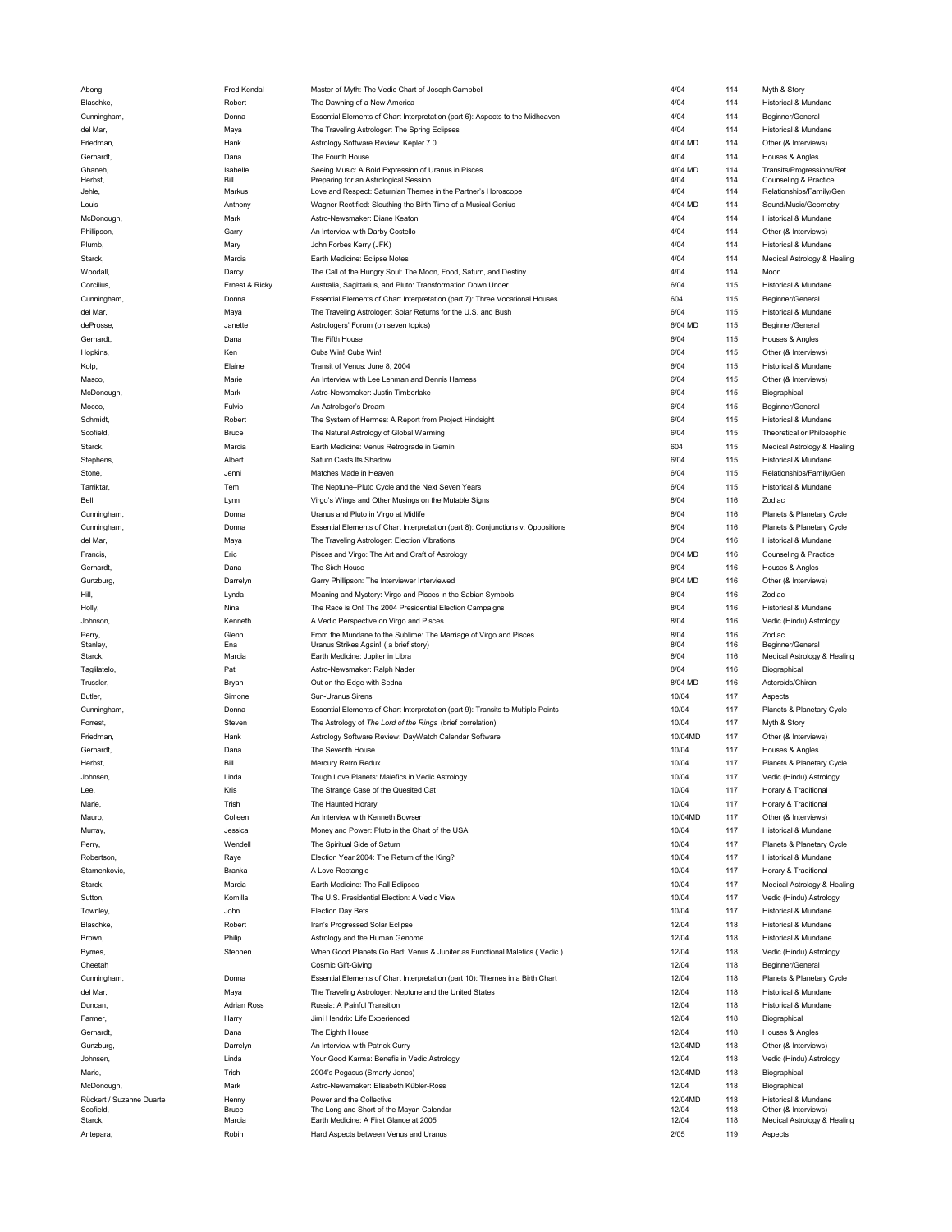| Abong,                   | Fred Kendal        | Master of Myth: The Vedic Chart of Joseph Campbell                               | 4/04    | 114 | Myth & Story                |
|--------------------------|--------------------|----------------------------------------------------------------------------------|---------|-----|-----------------------------|
| Blaschke,                | Robert             | The Dawning of a New America                                                     | 4/04    | 114 | Historical & Mundane        |
| Cunningham,              |                    |                                                                                  |         |     |                             |
|                          | Donna              | Essential Elements of Chart Interpretation (part 6): Aspects to the Midheaven    | 4/04    | 114 | Beginner/General            |
| del Mar,                 | Maya               | The Traveling Astrologer: The Spring Eclipses                                    | 4/04    | 114 | Historical & Mundane        |
| Friedman,                | Hank               | Astrology Software Review: Kepler 7.0                                            | 4/04 MD | 114 | Other (& Interviews)        |
| Gerhardt,                | Dana               | The Fourth House                                                                 | 4/04    | 114 | Houses & Angles             |
|                          |                    |                                                                                  |         |     |                             |
| Ghaneh,                  | Isabelle           | Seeing Music: A Bold Expression of Uranus in Pisces                              | 4/04 MD | 114 | Transits/Progressions/Ret   |
| Herbst,                  | Bill               | Preparing for an Astrological Session                                            | 4/04    | 114 | Counseling & Practice       |
| Jehle,                   | Markus             | Love and Respect: Saturnian Themes in the Partner's Horoscope                    | 4/04    | 114 | Relationships/Family/Gen    |
| Louis                    | Anthony            | Wagner Rectified: Sleuthing the Birth Time of a Musical Genius                   | 4/04 MD | 114 | Sound/Music/Geometry        |
| McDonough,               | Mark               | Astro-Newsmaker: Diane Keaton                                                    | 4/04    | 114 | Historical & Mundane        |
|                          |                    |                                                                                  |         |     |                             |
| Phillipson,              | Garry              | An Interview with Darby Costello                                                 | 4/04    | 114 | Other (& Interviews)        |
| Plumb,                   | Mary               | John Forbes Kerry (JFK)                                                          | 4/04    | 114 | Historical & Mundane        |
| Starck,                  | Marcia             | Earth Medicine: Eclipse Notes                                                    | 4/04    | 114 | Medical Astrology & Healing |
|                          |                    |                                                                                  | 4/04    | 114 |                             |
| Woodall,                 | Darcy              | The Call of the Hungry Soul: The Moon, Food, Saturn, and Destiny                 |         |     | Moon                        |
| Corcilius,               | Ernest & Ricky     | Australia, Sagittarius, and Pluto: Transformation Down Under                     | 6/04    | 115 | Historical & Mundane        |
| Cunningham,              | Donna              | Essential Elements of Chart Interpretation (part 7): Three Vocational Houses     | 604     | 115 | Beginner/General            |
| del Mar,                 |                    | The Traveling Astrologer: Solar Returns for the U.S. and Bush                    | 6/04    | 115 | Historical & Mundane        |
|                          | Maya               |                                                                                  |         |     |                             |
| deProsse,                | Janette            | Astrologers' Forum (on seven topics)                                             | 6/04 MD | 115 | Beginner/General            |
| Gerhardt,                | Dana               | The Fifth House                                                                  | 6/04    | 115 | Houses & Angles             |
| Hopkins,                 | Ken                | Cubs Win! Cubs Win!                                                              | 6/04    | 115 | Other (& Interviews)        |
|                          |                    |                                                                                  |         |     |                             |
| Kolp,                    | Elaine             | Transit of Venus: June 8, 2004                                                   | 6/04    | 115 | Historical & Mundane        |
| Masco,                   | Marie              | An Interview with Lee Lehman and Dennis Harness                                  | 6/04    | 115 | Other (& Interviews)        |
| McDonough,               | Mark               | Astro-Newsmaker: Justin Timberlake                                               | 6/04    | 115 | Biographical                |
|                          |                    |                                                                                  |         |     |                             |
| Mocco,                   | Fulvio             | An Astrologer's Dream                                                            | 6/04    | 115 | Beginner/General            |
| Schmidt,                 | Robert             | The System of Hermes: A Report from Project Hindsight                            | 6/04    | 115 | Historical & Mundane        |
| Scofield,                | Bruce              | The Natural Astrology of Global Warming                                          | 6/04    | 115 | Theoretical or Philosophic  |
|                          |                    |                                                                                  |         |     |                             |
| Starck,                  | Marcia             | Earth Medicine: Venus Retrograde in Gemini                                       | 604     | 115 | Medical Astrology & Healing |
| Stephens,                | Albert             | Saturn Casts Its Shadow                                                          | 6/04    | 115 | Historical & Mundane        |
| Stone,                   | Jenni              | Matches Made in Heaven                                                           | 6/04    | 115 | Relationships/Family/Gen    |
|                          |                    |                                                                                  |         |     |                             |
| Tarriktar,               | Tem                | The Neptune-Pluto Cycle and the Next Seven Years                                 | 6/04    | 115 | Historical & Mundane        |
| Bell                     | Lynn               | Virgo's Wings and Other Musings on the Mutable Signs                             | 8/04    | 116 | <b>Zodiac</b>               |
| Cunningham,              | Donna              | Uranus and Pluto in Virgo at Midlife                                             | 8/04    | 116 | Planets & Planetary Cycle   |
| Cunningham,              | Donna              | Essential Elements of Chart Interpretation (part 8): Conjunctions v. Oppositions | 8/04    | 116 | Planets & Planetary Cycle   |
|                          |                    |                                                                                  |         |     |                             |
| del Mar,                 | Maya               | The Traveling Astrologer: Election Vibrations                                    | 8/04    | 116 | Historical & Mundane        |
| Francis,                 | Eric               | Pisces and Virgo: The Art and Craft of Astrology                                 | 8/04 MD | 116 | Counseling & Practice       |
| Gerhardt,                | Dana               | The Sixth House                                                                  | 8/04    | 116 | Houses & Angles             |
|                          |                    |                                                                                  |         |     |                             |
| Gunzburg,                | Darrelyn           | Garry Phillipson: The Interviewer Interviewed                                    | 8/04 MD | 116 | Other (& Interviews)        |
| Hill,                    | Lynda              | Meaning and Mystery: Virgo and Pisces in the Sabian Symbols                      | 8/04    | 116 | Zodiac                      |
| Holly,                   | Nina               | The Race is On! The 2004 Presidential Election Campaigns                         | 8/04    | 116 | Historical & Mundane        |
|                          |                    |                                                                                  | 8/04    | 116 |                             |
| Johnson,                 | Kenneth            | A Vedic Perspective on Virgo and Pisces                                          |         |     | Vedic (Hindu) Astrology     |
| Perry,                   | Glenn              | From the Mundane to the Sublime: The Marriage of Virgo and Pisces                | 8/04    | 116 | Zodiac                      |
| Stanley,                 | Ena                | Uranus Strikes Again! (a brief story)                                            | 8/04    | 116 | Beginner/General            |
| Starck,                  | Marcia             | Earth Medicine: Jupiter in Libra                                                 | 8/04    | 116 | Medical Astrology & Healing |
| Taglilatelo,             | Pat                | Astro-Newsmaker: Ralph Nader                                                     | 8/04    | 116 | Biographical                |
| Trussler,                |                    | Out on the Edge with Sedna                                                       | 8/04 MD | 116 | Asteroids/Chiron            |
|                          | Bryan              |                                                                                  |         |     |                             |
| Butler,                  | Simone             | Sun-Uranus Sirens                                                                | 10/04   | 117 | Aspects                     |
| Cunningham,              | Donna              | Essential Elements of Chart Interpretation (part 9): Transits to Multiple Points | 10/04   | 117 | Planets & Planetary Cycle   |
| Forrest,                 | Steven             | The Astrology of The Lord of the Rings (brief correlation)                       | 10/04   | 117 | Myth & Story                |
|                          |                    |                                                                                  |         |     |                             |
| Friedman,                |                    |                                                                                  |         | 117 |                             |
| Gerhardt,                | Hank               | Astrology Software Review: DayWatch Calendar Software                            | 10/04MD |     | Other (& Interviews)        |
|                          | Dana               | The Seventh House                                                                | 10/04   | 117 | Houses & Angles             |
|                          |                    |                                                                                  |         |     |                             |
| Herbst,                  | Bill               | Mercury Retro Redux                                                              | 10/04   | 117 | Planets & Planetary Cycle   |
| Johnsen,                 | Linda              | Tough Love Planets: Malefics in Vedic Astrology                                  | 10/04   | 117 | Vedic (Hindu) Astrology     |
| Lee,                     | Kris               | The Strange Case of the Quesited Cat                                             | 10/04   | 117 | Horary & Traditional        |
| Marie,                   | Trish              | The Haunted Horary                                                               | 10/04   | 117 | Horary & Traditional        |
|                          |                    |                                                                                  |         |     |                             |
| Mauro,                   | Colleen            | An Interview with Kenneth Bowser                                                 | 10/04MD | 117 | Other (& Interviews)        |
| Murray,                  | Jessica            | Money and Power: Pluto in the Chart of the USA                                   | 10/04   | 117 | Historical & Mundane        |
| Perry,                   | Wendell            | The Spiritual Side of Saturn                                                     | 10/04   | 117 | Planets & Planetary Cycle   |
|                          |                    |                                                                                  |         |     |                             |
| Robertson,               | Raye               | Election Year 2004: The Return of the King?                                      | 10/04   | 117 | Historical & Mundane        |
| Stamenkovic,             | Branka             | A Love Rectangle                                                                 | 10/04   | 117 | Horary & Traditional        |
| Starck,                  | Marcia             | Earth Medicine: The Fall Eclipses                                                | 10/04   | 117 | Medical Astrology & Healing |
|                          |                    |                                                                                  |         |     |                             |
| Sutton,                  | Komilla            | The U.S. Presidential Election: A Vedic View                                     | 10/04   | 117 | Vedic (Hindu) Astrology     |
| Townley,                 | John               | <b>Election Day Bets</b>                                                         | 10/04   | 117 | Historical & Mundane        |
| Blaschke,                | Robert             | Iran's Progressed Solar Eclipse                                                  | 12/04   | 118 | Historical & Mundane        |
| Brown.                   |                    |                                                                                  | 12/04   | 118 | Historical & Mundane        |
|                          | Philip             | Astrology and the Human Genome                                                   |         |     |                             |
| Byrnes,                  | Stephen            | When Good Planets Go Bad: Venus & Jupiter as Functional Malefics (Vedic)         | 12/04   | 118 | Vedic (Hindu) Astrology     |
| Cheetah                  |                    | <b>Cosmic Gift-Giving</b>                                                        | 12/04   | 118 | Beginner/General            |
| Cunningham,              | Donna              | Essential Elements of Chart Interpretation (part 10): Themes in a Birth Chart    | 12/04   | 118 | Planets & Planetary Cycle   |
|                          |                    |                                                                                  |         |     |                             |
| del Mar,                 | Maya               | The Traveling Astrologer: Neptune and the United States                          | 12/04   | 118 | Historical & Mundane        |
| Duncan,                  | <b>Adrian Ross</b> | Russia: A Painful Transition                                                     | 12/04   | 118 | Historical & Mundane        |
| Farmer,                  | Harry              | Jimi Hendrix: Life Experienced                                                   | 12/04   | 118 | Biographical                |
|                          |                    |                                                                                  |         |     |                             |
| Gerhardt,                | Dana               | The Eighth House                                                                 | 12/04   | 118 | Houses & Angles             |
| Gunzburg,                | Darrelyn           | An Interview with Patrick Curry                                                  | 12/04MD | 118 | Other (& Interviews)        |
| Johnsen,                 | Linda              | Your Good Karma: Benefis in Vedic Astrology                                      | 12/04   | 118 | Vedic (Hindu) Astrology     |
|                          |                    |                                                                                  |         |     |                             |
| Marie,                   | Trish              | 2004's Pegasus (Smarty Jones)                                                    | 12/04MD | 118 | Biographical                |
| McDonough,               | Mark               | Astro-Newsmaker: Elisabeth Kübler-Ross                                           | 12/04   | 118 | Biographical                |
| Rückert / Suzanne Duarte | Henny              | Power and the Collective                                                         | 12/04MD | 118 | Historical & Mundane        |
| Scofield                 | <b>Bruce</b>       | The Long and Short of the Mayan Calendar                                         | 12/04   | 118 | Other (& Interviews)        |
| Starck,                  | Marcia             | Earth Medicine: A First Glance at 2005                                           | 12/04   | 118 | Medical Astrology & Healing |
| Antepara                 | Robin              | Hard Aspects between Venus and Uranus                                            | 2/05    | 119 | Aspects                     |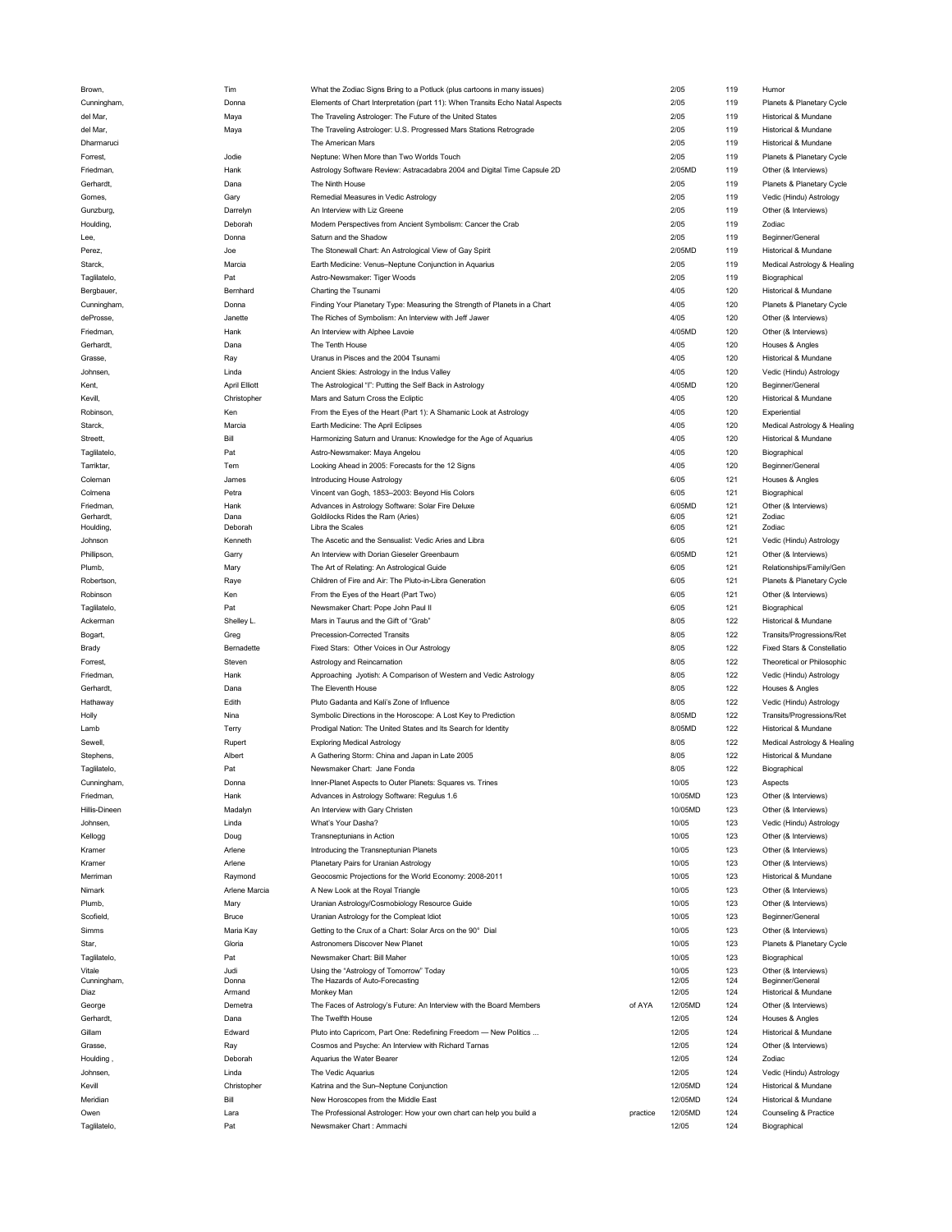| Brown,        | Tim                  | What the Zodiac Signs Bring to a Potluck (plus cartoons in many issues)      |          | 2/05    | 119 | Humor                           |
|---------------|----------------------|------------------------------------------------------------------------------|----------|---------|-----|---------------------------------|
| Cunningham,   | Donna                | Elements of Chart Interpretation (part 11): When Transits Echo Natal Aspects |          | 2/05    | 119 | Planets & Planetary Cycle       |
|               |                      |                                                                              |          |         |     |                                 |
| del Mar,      | Maya                 | The Traveling Astrologer: The Future of the United States                    |          | 2/05    | 119 | Historical & Mundane            |
| del Mar,      | Maya                 | The Traveling Astrologer: U.S. Progressed Mars Stations Retrograde           |          | 2/05    | 119 | Historical & Mundane            |
| Dharmaruci    |                      | The American Mars                                                            |          | 2/05    | 119 | <b>Historical &amp; Mundane</b> |
|               |                      |                                                                              |          |         |     |                                 |
| Forrest,      | Jodie                | Neptune: When More than Two Worlds Touch                                     |          | 2/05    | 119 | Planets & Planetary Cycle       |
| Friedman,     | Hank                 | Astrology Software Review: Astracadabra 2004 and Digital Time Capsule 2D     |          | 2/05MD  | 119 | Other (& Interviews)            |
| Gerhardt,     | Dana                 | The Ninth House                                                              |          | 2/05    | 119 | Planets & Planetary Cycle       |
|               |                      |                                                                              |          | 2/05    | 119 |                                 |
| Gomes,        | Gary                 | Remedial Measures in Vedic Astrology                                         |          |         |     | Vedic (Hindu) Astrology         |
| Gunzburg,     | Darrelyn             | An Interview with Liz Greene                                                 |          | 2/05    | 119 | Other (& Interviews)            |
| Houlding,     | Deborah              | Modern Perspectives from Ancient Symbolism: Cancer the Crab                  |          | 2/05    | 119 | Zodiac                          |
|               | Donna                | Saturn and the Shadow                                                        |          | 2/05    | 119 | Beginner/General                |
| Lee,          |                      |                                                                              |          |         |     |                                 |
| Perez,        | Joe                  | The Stonewall Chart: An Astrological View of Gay Spirit                      |          | 2/05MD  | 119 | Historical & Mundane            |
| Starck,       | Marcia               | Earth Medicine: Venus-Neptune Conjunction in Aquarius                        |          | 2/05    | 119 | Medical Astrology & Healing     |
| Taglilatelo,  | Pat                  | Astro-Newsmaker: Tiger Woods                                                 |          | 2/05    | 119 | Biographical                    |
|               |                      |                                                                              |          |         |     |                                 |
| Bergbauer,    | Bernhard             | Charting the Tsunami                                                         |          | 4/05    | 120 | Historical & Mundane            |
| Cunningham,   | Donna                | Finding Your Planetary Type: Measuring the Strength of Planets in a Chart    |          | 4/05    | 120 | Planets & Planetary Cycle       |
| deProsse,     | Janette              | The Riches of Symbolism: An Interview with Jeff Jawer                        |          | 4/05    | 120 | Other (& Interviews)            |
|               |                      |                                                                              |          |         |     |                                 |
| Friedman,     | Hank                 | An Interview with Alphee Lavoie                                              |          | 4/05MD  | 120 | Other (& Interviews)            |
| Gerhardt,     | Dana                 | The Tenth House                                                              |          | 4/05    | 120 | Houses & Angles                 |
| Grasse,       | Ray                  | Uranus in Pisces and the 2004 Tsunami                                        |          | 4/05    | 120 | Historical & Mundane            |
|               |                      |                                                                              |          |         |     |                                 |
| Johnsen,      | Linda                | Ancient Skies: Astrology in the Indus Valley                                 |          | 4/05    | 120 | Vedic (Hindu) Astrology         |
| Kent,         | <b>April Elliott</b> | The Astrological "I": Putting the Self Back in Astrology                     |          | 4/05MD  | 120 | Beginner/General                |
| Kevill,       | Christopher          | Mars and Saturn Cross the Ecliptic                                           |          | 4/05    | 120 | Historical & Mundane            |
|               |                      |                                                                              |          | 4/05    |     |                                 |
| Robinson,     | Ken                  | From the Eyes of the Heart (Part 1): A Shamanic Look at Astrology            |          |         | 120 | Experiential                    |
| Starck,       | Marcia               | Earth Medicine: The April Eclipses                                           |          | 4/05    | 120 | Medical Astrology & Healing     |
| Streett,      | Bill                 | Harmonizing Saturn and Uranus: Knowledge for the Age of Aquarius             |          | 4/05    | 120 | Historical & Mundane            |
| Taglilatelo,  | Pat                  |                                                                              |          | 4/05    | 120 | Biographical                    |
|               |                      | Astro-Newsmaker: Maya Angelou                                                |          |         |     |                                 |
| Tarriktar,    | Tem                  | Looking Ahead in 2005: Forecasts for the 12 Signs                            |          | 4/05    | 120 | Beginner/General                |
| Coleman       | James                | Introducing House Astrology                                                  |          | 6/05    | 121 | Houses & Angles                 |
| Colmena       | Petra                | Vincent van Gogh, 1853-2003: Beyond His Colors                               |          | 6/05    | 121 | Biographical                    |
|               |                      |                                                                              |          |         |     |                                 |
| Friedman,     | Hank                 | Advances in Astrology Software: Solar Fire Deluxe                            |          | 6/05MD  | 121 | Other (& Interviews)            |
| Gerhardt,     | Dana                 | Goldilocks Rides the Ram (Aries)                                             |          | 6/05    | 121 | Zodiac                          |
| Houlding,     | Deborah              | Libra the Scales                                                             |          | 6/05    | 121 | Zodiac                          |
| Johnson       | Kenneth              | The Ascetic and the Sensualist: Vedic Aries and Libra                        |          | 6/05    | 121 | Vedic (Hindu) Astrology         |
| Phillipson,   | Garry                | An Interview with Dorian Gieseler Greenbaum                                  |          | 6/05MD  | 121 | Other (& Interviews)            |
|               |                      |                                                                              |          |         |     |                                 |
| Plumb,        | Mary                 | The Art of Relating: An Astrological Guide                                   |          | 6/05    | 121 | Relationships/Family/Gen        |
| Robertson,    | Raye                 | Children of Fire and Air: The Pluto-in-Libra Generation                      |          | 6/05    | 121 | Planets & Planetary Cycle       |
| Robinson      | Ken                  | From the Eyes of the Heart (Part Two)                                        |          | 6/05    | 121 | Other (& Interviews)            |
|               |                      |                                                                              |          |         |     |                                 |
| Taglilatelo,  | Pat                  | Newsmaker Chart: Pope John Paul II                                           |          | 6/05    | 121 | Biographical                    |
| Ackerman      | Shelley L.           | Mars in Taurus and the Gift of "Grab"                                        |          | 8/05    | 122 | Historical & Mundane            |
| Bogart,       | Greg                 | Precession-Corrected Transits                                                |          | 8/05    | 122 | Transits/Progressions/Ret       |
|               |                      | Fixed Stars: Other Voices in Our Astrology                                   |          | 8/05    | 122 | Fixed Stars & Constellatio      |
| Brady         | Bernadette           |                                                                              |          |         |     |                                 |
| Forrest,      | Steven               | Astrology and Reincarnation                                                  |          | 8/05    | 122 | Theoretical or Philosophic      |
| Friedman,     | Hank                 | Approaching Jyotish: A Comparison of Western and Vedic Astrology             |          | 8/05    | 122 | Vedic (Hindu) Astrology         |
| Gerhardt,     | Dana                 | The Eleventh House                                                           |          | 8/05    | 122 | Houses & Angles                 |
|               |                      |                                                                              |          |         |     |                                 |
| Hathaway      | Edith                | Pluto Gadanta and Kali's Zone of Influence                                   |          | 8/05    | 122 | Vedic (Hindu) Astrology         |
| Holly         | Nina                 | Symbolic Directions in the Horoscope: A Lost Key to Prediction               |          | 8/05MD  | 122 | Transits/Progressions/Ret       |
| Lamb          | Terry                | Prodigal Nation: The United States and Its Search for Identity               |          | 8/05MD  | 122 | Historical & Mundane            |
|               |                      |                                                                              |          |         |     |                                 |
| Sewell,       | Rupert               | <b>Exploring Medical Astrology</b>                                           |          | 8/05    | 122 | Medical Astrology & Healing     |
| Stephens,     | Albert               | A Gathering Storm: China and Japan in Late 2005                              |          | 8/05    | 122 | Historical & Mundane            |
| Taglilatelo,  | Pat                  | Newsmaker Chart: Jane Fonda                                                  |          | 8/05    | 122 | Biographical                    |
| Cunningham    | Donna                | Inner-Planet Aspects to Outer Planets: Squares vs. Trines                    |          | 10/05   | 123 |                                 |
|               |                      |                                                                              |          |         |     | Aspects                         |
| Friedman,     | Hank                 | Advances in Astrology Software: Regulus 1.6                                  |          | 10/05MD | 123 | Other (& Interviews)            |
| Hillis-Dineen | Madalyn              | An Interview with Gary Christen                                              |          | 10/05MD | 123 | Other (& Interviews)            |
| Johnsen,      | Linda                | What's Your Dasha?                                                           |          | 10/05   | 123 | Vedic (Hindu) Astrology         |
|               |                      |                                                                              |          |         |     |                                 |
| Kellogg       | Doug                 | Transneptunians in Action                                                    |          | 10/05   | 123 | Other (& Interviews)            |
| Kramer        | Arlene               | Introducing the Transneptunian Planets                                       |          | 10/05   | 123 | Other (& Interviews)            |
| Kramer        | Arlene               | Planetary Pairs for Uranian Astrology                                        |          | 10/05   | 123 | Other (& Interviews)            |
|               |                      |                                                                              |          |         |     |                                 |
| Merriman      | Raymond              | Geocosmic Projections for the World Economy: 2008-2011                       |          | 10/05   | 123 | Historical & Mundane            |
| Nimark        | Arlene Marcia        | A New Look at the Royal Triangle                                             |          | 10/05   | 123 | Other (& Interviews)            |
| Plumb,        | Mary                 | Uranian Astrology/Cosmobiology Resource Guide                                |          | 10/05   | 123 | Other (& Interviews)            |
|               |                      |                                                                              |          |         |     |                                 |
| Scofield,     | Bruce                | Uranian Astrology for the Compleat Idiot                                     |          | 10/05   | 123 | Beginner/General                |
| Simms         | Maria Kay            | Getting to the Crux of a Chart: Solar Arcs on the 90° Dial                   |          | 10/05   | 123 | Other (& Interviews)            |
| Star,         | Gloria               | Astronomers Discover New Planet                                              |          | 10/05   | 123 | Planets & Planetary Cycle       |
|               |                      |                                                                              |          |         |     |                                 |
| Taglilatelo,  | Pat                  | Newsmaker Chart: Bill Maher                                                  |          | 10/05   | 123 | Biographical                    |
| Vitale        | Judi                 | Using the "Astrology of Tomorrow" Today                                      |          | 10/05   | 123 | Other (& Interviews)            |
| Cunningham,   | Donna                | The Hazards of Auto-Forecasting                                              |          | 12/05   | 124 | Beginner/General                |
| Diaz          | Armand               | Monkey Man                                                                   |          | 12/05   | 124 | Historical & Mundane            |
| George        | Demetra              | The Faces of Astrology's Future: An Interview with the Board Members         | of AYA   | 12/05MD | 124 | Other (& Interviews)            |
|               |                      |                                                                              |          |         |     |                                 |
| Gerhardt,     | Dana                 | The Twelfth House                                                            |          | 12/05   | 124 | Houses & Angles                 |
| Gillam        | Edward               | Pluto into Capricorn, Part One: Redefining Freedom - New Politics            |          | 12/05   | 124 | Historical & Mundane            |
| Grasse,       |                      |                                                                              |          | 12/05   | 124 | Other (& Interviews)            |
|               |                      |                                                                              |          |         |     |                                 |
|               | Ray                  | Cosmos and Psyche: An Interview with Richard Tarnas                          |          |         |     |                                 |
| Houlding      | Deborah              | Aquarius the Water Bearer                                                    |          | 12/05   | 124 | Zodiac                          |
|               | Linda                | The Vedic Aquarius                                                           |          | 12/05   | 124 | Vedic (Hindu) Astrology         |
| Johnsen,      |                      |                                                                              |          |         |     |                                 |
| Kevill        | Christopher          | Katrina and the Sun-Neptune Conjunction                                      |          | 12/05MD | 124 | Historical & Mundane            |
| Meridian      | Bill                 | New Horoscopes from the Middle East                                          |          | 12/05MD | 124 | Historical & Mundane            |
| Owen          | Lara                 | The Professional Astrologer: How your own chart can help you build a         | practice | 12/05MD | 124 | Counseling & Practice           |
| Taglilatelo,  | Pat                  | Newsmaker Chart : Ammachi                                                    |          | 12/05   | 124 | Biographical                    |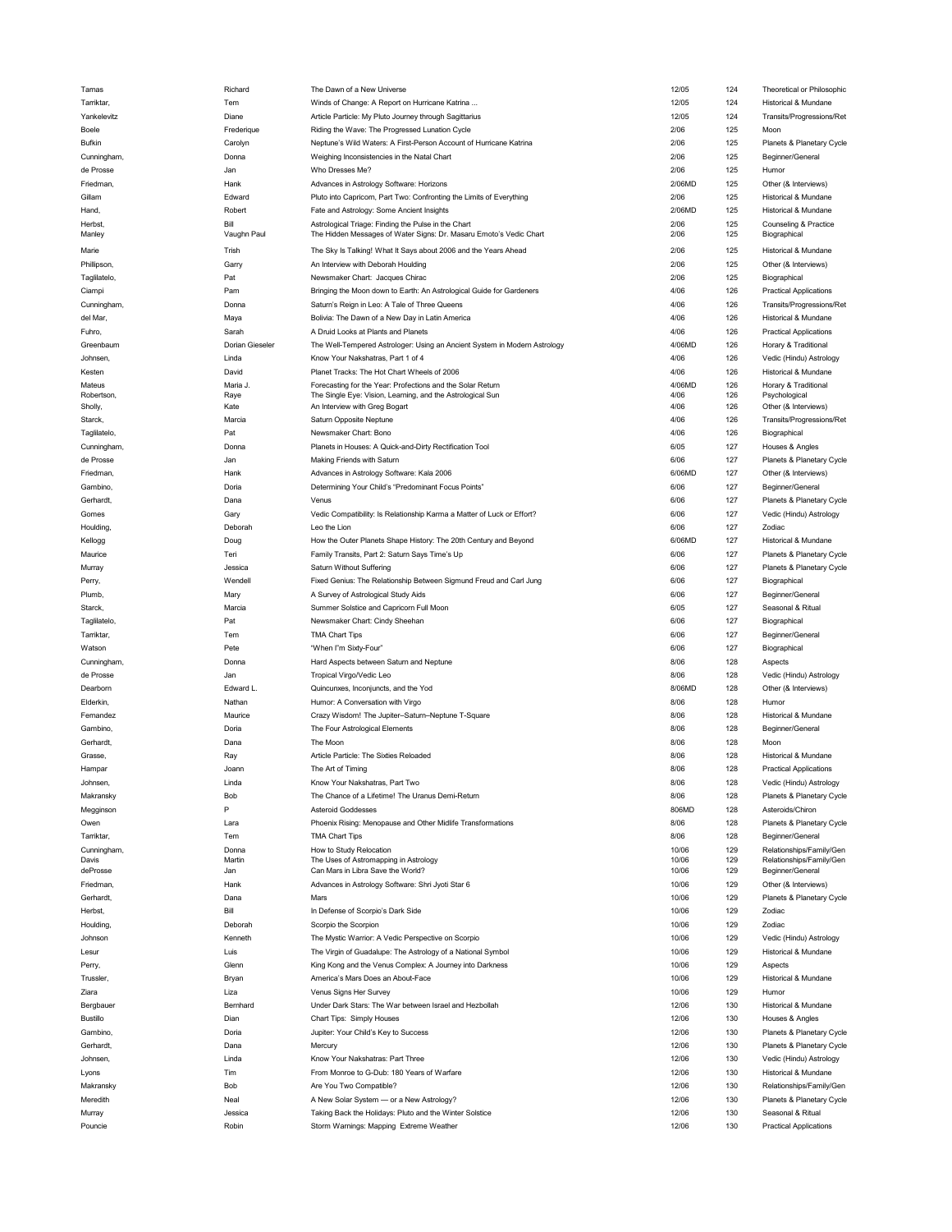| larnas          | <b>Richard</b>  | The Dawn of a New Universe                                                | 12/05  | 124 | I heoretical or Philosophic   |
|-----------------|-----------------|---------------------------------------------------------------------------|--------|-----|-------------------------------|
| Tarriktar,      | Tem             | Winds of Change: A Report on Hurricane Katrina                            | 12/05  | 124 | Historical & Mundane          |
| Yankelevitz     | Diane           | Article Particle: My Pluto Journey through Sagittarius                    | 12/05  | 124 | Transits/Progressions/Ref     |
| Boele           | Frederique      | Riding the Wave: The Progressed Lunation Cycle                            | 2/06   | 125 | Moon                          |
|                 |                 |                                                                           |        |     |                               |
| <b>Bufkin</b>   | Carolyn         | Neptune's Wild Waters: A First-Person Account of Hurricane Katrina        | 2/06   | 125 | Planets & Planetary Cycle     |
| Cunningham,     | Donna           | Weighing Inconsistencies in the Natal Chart                               | 2/06   | 125 | Beginner/General              |
| de Prosse       | Jan             | Who Dresses Me?                                                           | 2/06   | 125 | Humor                         |
| Friedman,       | Hank            | Advances in Astrology Software: Horizons                                  | 2/06MD | 125 | Other (& Interviews)          |
| Gillam          | Edward          | Pluto into Capricorn, Part Two: Confronting the Limits of Everything      | 2/06   | 125 | Historical & Mundane          |
| Hand,           | Robert          | Fate and Astrology: Some Ancient Insights                                 | 2/06MD | 125 | Historical & Mundane          |
| Herbst,         | Bill            | Astrological Triage: Finding the Pulse in the Chart                       | 2/06   | 125 | Counseling & Practice         |
| Manley          | Vaughn Paul     | The Hidden Messages of Water Signs: Dr. Masaru Emoto's Vedic Chart        | 2/06   | 125 | Biographical                  |
|                 |                 |                                                                           |        |     |                               |
| Marie           | Trish           | The Sky Is Talking! What It Says about 2006 and the Years Ahead           | 2/06   | 125 | Historical & Mundane          |
| Phillipson,     | Garry           | An Interview with Deborah Houlding                                        | 2/06   | 125 | Other (& Interviews)          |
| Taglilatelo,    | Pat             | Newsmaker Chart: Jacques Chirac                                           | 2/06   | 125 | Biographical                  |
| Ciampi          | Pam             | Bringing the Moon down to Earth: An Astrological Guide for Gardeners      | 4/06   | 126 | <b>Practical Applications</b> |
|                 |                 |                                                                           |        | 126 | Transits/Progressions/Ret     |
| Cunningham,     | Donna           | Saturn's Reign in Leo: A Tale of Three Queens                             | 4/06   |     |                               |
| del Mar,        | Maya            | Bolivia: The Dawn of a New Day in Latin America                           | 4/06   | 126 | Historical & Mundane          |
| Fuhro,          | Sarah           | A Druid Looks at Plants and Planets                                       | 4/06   | 126 | <b>Practical Applications</b> |
| Greenbaum       | Dorian Gieseler | The Well-Tempered Astrologer: Using an Ancient System in Modern Astrology | 4/06MD | 126 | Horary & Traditional          |
| Johnsen,        | Linda           | Know Your Nakshatras, Part 1 of 4                                         | 4/06   | 126 | Vedic (Hindu) Astrology       |
|                 |                 |                                                                           |        |     |                               |
| Kesten          | David           | Planet Tracks: The Hot Chart Wheels of 2006                               | 4/06   | 126 | Historical & Mundane          |
| Mateus          | Maria J.        | Forecasting for the Year: Profections and the Solar Return                | 4/06MD | 126 | Horary & Traditional          |
| Robertson,      | Raye            | The Single Eye: Vision, Learning, and the Astrological Sun                | 4/06   | 126 | Psychological                 |
| Sholly,         | Kate            | An Interview with Greg Bogart                                             | 4/06   | 126 | Other (& Interviews)          |
| Starck,         | Marcia          | Saturn Opposite Neptune                                                   | 4/06   | 126 | Transits/Progressions/Ret     |
| Taglilatelo,    | Pat             | Newsmaker Chart: Bono                                                     | 4/06   | 126 | Biographical                  |
| Cunningham,     | Donna           | Planets in Houses: A Quick-and-Dirty Rectification Tool                   | 6/05   | 127 | Houses & Angles               |
| de Prosse       | Jan             | Making Friends with Saturn                                                | 6/06   | 127 | Planets & Planetary Cycle     |
|                 |                 |                                                                           |        |     |                               |
| Friedman,       | Hank            | Advances in Astrology Software: Kala 2006                                 | 6/06MD | 127 | Other (& Interviews)          |
| Gambino,        | Doria           | Determining Your Child's "Predominant Focus Points"                       | 6/06   | 127 | Beginner/General              |
| Gerhardt,       | Dana            | Venus                                                                     | 6/06   | 127 | Planets & Planetary Cycle     |
| Gomes           | Gary            | Vedic Compatibility: Is Relationship Karma a Matter of Luck or Effort?    | 6/06   | 127 | Vedic (Hindu) Astrology       |
| Houlding,       | Deborah         | Leo the Lion                                                              | 6/06   | 127 | Zodiac                        |
|                 |                 |                                                                           |        |     |                               |
| Kellogg         | Doug            | How the Outer Planets Shape History: The 20th Century and Beyond          | 6/06MD | 127 | Historical & Mundane          |
| Maurice         | Teri            | Family Transits, Part 2: Saturn Says Time's Up                            | 6/06   | 127 | Planets & Planetary Cycle     |
| Murray          | Jessica         | Saturn Without Suffering                                                  | 6/06   | 127 | Planets & Planetary Cycle     |
| Perry,          | Wendell         | Fixed Genius: The Relationship Between Sigmund Freud and Carl Jung        | 6/06   | 127 | Biographical                  |
| Plumb,          | Mary            | A Survey of Astrological Study Aids                                       | 6/06   | 127 | Beginner/General              |
|                 |                 |                                                                           |        | 127 |                               |
|                 |                 |                                                                           |        |     |                               |
| Starck,         | Marcia          | Summer Solstice and Capricorn Full Moon                                   | 6/05   |     | Seasonal & Ritual             |
| Taglilatelo,    | Pat             | Newsmaker Chart: Cindy Sheehan                                            | 6/06   | 127 | Biographical                  |
| Tarriktar,      | Tem             | <b>TMA Chart Tips</b>                                                     | 6/06   | 127 | Beginner/General              |
| Watson          | Pete            | "When I"m Sixty-Four"                                                     | 6/06   | 127 | Biographical                  |
|                 | Donna           |                                                                           | 8/06   | 128 | Aspects                       |
| Cunningham,     |                 | Hard Aspects between Saturn and Neptune                                   |        |     |                               |
| de Prosse       | Jan             | Tropical Virgo/Vedic Leo                                                  | 8/06   | 128 | Vedic (Hindu) Astrology       |
| Dearborn        | Edward L.       | Quincunxes, Inconjuncts, and the Yod                                      | 8/06MD | 128 | Other (& Interviews)          |
| Elderkin,       | Nathan          | Humor: A Conversation with Virgo                                          | 8/06   | 128 | Humor                         |
| Fernandez       | Maurice         | Crazy Wisdom! The Jupiter-Saturn-Neptune T-Square                         | 8/06   | 128 | Historical & Mundane          |
| Gambino,        | Doria           | The Four Astrological Elements                                            | 8/06   | 128 | Beginner/General              |
|                 |                 | The Moon                                                                  |        | 128 |                               |
| Gerhardt,       | Dana            |                                                                           | 8/06   |     | Moon                          |
| Grasse,         | Ray             | Article Particle: The Sixties Reloaded                                    | 8/06   | 128 | Historical & Mundane          |
| Hampar          | Joann           | The Art of Timing                                                         | 8/06   | 128 | <b>Practical Applications</b> |
| Johnsen.        | Linda           | Know Your Nakshatras, Part Two                                            | 8/06   | 128 | Vedic (Hindu) Astrology       |
| Makransky       | Bob             | The Chance of a Lifetime! The Uranus Demi-Return                          | 8/06   | 128 | Planets & Planetary Cycle     |
| Megginson       | P               | Asteroid Goddesses                                                        | 806MD  | 128 | Asteroids/Chiron              |
| Owen            | Lara            | Phoenix Rising: Menopause and Other Midlife Transformations               | 8/06   | 128 | Planets & Planetary Cycle     |
| Tarriktar.      |                 |                                                                           |        |     |                               |
|                 | Tem             | TMA Chart Tips                                                            | 8/06   | 128 | Beginner/General              |
| Cunningham,     | Donna           | How to Study Relocation                                                   | 10/06  | 129 | Relationships/Family/Gen      |
| Davis           | Martin          | The Uses of Astromapping in Astrology                                     | 10/06  | 129 | Relationships/Family/Gen      |
| deProsse        | Jan             | Can Mars in Libra Save the World?                                         | 10/06  | 129 | Beginner/General              |
| Friedman,       | Hank            | Advances in Astrology Software: Shri Jyoti Star 6                         | 10/06  | 129 | Other (& Interviews)          |
| Gerhardt,       | Dana            | Mars                                                                      | 10/06  | 129 | Planets & Planetary Cycle     |
| Herbst,         | Bill            | In Defense of Scorpio's Dark Side                                         | 10/06  | 129 | Zodiac                        |
| Houlding,       | Deborah         | Scorpio the Scorpion                                                      | 10/06  | 129 | Zodiac                        |
|                 | Kenneth         |                                                                           |        |     |                               |
| Johnson         |                 | The Mystic Warrior: A Vedic Perspective on Scorpio                        | 10/06  | 129 | Vedic (Hindu) Astrology       |
| Lesur           | Luis            | The Virgin of Guadalupe: The Astrology of a National Symbol               | 10/06  | 129 | Historical & Mundane          |
| Perry,          | Glenn           | King Kong and the Venus Complex: A Journey into Darkness                  | 10/06  | 129 | Aspects                       |
| Trussler.       | Bryan           | America's Mars Does an About-Face                                         | 10/06  | 129 | Historical & Mundane          |
| Ziara           | Liza            | Venus Signs Her Survey                                                    | 10/06  | 129 | Humor                         |
| Bergbauer       | Bernhard        | Under Dark Stars: The War between Israel and Hezbollah                    | 12/06  | 130 | Historical & Mundane          |
|                 |                 |                                                                           |        |     |                               |
| <b>Bustillo</b> | Dian            | Chart Tips: Simply Houses                                                 | 12/06  | 130 | Houses & Angles               |
| Gambino,        | Doria           | Jupiter: Your Child's Key to Success                                      | 12/06  | 130 | Planets & Planetary Cycle     |
| Gerhardt,       | Dana            | Mercury                                                                   | 12/06  | 130 | Planets & Planetary Cycle     |
| Johnsen,        | Linda           | Know Your Nakshatras: Part Three                                          | 12/06  | 130 | Vedic (Hindu) Astrology       |
| Lyons           | Tim             | From Monroe to G-Dub: 180 Years of Warfare                                | 12/06  | 130 | Historical & Mundane          |
|                 |                 |                                                                           |        |     |                               |
| Makransky       | Bob             | Are You Two Compatible?                                                   | 12/06  | 130 | Relationships/Family/Gen      |
| Meredith        | Neal            | A New Solar System - or a New Astrology?                                  | 12/06  | 130 | Planets & Planetary Cycle     |
| Murray          | Jessica         | Taking Back the Holidays: Pluto and the Winter Solstice                   | 12/06  | 130 | Seasonal & Ritual             |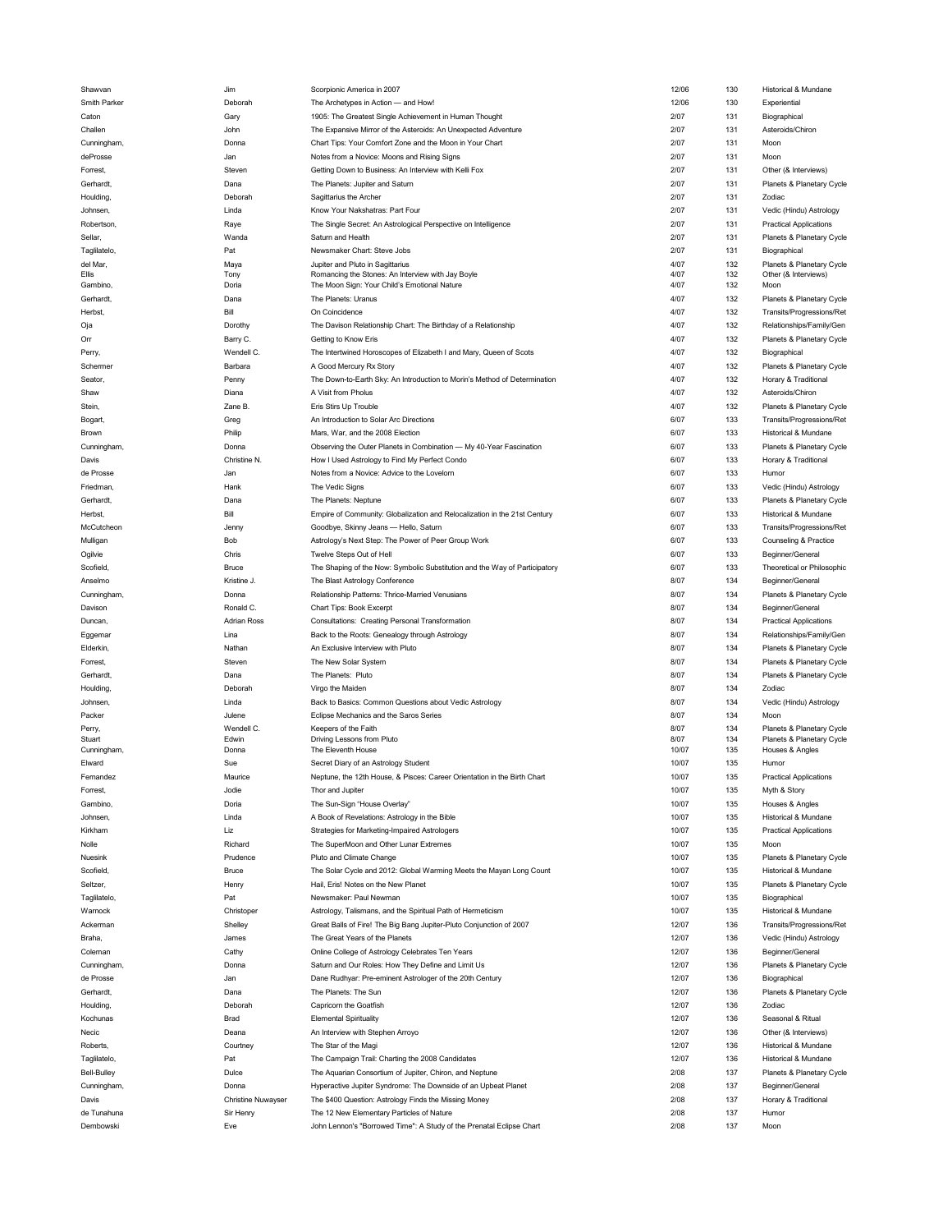| Shawvan            | Jim                       | Scorpionic America in 2007                                                 | 12/06 | 130 | Historical & Mundane          |
|--------------------|---------------------------|----------------------------------------------------------------------------|-------|-----|-------------------------------|
| Smith Parker       | Deborah                   | The Archetypes in Action - and How!                                        | 12/06 | 130 | Experiential                  |
| Caton              | Gary                      | 1905: The Greatest Single Achievement in Human Thought                     | 2/07  | 131 | Biographical                  |
| Challen            | John                      | The Expansive Mirror of the Asteroids: An Unexpected Adventure             | 2/07  | 131 | Asteroids/Chiron              |
|                    | Donna                     | Chart Tips: Your Comfort Zone and the Moon in Your Chart                   | 2/07  | 131 | Moon                          |
| Cunningham,        |                           |                                                                            |       |     |                               |
| deProsse           | Jan                       | Notes from a Novice: Moons and Rising Signs                                | 2/07  | 131 | Moon                          |
| Forrest,           | Steven                    | Getting Down to Business: An Interview with Kelli Fox                      | 2/07  | 131 | Other (& Interviews)          |
| Gerhardt,          | Dana                      | The Planets: Jupiter and Saturn                                            | 2/07  | 131 | Planets & Planetary Cycle     |
| Houlding,          | Deborah                   | Sagittarius the Archer                                                     | 2/07  | 131 | Zodiac                        |
| Johnsen,           | Linda                     | Know Your Nakshatras: Part Four                                            | 2/07  | 131 | Vedic (Hindu) Astrology       |
| Robertson,         | Raye                      | The Single Secret: An Astrological Perspective on Intelligence             | 2/07  | 131 | <b>Practical Applications</b> |
|                    |                           |                                                                            |       |     |                               |
| Sellar,            | Wanda                     | Saturn and Health                                                          | 2/07  | 131 | Planets & Planetary Cycle     |
| Taglilatelo,       | Pat                       | Newsmaker Chart: Steve Jobs                                                | 2/07  | 131 | Biographical                  |
| del Mar,           | Maya                      | Jupiter and Pluto in Sagittarius                                           | 4/07  | 132 | Planets & Planetary Cycle     |
| Ellis              | Tony                      | Romancing the Stones: An Interview with Jay Boyle                          | 4/07  | 132 | Other (& Interviews)          |
| Gambino,           | Doria                     | The Moon Sign: Your Child's Emotional Nature                               | 4/07  | 132 | Moon                          |
| Gerhardt,          | Dana                      | The Planets: Uranus                                                        | 4/07  | 132 | Planets & Planetary Cycle     |
| Herbst,            | Bill                      | On Coincidence                                                             | 4/07  | 132 | Transits/Progressions/Ret     |
| Oja                | Dorothy                   | The Davison Relationship Chart: The Birthday of a Relationship             | 4/07  | 132 | Relationships/Family/Gen      |
| Оrг                | Barry C.                  | Getting to Know Eris                                                       | 4/07  | 132 | Planets & Planetary Cycle     |
|                    | Wendell C.                |                                                                            | 4/07  | 132 |                               |
| Perry,             |                           | The Intertwined Horoscopes of Elizabeth I and Mary, Queen of Scots         |       |     | Biographical                  |
| Schermer           | Barbara                   | A Good Mercury Rx Story                                                    | 4/07  | 132 | Planets & Planetary Cycle     |
| Seator,            | Penny                     | The Down-to-Earth Sky: An Introduction to Morin's Method of Determination  | 4/07  | 132 | Horary & Traditional          |
| Shaw               | Diana                     | A Visit from Pholus                                                        | 4/07  | 132 | Asteroids/Chiron              |
| Stein,             | Zane B.                   | Eris Stirs Up Trouble                                                      | 4/07  | 132 | Planets & Planetary Cycle     |
| Bogart,            | Greg                      | An Introduction to Solar Arc Directions                                    | 6/07  | 133 | Transits/Progressions/Ret     |
|                    | Philip                    | Mars, War, and the 2008 Election                                           | 6/07  | 133 | Historical & Mundane          |
| Brown              |                           |                                                                            |       |     |                               |
| Cunningham,        | Donna                     | Observing the Outer Planets in Combination - My 40-Year Fascination        | 6/07  | 133 | Planets & Planetary Cycle     |
| Davis              | Christine N.              | How I Used Astrology to Find My Perfect Condo                              | 6/07  | 133 | Horary & Traditional          |
| de Prosse          | Jan                       | Notes from a Novice: Advice to the Lovelom                                 | 6/07  | 133 | Humor                         |
| Friedman,          | Hank                      | The Vedic Signs                                                            | 6/07  | 133 | Vedic (Hindu) Astrology       |
| Gerhardt,          | Dana                      | The Planets: Neptune                                                       | 6/07  | 133 | Planets & Planetary Cycle     |
|                    | Bill                      | Empire of Community: Globalization and Relocalization in the 21st Century  | 6/07  | 133 | Historical & Mundane          |
| Herbst,            |                           |                                                                            |       |     |                               |
| McCutcheon         | Jenny                     | Goodbye, Skinny Jeans - Hello, Saturn                                      | 6/07  | 133 | Transits/Progressions/Ret     |
| Mulligan           | Bob                       | Astrology's Next Step: The Power of Peer Group Work                        | 6/07  | 133 | Counseling & Practice         |
| Ogilvie            | Chris                     | Twelve Steps Out of Hell                                                   | 6/07  | 133 | Beginner/General              |
| Scofield,          | <b>Bruce</b>              | The Shaping of the Now: Symbolic Substitution and the Way of Participatory | 6/07  | 133 | Theoretical or Philosophic    |
| Anselmo            | Kristine J                | The Blast Astrology Conference                                             | 8/07  | 134 | Beginner/General              |
| Cunningham,        | Donna                     | Relationship Patterns: Thrice-Married Venusians                            | 8/07  | 134 | Planets & Planetary Cycle     |
|                    |                           |                                                                            |       |     |                               |
|                    |                           |                                                                            |       |     |                               |
| Davison            | Ronald C.                 | Chart Tips: Book Excerpt                                                   | 8/07  | 134 | Beginner/General              |
| Duncan,            | <b>Adrian Ross</b>        | Consultations: Creating Personal Transformation                            | 8/07  | 134 | <b>Practical Applications</b> |
| Eggemar            | Lina                      | Back to the Roots: Genealogy through Astrology                             | 8/07  | 134 | Relationships/Family/Gen      |
| Elderkin,          | Nathan                    | An Exclusive Interview with Pluto                                          | 8/07  | 134 | Planets & Planetary Cycle     |
|                    |                           |                                                                            |       |     |                               |
| Forrest,           | Steven                    | The New Solar System                                                       | 8/07  | 134 | Planets & Planetary Cycle     |
| Gerhardt,          | Dana                      | The Planets: Pluto                                                         | 8/07  | 134 | Planets & Planetary Cycle     |
| Houlding,          | Deborah                   | Virgo the Maiden                                                           | 8/07  | 134 | Zodiac                        |
| Johnsen,           | Linda                     | Back to Basics: Common Questions about Vedic Astrology                     | 8/07  | 134 | Vedic (Hindu) Astrology       |
| Packer             | Julene                    | Eclipse Mechanics and the Saros Series                                     | 8/07  | 134 | Moon                          |
| Perry,             | Wendell C.                | Keepers of the Faith                                                       | 8/07  | 134 | Planets & Planetary Cycle     |
| Stuart             | Edwin                     | Driving Lessons from Pluto                                                 | 8/07  | 134 | Planets & Planetary Cycle     |
| Cunningham,        | Donna                     | The Eleventh House                                                         | 10/07 | 135 | Houses & Angles               |
| Elward             | Sue                       | Secret Diary of an Astrology Student                                       | 10/07 | 135 | Humor                         |
| Fernandez          | Maurice                   | Neptune, the 12th House, & Pisces: Career Orientation in the Birth Chart   | 10/07 | 135 | <b>Practical Applications</b> |
|                    |                           |                                                                            |       |     |                               |
| Forrest,           | Jodie                     | Thor and Jupiter                                                           | 10/07 | 135 | Myth & Story                  |
| Gambino,           | Doria                     | The Sun-Sign "House Overlay"                                               | 10/07 | 135 | Houses & Angles               |
| Johnsen,           | Linda                     | A Book of Revelations: Astrology in the Bible                              | 10/07 | 135 | Historical & Mundane          |
| Kirkham            | Liz                       | Strategies for Marketing-Impaired Astrologers                              | 10/07 | 135 | <b>Practical Applications</b> |
| Nolle              | Richard                   | The SuperMoon and Other Lunar Extremes                                     | 10/07 | 135 | Moon                          |
| Nuesink            | Prudence                  | Pluto and Climate Change                                                   | 10/07 | 135 | Planets & Planetary Cycle     |
| Scofield,          | <b>Bruce</b>              |                                                                            | 10/07 |     | Historical & Mundane          |
|                    |                           | The Solar Cycle and 2012: Global Warming Meets the Mayan Long Count        |       | 135 |                               |
| Seltzer,           | Henry                     | Hail, Eris! Notes on the New Planet                                        | 10/07 | 135 | Planets & Planetary Cycle     |
| Taglilatelo,       | Pat                       | Newsmaker: Paul Newman                                                     | 10/07 | 135 | Biographical                  |
| Warnock            | Christoper                | Astrology, Talismans, and the Spiritual Path of Hermeticism                | 10/07 | 135 | Historical & Mundane          |
| Ackerman           | Shelley                   | Great Balls of Fire! The Big Bang Jupiter-Pluto Conjunction of 2007        | 12/07 | 136 | Transits/Progressions/Ret     |
| Braha.             | James                     | The Great Years of the Planets                                             | 12/07 | 136 | Vedic (Hindu) Astrology       |
| Coleman            | Cathy                     | Online College of Astrology Celebrates Ten Years                           | 12/07 | 136 | Beginner/General              |
|                    |                           |                                                                            |       |     |                               |
| Cunningham,        | Donna                     | Saturn and Our Roles: How They Define and Limit Us                         | 12/07 | 136 | Planets & Planetary Cycle     |
| de Prosse          | Jan                       | Dane Rudhyar: Pre-eminent Astrologer of the 20th Century                   | 12/07 | 136 | Biographical                  |
| Gerhardt,          | Dana                      | The Planets: The Sun                                                       | 12/07 | 136 | Planets & Planetary Cycle     |
| Houlding,          | Deborah                   | Capricorn the Goatfish                                                     | 12/07 | 136 | Zodiac                        |
| Kochunas           | Brad                      | <b>Elemental Spirituality</b>                                              | 12/07 | 136 | Seasonal & Ritual             |
| Necic              | Deana                     | An Interview with Stephen Arroyo                                           | 12/07 | 136 | Other (& Interviews)          |
| Roberts,           | Courtney                  | The Star of the Magi                                                       | 12/07 | 136 | Historical & Mundane          |
|                    |                           |                                                                            |       |     |                               |
| Taglilatelo,       | Pat                       | The Campaign Trail: Charting the 2008 Candidates                           | 12/07 | 136 | Historical & Mundane          |
| <b>Bell-Bulley</b> | Dulce                     | The Aquarian Consortium of Jupiter, Chiron, and Neptune                    | 2/08  | 137 | Planets & Planetary Cycle     |
| Cunningham,        | Donna                     | Hyperactive Jupiter Syndrome: The Downside of an Upbeat Planet             | 2/08  | 137 | Beginner/General              |
| Davis              | <b>Christine Nuwayser</b> | The \$400 Question: Astrology Finds the Missing Money                      | 2/08  | 137 | Horary & Traditional          |
| de Tunahuna        | Sir Henry                 | The 12 New Elementary Particles of Nature                                  | 2/08  | 137 | Humor                         |
| Dembowski          | Eve                       | John Lennon's "Borrowed Time": A Study of the Prenatal Eclipse Chart       | 2/08  | 137 | Moon                          |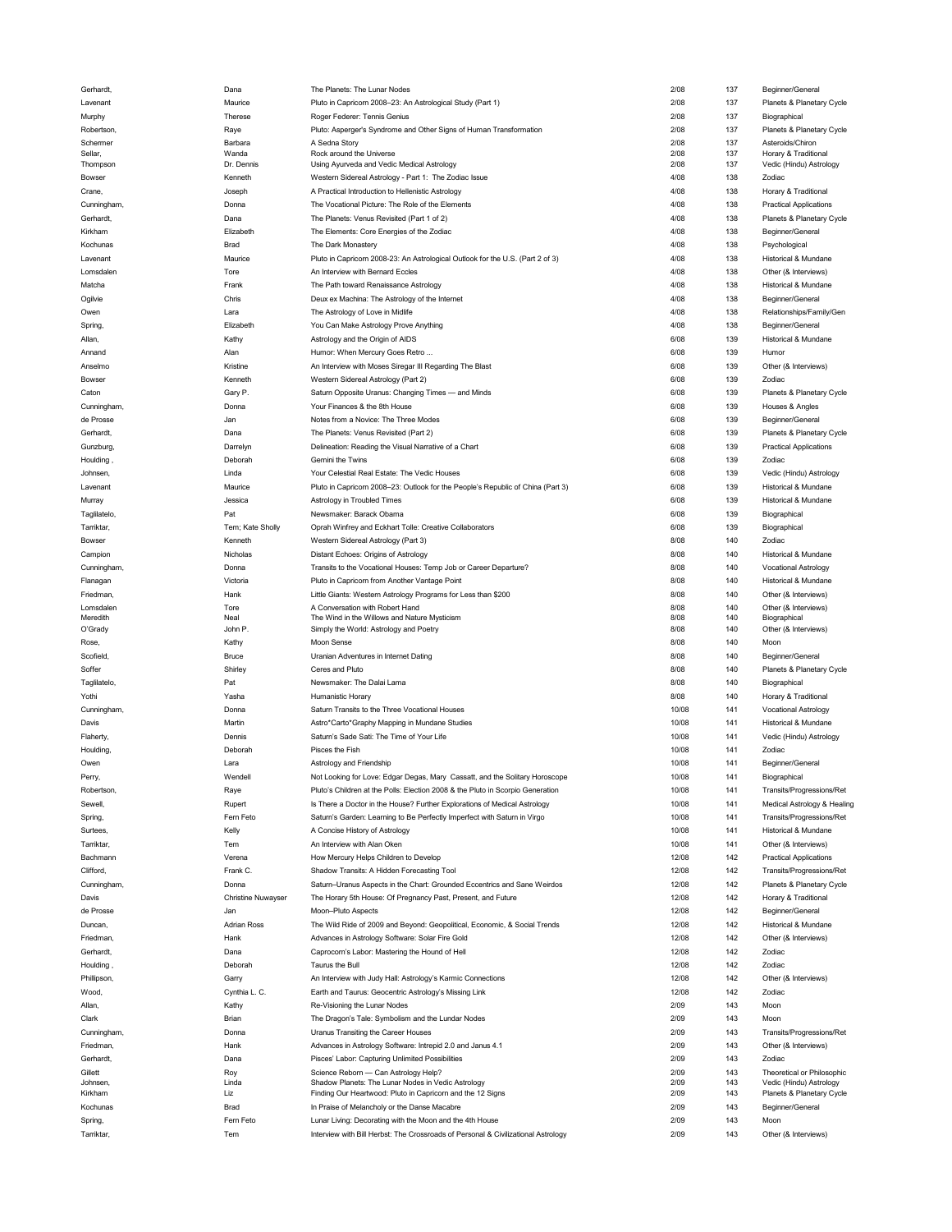| ernardt       | Dana                      | The Planets: The Lunar Nodes                                                      | 2/08  | 131 | Beginner/Genera               |
|---------------|---------------------------|-----------------------------------------------------------------------------------|-------|-----|-------------------------------|
| Lavenant      | Maurice                   | Pluto in Capricorn 2008-23: An Astrological Study (Part 1)                        | 2/08  | 137 | Planets & Planetary Cycle     |
| Murphy        | Therese                   | Roger Federer: Tennis Genius                                                      | 2/08  | 137 | Biographical                  |
|               |                           |                                                                                   | 2/08  |     | Planets & Planetary Cycle     |
| Robertson,    | Raye                      | Pluto: Asperger's Syndrome and Other Signs of Human Transformation                |       | 137 |                               |
| Schermer      | Barbara                   | A Sedna Story                                                                     | 2/08  | 137 | Asteroids/Chiron              |
| Sellar,       | Wanda                     | Rock around the Universe                                                          | 2/08  | 137 | Horary & Traditional          |
| Thompson      | Dr. Dennis                | Using Ayurveda and Vedic Medical Astrology                                        | 2/08  | 137 | Vedic (Hindu) Astrology       |
| Bowser        | Kenneth                   | Western Sidereal Astrology - Part 1: The Zodiac Issue                             | 4/08  | 138 | Zodiac                        |
| Crane,        | Joseph                    | A Practical Introduction to Hellenistic Astrology                                 | 4/08  | 138 | Horary & Traditional          |
|               |                           |                                                                                   |       |     |                               |
| Cunningham,   | Donna                     | The Vocational Picture: The Role of the Elements                                  | 4/08  | 138 | <b>Practical Applications</b> |
| Gerhardt,     | Dana                      | The Planets: Venus Revisited (Part 1 of 2)                                        | 4/08  | 138 | Planets & Planetary Cycle     |
| Kirkham       | Elizabeth                 | The Elements: Core Energies of the Zodiac                                         | 4/08  | 138 | Beginner/General              |
|               |                           |                                                                                   |       |     |                               |
| Kochunas      | <b>Brad</b>               | The Dark Monastery                                                                | 4/08  | 138 | Psychological                 |
| Lavenant      | Maurice                   | Pluto in Capricorn 2008-23: An Astrological Outlook for the U.S. (Part 2 of 3)    | 4/08  | 138 | Historical & Mundane          |
| Lomsdalen     | Tore                      | An Interview with Bernard Eccles                                                  | 4/08  | 138 | Other (& Interviews)          |
|               |                           |                                                                                   |       |     |                               |
| Matcha        | Frank                     | The Path toward Renaissance Astrology                                             | 4/08  | 138 | Historical & Mundane          |
| Ogilvie       | Chris                     | Deux ex Machina: The Astrology of the Internet                                    | 4/08  | 138 | Beginner/General              |
| Owen          | Lara                      | The Astrology of Love in Midlife                                                  | 4/08  | 138 | Relationships/Family/Gen      |
|               |                           |                                                                                   |       |     |                               |
| Spring,       | Elizabeth                 | You Can Make Astrology Prove Anything                                             | 4/08  | 138 | Beginner/General              |
| Allan,        | Kathy                     | Astrology and the Origin of AIDS                                                  | 6/08  | 139 | Historical & Mundane          |
| Annand        | Alan                      | Humor: When Mercury Goes Retro                                                    | 6/08  | 139 | Humor                         |
|               |                           |                                                                                   |       |     |                               |
| Anselmo       | Kristine                  | An Interview with Moses Siregar III Regarding The Blast                           | 6/08  | 139 | Other (& Interviews)          |
| <b>Bowser</b> | Kenneth                   | Western Sidereal Astrology (Part 2)                                               | 6/08  | 139 | Zodiac                        |
| Caton         | Gary P.                   | Saturn Opposite Uranus: Changing Times - and Minds                                | 6/08  | 139 | Planets & Planetary Cycle     |
|               |                           | Your Finances & the 8th House                                                     |       |     |                               |
| Cunningham,   | Donna                     |                                                                                   | 6/08  | 139 | Houses & Angles               |
| de Prosse     | Jan                       | Notes from a Novice: The Three Modes                                              | 6/08  | 139 | Beginner/General              |
| Gerhardt,     | Dana                      | The Planets: Venus Revisited (Part 2)                                             | 6/08  | 139 | Planets & Planetary Cycle     |
| Gunzburg,     | Darrelyn                  | Delineation: Reading the Visual Narrative of a Chart                              | 6/08  | 139 | <b>Practical Applications</b> |
|               |                           |                                                                                   |       |     |                               |
| Houlding      | Deborah                   | Gemini the Twins                                                                  | 6/08  | 139 | Zodiac                        |
| Johnsen,      | Linda                     | Your Celestial Real Estate: The Vedic Houses                                      | 6/08  | 139 | Vedic (Hindu) Astrology       |
| Lavenant      | Maurice                   | Pluto in Capricorn 2008-23: Outlook for the People's Republic of China (Part 3)   | 6/08  | 139 | Historical & Mundane          |
|               |                           |                                                                                   |       |     |                               |
| Murray        | Jessica                   | Astrology in Troubled Times                                                       | 6/08  | 139 | Historical & Mundane          |
| Taglilatelo,  | Pat                       | Newsmaker: Barack Obama                                                           | 6/08  | 139 | Biographical                  |
| Tarriktar,    | Tem; Kate Sholly          | Oprah Winfrey and Eckhart Tolle: Creative Collaborators                           | 6/08  | 139 | Biographical                  |
|               |                           |                                                                                   |       |     |                               |
| Bowser        | Kenneth                   | Western Sidereal Astrology (Part 3)                                               | 8/08  | 140 | Zodiac                        |
| Campion       | Nicholas                  | Distant Echoes: Origins of Astrology                                              | 8/08  | 140 | Historical & Mundane          |
| Cunningham,   | Donna                     | Transits to the Vocational Houses: Temp Job or Career Departure?                  | 8/08  | 140 | Vocational Astrology          |
|               | Victoria                  |                                                                                   | 8/08  | 140 | Historical & Mundane          |
| Flanagan      |                           | Pluto in Capricorn from Another Vantage Point                                     |       |     |                               |
| Friedman,     | Hank                      | Little Giants: Western Astrology Programs for Less than \$200                     | 8/08  | 140 | Other (& Interviews)          |
| Lomsdalen     | Tore                      | A Conversation with Robert Hand                                                   | 8/08  | 140 | Other (& Interviews)          |
| Meredith      | Neal                      | The Wind in the Willows and Nature Mysticism                                      | 8/08  | 140 | Biographical                  |
| O'Grady       | John P.                   | Simply the World: Astrology and Poetry                                            | 8/08  | 140 | Other (& Interviews)          |
|               |                           |                                                                                   |       |     |                               |
| Rose,         | Kathy                     | Moon Sense                                                                        | 8/08  | 140 | Moon                          |
| Scofield,     | <b>Bruce</b>              | Uranian Adventures in Internet Dating                                             | 8/08  | 140 | Beginner/General              |
| Soffer        | Shirley                   | Ceres and Pluto                                                                   | 8/08  | 140 | Planets & Planetary Cycle     |
|               | Pat                       | Newsmaker: The Dalai Lama                                                         | 8/08  | 140 | Biographical                  |
| Taglilatelo,  |                           |                                                                                   |       |     |                               |
|               |                           |                                                                                   | 8/08  | 140 | Horary & Traditional          |
| Yothi         | Yasha                     | Humanistic Horary                                                                 |       | 141 | Vocational Astrology          |
| Cunningham    | Donna                     | Saturn Transits to the Three Vocational Houses                                    | 10/08 | 141 |                               |
|               |                           |                                                                                   |       |     |                               |
| Davis         | Martin                    | Astro*Carto*Graphy Mapping in Mundane Studies                                     | 10/08 |     | Historical & Mundane          |
| Flaherty,     | Dennis                    | Saturn's Sade Sati: The Time of Your Life                                         | 10/08 | 141 | Vedic (Hindu) Astrology       |
| Houlding,     | Deborah                   | Pisces the Fish                                                                   | 10/08 | 141 | Zodiac                        |
|               |                           |                                                                                   |       |     |                               |
| Owen          | Lara                      | Astrology and Friendship                                                          | 10/08 | 141 | Beginner/General              |
| Perry,        | Wendell                   | Not Looking for Love: Edgar Degas, Mary Cassatt, and the Solitary Horoscope       | 10/08 | 141 | Biographical                  |
| Robertson,    | Raye                      | Pluto's Children at the Polls: Election 2008 & the Pluto in Scorpio Generation    | 10/08 | 141 | Transits/Progressions/Ret     |
| Sewell,       | Rupert                    | Is There a Doctor in the House? Further Explorations of Medical Astrology         | 10/08 | 141 | Medical Astrology & Healing   |
|               |                           |                                                                                   |       |     |                               |
| Spring,       | Fern Feto                 | Saturn's Garden: Learning to Be Perfectly Imperfect with Saturn in Virgo          | 10/08 | 141 | Transits/Progressions/Ret     |
| Surtees,      | Kelly                     | A Concise History of Astrology                                                    | 10/08 | 141 | Historical & Mundane          |
| Tarriktar,    | Tem                       | An Interview with Alan Oken                                                       | 10/08 | 141 | Other (& Interviews)          |
|               |                           |                                                                                   |       |     |                               |
| Bachmann      | Verena                    | How Mercury Helps Children to Develop                                             | 12/08 | 142 | <b>Practical Applications</b> |
| Clifford,     | Frank C                   | Shadow Transits: A Hidden Forecasting Tool                                        | 12/08 | 142 | Transits/Progressions/Ret     |
| Cunningham,   | Donna                     | Saturn-Uranus Aspects in the Chart: Grounded Eccentrics and Sane Weirdos          | 12/08 | 142 | Planets & Planetary Cycle     |
|               |                           |                                                                                   |       |     |                               |
| Davis         | <b>Christine Nuwayser</b> | The Horary 5th House: Of Pregnancy Past, Present, and Future                      | 12/08 | 142 | Horary & Traditional          |
| de Prosse     | Jan                       | Moon-Pluto Aspects                                                                | 12/08 | 142 | Beginner/General              |
| Duncan,       | <b>Adrian Ross</b>        | The Wild Ride of 2009 and Beyond: Geopolitical, Economic, & Social Trends         | 12/08 | 142 | Historical & Mundane          |
| Friedman,     | Hank                      |                                                                                   | 12/08 | 142 | Other (& Interviews)          |
|               |                           | Advances in Astrology Software: Solar Fire Gold                                   |       |     |                               |
| Gerhardt,     | Dana                      | Caprocom's Labor: Mastering the Hound of Hell                                     | 12/08 | 142 | Zodiac                        |
| Houlding,     | Deborah                   | Taurus the Bull                                                                   | 12/08 | 142 | Zodiac                        |
| Phillipson,   | Garry                     | An Interview with Judy Hall: Astrology's Karmic Connections                       | 12/08 | 142 | Other (& Interviews)          |
|               |                           |                                                                                   |       |     |                               |
| Wood,         | Cynthia L. C.             | Earth and Taurus: Geocentric Astrology's Missing Link                             | 12/08 | 142 | Zodiac                        |
| Allan,        | Kathy                     | Re-Visioning the Lunar Nodes                                                      | 2/09  | 143 | Moon                          |
| Clark         | Brian                     | The Dragon's Tale: Symbolism and the Lundar Nodes                                 | 2/09  | 143 | Moon                          |
|               |                           |                                                                                   |       |     |                               |
| Cunningham,   | Donna                     | Uranus Transiting the Career Houses                                               | 2/09  | 143 | Transits/Progressions/Ret     |
| Friedman,     | Hank                      | Advances in Astrology Software: Intrepid 2.0 and Janus 4.1                        | 2/09  | 143 | Other (& Interviews)          |
| Gerhardt,     | Dana                      | Pisces' Labor: Capturing Unlimited Possibilities                                  | 2/09  | 143 | Zodiac                        |
|               |                           |                                                                                   |       |     |                               |
| Gillett       | Roy                       | Science Reborn - Can Astrology Help?                                              | 2/09  | 143 | Theoretical or Philosophic    |
| Johnsen,      | Linda                     | Shadow Planets: The Lunar Nodes in Vedic Astrology                                | 2/09  | 143 | Vedic (Hindu) Astrology       |
| Kirkham       | Liz                       | Finding Our Heartwood: Pluto in Capricorn and the 12 Signs                        | 2/09  | 143 | Planets & Planetary Cycle     |
| Kochunas      | Brad                      | In Praise of Melancholy or the Danse Macabre                                      | 2/09  | 143 | Beginner/General              |
| Spring,       | Fern Feto                 | Lunar Living: Decorating with the Moon and the 4th House                          | 2/09  | 143 | Moon                          |
| Tarriktar,    | Tem                       | Interview with Bill Herbst: The Crossroads of Personal & Civilizational Astrology | 2/09  | 143 | Other (& Interviews)          |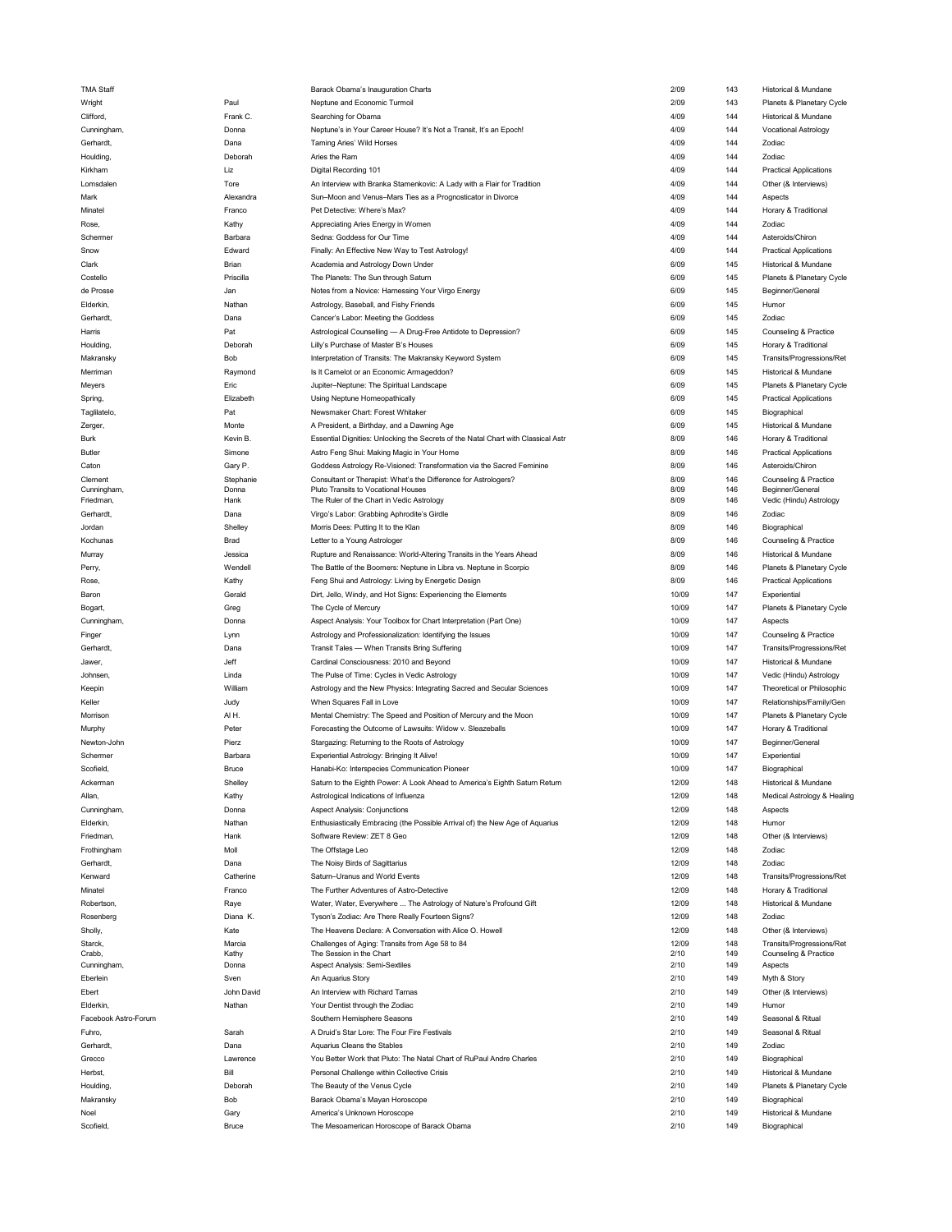| I MA Staff           |               | Barack Obama's Inauguration Charts                                                | 2/09         | 143        | Historical & Mundane                 |
|----------------------|---------------|-----------------------------------------------------------------------------------|--------------|------------|--------------------------------------|
| Wright               | Paul          | Neptune and Economic Turmoil                                                      | 2/09         | 143        | Planets & Planetary Cycle            |
| Clifford,            | Frank C.      | Searching for Obama                                                               | 4/09         | 144        | Historical & Mundane                 |
| Cunningham,          | Donna         | Neptune's in Your Career House? It's Not a Transit, It's an Epoch!                | 4/09         | 144        | <b>Vocational Astrology</b>          |
| Gerhardt,            | Dana          | Taming Aries' Wild Horses                                                         | 4/09         | 144        | Zodiac                               |
|                      |               |                                                                                   |              |            |                                      |
| Houlding,            | Deborah       | Aries the Ram                                                                     | 4/09         | 144        | Zodiac                               |
| Kirkham              | Liz           | Digital Recording 101                                                             | 4/09         | 144        | <b>Practical Applications</b>        |
| Lomsdalen            | Tore          | An Interview with Branka Stamenkovic: A Lady with a Flair for Tradition           | 4/09         | 144        | Other (& Interviews)                 |
| Mark                 | Alexandra     | Sun-Moon and Venus-Mars Ties as a Prognosticator in Divorce                       | 4/09         | 144        | Aspects                              |
| Minatel              | Franco        | Pet Detective: Where's Max?                                                       | 4/09         | 144        | Horary & Traditional                 |
| Rose,                | Kathy         | Appreciating Aries Energy in Women                                                | 4/09         | 144        | Zodiac                               |
|                      |               |                                                                                   |              |            |                                      |
| Schermer             | Barbara       | Sedna: Goddess for Our Time                                                       | 4/09         | 144        | Asteroids/Chiron                     |
| Snow                 | Edward        | Finally: An Effective New Way to Test Astrology!                                  | 4/09         | 144        | <b>Practical Applications</b>        |
| Clark                | Brian         | Academia and Astrology Down Under                                                 | 6/09         | 145        | Historical & Mundane                 |
| Costello             | Priscilla     | The Planets: The Sun through Saturn                                               | 6/09         | 145        | Planets & Planetary Cycle            |
| de Prosse            | Jan           | Notes from a Novice: Harnessing Your Virgo Energy                                 | 6/09         | 145        | Beginner/General                     |
|                      |               |                                                                                   |              |            |                                      |
| Elderkin,            | Nathan        | Astrology, Baseball, and Fishy Friends                                            | 6/09         | 145        | Humor                                |
| Gerhardt,            | Dana          | Cancer's Labor: Meeting the Goddess                                               | 6/09         | 145        | Zodiac                               |
| Harris               | Pat           | Astrological Counselling - A Drug-Free Antidote to Depression?                    | 6/09         | 145        | Counseling & Practice                |
| Houlding,            | Deborah       | Lilly's Purchase of Master B's Houses                                             | 6/09         | 145        | Horary & Traditional                 |
| Makransky            | Bob           | Interpretation of Transits: The Makransky Keyword System                          | 6/09         | 145        | Transits/Progressions/Ret            |
|                      |               |                                                                                   |              |            |                                      |
| Merriman             | Raymond       | Is It Camelot or an Economic Armageddon?                                          | 6/09         | 145        | Historical & Mundane                 |
| Meyers               | Eric          | Jupiter-Neptune: The Spiritual Landscape                                          | 6/09         | 145        | Planets & Planetary Cycle            |
| Spring,              | Elizabeth     | Using Neptune Homeopathically                                                     | 6/09         | 145        | <b>Practical Applications</b>        |
| Taglilatelo,         | Pat           | Newsmaker Chart: Forest Whitaker                                                  | 6/09         | 145        | Biographical                         |
| Zerger,              | Monte         | A President, a Birthday, and a Dawning Age                                        | 6/09         | 145        | Historical & Mundane                 |
|                      |               |                                                                                   |              |            |                                      |
| Burk                 | Kevin B.      | Essential Dignities: Unlocking the Secrets of the Natal Chart with Classical Astr | 8/09         | 146        | Horary & Traditional                 |
| <b>Butler</b>        | Simone        | Astro Feng Shui: Making Magic in Your Home                                        | 8/09         | 146        | <b>Practical Applications</b>        |
| Caton                | Gary P.       | Goddess Astrology Re-Visioned: Transformation via the Sacred Feminine             | 8/09         | 146        | Asteroids/Chiron                     |
| Clement              | Stephanie     | Consultant or Therapist: What's the Difference for Astrologers?                   | 8/09         | 146        | Counseling & Practice                |
| Cunningham,          | Donna         | Pluto Transits to Vocational Houses                                               | 8/09         | 146        | Beginner/General                     |
| Friedman,            | Hank          | The Ruler of the Chart in Vedic Astrology                                         | 8/09         | 146        | Vedic (Hindu) Astrology              |
| Gerhardt,            | Dana          | Virgo's Labor: Grabbing Aphrodite's Girdle                                        | 8/09         | 146        | Zodiac                               |
| Jordan               | Shelley       | Morris Dees: Putting It to the Klan                                               | 8/09         | 146        | Biographical                         |
|                      |               |                                                                                   | 8/09         | 146        |                                      |
| Kochunas             | Brad          | Letter to a Young Astrologer                                                      |              |            | Counseling & Practice                |
| Murray               | Jessica       | Rupture and Renaissance: World-Altering Transits in the Years Ahead               | 8/09         | 146        | Historical & Mundane                 |
| Perry,               | Wendell       | The Battle of the Boomers: Neptune in Libra vs. Neptune in Scorpio                | 8/09         | 146        | Planets & Planetary Cycle            |
| Rose,                | Kathy         | Feng Shui and Astrology: Living by Energetic Design                               | 8/09         | 146        | <b>Practical Applications</b>        |
| Baron                | Gerald        | Dirt, Jello, Windy, and Hot Signs: Experiencing the Elements                      | 10/09        | 147        | Experiential                         |
|                      |               |                                                                                   | 10/09        | 147        |                                      |
| Bogart,              | Greg          | The Cycle of Mercury                                                              |              |            | Planets & Planetary Cycle            |
| Cunningham,          | Donna         | Aspect Analysis: Your Toolbox for Chart Interpretation (Part One)                 | 10/09        | 147        | Aspects                              |
|                      |               |                                                                                   |              |            |                                      |
| Finger               | Lynn          | Astrology and Professionalization: Identifying the Issues                         | 10/09        | 147        | Counseling & Practice                |
| Gerhardt,            | Dana          | Transit Tales - When Transits Bring Suffering                                     | 10/09        | 147        | Transits/Progressions/Ret            |
|                      |               |                                                                                   |              |            |                                      |
| Jawer,               | Jeff          | Cardinal Consciousness: 2010 and Beyond                                           | 10/09        | 147        | Historical & Mundane                 |
| Johnsen.             | Linda         | The Pulse of Time: Cycles in Vedic Astrology                                      | 10/09        | 147        | Vedic (Hindu) Astrology              |
| Keepin               | William       | Astrology and the New Physics: Integrating Sacred and Secular Sciences            | 10/09        | 147        | Theoretical or Philosophic           |
| Keller               | Judy          | When Squares Fall in Love                                                         | 10/09        | 147        | Relationships/Family/Gen             |
| Morrison             | AIH.          | Mental Chemistry: The Speed and Position of Mercury and the Moon                  | 10/09        | 147        | Planets & Planetary Cycle            |
|                      | Peter         |                                                                                   | 10/09        | 147        | Horary & Traditional                 |
| Murphy               |               | Forecasting the Outcome of Lawsuits: Widow v. Sleazeballs                         |              |            |                                      |
| Newton-John          | Pierz         | Stargazing: Returning to the Roots of Astrology                                   | 10/09        | 147        | Beginner/General                     |
| Schermer             | Barbara       | Experiential Astrology: Bringing It Alive!                                        | 10/09        | 147        | Experiential                         |
| Scofield,            | <b>Bruce</b>  | Hanabi-Ko: Interspecies Communication Pioneer                                     | 10/09        | 147        | Biographical                         |
| Ackerman             | Shelley       | Saturn to the Eighth Power: A Look Ahead to America's Eighth Saturn Return        | 12/09        | 148        | Historical & Mundane                 |
| Allan,               | Kathy         | Astrological Indications of Influenza                                             | 12/09        | 148        | Medical Astrology & Healing          |
| Cunningham,          |               | Aspect Analysis: Conjunctions                                                     | 12/09        | 148        | Aspects                              |
|                      | Donna         |                                                                                   |              |            |                                      |
| Elderkin,            | Nathan        | Enthusiastically Embracing (the Possible Arrival of) the New Age of Aquarius      | 12/09        | 148        | Humor                                |
| Friedman,            | Hank          | Software Review: ZET 8 Geo                                                        | 12/09        | 148        | Other (& Interviews)                 |
| Frothingham          | Moll          | The Offstage Leo                                                                  | 12/09        | 148        | Zodiac                               |
| Gerhardt,            | Dana          | The Noisy Birds of Sagittarius                                                    | 12/09        | 148        | Zodiac                               |
|                      |               |                                                                                   |              |            |                                      |
| Kenward              | Catherine     | Saturn-Uranus and World Events                                                    | 12/09        | 148        | Transits/Progressions/Ret            |
| Minatel              | Franco        | The Further Adventures of Astro-Detective                                         | 12/09        | 148        | Horary & Traditional                 |
| Robertson,           | Raye          | Water, Water, Everywhere  The Astrology of Nature's Profound Gift                 | 12/09        | 148        | Historical & Mundane                 |
| Rosenberg            | Diana K.      | Tyson's Zodiac: Are There Really Fourteen Signs?                                  | 12/09        | 148        | Zodiac                               |
| Sholly,              | Kate          | The Heavens Declare: A Conversation with Alice O. Howell                          | 12/09        | 148        | Other (& Interviews)                 |
| Starck.              | Marcia        |                                                                                   | 12/09        | 148        | Transits/Progressions/Ret            |
| Crabb,               | Kathy         | Challenges of Aging: Transits from Age 58 to 84<br>The Session in the Chart       | 2/10         | 149        | Counseling & Practice                |
| Cunningham,          | Donna         | Aspect Analysis: Semi-Sextiles                                                    | 2/10         | 149        | Aspects                              |
|                      |               |                                                                                   |              |            |                                      |
| Eberlein             | Sven          | An Aquarius Story                                                                 | 2/10         | 149        | Myth & Story                         |
| Ebert                | John David    | An Interview with Richard Tarnas                                                  | 2/10         | 149        | Other (& Interviews)                 |
| Elderkin,            | Nathan        | Your Dentist through the Zodiac                                                   | 2/10         | 149        | Humor                                |
| Facebook Astro-Forum |               | Southern Hemisphere Seasons                                                       | 2/10         | 149        | Seasonal & Ritual                    |
| Fuhro.               | Sarah         | A Druid's Star Lore: The Four Fire Festivals                                      | 2/10         | 149        | Seasonal & Ritual                    |
|                      | Dana          |                                                                                   | 2/10         | 149        |                                      |
| Gerhardt,            |               | Aquarius Cleans the Stables                                                       |              |            | Zodiac                               |
| Grecco               | Lawrence      | You Better Work that Pluto: The Natal Chart of RuPaul Andre Charles               | 2/10         | 149        | Biographical                         |
| Herbst,              | Bill          | Personal Challenge within Collective Crisis                                       | 2/10         | 149        | Historical & Mundane                 |
| Houlding,            | Deborah       | The Beauty of the Venus Cycle                                                     | 2/10         | 149        | Planets & Planetary Cycle            |
| Makransky            | Bob           | Barack Obama's Mayan Horoscope                                                    | 2/10         | 149        | Biographical                         |
|                      |               |                                                                                   |              |            |                                      |
| Noel<br>Scofield,    | Gary<br>Bruce | America's Unknown Horoscope<br>The Mesoamerican Horoscope of Barack Obama         | 2/10<br>2/10 | 149<br>149 | Historical & Mundane<br>Biographical |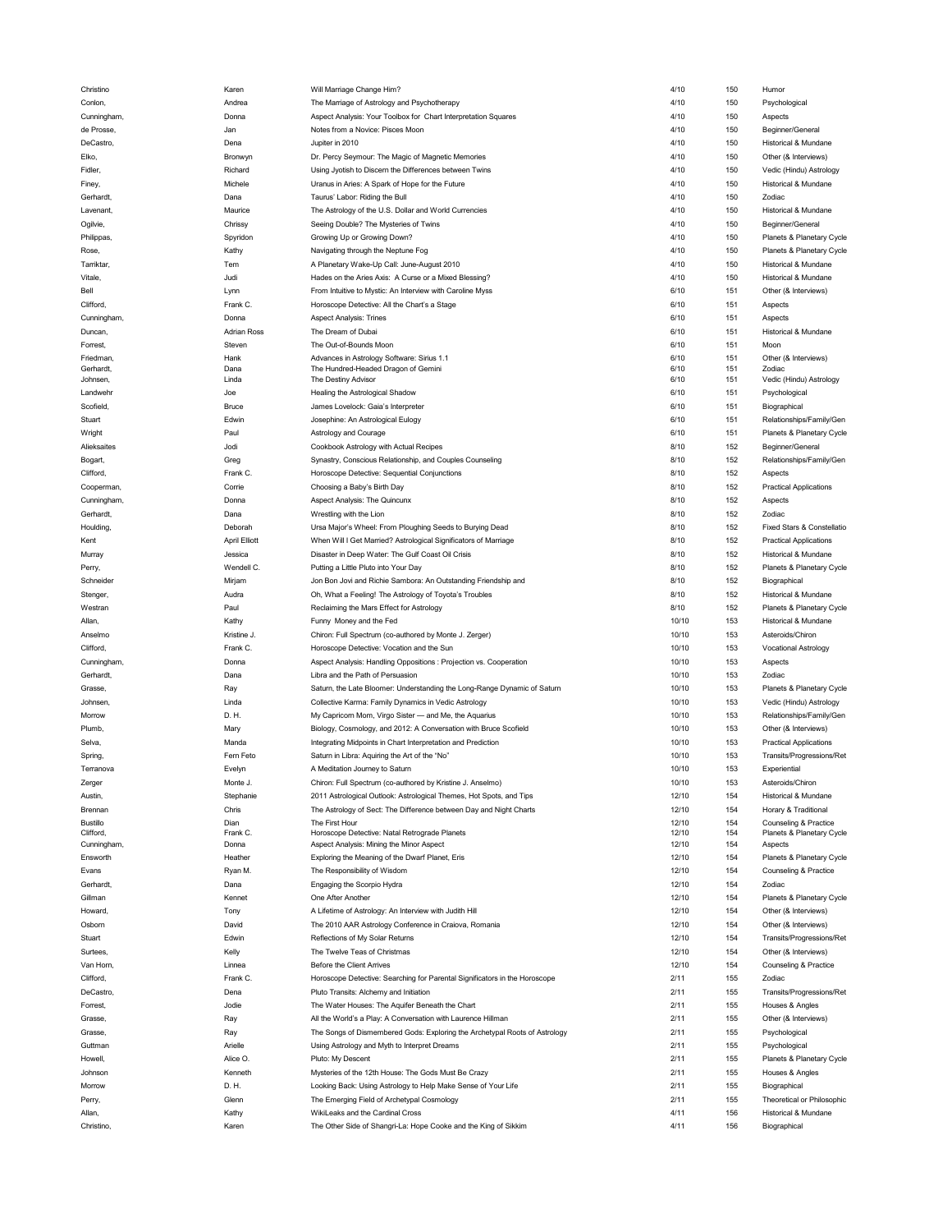| Christino       | Karen                | Will Marriage Change Him?                                                  | 4/10  | 150 | Humor                         |
|-----------------|----------------------|----------------------------------------------------------------------------|-------|-----|-------------------------------|
| Conlon,         | Andrea               | The Marriage of Astrology and Psychotherapy                                | 4/10  | 150 | Psychological                 |
| Cunningham,     | Donna                | Aspect Analysis: Your Toolbox for Chart Interpretation Squares             | 4/10  | 150 | Aspects                       |
| de Prosse.      | Jan                  | Notes from a Novice: Pisces Moon                                           | 4/10  | 150 | Beginner/General              |
|                 |                      |                                                                            |       |     |                               |
| DeCastro,       | Dena                 | Jupiter in 2010                                                            | 4/10  | 150 | Historical & Mundane          |
| Elko,           | Bronwyn              | Dr. Percy Seymour: The Magic of Magnetic Memories                          | 4/10  | 150 | Other (& Interviews)          |
| Fidler,         | Richard              | Using Jyotish to Discern the Differences between Twins                     | 4/10  | 150 | Vedic (Hindu) Astrology       |
| Finey,          | Michele              | Uranus in Aries: A Spark of Hope for the Future                            | 4/10  | 150 | Historical & Mundane          |
| Gerhardt,       | Dana                 | Taurus' Labor: Riding the Bull                                             | 4/10  | 150 | Zodiac                        |
| Lavenant,       | Maurice              | The Astrology of the U.S. Dollar and World Currencies                      | 4/10  | 150 | Historical & Mundane          |
|                 |                      |                                                                            |       |     |                               |
| Ogilvie,        | Chrissy              | Seeing Double? The Mysteries of Twins                                      | 4/10  | 150 | Beginner/General              |
| Philippas,      | Spyridon             | Growing Up or Growing Down?                                                | 4/10  | 150 | Planets & Planetary Cycle     |
| Rose,           | Kathy                | Navigating through the Neptune Fog                                         | 4/10  | 150 | Planets & Planetary Cycle     |
| Tarriktar,      | Tem                  | A Planetary Wake-Up Call: June-August 2010                                 | 4/10  | 150 | Historical & Mundane          |
| Vitale,         | Judi                 | Hades on the Aries Axis: A Curse or a Mixed Blessing?                      | 4/10  | 150 | Historical & Mundane          |
| Bell            |                      | From Intuitive to Mystic: An Interview with Caroline Myss                  | 6/10  | 151 | Other (& Interviews)          |
|                 | Lynn                 |                                                                            |       |     |                               |
| Clifford,       | Frank C.             | Horoscope Detective: All the Chart's a Stage                               | 6/10  | 151 | Aspects                       |
| Cunningham,     | Donna                | <b>Aspect Analysis: Trines</b>                                             | 6/10  | 151 | Aspects                       |
| Duncan,         | <b>Adrian Ross</b>   | The Dream of Dubai                                                         | 6/10  | 151 | Historical & Mundane          |
| Forrest,        | Steven               | The Out-of-Bounds Moon                                                     | 6/10  | 151 | Moon                          |
| Friedman,       | Hank                 | Advances in Astrology Software: Sirius 1.1                                 | 6/10  | 151 | Other (& Interviews)          |
| Gerhardt,       | Dana                 | The Hundred-Headed Dragon of Gemini                                        | 6/10  | 151 | Zodiac                        |
| Johnsen,        | Linda                | The Destiny Advisor                                                        | 6/10  | 151 | Vedic (Hindu) Astrology       |
|                 |                      |                                                                            |       |     |                               |
| Landwehr        | Joe                  | Healing the Astrological Shadow                                            | 6/10  | 151 | Psychological                 |
| Scofield,       | Bruce                | James Lovelock: Gaia's Interpreter                                         | 6/10  | 151 | Biographical                  |
| Stuart          | Edwin                | Josephine: An Astrological Eulogy                                          | 6/10  | 151 | Relationships/Family/Gen      |
| Wright          | Paul                 | Astrology and Courage                                                      | 6/10  | 151 | Planets & Planetary Cycle     |
| Alieksaites     | Jodi                 | Cookbook Astrology with Actual Recipes                                     | 8/10  | 152 | Beginner/General              |
|                 |                      |                                                                            |       |     |                               |
| Bogart,         | Greg                 | Synastry, Conscious Relationship, and Couples Counseling                   | 8/10  | 152 | Relationships/Family/Gen      |
| Clifford,       | Frank C.             | Horoscope Detective: Sequential Conjunctions                               | 8/10  | 152 | Aspects                       |
| Cooperman,      | Corrie               | Choosing a Baby's Birth Day                                                | 8/10  | 152 | <b>Practical Applications</b> |
| Cunningham,     | Donna                | Aspect Analysis: The Quincunx                                              | 8/10  | 152 | Aspects                       |
| Gerhardt,       | Dana                 | Wrestling with the Lion                                                    | 8/10  | 152 | Zodiac                        |
| Houlding,       | Deborah              | Ursa Major's Wheel: From Ploughing Seeds to Burying Dead                   | 8/10  | 152 | Fixed Stars & Constellatio    |
|                 |                      |                                                                            |       |     |                               |
| Kent            | <b>April Elliott</b> | When Will I Get Married? Astrological Significators of Marriage            | 8/10  | 152 | <b>Practical Applications</b> |
| Murray          | Jessica              | Disaster in Deep Water: The Gulf Coast Oil Crisis                          | 8/10  | 152 | Historical & Mundane          |
| Perry,          | Wendell C.           | Putting a Little Pluto into Your Day                                       | 8/10  | 152 | Planets & Planetary Cycle     |
| Schneider       | Mirjam               | Jon Bon Jovi and Richie Sambora: An Outstanding Friendship and             | 8/10  | 152 | Biographical                  |
| Stenger,        | Audra                | Oh, What a Feeling! The Astrology of Toyota's Troubles                     | 8/10  | 152 | Historical & Mundane          |
|                 |                      |                                                                            |       |     |                               |
|                 |                      |                                                                            |       |     |                               |
| Westran         | Paul                 | Reclaiming the Mars Effect for Astrology                                   | 8/10  | 152 | Planets & Planetary Cycle     |
| Allan,          | Kathy                | Funny Money and the Fed                                                    | 10/10 | 153 | Historical & Mundane          |
| Anselmo         | Kristine J.          | Chiron: Full Spectrum (co-authored by Monte J. Zerger)                     | 10/10 | 153 | Asteroids/Chiron              |
| Clifford,       | Frank C.             | Horoscope Detective: Vocation and the Sun                                  | 10/10 | 153 | <b>Vocational Astrology</b>   |
|                 |                      |                                                                            |       |     |                               |
| Cunningham,     | Donna                | Aspect Analysis: Handling Oppositions : Projection vs. Cooperation         | 10/10 | 153 | Aspects                       |
| Gerhardt,       | Dana                 | Libra and the Path of Persuasion                                           | 10/10 | 153 | Zodiac                        |
| Grasse,         | Ray                  | Saturn, the Late Bloomer: Understanding the Long-Range Dynamic of Saturn   | 10/10 | 153 | Planets & Planetary Cycle     |
| Johnsen,        | Linda                | Collective Karma: Family Dynamics in Vedic Astrology                       | 10/10 | 153 | Vedic (Hindu) Astrology       |
| Morrow          | D. H.                | My Capricorn Mom, Virgo Sister - and Me, the Aquarius                      | 10/10 | 153 | Relationships/Family/Gen      |
|                 |                      |                                                                            |       |     |                               |
| Plumb,          | Mary                 | Biology, Cosmology, and 2012: A Conversation with Bruce Scofield           | 10/10 | 153 | Other (& Interviews)          |
| Selva,          | Manda                | Integrating Midpoints in Chart Interpretation and Prediction               | 10/10 | 153 | <b>Practical Applications</b> |
| Spring,         | Fern Feto            | Saturn in Libra: Aquiring the Art of the "No"                              | 10/10 | 153 | Transits/Progressions/Ret     |
| Terranova       | Evelyn               | A Meditation Journey to Saturn                                             | 10/10 | 153 | Experiential                  |
| Zerger          | Monte J              | Chiron: Full Spectrum (co-authored by Kristine J. Anselmo)                 | 10/10 | 153 | Asteroids/Chiron              |
| Austin,         | Stephanie            | 2011 Astrological Outlook: Astrological Themes, Hot Spots, and Tips        | 12/10 | 154 | Historical & Mundane          |
|                 |                      |                                                                            |       | 154 |                               |
| Brennan         | Chris                | The Astrology of Sect: The Difference between Day and Night Charts         | 12/10 |     | Horary & Traditional          |
| <b>Bustillo</b> | Dian                 | The First Hour                                                             | 12/10 | 154 | Counseling & Practice         |
| Clifford,       | Frank C.             | Horoscope Detective: Natal Retrograde Planets                              | 12/10 | 154 | Planets & Planetary Cycle     |
| Cunningham,     | Donna                | Aspect Analysis: Mining the Minor Aspect                                   | 12/10 | 154 | Aspects                       |
| Ensworth        | Heather              | Exploring the Meaning of the Dwarf Planet, Eris                            | 12/10 | 154 | Planets & Planetary Cycle     |
| Evans           | Ryan M.              | The Responsibility of Wisdom                                               | 12/10 | 154 | Counseling & Practice         |
| Gerhardt,       | Dana                 | Engaging the Scorpio Hydra                                                 | 12/10 | 154 | Zodiac                        |
| Gillman         | Kennet               | One After Another                                                          | 12/10 | 154 | Planets & Planetary Cycle     |
|                 |                      |                                                                            |       |     |                               |
| Howard.         | Tony                 | A Lifetime of Astrology: An Interview with Judith Hill                     | 12/10 | 154 | Other (& Interviews)          |
| Osborn          | David                | The 2010 AAR Astrology Conference in Craiova, Romania                      | 12/10 | 154 | Other (& Interviews)          |
| Stuart          | Edwin                | Reflections of My Solar Returns                                            | 12/10 | 154 | Transits/Progressions/Ret     |
| Surtees,        | Kelly                | The Twelve Teas of Christmas                                               | 12/10 | 154 | Other (& Interviews)          |
| Van Horn,       | Linnea               | <b>Before the Client Arrives</b>                                           | 12/10 | 154 | Counseling & Practice         |
| Clifford,       | Frank C.             | Horoscope Detective: Searching for Parental Significators in the Horoscope | 2/11  | 155 | Zodiac                        |
|                 |                      |                                                                            |       |     |                               |
| DeCastro,       | Dena                 | Pluto Transits: Alchemy and Initiation                                     | 2/11  | 155 | Transits/Progressions/Ret     |
| Forrest,        | Jodie                | The Water Houses: The Aquifer Beneath the Chart                            | 2/11  | 155 | Houses & Angles               |
| Grasse.         | Ray                  | All the World's a Play: A Conversation with Laurence Hillman               | 2/11  | 155 | Other (& Interviews)          |
| Grasse,         | Ray                  | The Songs of Dismembered Gods: Exploring the Archetypal Roots of Astrology | 2/11  | 155 | Psychological                 |
| Guttman         | Arielle              | Using Astrology and Myth to Interpret Dreams                               | 2/11  | 155 | Psychological                 |
|                 |                      |                                                                            | 2/11  |     |                               |
| Howell,         | Alice O.             | Pluto: My Descent                                                          |       | 155 | Planets & Planetary Cycle     |
| Johnson         | Kenneth              | Mysteries of the 12th House: The Gods Must Be Crazy                        | 2/11  | 155 | Houses & Angles               |
| Morrow          | D. H.                | Looking Back: Using Astrology to Help Make Sense of Your Life              | 2/11  | 155 | Biographical                  |
| Perry,          | Glenn                | The Emerging Field of Archetypal Cosmology                                 | 2/11  | 155 | Theoretical or Philosophic    |
| Allan,          | Kathy                | WikiLeaks and the Cardinal Cross                                           | 4/11  | 156 | Historical & Mundane          |
| Christino,      | Karen                | The Other Side of Shangri-La: Hope Cooke and the King of Sikkim            | 4/11  | 156 | Biographical                  |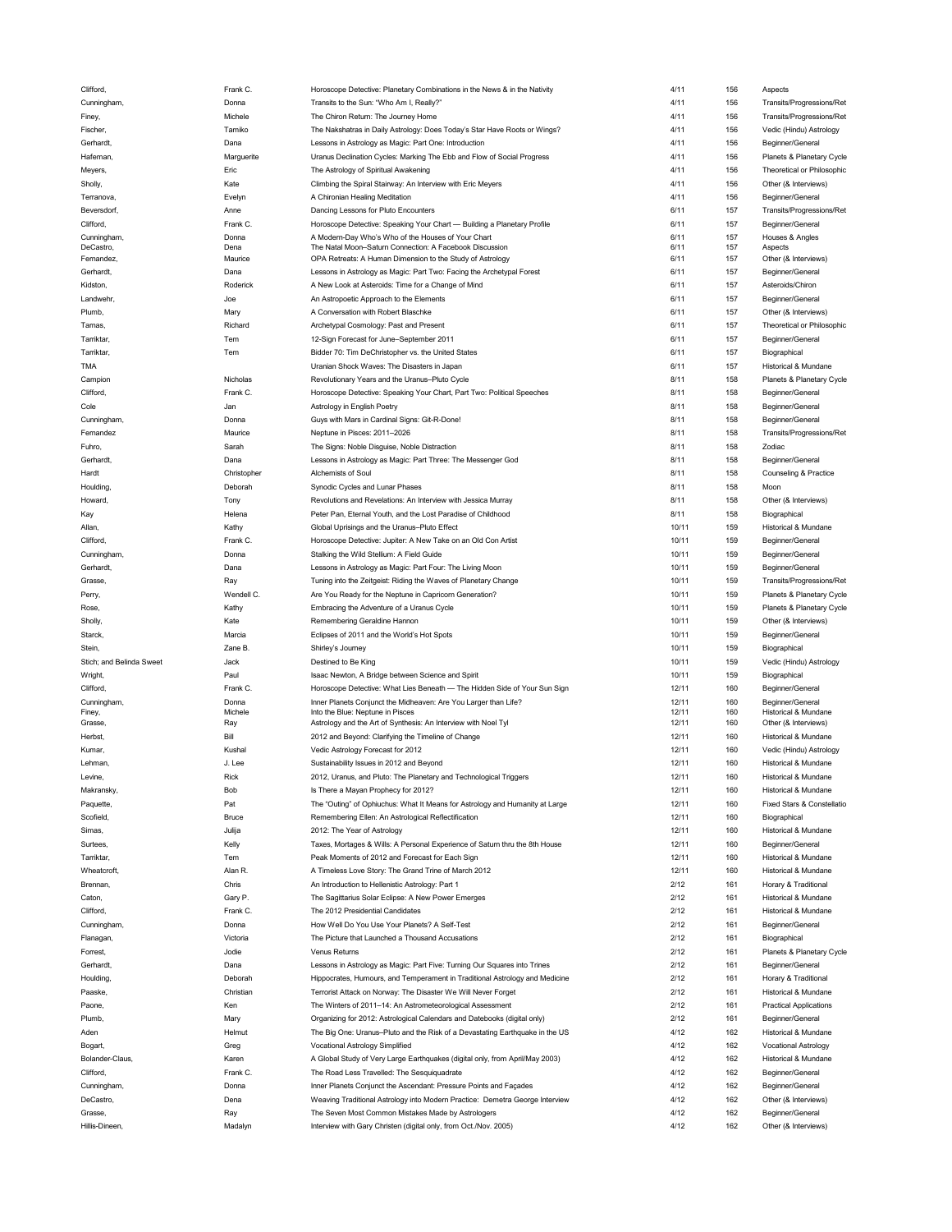| Clifford,                | Frank C.     | Horoscope Detective: Planetary Combinations in the News & in the Nativity    | 4/11           | 156        | Aspects                                  |
|--------------------------|--------------|------------------------------------------------------------------------------|----------------|------------|------------------------------------------|
| Cunningham,              | Donna        | Transits to the Sun: "Who Am I, Really?"                                     | 4/11           | 156        | Transits/Progressions/Ret                |
| Finey,                   | Michele      | The Chiron Return: The Journey Home                                          | 4/11           | 156        | Transits/Progressions/Ret                |
| Fischer,                 | Tamiko       | The Nakshatras in Daily Astrology: Does Today's Star Have Roots or Wings?    | 4/11           | 156        | Vedic (Hindu) Astrology                  |
|                          |              |                                                                              |                |            |                                          |
| Gerhardt,                | Dana         | Lessons in Astrology as Magic: Part One: Introduction                        | 4/11           | 156        | Beginner/General                         |
| Hafeman,                 | Marguerite   | Uranus Declination Cycles: Marking The Ebb and Flow of Social Progress       | 4/11           | 156        | Planets & Planetary Cycle                |
| Meyers,                  | Eric         | The Astrology of Spiritual Awakening                                         | 4/11           | 156        | Theoretical or Philosophic               |
| Sholly,                  | Kate         | Climbing the Spiral Stairway: An Interview with Eric Meyers                  | 4/11           | 156        | Other (& Interviews)                     |
| Terranova,               | Evelyn       | A Chironian Healing Meditation                                               | 4/11           | 156        | Beginner/General                         |
|                          |              |                                                                              | 6/11           |            |                                          |
| Beversdorf,              | Anne         | Dancing Lessons for Pluto Encounters                                         |                | 157        | Transits/Progressions/Ret                |
| Clifford,                | Frank C.     | Horoscope Detective: Speaking Your Chart - Building a Planetary Profile      | 6/11           | 157        | Beginner/General                         |
| Cunningham,              | Donna        | A Modern-Day Who's Who of the Houses of Your Chart                           | 6/11           | 157        | Houses & Angles                          |
| DeCastro,                | Dena         | The Natal Moon-Saturn Connection: A Facebook Discussion                      | 6/11           | 157        | Aspects                                  |
| Fernandez,               | Maurice      | OPA Retreats: A Human Dimension to the Study of Astrology                    | 6/11           | 157        | Other (& Interviews)                     |
| Gerhardt,                | Dana         | Lessons in Astrology as Magic: Part Two: Facing the Archetypal Forest        | 6/11           | 157        | Beginner/General                         |
| Kidston,                 | Roderick     | A New Look at Asteroids: Time for a Change of Mind                           | 6/11           | 157        | Asteroids/Chiron                         |
| Landwehr,                | Joe          | An Astropoetic Approach to the Elements                                      | 6/11           | 157        | Beginner/General                         |
|                          |              |                                                                              |                |            |                                          |
| Plumb,                   | Mary         | A Conversation with Robert Blaschke                                          | 6/11           | 157        | Other (& Interviews)                     |
| Tarnas,                  | Richard      | Archetypal Cosmology: Past and Present                                       | 6/11           | 157        | Theoretical or Philosophic               |
| Tarriktar,               | Tem          | 12-Sign Forecast for June-September 2011                                     | 6/11           | 157        | Beginner/General                         |
| Tarriktar,               | Tem          | Bidder 70: Tim DeChristopher vs. the United States                           | 6/11           | 157        | Biographical                             |
| TMA                      |              | Uranian Shock Waves: The Disasters in Japan                                  | 6/11           | 157        | Historical & Mundane                     |
|                          |              |                                                                              |                |            |                                          |
| Campion                  | Nicholas     | Revolutionary Years and the Uranus-Pluto Cycle                               | 8/11           | 158        | Planets & Planetary Cycle                |
| Clifford,                | Frank C.     | Horoscope Detective: Speaking Your Chart, Part Two: Political Speeches       | 8/11           | 158        | Beginner/General                         |
| Cole                     | Jan          | Astrology in English Poetry                                                  | 8/11           | 158        | Beginner/General                         |
| Cunningham,              | Donna        | Guys with Mars in Cardinal Signs: Git-R-Done!                                | 8/11           | 158        | Beginner/General                         |
| Fernandez                | Maurice      | Neptune in Pisces: 2011-2026                                                 | 8/11           | 158        | Transits/Progressions/Ret                |
|                          |              |                                                                              |                |            |                                          |
| Fuhro,                   | Sarah        | The Signs: Noble Disguise, Noble Distraction                                 | 8/11           | 158        | Zodiac                                   |
| Gerhardt,                | Dana         | Lessons in Astrology as Magic: Part Three: The Messenger God                 | 8/11           | 158        | Beginner/General                         |
| Hardt                    | Christopher  | Alchemists of Soul                                                           | 8/11           | 158        | Counseling & Practice                    |
| Houlding,                | Deborah      | Synodic Cycles and Lunar Phases                                              | 8/11           | 158        | Moon                                     |
| Howard,                  | Tony         | Revolutions and Revelations: An Interview with Jessica Murray                | 8/11           | 158        | Other (& Interviews)                     |
|                          |              |                                                                              | 8/11           | 158        |                                          |
| Kay                      | Helena       | Peter Pan, Eternal Youth, and the Lost Paradise of Childhood                 |                |            | Biographical                             |
| Allan,                   | Kathy        | Global Uprisings and the Uranus-Pluto Effect                                 | 10/11          | 159        | Historical & Mundane                     |
| Clifford,                | Frank C.     | Horoscope Detective: Jupiter: A New Take on an Old Con Artist                | 10/11          | 159        | Beginner/General                         |
| Cunningham,              | Donna        | Stalking the Wild Stellium: A Field Guide                                    | 10/11          | 159        | Beginner/General                         |
| Gerhardt,                | Dana         | Lessons in Astrology as Magic: Part Four: The Living Moon                    | 10/11          | 159        | Beginner/General                         |
| Grasse.                  | Ray          | Tuning into the Zeitgeist: Riding the Waves of Planetary Change              | 10/11          | 159        | Transits/Progressions/Ret                |
|                          |              |                                                                              |                |            |                                          |
| Perry,                   | Wendell C.   | Are You Ready for the Neptune in Capricorn Generation?                       | 10/11          | 159        | Planets & Planetary Cycle                |
|                          |              |                                                                              |                | 159        |                                          |
| Rose,                    | Kathy        | Embracing the Adventure of a Uranus Cycle                                    | 10/11          |            | Planets & Planetary Cycle                |
| Sholly,                  | Kate         | Remembering Geraldine Hannon                                                 | 10/11          | 159        | Other (& Interviews)                     |
|                          |              |                                                                              |                |            |                                          |
| Starck,                  | Marcia       | Eclipses of 2011 and the World's Hot Spots                                   | 10/11          | 159        | Beginner/General                         |
| Stein,                   | Zane B.      | Shirley's Journey                                                            | 10/11          | 159        | Biographical                             |
| Stich; and Belinda Sweet | Jack         | Destined to Be King                                                          | 10/11          | 159        | Vedic (Hindu) Astrology                  |
| Wright,                  | Paul         | Isaac Newton, A Bridge between Science and Spirit                            | 10/11          | 159        | Biographical                             |
| Clifford,                | Frank C.     | Horoscope Detective: What Lies Beneath - The Hidden Side of Your Sun Sign    | 12/11          | 160        | Beginner/General                         |
|                          |              |                                                                              |                |            |                                          |
| Cunningham,              | Donna        | Inner Planets Conjunct the Midheaven: Are You Larger than Life?              | 12/11<br>12/11 | 160        | Beginner/General<br>Historical & Mundane |
| Finey,                   | Michele      | Into the Blue: Neptune in Pisces                                             | 12/11          | 160<br>160 |                                          |
| Grasse,                  | Ray          | Astrology and the Art of Synthesis: An Interview with Noel Tyl               |                |            | Other (& Interviews)                     |
| Herbst,                  | Bill         | 2012 and Beyond: Clarifying the Timeline of Change                           | 12/11          | 160        | Historical & Mundane                     |
| Kumar,                   | Kushal       | Vedic Astrology Forecast for 2012                                            | 12/11          | 160        | Vedic (Hindu) Astrology                  |
| Lehman,                  | J. Lee       | Sustainability Issues in 2012 and Beyond                                     | 12/11          | 160        | Historical & Mundane                     |
| Levine,                  | Rick         | 2012, Uranus, and Pluto: The Planetary and Technological Triggers            | 12/11          | 160        | Historical & Mundane                     |
| Makransky,               | Bob          | Is There a Mayan Prophecy for 2012?                                          | 12/11          | 160        | Historical & Mundane                     |
|                          |              |                                                                              |                |            |                                          |
| Paquette,                | Pat          | The "Outing" of Ophiuchus: What It Means for Astrology and Humanity at Large | 12/11          | 160        | Fixed Stars & Constellatio               |
| Scofield,                | <b>Bruce</b> | Remembering Ellen: An Astrological Reflectification                          | 12/11          | 160        | Biographical                             |
| Simas,                   | Julija       | 2012: The Year of Astrology                                                  | 12/11          | 160        | Historical & Mundane                     |
| Surtees,                 | Kelly        | Taxes, Mortages & Wills: A Personal Experience of Saturn thru the 8th House  | 12/11          | 160        | Beginner/General                         |
| Tarriktar,               | Tem          | Peak Moments of 2012 and Forecast for Each Sign                              | 12/11          | 160        | Historical & Mundane                     |
| Wheatcroft,              | Alan R.      | A Timeless Love Story: The Grand Trine of March 2012                         | 12/11          | 160        | Historical & Mundane                     |
|                          |              |                                                                              |                |            |                                          |
| Brennan,                 | Chris        | An Introduction to Hellenistic Astrology: Part 1                             | 2/12           | 161        | Horary & Traditional                     |
| Caton,                   | Gary P.      | The Sagittarius Solar Eclipse: A New Power Emerges                           | 2/12           | 161        | Historical & Mundane                     |
| Clifford,                | Frank C.     | The 2012 Presidential Candidates                                             | 2/12           | 161        | Historical & Mundane                     |
| Cunningham,              | Donna        | How Well Do You Use Your Planets? A Self-Test                                | 2/12           | 161        | Beginner/General                         |
|                          | Victoria     | The Picture that Launched a Thousand Accusations                             | 2/12           | 161        | Biographical                             |
| Flanagan,                |              |                                                                              |                |            |                                          |
| Forrest,                 | Jodie        | Venus Returns                                                                | 2/12           | 161        | Planets & Planetary Cycle                |
| Gerhardt,                | Dana         | Lessons in Astrology as Magic: Part Five: Turning Our Squares into Trines    | 2/12           | 161        | Beginner/General                         |
| Houlding,                | Deborah      | Hippocrates, Humours, and Temperament in Traditional Astrology and Medicine  | 2/12           | 161        | Horary & Traditional                     |
| Paaske,                  | Christian    | Terrorist Attack on Norway: The Disaster We Will Never Forget                | 2/12           | 161        | Historical & Mundane                     |
| Paone.                   | Ken          | The Winters of 2011-14: An Astrometeorological Assessment                    | 2/12           | 161        | <b>Practical Applications</b>            |
|                          |              |                                                                              |                |            |                                          |
| Plumb,                   | Mary         | Organizing for 2012: Astrological Calendars and Datebooks (digital only)     | 2/12           | 161        | Beginner/General                         |
| Aden                     | Helmut       | The Big One: Uranus-Pluto and the Risk of a Devastating Earthquake in the US | 4/12           | 162        | Historical & Mundane                     |
| Bogart,                  | Greg         | Vocational Astrology Simplified                                              | 4/12           | 162        | <b>Vocational Astrology</b>              |
| Bolander-Claus,          | Karen        | A Global Study of Very Large Earthquakes (digital only, from April/May 2003) | 4/12           | 162        | Historical & Mundane                     |
| Clifford,                | Frank C.     | The Road Less Travelled: The Sesquiquadrate                                  | 4/12           | 162        | Beginner/General                         |
|                          |              |                                                                              |                |            |                                          |
| Cunningham,              | Donna        | Inner Planets Conjunct the Ascendant: Pressure Points and Façades            | 4/12           | 162        | Beginner/General                         |
| DeCastro,                | Dena         | Weaving Traditional Astrology into Modern Practice: Demetra George Interview | 4/12           | 162        | Other (& Interviews)                     |
| Grasse,                  | Ray          | The Seven Most Common Mistakes Made by Astrologers                           | 4/12           | 162        | Beginner/General                         |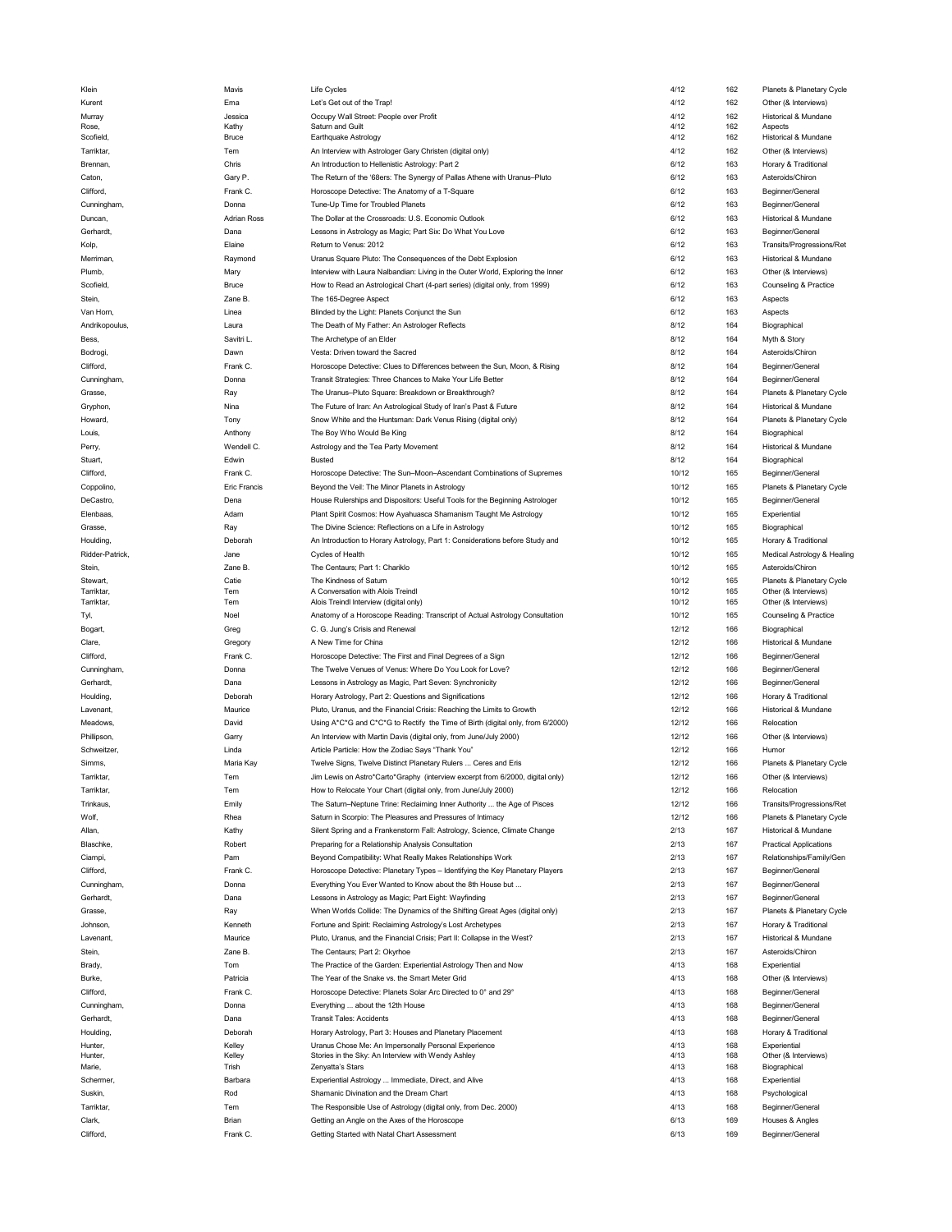| Klein           | Mavis               | Life Cycles                                                                     | 4/12  | 162 | Planets & Planetary Cycle     |
|-----------------|---------------------|---------------------------------------------------------------------------------|-------|-----|-------------------------------|
| Kurent          | Ema                 | Let's Get out of the Trap!                                                      | 4/12  | 162 | Other (& Interviews)          |
|                 |                     |                                                                                 |       |     |                               |
| Murray          | Jessica             | Occupy Wall Street: People over Profit                                          | 4/12  | 162 | Historical & Mundane          |
| Rose,           | Kathy               | Saturn and Guilt                                                                | 4/12  | 162 | Aspects                       |
| Scofield,       | Bruce               | Earthquake Astrology                                                            | 4/12  | 162 | Historical & Mundane          |
| Tarriktar,      | Tem                 | An Interview with Astrologer Gary Christen (digital only)                       | 4/12  | 162 | Other (& Interviews)          |
| Brennan,        | Chris               | An Introduction to Hellenistic Astrology: Part 2                                | 6/12  | 163 | Horary & Traditional          |
|                 |                     |                                                                                 |       |     | Asteroids/Chiron              |
| Caton,          | Gary P.             | The Return of the '68ers: The Synergy of Pallas Athene with Uranus-Pluto        | 6/12  | 163 |                               |
| Clifford,       | Frank C.            | Horoscope Detective: The Anatomy of a T-Square                                  | 6/12  | 163 | Beginner/General              |
| Cunningham,     | Donna               | Tune-Up Time for Troubled Planets                                               | 6/12  | 163 | Beginner/General              |
| Duncan,         | <b>Adrian Ross</b>  | The Dollar at the Crossroads: U.S. Economic Outlook                             | 6/12  | 163 | Historical & Mundane          |
|                 |                     |                                                                                 |       |     |                               |
| Gerhardt,       | Dana                | Lessons in Astrology as Magic; Part Six: Do What You Love                       | 6/12  | 163 | Beginner/General              |
| Kolp,           | Elaine              | Return to Venus: 2012                                                           | 6/12  | 163 | Transits/Progressions/Ret     |
| Merriman,       | Raymond             | Uranus Square Pluto: The Consequences of the Debt Explosion                     | 6/12  | 163 | Historical & Mundane          |
|                 |                     |                                                                                 |       |     |                               |
| Plumb,          | Mary                | Interview with Laura Nalbandian: Living in the Outer World, Exploring the Inner | 6/12  | 163 | Other (& Interviews)          |
| Scofield,       | Bruce               | How to Read an Astrological Chart (4-part series) (digital only, from 1999)     | 6/12  | 163 | Counseling & Practice         |
| Stein,          | Zane B.             | The 165-Degree Aspect                                                           | 6/12  | 163 | Aspects                       |
|                 | Linea               |                                                                                 | 6/12  |     |                               |
| Van Horn,       |                     | Blinded by the Light: Planets Conjunct the Sun                                  |       | 163 | Aspects                       |
| Andrikopoulus,  | Laura               | The Death of My Father: An Astrologer Reflects                                  | 8/12  | 164 | Biographical                  |
| Bess,           | Savitri L.          | The Archetype of an Elder                                                       | 8/12  | 164 | Myth & Story                  |
| Bodrogi,        | Dawn                | Vesta: Driven toward the Sacred                                                 | 8/12  | 164 | Asteroids/Chiron              |
|                 |                     |                                                                                 |       |     |                               |
| Clifford,       | Frank C.            | Horoscope Detective: Clues to Differences between the Sun, Moon, & Rising       | 8/12  | 164 | Beginner/General              |
| Cunningham,     | Donna               | Transit Strategies: Three Chances to Make Your Life Better                      | 8/12  | 164 | Beginner/General              |
| Grasse,         | Ray                 | The Uranus-Pluto Square: Breakdown or Breakthrough?                             | 8/12  | 164 | Planets & Planetary Cycle     |
|                 |                     |                                                                                 |       |     |                               |
| Gryphon,        | Nina                | The Future of Iran: An Astrological Study of Iran's Past & Future               | 8/12  | 164 | Historical & Mundane          |
| Howard,         | Tony                | Snow White and the Huntsman: Dark Venus Rising (digital only)                   | 8/12  | 164 | Planets & Planetary Cycle     |
| Louis,          | Anthony             | The Boy Who Would Be King                                                       | 8/12  | 164 | Biographical                  |
|                 |                     |                                                                                 |       |     |                               |
| Perry,          | Wendell C.          | Astrology and the Tea Party Movement                                            | 8/12  | 164 | Historical & Mundane          |
| Stuart,         | Edwin               | <b>Busted</b>                                                                   | 8/12  | 164 | Biographical                  |
| Clifford,       | Frank C.            | Horoscope Detective: The Sun-Moon-Ascendant Combinations of Supremes            | 10/12 | 165 | Beginner/General              |
| Coppolino,      | <b>Eric Francis</b> | Beyond the Veil: The Minor Planets in Astrology                                 | 10/12 | 165 | Planets & Planetary Cycle     |
|                 |                     |                                                                                 |       |     |                               |
| DeCastro,       | Dena                | House Rulerships and Dispositors: Useful Tools for the Beginning Astrologer     | 10/12 | 165 | Beginner/General              |
| Elenbaas,       | Adam                | Plant Spirit Cosmos: How Ayahuasca Shamanism Taught Me Astrology                | 10/12 | 165 | Experiential                  |
| Grasse,         | Ray                 | The Divine Science: Reflections on a Life in Astrology                          | 10/12 | 165 | Biographical                  |
|                 |                     |                                                                                 |       |     |                               |
| Houlding,       | Deborah             | An Introduction to Horary Astrology, Part 1: Considerations before Study and    | 10/12 | 165 | Horary & Traditional          |
| Ridder-Patrick, | Jane                | Cycles of Health                                                                | 10/12 | 165 | Medical Astrology & Healing   |
| Stein,          | Zane B.             | The Centaurs; Part 1: Chariklo                                                  | 10/12 | 165 | Asteroids/Chiron              |
|                 |                     |                                                                                 |       |     |                               |
| Stewart,        | Catie               | The Kindness of Saturn                                                          | 10/12 | 165 | Planets & Planetary Cycle     |
| Tarriktar,      | Tem                 | A Conversation with Alois Treindl                                               | 10/12 | 165 | Other (& Interviews)          |
| Tarriktar,      | Tem                 | Alois Treindl Interview (digital only)                                          | 10/12 | 165 | Other (& Interviews)          |
| Tyl,            | Noel                | Anatomy of a Horoscope Reading: Transcript of Actual Astrology Consultation     | 10/12 | 165 | Counseling & Practice         |
| Bogart,         | Greg                | C. G. Jung's Crisis and Renewal                                                 | 12/12 | 166 | Biographical                  |
|                 |                     |                                                                                 | 12/12 |     |                               |
| Clare,          | Gregory             | A New Time for China                                                            |       | 166 | Historical & Mundane          |
| Clifford,       | Frank C.            | Horoscope Detective: The First and Final Degrees of a Sign                      | 12/12 | 166 | Beginner/General              |
| Cunningham,     | Donna               | The Twelve Venues of Venus: Where Do You Look for Love?                         | 12/12 | 166 | Beginner/General              |
| Gerhardt,       | Dana                |                                                                                 | 12/12 | 166 | Beginner/General              |
|                 |                     | Lessons in Astrology as Magic, Part Seven: Synchronicity                        |       |     |                               |
| Houlding,       | Deborah             | Horary Astrology, Part 2: Questions and Significations                          | 12/12 | 166 | Horary & Traditional          |
| Lavenant,       | Maurice             | Pluto, Uranus, and the Financial Crisis: Reaching the Limits to Growth          | 12/12 | 166 | Historical & Mundane          |
| Meadows,        | David               | Using A*C*G and C*C*G to Rectify the Time of Birth (digital only, from 6/2000)  | 12/12 | 166 | Relocation                    |
|                 |                     |                                                                                 |       |     |                               |
| Phillipson,     | Garry               | An Interview with Martin Davis (digital only, from June/July 2000)              | 12/12 | 166 | Other (& Interviews)          |
| Schweitzer.     | Linda               | Article Particle: How the Zodiac Says "Thank You"                               | 12/12 | 166 | Humor                         |
| Simms,          | Maria Kay           | Twelve Signs, Twelve Distinct Planetary Rulers  Ceres and Eris                  | 12/12 | 166 | Planets & Planetary Cycle     |
|                 |                     | Jim Lewis on Astro*Carto*Graphy (interview excerpt from 6/2000, digital only)   | 12/12 | 166 |                               |
| Tarriktar,      | Tem                 |                                                                                 |       |     | Other (& Interviews)          |
| Tarriktar,      | Tem                 | How to Relocate Your Chart (digital only, from June/July 2000)                  | 12/12 | 166 | Relocation                    |
| Trinkaus,       | Emily               | The Saturn-Neptune Trine: Reclaiming Inner Authority  the Age of Pisces         | 12/12 | 166 | Transits/Progressions/Ret     |
| Wolf,           | Rhea                | Saturn in Scorpio: The Pleasures and Pressures of Intimacy                      | 12/12 | 166 | Planets & Planetary Cycle     |
|                 |                     |                                                                                 |       |     |                               |
| Allan,          | Kathy               | Silent Spring and a Frankenstorm Fall: Astrology, Science, Climate Change       | 2/13  | 167 | Historical & Mundane          |
| Blaschke,       | Robert              | Preparing for a Relationship Analysis Consultation                              | 2/13  | 167 | <b>Practical Applications</b> |
| Ciampi,         | Pam                 | Beyond Compatibility: What Really Makes Relationships Work                      | 2/13  | 167 | Relationships/Family/Gen      |
|                 |                     |                                                                                 |       |     |                               |
| Clifford,       | Frank C.            | Horoscope Detective: Planetary Types - Identifying the Key Planetary Players    | 2/13  | 167 | Beginner/General              |
| Cunningham,     | Donna               | Everything You Ever Wanted to Know about the 8th House but                      | 2/13  | 167 | Beginner/General              |
| Gerhardt,       | Dana                | Lessons in Astrology as Magic; Part Eight: Wayfinding                           | 2/13  | 167 | Beginner/General              |
|                 |                     | When Worlds Collide: The Dynamics of the Shifting Great Ages (digital only)     | 2/13  | 167 |                               |
| Grasse,         | Ray                 |                                                                                 |       |     | Planets & Planetary Cycle     |
| <b>Johnson</b>  | Kenneth             | Fortune and Spirit: Reclaiming Astrology's Lost Archetypes                      | 2/13  | 167 | Horary & Traditional          |
| Lavenant,       | Maurice             | Pluto, Uranus, and the Financial Crisis; Part II: Collapse in the West?         | 2/13  | 167 | Historical & Mundane          |
| Stein,          | Zane B.             | The Centaurs; Part 2: Okyrhoe                                                   | 2/13  | 167 | Asteroids/Chiron              |
|                 |                     |                                                                                 |       |     |                               |
| Brady,          | Tom                 | The Practice of the Garden: Experiential Astrology Then and Now                 | 4/13  | 168 | Experiential                  |
| Burke,          | Patricia            | The Year of the Snake vs. the Smart Meter Grid                                  | 4/13  | 168 | Other (& Interviews)          |
| Clifford,       | Frank C.            | Horoscope Detective: Planets Solar Arc Directed to 0° and 29°                   | 4/13  | 168 | Beginner/General              |
|                 |                     |                                                                                 |       |     |                               |
| Cunningham,     | Donna               | Everything  about the 12th House                                                | 4/13  | 168 | Beginner/General              |
| Gerhardt,       | Dana                | <b>Transit Tales: Accidents</b>                                                 | 4/13  | 168 | Beginner/General              |
| Houlding,       | Deborah             | Horary Astrology, Part 3: Houses and Planetary Placement                        | 4/13  | 168 | Horary & Traditional          |
|                 |                     |                                                                                 |       |     |                               |
| Hunter,         | Kelley              | Uranus Chose Me: An Impersonally Personal Experience                            | 4/13  | 168 | Experiential                  |
| Hunter,         | Kelley              | Stories in the Sky: An Interview with Wendy Ashley                              | 4/13  | 168 | Other (& Interviews)          |
| Marie,          |                     | Zenyatta's Stars                                                                | 4/13  | 168 | Biographical                  |
| Schermer,       | Trish               |                                                                                 |       |     |                               |
|                 | Barbara             | Experiential Astrology  Immediate, Direct, and Alive                            | 4/13  | 168 | Experiential                  |
|                 |                     |                                                                                 |       |     |                               |
| Suskin,         | Rod                 | Shamanic Divination and the Dream Chart                                         | 4/13  | 168 | Psychological                 |
| Tarriktar,      | Tem                 | The Responsible Use of Astrology (digital only, from Dec. 2000)                 | 4/13  | 168 | Beginner/General              |
| Clark,          | Brian               | Getting an Angle on the Axes of the Horoscope                                   | 6/13  | 169 | Houses & Angles               |
| Clifford,       | Frank C.            | Getting Started with Natal Chart Assessment                                     | 6/13  | 169 | Beginner/General              |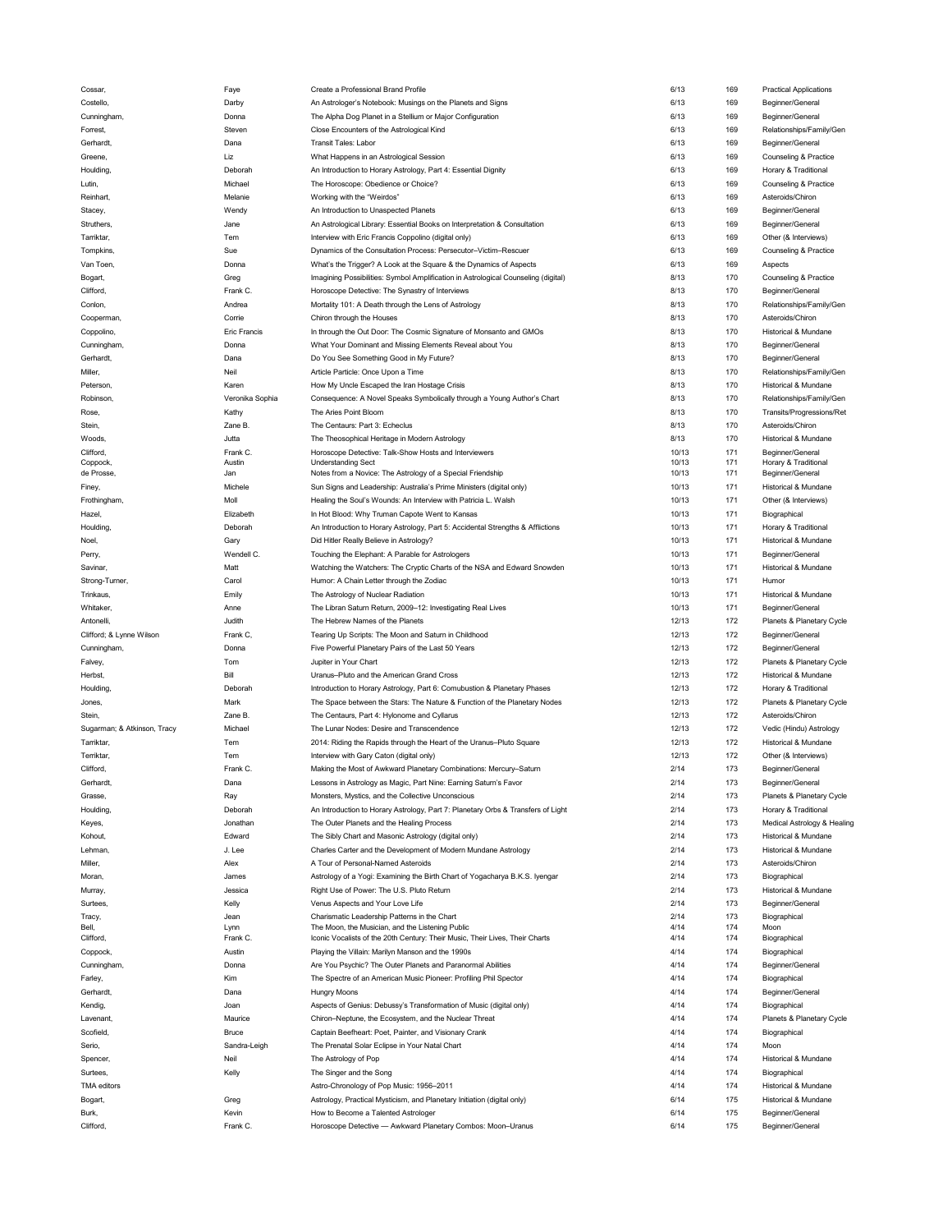| Cossar,                     | Faye                | Create a Professional Brand Profile                                                                | 6/13         | 169        | <b>Practical Applications</b>        |
|-----------------------------|---------------------|----------------------------------------------------------------------------------------------------|--------------|------------|--------------------------------------|
| Costello,                   | Darby               | An Astrologer's Notebook: Musings on the Planets and Signs                                         | 6/13         | 169        | Beginner/General                     |
| Cunningham,                 | Donna               | The Alpha Dog Planet in a Stellium or Major Configuration                                          | 6/13         | 169        | Beginner/General                     |
| Forrest,                    | Steven              | Close Encounters of the Astrological Kind                                                          | 6/13         | 169        | Relationships/Family/Gen             |
|                             |                     |                                                                                                    |              |            |                                      |
| Gerhardt,                   | Dana                | <b>Transit Tales: Labor</b>                                                                        | 6/13         | 169        | Beginner/General                     |
| Greene,                     | Liz                 | What Happens in an Astrological Session                                                            | 6/13         | 169        | Counseling & Practice                |
| Houlding,                   | Deborah             | An Introduction to Horary Astrology, Part 4: Essential Dignity                                     | 6/13         | 169        | Horary & Traditional                 |
| Lutin,                      | Michael             | The Horoscope: Obedience or Choice?                                                                | 6/13         | 169        | Counseling & Practice                |
| Reinhart,                   | Melanie             | Working with the "Weirdos"                                                                         | 6/13         | 169        | Asteroids/Chiron                     |
|                             |                     |                                                                                                    | 6/13         | 169        |                                      |
| Stacey,                     | Wendy               | An Introduction to Unaspected Planets                                                              |              |            | Beginner/General                     |
| Struthers,                  | Jane                | An Astrological Library: Essential Books on Interpretation & Consultation                          | 6/13         | 169        | Beginner/General                     |
| Tarriktar,                  | Tem                 | Interview with Eric Francis Coppolino (digital only)                                               | 6/13         | 169        | Other (& Interviews)                 |
| Tompkins,                   | Sue                 | Dynamics of the Consultation Process: Persecutor-Victim-Rescuer                                    | 6/13         | 169        | Counseling & Practice                |
| Van Toen,                   | Donna               | What's the Trigger? A Look at the Square & the Dynamics of Aspects                                 | 6/13         | 169        | Aspects                              |
|                             | Greg                | Imagining Possibilities: Symbol Amplification in Astrological Counseling (digital)                 | 8/13         | 170        | Counseling & Practice                |
| Bogart,                     |                     |                                                                                                    |              |            |                                      |
| Clifford,                   | Frank C.            | Horoscope Detective: The Synastry of Interviews                                                    | 8/13         | 170        | Beginner/General                     |
| Conlon,                     | Andrea              | Mortality 101: A Death through the Lens of Astrology                                               | 8/13         | 170        | Relationships/Family/Gen             |
| Cooperman,                  | Corrie              | Chiron through the Houses                                                                          | 8/13         | 170        | Asteroids/Chiron                     |
| Coppolino,                  | <b>Eric Francis</b> | In through the Out Door: The Cosmic Signature of Monsanto and GMOs                                 | 8/13         | 170        | Historical & Mundane                 |
| Cunningham,                 | Donna               | What Your Dominant and Missing Elements Reveal about You                                           | 8/13         | 170        | Beginner/General                     |
|                             |                     |                                                                                                    |              |            |                                      |
| Gerhardt,                   | Dana                | Do You See Something Good in My Future?                                                            | 8/13         | 170        | Beginner/General                     |
| Miller,                     | Neil                | Article Particle: Once Upon a Time                                                                 | 8/13         | 170        | Relationships/Family/Gen             |
| Peterson,                   | Karen               | How My Uncle Escaped the Iran Hostage Crisis                                                       | 8/13         | 170        | Historical & Mundane                 |
| Robinson,                   | Veronika Sophia     | Consequence: A Novel Speaks Symbolically through a Young Author's Chart                            | 8/13         | 170        | Relationships/Family/Gen             |
| Rose,                       | Kathy               | The Aries Point Bloom                                                                              | 8/13         | 170        | Transits/Progressions/Ret            |
|                             |                     |                                                                                                    |              |            |                                      |
| Stein,                      | Zane B.             | The Centaurs: Part 3: Echeclus                                                                     | 8/13         | 170        | Asteroids/Chiron                     |
| Woods,                      | Jutta               | The Theosophical Heritage in Modern Astrology                                                      | 8/13         | 170        | Historical & Mundane                 |
| Clifford,                   | Frank C.            | Horoscope Detective: Talk-Show Hosts and Interviewers                                              | 10/13        | 171        | Beginner/General                     |
| Coppock,                    | Austin              | <b>Understanding Sect</b>                                                                          | 10/13        | 171        | Horary & Traditional                 |
| de Prosse,                  | Jan                 | Notes from a Novice: The Astrology of a Special Friendship                                         | 10/13        | 171        | Beginner/General                     |
| Finey,                      | Michele             | Sun Signs and Leadership: Australia's Prime Ministers (digital only)                               | 10/13        | 171        | Historical & Mundane                 |
| Frothingham,                | Moll                | Healing the Soul's Wounds: An Interview with Patricia L. Walsh                                     | 10/13        | 171        | Other (& Interviews)                 |
| Hazel,                      | Elizabeth           | In Hot Blood: Why Truman Capote Went to Kansas                                                     | 10/13        | 171        | Biographical                         |
|                             |                     |                                                                                                    |              |            |                                      |
| Houlding,                   | Deborah             | An Introduction to Horary Astrology, Part 5: Accidental Strengths & Afflictions                    | 10/13        | 171        | Horary & Traditional                 |
| Noel,                       | Gary                | Did Hitler Really Believe in Astrology?                                                            | 10/13        | 171        | Historical & Mundane                 |
| Perry,                      | Wendell C.          | Touching the Elephant: A Parable for Astrologers                                                   | 10/13        | 171        | Beginner/General                     |
| Savinar,                    | Matt                | Watching the Watchers: The Cryptic Charts of the NSA and Edward Snowden                            | 10/13        | 171        | Historical & Mundane                 |
| Strong-Turner,              | Carol               | Humor: A Chain Letter through the Zodiac                                                           | 10/13        | 171        | Humor                                |
|                             |                     |                                                                                                    |              |            |                                      |
| Trinkaus,                   | Emily               | The Astrology of Nuclear Radiation                                                                 | 10/13        | 171        | Historical & Mundane                 |
|                             |                     |                                                                                                    |              |            |                                      |
| Whitaker,                   | Anne                | The Libran Saturn Return, 2009-12: Investigating Real Lives                                        | 10/13        | 171        | Beginner/General                     |
| Antonelli,                  | Judith              | The Hebrew Names of the Planets                                                                    | 12/13        | 172        | Planets & Planetary Cycle            |
|                             |                     |                                                                                                    | 12/13        | 172        |                                      |
| Clifford; & Lynne Wilson    | Frank C             | Tearing Up Scripts: The Moon and Saturn in Childhood                                               |              |            | Beginner/General                     |
| Cunningham,                 | Donna               | Five Powerful Planetary Pairs of the Last 50 Years                                                 | 12/13        | 172        | Beginner/General                     |
| Falvey,                     | Tom                 | Jupiter in Your Chart                                                                              | 12/13        | 172        | Planets & Planetary Cycle            |
| Herbst,                     | Bill                | Uranus-Pluto and the American Grand Cross                                                          | 12/13        | 172        | Historical & Mundane                 |
| Houlding,                   | Deborah             | Introduction to Horary Astrology, Part 6: Comubustion & Planetary Phases                           | 12/13        | 172        | Horary & Traditional                 |
| Jones.                      | Mark                |                                                                                                    | 12/13        | 172        |                                      |
|                             |                     | The Space between the Stars: The Nature & Function of the Planetary Nodes                          |              |            | Planets & Planetary Cycle            |
| Stein,                      | Zane B.             | The Centaurs, Part 4: Hylonome and Cyllarus                                                        | 12/13        | 172        | Asteroids/Chiron                     |
| Sugarman; & Atkinson, Tracy | Michael             | The Lunar Nodes: Desire and Transcendence                                                          | 12/13        | 172        | Vedic (Hindu) Astrology              |
| Tarriktar,                  | Tem                 | 2014: Riding the Rapids through the Heart of the Uranus-Pluto Square                               | 12/13        | 172        | Historical & Mundane                 |
| Terriktar,                  | Tem                 | Interview with Gary Caton (digital only)                                                           | 12/13        | 172        | Other (& Interviews)                 |
| Clifford,                   | Frank C.            | Making the Most of Awkward Planetary Combinations: Mercury-Saturn                                  | 2/14         | 173        | Beginner/General                     |
|                             |                     |                                                                                                    |              |            |                                      |
| Gerhardt                    | Dana                | Lessons in Astrology as Magic, Part Nine: Earning Saturn's Favor                                   | 2/14         | 173        | Beginner/General                     |
| Grasse,                     | Ray                 | Monsters, Mystics, and the Collective Unconscious                                                  | 2/14         | 173        | Planets & Planetary Cycle            |
| Houlding,                   | Deborah             | An Introduction to Horary Astrology, Part 7: Planetary Orbs & Transfers of Light                   | 2/14         | 173        | Horary & Traditional                 |
| Keyes,                      | Jonathan            | The Outer Planets and the Healing Process                                                          | 2/14         | 173        | Medical Astrology & Healing          |
| Kohout,                     | Edward              | The Sibly Chart and Masonic Astrology (digital only)                                               | 2/14         | 173        | Historical & Mundane                 |
| Lehman,                     | J. Lee              | Charles Carter and the Development of Modern Mundane Astrology                                     | 2/14         | 173        | Historical & Mundane                 |
|                             |                     |                                                                                                    |              |            |                                      |
| Miller,                     | Alex                | A Tour of Personal-Named Asteroids                                                                 | 2/14         | 173        | Asteroids/Chiron                     |
| Moran,                      | James               | Astrology of a Yogi: Examining the Birth Chart of Yogacharya B.K.S. Iyengar                        | 2/14         | 173        | Biographical                         |
| Murray,                     | Jessica             | Right Use of Power: The U.S. Pluto Return                                                          | 2/14         | 173        | Historical & Mundane                 |
| Surtees,                    | Kelly               | Venus Aspects and Your Love Life                                                                   | 2/14         | 173        | Beginner/General                     |
| Tracy,                      | Jean                | Charismatic Leadership Patterns in the Chart                                                       | 2/14         | 173        | Biographical                         |
| Bell,                       | Lynn                | The Moon, the Musician, and the Listening Public                                                   | 4/14         | 174        | Moon                                 |
| Clifford,                   | Frank C.            | Iconic Vocalists of the 20th Century: Their Music, Their Lives, Their Charts                       | 4/14         | 174        | Biographical                         |
|                             | Austin              | Playing the Villain: Marilyn Manson and the 1990s                                                  | 4/14         | 174        | Biographical                         |
| Coppock,                    |                     |                                                                                                    |              |            |                                      |
| Cunningham,                 | Donna               | Are You Psychic? The Outer Planets and Paranormal Abilities                                        | 4/14         | 174        | Beginner/General                     |
| Farley,                     | Kim                 | The Spectre of an American Music Pioneer: Profiling Phil Spector                                   | 4/14         | 174        | Biographical                         |
| Gerhardt,                   | Dana                | <b>Hungry Moons</b>                                                                                | 4/14         | 174        | Beginner/General                     |
| Kendig,                     | Joan                | Aspects of Genius: Debussy's Transformation of Music (digital only)                                | 4/14         | 174        | Biographical                         |
| Lavenant,                   | Maurice             | Chiron-Neptune, the Ecosystem, and the Nuclear Threat                                              | 4/14         | 174        | Planets & Planetary Cycle            |
|                             |                     |                                                                                                    |              |            |                                      |
| Scofield,                   | Bruce               | Captain Beefheart: Poet, Painter, and Visionary Crank                                              | 4/14         | 174        | Biographical                         |
| Serio,                      | Sandra-Leigh        | The Prenatal Solar Eclipse in Your Natal Chart                                                     | 4/14         | 174        | Moon                                 |
| Spencer,                    | Neil                | The Astrology of Pop                                                                               | 4/14         | 174        | Historical & Mundane                 |
| Surtees,                    | Kelly               | The Singer and the Song                                                                            | 4/14         | 174        | Biographical                         |
| TMA editors                 |                     |                                                                                                    | 4/14         | 174        | Historical & Mundane                 |
|                             |                     | Astro-Chronology of Pop Music: 1956-2011                                                           |              |            |                                      |
| Bogart,                     | Greg                | Astrology, Practical Mysticism, and Planetary Initiation (digital only)                            | 6/14         | 175        | Historical & Mundane                 |
| Burk,<br>Clifford,          | Kevin<br>Frank C.   | How to Become a Talented Astrologer<br>Horoscope Detective - Awkward Planetary Combos: Moon-Uranus | 6/14<br>6/14 | 175<br>175 | Beginner/General<br>Beginner/General |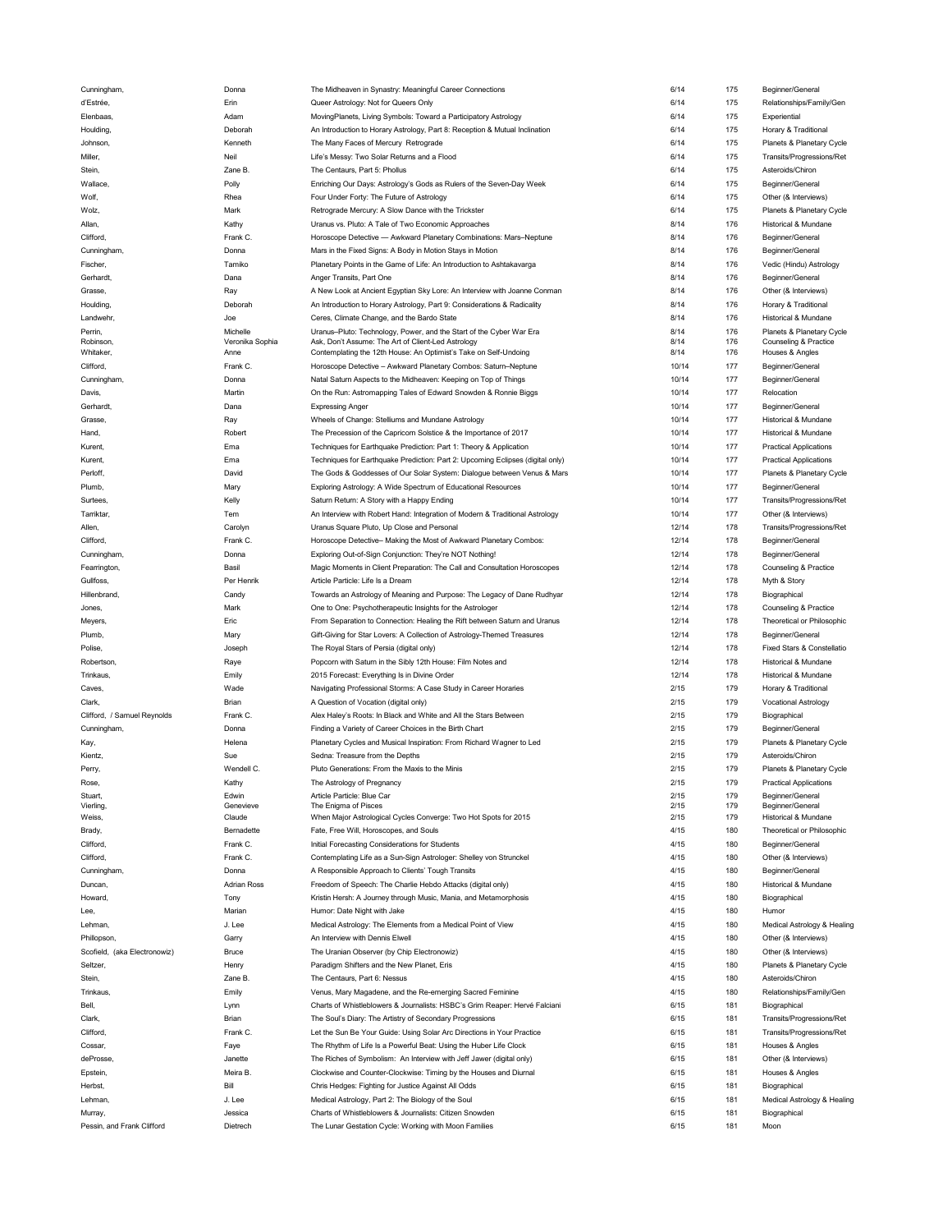| Cunningham,                           | Donna               | The Midheaven in Synastry: Meaningful Career Connections                                                         | 6/14         | 175        | Beginner/General              |
|---------------------------------------|---------------------|------------------------------------------------------------------------------------------------------------------|--------------|------------|-------------------------------|
| d'Estrée,                             | Erin                | Queer Astrology: Not for Queers Only                                                                             | 6/14         | 175        | Relationships/Family/Gen      |
| Elenbaas,                             | Adam                | MovingPlanets, Living Symbols: Toward a Participatory Astrology                                                  | 6/14         | 175        | Experiential                  |
| Houlding,                             |                     | An Introduction to Horary Astrology, Part 8: Reception & Mutual Inclination                                      | 6/14         | 175        | Horary & Traditional          |
|                                       | Deborah             |                                                                                                                  |              |            |                               |
| Johnson,                              | Kenneth             | The Many Faces of Mercury Retrograde                                                                             | 6/14         | 175        | Planets & Planetary Cycle     |
| Miller,                               | Neil                | Life's Messy: Two Solar Returns and a Flood                                                                      | 6/14         | 175        | Transits/Progressions/Ret     |
| Stein,                                | Zane B.             | The Centaurs, Part 5: Phollus                                                                                    | 6/14         | 175        | Asteroids/Chiron              |
| Wallace,                              | Polly               | Enriching Our Days: Astrology's Gods as Rulers of the Seven-Day Week                                             | 6/14         | 175        | Beginner/General              |
| Wolf,                                 | Rhea                | Four Under Forty: The Future of Astrology                                                                        | 6/14         | 175        | Other (& Interviews)          |
|                                       |                     |                                                                                                                  |              |            |                               |
| Wolz,                                 | Mark                | Retrograde Mercury: A Slow Dance with the Trickster                                                              | 6/14         | 175        | Planets & Planetary Cycle     |
| Allan,                                | Kathy               | Uranus vs. Pluto: A Tale of Two Economic Approaches                                                              | 8/14         | 176        | Historical & Mundane          |
| Clifford,                             | Frank C.            | Horoscope Detective - Awkward Planetary Combinations: Mars-Neptune                                               | 8/14         | 176        | Beginner/General              |
| Cunningham,                           | Donna               | Mars in the Fixed Signs: A Body in Motion Stays in Motion                                                        | 8/14         | 176        | Beginner/General              |
| Fischer,                              | Tamiko              | Planetary Points in the Game of Life: An Introduction to Ashtakavarga                                            | 8/14         | 176        | Vedic (Hindu) Astrology       |
| Gerhardt,                             | Dana                | Anger Transits, Part One                                                                                         | 8/14         | 176        | Beginner/General              |
|                                       |                     |                                                                                                                  |              |            |                               |
| Grasse,                               | Ray                 | A New Look at Ancient Egyptian Sky Lore: An Interview with Joanne Conman                                         | 8/14         | 176        | Other (& Interviews)          |
| Houlding,                             | Deborah             | An Introduction to Horary Astrology, Part 9: Considerations & Radicality                                         | 8/14         | 176        | Horary & Traditional          |
| Landwehr,                             | Joe                 | Ceres, Climate Change, and the Bardo State                                                                       | 8/14         | 176        | Historical & Mundane          |
| Perrin,                               | Michelle            | Uranus-Pluto: Technology, Power, and the Start of the Cyber War Era                                              | 8/14         | 176        | Planets & Planetary Cycle     |
| Robinson,                             | Veronika Sophia     | Ask, Don't Assume: The Art of Client-Led Astrology                                                               | 8/14         | 176        | Counseling & Practice         |
| Whitaker,                             | Anne                | Contemplating the 12th House: An Optimist's Take on Self-Undoing                                                 | 8/14         | 176        | Houses & Angles               |
| Clifford,                             | Frank C.            | Horoscope Detective - Awkward Planetary Combos: Saturn-Neptune                                                   | 10/14        | 177        | Beginner/General              |
|                                       |                     |                                                                                                                  | 10/14        | 177        | Beginner/General              |
| Cunningham,                           | Donna               | Natal Saturn Aspects to the Midheaven: Keeping on Top of Things                                                  |              |            |                               |
| Davis,                                | Martin              | On the Run: Astromapping Tales of Edward Snowden & Ronnie Biggs                                                  | 10/14        | 177        | Relocation                    |
| Gerhardt,                             | Dana                | <b>Expressing Anger</b>                                                                                          | 10/14        | 177        | Beginner/General              |
| Grasse,                               | Ray                 | Wheels of Change: Stelliums and Mundane Astrology                                                                | 10/14        | 177        | Historical & Mundane          |
| Hand,                                 | Robert              | The Precession of the Capricorn Solstice & the Importance of 2017                                                | 10/14        | 177        | Historical & Mundane          |
|                                       | Ema                 | Techniques for Earthquake Prediction: Part 1: Theory & Application                                               | 10/14        | 177        | <b>Practical Applications</b> |
| Kurent,                               |                     |                                                                                                                  |              |            |                               |
| Kurent,                               | Ema                 | Techniques for Earthquake Prediction: Part 2: Upcoming Eclipses (digital only)                                   | 10/14        | 177        | <b>Practical Applications</b> |
| Perloff,                              | David               | The Gods & Goddesses of Our Solar System: Dialogue between Venus & Mars                                          | 10/14        | 177        | Planets & Planetary Cycle     |
| Plumb,                                | Mary                | Exploring Astrology: A Wide Spectrum of Educational Resources                                                    | 10/14        | 177        | Beginner/General              |
| Surtees,                              | Kelly               | Saturn Return: A Story with a Happy Ending                                                                       | 10/14        | 177        | Transits/Progressions/Ret     |
| Tarriktar.                            | Tem                 | An Interview with Robert Hand: Integration of Modern & Traditional Astrology                                     | 10/14        | 177        | Other (& Interviews)          |
|                                       |                     |                                                                                                                  |              |            |                               |
| Allen,                                | Carolyn             | Uranus Square Pluto, Up Close and Personal                                                                       | 12/14        | 178        | Transits/Progressions/Ret     |
| Clifford,                             | Frank C.            | Horoscope Detective- Making the Most of Awkward Planetary Combos:                                                | 12/14        | 178        | Beginner/General              |
| Cunningham,                           | Donna               | Exploring Out-of-Sign Conjunction: They're NOT Nothing!                                                          | 12/14        | 178        | Beginner/General              |
| Fearrington,                          | Basil               | Magic Moments in Client Preparation: The Call and Consultation Horoscopes                                        | 12/14        | 178        | Counseling & Practice         |
| Gullfoss,                             | Per Henrik          | Article Particle: Life Is a Dream                                                                                | 12/14        | 178        | Myth & Story                  |
|                                       |                     |                                                                                                                  |              |            |                               |
| Hillenbrand,                          | Candy               | Towards an Astrology of Meaning and Purpose: The Legacy of Dane Rudhyar                                          | 12/14        | 178        | Biographical                  |
| Jones,                                | Mark                | One to One: Psychotherapeutic Insights for the Astrologer                                                        | 12/14        | 178        | Counseling & Practice         |
| Meyers,                               | Eric                | From Separation to Connection: Healing the Rift between Saturn and Uranus                                        | 12/14        | 178        | Theoretical or Philosophic    |
| Plumb,                                | Mary                | Gift-Giving for Star Lovers: A Collection of Astrology-Themed Treasures                                          | 12/14        | 178        | Beginner/General              |
| Polise,                               | Joseph              | The Royal Stars of Persia (digital only)                                                                         | 12/14        | 178        | Fixed Stars & Constellatio    |
|                                       |                     |                                                                                                                  |              |            |                               |
| Robertson,                            | Raye                | Popcorn with Saturn in the Sibly 12th House: Film Notes and                                                      | 12/14        | 178        | Historical & Mundane          |
| Trinkaus,                             | Emily               | 2015 Forecast: Everything Is in Divine Order                                                                     | 12/14        | 178        | Historical & Mundane          |
| Caves,                                | Wade                | Navigating Professional Storms: A Case Study in Career Horaries                                                  | 2/15         | 179        | Horary & Traditional          |
| Clark,                                | Brian               | A Question of Vocation (digital only)                                                                            | 2/15         | 179        | <b>Vocational Astrology</b>   |
| Clifford, / Samuel Reynolds           | Frank C.            | Alex Haley's Roots: In Black and White and All the Stars Between                                                 | 2/15         | 179        | Biographical                  |
|                                       | Donna               | Finding a Variety of Career Choices in the Birth Chart                                                           | 2/15         | 179        | Beginner/General              |
| Cunningham,                           |                     |                                                                                                                  |              |            |                               |
| Kay,                                  | Helena              | Planetary Cycles and Musical Inspiration: From Richard Wagner to Led                                             | 2/15         | 179        | Planets & Planetary Cycle     |
| Kientz,                               | Sue                 | Sedna: Treasure from the Depths                                                                                  | 2/15         | 179        | Asteroids/Chiron              |
| Perry,                                | Wendell C.          | Pluto Generations: From the Maxis to the Minis                                                                   | 2/15         | 179        | Planets & Planetary Cycle     |
| Rose,                                 | Kathy               | The Astrology of Pregnancy                                                                                       | 2/15         | 179        | <b>Proctical Annications</b>  |
| Stuart,                               | Edwin               | Article Particle: Blue Car                                                                                       | 2/15         | 179        | Beginner/General              |
| Vierling,                             | Genevieve           | The Enigma of Pisces                                                                                             | 2/15         | 179        | Beginner/General              |
| Weiss,                                | Claude              | When Major Astrological Cycles Converge: Two Hot Spots for 2015                                                  | 2/15         | 179        | Historical & Mundane          |
| Brady,                                | Bernadette          | Fate, Free Will, Horoscopes, and Souls                                                                           | 4/15         | 180        | Theoretical or Philosophic    |
|                                       |                     |                                                                                                                  |              |            |                               |
| Clifford,                             | Frank C.            | Initial Forecasting Considerations for Students                                                                  | 4/15         | 180        | Beginner/General              |
| Clifford,                             | Frank C.            | Contemplating Life as a Sun-Sign Astrologer: Shelley von Strunckel                                               | 4/15         | 180        | Other (& Interviews)          |
| Cunningham,                           | Donna               | A Responsible Approach to Clients' Tough Transits                                                                | 4/15         | 180        | Beginner/General              |
| Duncan,                               | <b>Adrian Ross</b>  | Freedom of Speech: The Charlie Hebdo Attacks (digital only)                                                      | 4/15         | 180        | Historical & Mundane          |
| Howard,                               | Tony                | Kristin Hersh: A Journey through Music, Mania, and Metamorphosis                                                 | 4/15         | 180        | Biographical                  |
|                                       |                     |                                                                                                                  |              |            |                               |
| Lee,                                  | Marian              | Humor: Date Night with Jake                                                                                      | 4/15         | 180        | Humor                         |
| Lehman,                               | J. Lee              | Medical Astrology: The Elements from a Medical Point of View                                                     | 4/15         | 180        | Medical Astrology & Healing   |
| Phillopson,                           | Garry               | An Interview with Dennis Elwell                                                                                  | 4/15         | 180        | Other (& Interviews)          |
| Scofield, (aka Electronowiz)          | Bruce               | The Uranian Observer (by Chip Electronowiz)                                                                      | 4/15         | 180        | Other (& Interviews)          |
| Seltzer,                              | Henry               | Paradigm Shifters and the New Planet, Eris                                                                       | 4/15         | 180        | Planets & Planetary Cycle     |
|                                       |                     | The Centaurs, Part 6: Nessus                                                                                     | 4/15         | 180        | Asteroids/Chiron              |
| Stein,                                | Zane B.             |                                                                                                                  |              |            |                               |
| Trinkaus.                             | Emily               | Venus, Mary Magadene, and the Re-emerging Sacred Feminine                                                        | 4/15         | 180        | Relationships/Family/Gen      |
| Bell,                                 | Lynn                | Charts of Whistleblowers & Journalists: HSBC's Grim Reaper: Hervé Falciani                                       | 6/15         | 181        | Biographical                  |
| Clark,                                | Brian               | The Soul's Diary: The Artistry of Secondary Progressions                                                         | 6/15         | 181        | Transits/Progressions/Ret     |
| Clifford,                             | Frank C.            | Let the Sun Be Your Guide: Using Solar Arc Directions in Your Practice                                           | 6/15         | 181        | Transits/Progressions/Ret     |
| Cossar.                               | Faye                | The Rhythm of Life Is a Powerful Beat: Using the Huber Life Clock                                                | 6/15         | 181        | Houses & Angles               |
|                                       |                     |                                                                                                                  |              |            |                               |
| deProsse,                             | Janette             | The Riches of Symbolism: An Interview with Jeff Jawer (digital only)                                             | 6/15         | 181        | Other (& Interviews)          |
| Epstein,                              | Meira B             | Clockwise and Counter-Clockwise: Timing by the Houses and Diurnal                                                | 6/15         | 181        | Houses & Angles               |
| Herbst,                               |                     |                                                                                                                  | 6/15         | 181        |                               |
|                                       | Bill                | Chris Hedges: Fighting for Justice Against All Odds                                                              |              |            | Biographical                  |
|                                       |                     |                                                                                                                  |              |            |                               |
| Lehman,                               | J. Lee              | Medical Astrology, Part 2: The Biology of the Soul                                                               | 6/15         | 181        | Medical Astrology & Healing   |
| Murray,<br>Pessin, and Frank Clifford | Jessica<br>Dietrech | Charts of Whistleblowers & Journalists: Citizen Snowden<br>The Lunar Gestation Cycle: Working with Moon Families | 6/15<br>6/15 | 181<br>181 | Biographical<br>Moon          |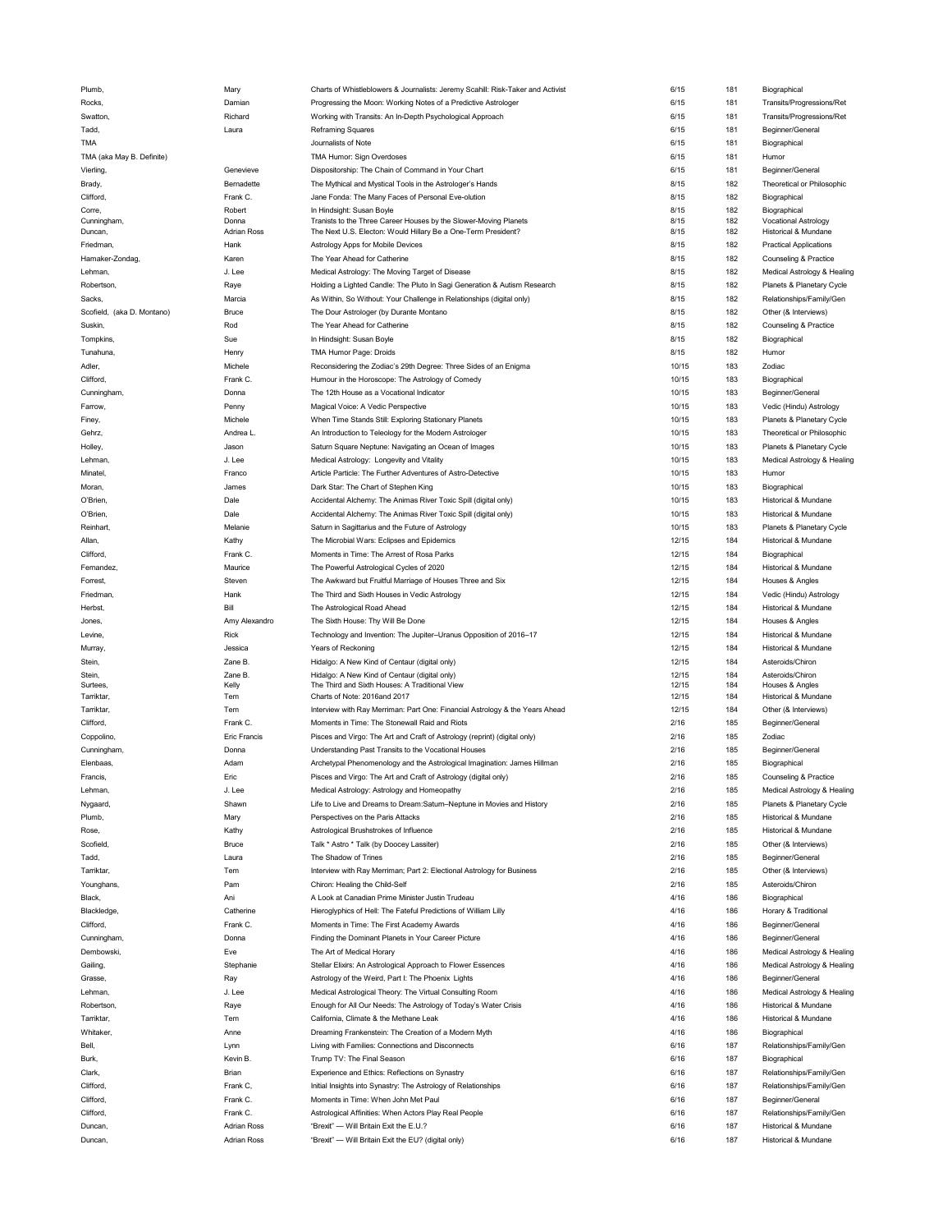| Plumb,                     | Mary                                     | Charts of Whistleblowers & Journalists: Jeremy Scahill: Risk-Taker and Activist                 | 6/15           | 181        | Biographical                                 |
|----------------------------|------------------------------------------|-------------------------------------------------------------------------------------------------|----------------|------------|----------------------------------------------|
| Rocks,                     | Damian                                   | Progressing the Moon: Working Notes of a Predictive Astrologer                                  | 6/15           | 181        | Transits/Progressions/Ret                    |
|                            |                                          |                                                                                                 |                |            |                                              |
| Swatton,                   | Richard                                  | Working with Transits: An In-Depth Psychological Approach                                       | 6/15           | 181        | Transits/Progressions/Ret                    |
| Tadd,                      | Laura                                    | <b>Reframing Squares</b>                                                                        | 6/15           | 181        | Beginner/General                             |
| TMA                        |                                          | Journalists of Note                                                                             | 6/15           | 181        | Biographical                                 |
| TMA (aka May B. Definite)  |                                          | TMA Humor: Sign Overdoses                                                                       | 6/15           | 181        |                                              |
|                            |                                          |                                                                                                 |                |            | Humor                                        |
| Vierling,                  | Genevieve                                | Dispositorship: The Chain of Command in Your Chart                                              | 6/15           | 181        | Beginner/General                             |
| Brady,                     | Bernadette                               | The Mythical and Mystical Tools in the Astrologer's Hands                                       | 8/15           | 182        | Theoretical or Philosophic                   |
| Clifford,                  | Frank C.                                 | Jane Fonda: The Many Faces of Personal Eve-olution                                              | 8/15           | 182        | Biographical                                 |
|                            |                                          |                                                                                                 |                |            |                                              |
| Corre,                     | Robert                                   | In Hindsight: Susan Boyle                                                                       | 8/15           | 182        | Biographical                                 |
| Cunningham,                | Donna                                    | Tranists to the Three Career Houses by the Slower-Moving Planets                                | 8/15           | 182        | <b>Vocational Astrology</b>                  |
| Duncan,                    | <b>Adrian Ross</b>                       | The Next U.S. Electon: Would Hillary Be a One-Term President?                                   | 8/15           | 182        | Historical & Mundane                         |
| Friedman,                  | Hank                                     | Astrology Apps for Mobile Devices                                                               | 8/15           | 182        | <b>Practical Applications</b>                |
| Hamaker-Zondag,            | Karen                                    | The Year Ahead for Catherine                                                                    | 8/15           | 182        | Counseling & Practice                        |
|                            | J. Lee                                   | Medical Astrology: The Moving Target of Disease                                                 | 8/15           | 182        | Medical Astrology & Healing                  |
| Lehman,                    |                                          |                                                                                                 |                |            |                                              |
| Robertson,                 | Raye                                     | Holding a Lighted Candle: The Pluto In Sagi Generation & Autism Research                        | 8/15           | 182        | Planets & Planetary Cycle                    |
| Sacks,                     | Marcia                                   | As Within, So Without: Your Challenge in Relationships (digital only)                           | 8/15           | 182        | Relationships/Family/Gen                     |
| Scofield, (aka D. Montano) | <b>Bruce</b>                             | The Dour Astrologer (by Durante Montano                                                         | 8/15           | 182        | Other (& Interviews)                         |
|                            |                                          |                                                                                                 |                |            |                                              |
| Suskin,                    | Rod                                      | The Year Ahead for Catherine                                                                    | 8/15           | 182        | Counseling & Practice                        |
| Tompkins,                  | Sue                                      | In Hindsight: Susan Boyle                                                                       | 8/15           | 182        | Biographical                                 |
| Tunahuna,                  | Henry                                    | TMA Humor Page: Droids                                                                          | 8/15           | 182        | Humor                                        |
|                            | Michele                                  |                                                                                                 | 10/15          | 183        | Zodiac                                       |
| Adler,                     |                                          | Reconsidering the Zodiac's 29th Degree: Three Sides of an Enigma                                |                |            |                                              |
| Clifford,                  | Frank C.                                 | Humour in the Horoscope: The Astrology of Comedy                                                | 10/15          | 183        | Biographical                                 |
| Cunningham,                | Donna                                    | The 12th House as a Vocational Indicator                                                        | 10/15          | 183        | Beginner/General                             |
| Farrow,                    | Penny                                    | Magical Voice: A Vedic Perspective                                                              | 10/15          | 183        | Vedic (Hindu) Astrology                      |
|                            |                                          |                                                                                                 |                |            |                                              |
| Finey,                     | Michele                                  | When Time Stands Still: Exploring Stationary Planets                                            | 10/15          | 183        | Planets & Planetary Cycle                    |
| Gehrz,                     | Andrea L                                 | An Introduction to Teleology for the Modern Astrologer                                          | 10/15          | 183        | Theoretical or Philosophic                   |
| Holley,                    | Jason                                    | Saturn Square Neptune: Navigating an Ocean of Images                                            | 10/15          | 183        | Planets & Planetary Cycle                    |
|                            |                                          |                                                                                                 |                |            |                                              |
| Lehman,                    | J. Lee                                   | Medical Astrology: Longevity and Vitality                                                       | 10/15          | 183        | Medical Astrology & Healing                  |
| Minatel,                   | Franco                                   | Article Particle: The Further Adventures of Astro-Detective                                     | 10/15          | 183        | Humor                                        |
| Moran.                     | James                                    | Dark Star: The Chart of Stephen King                                                            | 10/15          | 183        | Biographical                                 |
| O'Brien,                   | Dale                                     | Accidental Alchemy: The Animas River Toxic Spill (digital only)                                 | 10/15          | 183        | Historical & Mundane                         |
|                            |                                          |                                                                                                 |                |            |                                              |
| O'Brien,                   | Dale                                     | Accidental Alchemy: The Animas River Toxic Spill (digital only)                                 | 10/15          | 183        | Historical & Mundane                         |
| Reinhart,                  | Melanie                                  | Saturn in Sagittarius and the Future of Astrology                                               | 10/15          | 183        | Planets & Planetary Cycle                    |
| Allan,                     | Kathy                                    | The Microbial Wars: Eclipses and Epidemics                                                      | 12/15          | 184        | Historical & Mundane                         |
|                            |                                          |                                                                                                 |                |            |                                              |
| Clifford,                  | Frank C.                                 | Moments in Time: The Arrest of Rosa Parks                                                       | 12/15          | 184        | Biographical                                 |
| Fernandez,                 | Maurice                                  | The Powerful Astrological Cycles of 2020                                                        | 12/15          | 184        | Historical & Mundane                         |
| Forrest,                   | Steven                                   | The Awkward but Fruitful Marriage of Houses Three and Six                                       | 12/15          | 184        | Houses & Angles                              |
| Friedman,                  | Hank                                     | The Third and Sixth Houses in Vedic Astrology                                                   | 12/15          | 184        | Vedic (Hindu) Astrology                      |
|                            |                                          |                                                                                                 |                |            |                                              |
| Herbst,                    | Bill                                     | The Astrological Road Ahead                                                                     | 12/15          | 184        | Historical & Mundane                         |
|                            |                                          |                                                                                                 | 12/15          | 184        |                                              |
| Jones,                     | Amy Alexandro                            | The Sixth House: Thy Will Be Done                                                               |                |            | Houses & Angles                              |
|                            |                                          |                                                                                                 |                |            |                                              |
| Levine,                    | Rick                                     | Technology and Invention: The Jupiter-Uranus Opposition of 2016-17                              | 12/15          | 184        | Historical & Mundane                         |
| Murray,                    | Jessica                                  | Years of Reckoning                                                                              | 12/15          | 184        | Historical & Mundane                         |
| Stein,                     | Zane B.                                  | Hidalgo: A New Kind of Centaur (digital only)                                                   | 12/15          | 184        | Asteroids/Chiron                             |
|                            |                                          |                                                                                                 |                |            |                                              |
| Stein,                     | Zane B.                                  | Hidalgo: A New Kind of Centaur (digital only)<br>The Third and Sixth Houses: A Traditional View | 12/15<br>12/15 | 184<br>184 | Asteroids/Chiron                             |
| Surtees,                   | Kelly                                    |                                                                                                 |                |            | Houses & Angles                              |
| Tarriktar,                 | Tem                                      | Charts of Note: 2016and 2017                                                                    | 12/15          | 184        | Historical & Mundane                         |
| Tarriktar,                 | Tem                                      | Interview with Ray Merriman: Part One: Financial Astrology & the Years Ahead                    | 12/15          | 184        | Other (& Interviews)                         |
| Clifford,                  | Frank C.                                 | Moments in Time: The Stonewall Raid and Riots                                                   | 2/16           | 185        | Beginner/General                             |
|                            | Eric Francis                             | Pisces and Virgo: The Art and Craft of Astrology (reprint) (digital only)                       | 2/16           | 185        | Zodiac                                       |
| Coppolino,                 |                                          |                                                                                                 |                |            |                                              |
| Cunningham,                | Donna                                    | Understanding Past Transits to the Vocational Houses                                            | 2/16           | 185        | Beginner/General                             |
| Elenbaas,                  | Adam                                     | Archetypal Phenomenology and the Astrological Imagination: James Hillman                        | 2/16           | 185        | Biographical                                 |
| Francis,                   | Eric                                     | Pisces and Virgo: The Art and Craft of Astrology (digital only)                                 | 2/16           | 185        | Counseling & Practice                        |
|                            | J. Lee                                   |                                                                                                 |                |            |                                              |
| Lehman,                    |                                          | Medical Astrology: Astrology and Homeopathy                                                     | 2/16           | 185        | Medical Astrology & Healing                  |
| Nygaard,                   | Shawn                                    | Life to Live and Dreams to Dream:Saturn-Neptune in Movies and History                           | 2/16           | 185        | Planets & Planetary Cycle                    |
| Plumb,                     | Mary                                     | Perspectives on the Paris Attacks                                                               | 2/16           | 185        | Historical & Mundane                         |
| Rose,                      | Kathy                                    | Astrological Brushstrokes of Influence                                                          | 2/16           | 185        | Historical & Mundane                         |
| Scofield                   | <b>Bruce</b>                             |                                                                                                 |                |            |                                              |
|                            |                                          | Talk * Astro * Talk (by Doocey Lassiter)                                                        | 2/16           | 185        | Other (& Interviews)                         |
| Tadd,                      | Laura                                    | The Shadow of Trines                                                                            | 2/16           | 185        | Beginner/General                             |
| Tarriktar,                 | Tem                                      | Interview with Ray Merriman; Part 2: Electional Astrology for Business                          | 2/16           | 185        | Other (& Interviews)                         |
|                            |                                          | Chiron: Healing the Child-Self                                                                  |                |            |                                              |
| Younghans,                 | Pam                                      |                                                                                                 | 2/16           | 185        | Asteroids/Chiron                             |
| Black,                     | Ani                                      | A Look at Canadian Prime Minister Justin Trudeau                                                | 4/16           | 186        | Biographical                                 |
| Blackledge,                | Catherine                                | Hieroglyphics of Hell: The Fateful Predictions of William Lilly                                 | 4/16           | 186        | Horary & Traditional                         |
| Clifford,                  | Frank C.                                 | Moments in Time: The First Academy Awards                                                       | 4/16           | 186        | Beginner/General                             |
|                            |                                          |                                                                                                 |                |            |                                              |
| Cunningham,                | Donna                                    | Finding the Dominant Planets in Your Career Picture                                             | 4/16           | 186        | Beginner/General                             |
| Dembowski,                 | Eve                                      | The Art of Medical Horary                                                                       | 4/16           | 186        | Medical Astrology & Healing                  |
| Gailing,                   | Stephanie                                | Stellar Elixirs: An Astrological Approach to Flower Essences                                    | 4/16           | 186        | Medical Astrology & Healing                  |
| Grasse,                    |                                          | Astrology of the Weird, Part I: The Phoenix Lights                                              | 4/16           | 186        | Beginner/General                             |
|                            | Ray                                      |                                                                                                 |                |            |                                              |
| Lehman,                    | J. Lee                                   | Medical Astrological Theory: The Virtual Consulting Room                                        | 4/16           | 186        | Medical Astrology & Healing                  |
| Robertson,                 | Raye                                     | Enough for All Our Needs: The Astrology of Today's Water Crisis                                 | 4/16           | 186        | Historical & Mundane                         |
| Tarriktar,                 | Tem                                      | California, Climate & the Methane Leak                                                          | 4/16           | 186        | Historical & Mundane                         |
|                            |                                          |                                                                                                 |                |            |                                              |
| Whitaker,                  | Anne                                     | Dreaming Frankenstein: The Creation of a Modern Myth                                            | 4/16           | 186        | Biographical                                 |
| Bell,                      | Lynn                                     | Living with Families: Connections and Disconnects                                               | 6/16           | 187        | Relationships/Family/Gen                     |
| Burk,                      | Kevin B.                                 | Trump TV: The Final Season                                                                      | 6/16           | 187        | Biographical                                 |
|                            |                                          |                                                                                                 |                |            |                                              |
| Clark,                     | Brian                                    | Experience and Ethics: Reflections on Synastry                                                  | 6/16           | 187        | Relationships/Family/Gen                     |
| Clifford,                  | Frank C,                                 | Initial Insights into Synastry: The Astrology of Relationships                                  | 6/16           | 187        | Relationships/Family/Gen                     |
| Clifford,                  | Frank C.                                 | Moments in Time: When John Met Paul                                                             | 6/16           | 187        | Beginner/General                             |
| Clifford,                  | Frank C.                                 | Astrological Affinities: When Actors Play Real People                                           | 6/16           | 187        | Relationships/Family/Gen                     |
|                            |                                          |                                                                                                 |                |            |                                              |
| Duncan,<br>Duncan,         | <b>Adrian Ross</b><br><b>Adrian Ross</b> | "Brexit" - Will Britain Exit the E.U.?<br>"Brexit" - Will Britain Exit the EU? (digital only)   | 6/16<br>6/16   | 187<br>187 | Historical & Mundane<br>Historical & Mundane |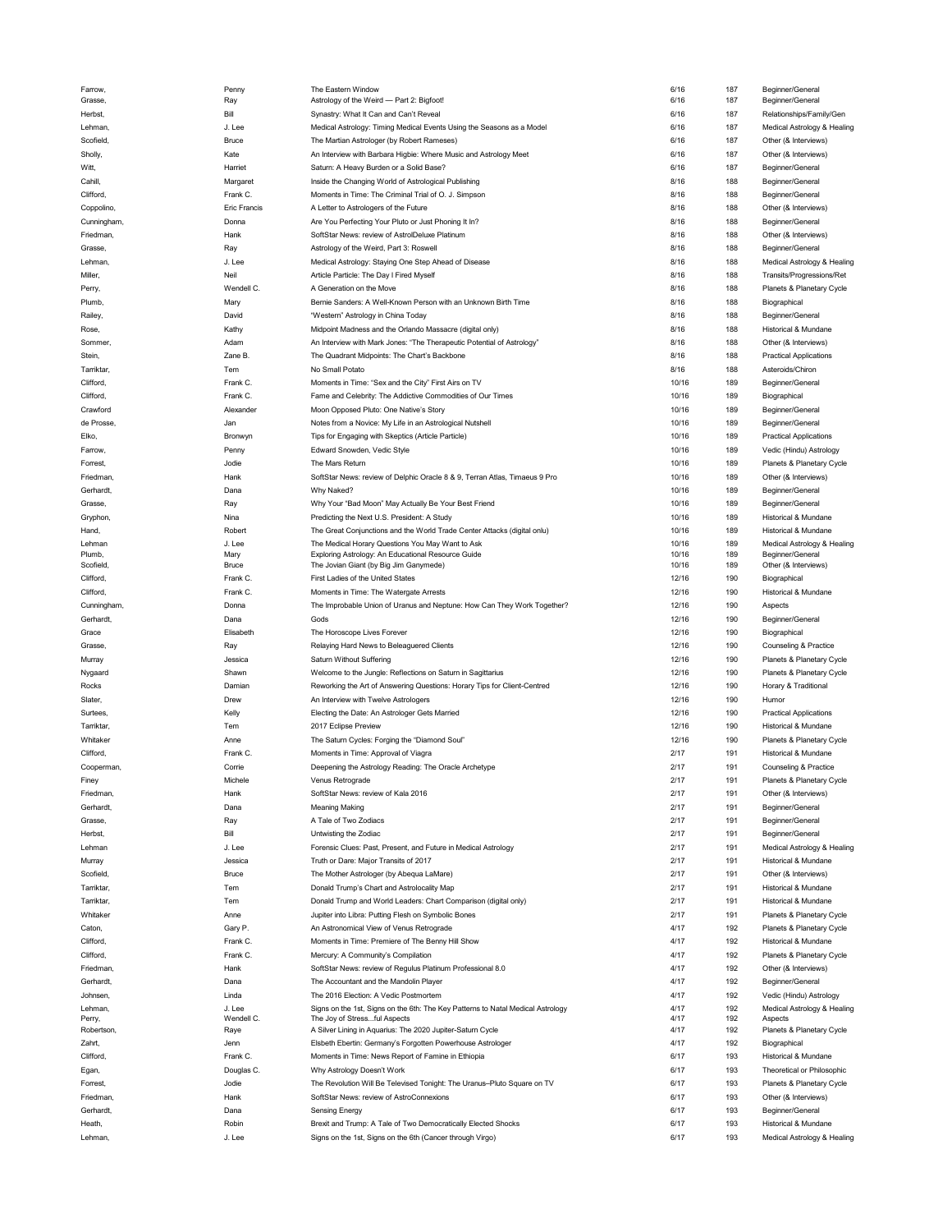| Farrow,     | Penny        | The Eastern Window                                                              | 6/16  | 187 | Beginner/General              |
|-------------|--------------|---------------------------------------------------------------------------------|-------|-----|-------------------------------|
| Grasse,     | Ray          | Astrology of the Weird - Part 2: Bigfoot!                                       | 6/16  | 187 | Beginner/General              |
| Herbst,     | Bill         | Synastry: What It Can and Can't Reveal                                          | 6/16  | 187 | Relationships/Family/Gen      |
| Lehman,     | J. Lee       | Medical Astrology: Timing Medical Events Using the Seasons as a Model           | 6/16  | 187 | Medical Astrology & Healing   |
| Scofield,   | <b>Bruce</b> | The Martian Astrologer (by Robert Rameses)                                      | 6/16  | 187 | Other (& Interviews)          |
| Sholly,     | Kate         | An Interview with Barbara Higbie: Where Music and Astrology Meet                | 6/16  | 187 | Other (& Interviews)          |
| Witt,       | Harriet      |                                                                                 | 6/16  | 187 |                               |
|             |              | Saturn: A Heavy Burden or a Solid Base?                                         |       |     | Beginner/General              |
| Cahill,     | Margaret     | Inside the Changing World of Astrological Publishing                            | 8/16  | 188 | Beginner/General              |
| Clifford,   | Frank C.     | Moments in Time: The Criminal Trial of O. J. Simpson                            | 8/16  | 188 | Beginner/General              |
| Coppolino,  | Eric Francis | A Letter to Astrologers of the Future                                           | 8/16  | 188 | Other (& Interviews)          |
| Cunningham, | Donna        | Are You Perfecting Your Pluto or Just Phoning It In?                            | 8/16  | 188 | Beginner/General              |
| Friedman,   | Hank         | SoftStar News: review of AstrolDeluxe Platinum                                  | 8/16  | 188 | Other (& Interviews)          |
|             |              |                                                                                 |       |     |                               |
| Grasse,     | Ray          | Astrology of the Weird, Part 3: Roswell                                         | 8/16  | 188 | Beginner/General              |
| Lehman,     | J. Lee       | Medical Astrology: Staying One Step Ahead of Disease                            | 8/16  | 188 | Medical Astrology & Healing   |
| Miller,     | Neil         | Article Particle: The Day I Fired Myself                                        | 8/16  | 188 | Transits/Progressions/Ret     |
| Perry,      | Wendell C.   | A Generation on the Move                                                        | 8/16  | 188 | Planets & Planetary Cycle     |
| Plumb,      | Mary         | Bernie Sanders: A Well-Known Person with an Unknown Birth Time                  | 8/16  | 188 | Biographical                  |
| Railey,     | David        | "Western" Astrology in China Today                                              | 8/16  | 188 | Beginner/General              |
|             |              |                                                                                 |       |     |                               |
| Rose,       | Kathy        | Midpoint Madness and the Orlando Massacre (digital only)                        | 8/16  | 188 | Historical & Mundane          |
| Sommer,     | Adam         | An Interview with Mark Jones: "The Therapeutic Potential of Astrology"          | 8/16  | 188 | Other (& Interviews)          |
| Stein,      | Zane B.      | The Quadrant Midpoints: The Chart's Backbone                                    | 8/16  | 188 | <b>Practical Applications</b> |
| Tarriktar,  | Tem          | No Small Potato                                                                 | 8/16  | 188 | Asteroids/Chiron              |
| Clifford,   | Frank C.     | Moments in Time: "Sex and the City" First Airs on TV                            | 10/16 | 189 | Beginner/General              |
| Clifford,   | Frank C.     | Fame and Celebrity: The Addictive Commodities of Our Times                      | 10/16 | 189 | Biographical                  |
|             |              |                                                                                 |       |     |                               |
| Crawford    | Alexander    | Moon Opposed Pluto: One Native's Story                                          | 10/16 | 189 | Beginner/General              |
| de Prosse,  | Jan          | Notes from a Novice: My Life in an Astrological Nutshell                        | 10/16 | 189 | Beginner/General              |
| Elko,       | Bronwyn      | Tips for Engaging with Skeptics (Article Particle)                              | 10/16 | 189 | <b>Practical Applications</b> |
| Farrow.     | Penny        | Edward Snowden, Vedic Style                                                     | 10/16 | 189 | Vedic (Hindu) Astrology       |
| Forrest,    | Jodie        | The Mars Return                                                                 | 10/16 | 189 | Planets & Planetary Cycle     |
|             |              |                                                                                 |       |     |                               |
| Friedman,   | Hank         | SoftStar News: review of Delphic Oracle 8 & 9, Terran Atlas, Timaeus 9 Pro      | 10/16 | 189 | Other (& Interviews)          |
| Gerhardt,   | Dana         | Why Naked?                                                                      | 10/16 | 189 | Beginner/General              |
| Grasse,     | Ray          | Why Your "Bad Moon" May Actually Be Your Best Friend                            | 10/16 | 189 | Beginner/General              |
| Gryphon,    | Nina         | Predicting the Next U.S. President: A Study                                     | 10/16 | 189 | Historical & Mundane          |
| Hand,       | Robert       | The Great Conjunctions and the World Trade Center Attacks (digital onlu)        | 10/16 | 189 | Historical & Mundane          |
| Lehman      | J. Lee       | The Medical Horary Questions You May Want to Ask                                | 10/16 | 189 | Medical Astrology & Healing   |
| Plumb,      | Mary         | Exploring Astrology: An Educational Resource Guide                              | 10/16 | 189 | Beginner/General              |
| Scofield,   | Bruce        | The Jovian Giant (by Big Jim Ganymede)                                          | 10/16 | 189 | Other (& Interviews)          |
| Clifford,   | Frank C.     | First Ladies of the United States                                               | 12/16 | 190 | Biographical                  |
|             |              |                                                                                 |       |     |                               |
| Clifford,   | Frank C.     | Moments in Time: The Watergate Arrests                                          | 12/16 | 190 | Historical & Mundane          |
| Cunningham, | Donna        | The Improbable Union of Uranus and Neptune: How Can They Work Together?         | 12/16 | 190 | Aspects                       |
|             |              |                                                                                 |       |     |                               |
| Gerhardt,   | Dana         | Gods                                                                            | 12/16 | 190 | Beginner/General              |
| Grace       | Elisabeth    |                                                                                 | 12/16 | 190 |                               |
|             |              | The Horoscope Lives Forever                                                     |       |     | Biographical                  |
| Grasse.     | Ray          | Relaying Hard News to Beleaguered Clients                                       | 12/16 | 190 | Counseling & Practice         |
| Murray      | Jessica      | Saturn Without Suffering                                                        | 12/16 | 190 | Planets & Planetary Cycle     |
| Nygaard     | Shawn        | Welcome to the Jungle: Reflections on Saturn in Sagittarius                     | 12/16 | 190 | Planets & Planetary Cycle     |
| Rocks       | Damian       | Reworking the Art of Answering Questions: Horary Tips for Client-Centred        | 12/16 | 190 | Horary & Traditional          |
| Slater,     | Drew         | An Interview with Twelve Astrologers                                            | 12/16 | 190 | Humor                         |
|             |              |                                                                                 |       |     |                               |
| Surtees,    | Kelly        | Electing the Date: An Astrologer Gets Married                                   | 12/16 | 190 | <b>Practical Applications</b> |
| Tarriktar,  | Tem          | 2017 Eclipse Preview                                                            | 12/16 | 190 | Historical & Mundane          |
| Whitaker    | Anne         | The Saturn Cycles: Forging the "Diamond Soul"                                   | 12/16 | 190 | Planets & Planetary Cycle     |
| Clifford,   | Frank C.     | Moments in Time: Approval of Viagra                                             | 2/17  | 191 | Historical & Mundane          |
| Cooperman,  | Corrie       | Deepening the Astrology Reading: The Oracle Archetype                           | 2/17  | 191 | Counseling & Practice         |
| Finey       | Michele      | Venus Retrograde                                                                | 2/17  | 191 |                               |
|             |              |                                                                                 |       |     | Planets & Planetary Cycle     |
| Friedman,   | Hank         | SoftStar News: review of Kala 2016                                              | 2/17  | 191 | Other (& Interviews)          |
| Gerhardt,   | Dana         | <b>Meaning Making</b>                                                           | 2/17  | 191 | Beginner/General              |
| Grasse,     | Ray          | A Tale of Two Zodiacs                                                           | 2/17  | 191 | Beginner/General              |
| Herbst,     | Bill         | Untwisting the Zodiac                                                           | 2/17  | 191 | Beginner/General              |
| Lehman      | J. Lee       | Forensic Clues: Past, Present, and Future in Medical Astrology                  | 2/17  | 191 | Medical Astrology & Healing   |
| Murray      | Jessica      | Truth or Dare: Major Transits of 2017                                           | 2/17  | 191 | Historical & Mundane          |
|             |              |                                                                                 |       |     |                               |
| Scofield,   | Bruce        | The Mother Astrologer (by Abequa LaMare)                                        | 2/17  | 191 | Other (& Interviews)          |
| Tarriktar,  | Tem          | Donald Trump's Chart and Astrolocality Map                                      | 2/17  | 191 | Historical & Mundane          |
| Tarriktar,  | Tem          | Donald Trump and World Leaders: Chart Comparison (digital only)                 | 2/17  | 191 | Historical & Mundane          |
| Whitaker    | Anne         | Jupiter into Libra: Putting Flesh on Symbolic Bones                             | 2/17  | 191 | Planets & Planetary Cycle     |
| Caton.      | Gary P.      | An Astronomical View of Venus Retrograde                                        | 4/17  | 192 | Planets & Planetary Cycle     |
|             |              |                                                                                 |       |     |                               |
| Clifford,   | Frank C.     | Moments in Time: Premiere of The Benny Hill Show                                | 4/17  | 192 | Historical & Mundane          |
| Clifford,   | Frank C.     | Mercury: A Community's Compilation                                              | 4/17  | 192 | Planets & Planetary Cycle     |
| Friedman,   | Hank         | SoftStar News: review of Regulus Platinum Professional 8.0                      | 4/17  | 192 | Other (& Interviews)          |
| Gerhardt,   | Dana         | The Accountant and the Mandolin Player                                          | 4/17  | 192 | Beginner/General              |
| Johnsen,    | Linda        | The 2016 Election: A Vedic Postmortem                                           | 4/17  | 192 | Vedic (Hindu) Astrology       |
| Lehman,     | J. Lee       | Signs on the 1st, Signs on the 6th: The Key Patterns to Natal Medical Astrology | 4/17  | 192 | Medical Astrology & Healing   |
| Perry,      | Wendell C.   | The Joy of Stressful Aspects                                                    | 4/17  | 192 | Aspects                       |
| Robertson,  | Raye         | A Silver Lining in Aquarius: The 2020 Jupiter-Saturn Cycle                      | 4/17  | 192 | Planets & Planetary Cycle     |
| Zahrt.      | Jenn         | Elsbeth Ebertin: Germany's Forgotten Powerhouse Astrologer                      | 4/17  | 192 | Biographical                  |
|             |              |                                                                                 |       |     |                               |
| Clifford,   | Frank C.     | Moments in Time: News Report of Famine in Ethiopia                              | 6/17  | 193 | Historical & Mundane          |
| Egan,       | Douglas C.   | Why Astrology Doesn't Work                                                      | 6/17  | 193 | Theoretical or Philosophic    |
| Forrest,    | Jodie        | The Revolution Will Be Televised Tonight: The Uranus-Pluto Square on TV         | 6/17  | 193 | Planets & Planetary Cycle     |
| Friedman,   | Hank         | SoftStar News: review of AstroConnexions                                        | 6/17  | 193 | Other (& Interviews)          |
| Gerhardt,   | Dana         | <b>Sensing Energy</b>                                                           | 6/17  | 193 | Beginner/General              |
| Heath,      | Robin        | Brexit and Trump: A Tale of Two Democratically Elected Shocks                   | 6/17  | 193 | Historical & Mundane          |
| Lehman,     | J. Lee       | Signs on the 1st, Signs on the 6th (Cancer through Virgo)                       | 6/17  | 193 | Medical Astrology & Healing   |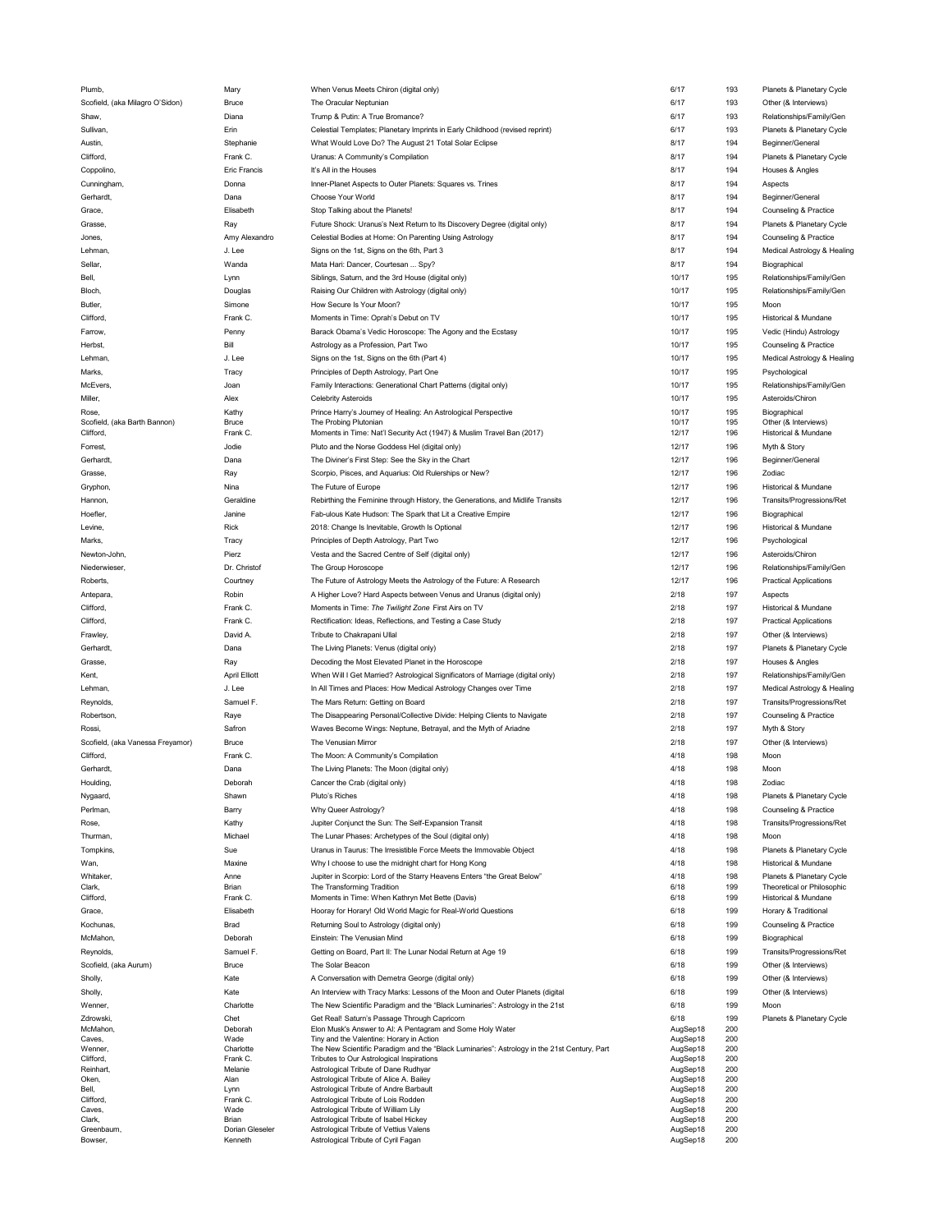| Plumb,                           | Mary                 | When Venus Meets Chiron (digital only)                                                                | 6/17                 | 193        | Planets & Planetary Cycle     |
|----------------------------------|----------------------|-------------------------------------------------------------------------------------------------------|----------------------|------------|-------------------------------|
| Scofield, (aka Milagro O'Sidon)  | Bruce                | The Oracular Neptunian                                                                                | 6/17                 | 193        | Other (& Interviews)          |
| Shaw.                            | Diana                | Trump & Putin: A True Bromance?                                                                       | 6/17                 | 193        | Relationships/Family/Gen      |
| Sullivan                         | Erin                 | Celestial Templates; Planetary Imprints in Early Childhood (revised reprint)                          | 6/17                 | 193        | Planets & Planetary Cycle     |
|                                  |                      |                                                                                                       |                      |            |                               |
| Austin,                          | Stephanie            | What Would Love Do? The August 21 Total Solar Eclipse                                                 | 8/17                 | 194        | Beginner/General              |
| Clifford,                        | Frank C.             | Uranus: A Community's Compilation                                                                     | 8/17                 | 194        | Planets & Planetary Cycle     |
| Coppolino,                       | <b>Eric Francis</b>  | It's All in the Houses                                                                                | 8/17                 | 194        | Houses & Angles               |
| Cunningham,                      | Donna                | Inner-Planet Aspects to Outer Planets: Squares vs. Trines                                             | 8/17                 | 194        | Aspects                       |
| Gerhardt,                        | Dana                 | Choose Your World                                                                                     | 8/17                 | 194        | Beginner/General              |
| Grace,                           | Elisabeth            | Stop Talking about the Planets!                                                                       | 8/17                 | 194        | Counseling & Practice         |
|                                  |                      |                                                                                                       |                      |            |                               |
| Grasse,                          | Ray                  | Future Shock: Uranus's Next Return to Its Discovery Degree (digital only)                             | 8/17                 | 194        | Planets & Planetary Cycle     |
| Jones,                           | Amy Alexandro        | Celestial Bodies at Home: On Parenting Using Astrology                                                | 8/17                 | 194        | Counseling & Practice         |
| Lehman,                          | J. Lee               | Signs on the 1st, Signs on the 6th, Part 3                                                            | 8/17                 | 194        | Medical Astrology & Healing   |
| Sellar,                          | Wanda                | Mata Hari: Dancer, Courtesan  Spy?                                                                    | 8/17                 | 194        | Biographical                  |
| Bell,                            | Lynn                 | Siblings, Saturn, and the 3rd House (digital only)                                                    | 10/17                | 195        | Relationships/Family/Gen      |
|                                  |                      |                                                                                                       | 10/17                | 195        | Relationships/Family/Gen      |
| Bloch,                           | Douglas              | Raising Our Children with Astrology (digital only)                                                    |                      |            |                               |
| Butler,                          | Simone               | How Secure Is Your Moon?                                                                              | 10/17                | 195        | Moon                          |
| Clifford,                        | Frank C.             | Moments in Time: Oprah's Debut on TV                                                                  | 10/17                | 195        | Historical & Mundane          |
| Farrow                           | Penny                | Barack Obama's Vedic Horoscope: The Agony and the Ecstasy                                             | 10/17                | 195        | Vedic (Hindu) Astrology       |
| Herbst,                          | Bill                 | Astrology as a Profession, Part Two                                                                   | 10/17                | 195        | Counseling & Practice         |
| Lehman,                          | J. Lee               | Signs on the 1st, Signs on the 6th (Part 4)                                                           | 10/17                | 195        | Medical Astrology & Healing   |
|                                  |                      |                                                                                                       |                      |            |                               |
| Marks,                           | Tracy                | Principles of Depth Astrology, Part One                                                               | 10/17                | 195        | Psychological                 |
| McEvers,                         | Joan                 | Family Interactions: Generational Chart Patterns (digital only)                                       | 10/17                | 195        | Relationships/Family/Gen      |
| Miller,                          | Alex                 | <b>Celebrity Asteroids</b>                                                                            | 10/17                | 195        | Asteroids/Chiron              |
| Rose,                            | Kathy                | Prince Harry's Journey of Healing: An Astrological Perspective                                        | 10/17                | 195        | Biographical                  |
| Scofield, (aka Barth Bannon)     | Bruce                | The Probing Plutonian                                                                                 | 10/17                | 195        | Other (& Interviews)          |
| Clifford,                        | Frank C.             | Moments in Time: Nat'l Security Act (1947) & Muslim Travel Ban (2017)                                 | 12/17                | 196        | Historical & Mundane          |
| Forrest,                         | Jodie                | Pluto and the Norse Goddess Hel (digital only)                                                        | 12/17                | 196        | Myth & Story                  |
| Gerhardt,                        | Dana                 | The Diviner's First Step: See the Sky in the Chart                                                    | 12/17                | 196        | Beginner/General              |
|                                  |                      |                                                                                                       |                      |            |                               |
| Grasse,                          | Ray                  | Scorpio, Pisces, and Aquarius: Old Rulerships or New?                                                 | 12/17                | 196        | Zodiac                        |
| Gryphon,                         | Nina                 | The Future of Europe                                                                                  | 12/17                | 196        | Historical & Mundane          |
| Hannon,                          | Geraldine            | Rebirthing the Feminine through History, the Generations, and Midlife Transits                        | 12/17                | 196        | Transits/Progressions/Ret     |
| Hoefler,                         | Janine               | Fab-ulous Kate Hudson: The Spark that Lit a Creative Empire                                           | 12/17                | 196        | Biographical                  |
| Levine,                          | Rick                 | 2018: Change Is Inevitable, Growth Is Optional                                                        | 12/17                | 196        | Historical & Mundane          |
| Marks,                           | Tracy                | Principles of Depth Astrology, Part Two                                                               | 12/17                | 196        | Psychological                 |
|                                  |                      |                                                                                                       |                      |            |                               |
| Newton-John,                     | Pierz                | Vesta and the Sacred Centre of Self (digital only)                                                    | 12/17                | 196        | Asteroids/Chiron              |
| Niederwieser,                    | Dr. Christof         | The Group Horoscope                                                                                   | 12/17                | 196        | Relationships/Family/Gen      |
| Roberts,                         | Courtney             | The Future of Astrology Meets the Astrology of the Future: A Research                                 | 12/17                | 196        | <b>Practical Applications</b> |
| Antepara,                        | Robin                | A Higher Love? Hard Aspects between Venus and Uranus (digital only)                                   | 2/18                 | 197        | Aspects                       |
| Clifford,                        | Frank C.             | Moments in Time: The Twilight Zone First Airs on TV                                                   | 2/18                 | 197        | Historical & Mundane          |
|                                  |                      |                                                                                                       |                      |            |                               |
| Clifford,                        | Frank C.             | Rectification: Ideas, Reflections, and Testing a Case Study                                           | 2/18                 | 197        | <b>Practical Applications</b> |
| Frawley,                         | David A              | Tribute to Chakrapani Ullal                                                                           | 2/18                 | 197        | Other (& Interviews)          |
| Gerhardt,                        | Dana                 | The Living Planets: Venus (digital only)                                                              | 2/18                 | 197        | Planets & Planetary Cycle     |
| Grasse                           | Ray                  | Decoding the Most Elevated Planet in the Horoscope                                                    | 2/18                 | 197        | Houses & Angles               |
| Kent,                            | <b>April Elliott</b> | When Will I Get Married? Astrological Significators of Marriage (digital only)                        | 2/18                 | 197        | Relationships/Family/Gen      |
|                                  |                      | In All Times and Places: How Medical Astrology Changes over Time                                      | 2/18                 | 197        | Medical Astrology & Healing   |
| Lehman,                          | J. Lee               |                                                                                                       |                      |            |                               |
| Reynolds,                        | Samuel F.            | The Mars Return: Getting on Board                                                                     | 2/18                 | 197        | Transits/Progressions/Ret     |
| Robertson                        | Raye                 | The Disappearing Personal/Collective Divide: Helping Clients to Navigate                              | 2/18                 | 197        | Counseling & Practice         |
| Rossi,                           | Safron               | Waves Become Wings: Neptune, Betrayal, and the Myth of Ariadne                                        | 2/18                 | 197        | Myth & Story                  |
| Scofield, (aka Vanessa Freyamor) | Bruce                | The Venusian Mirror                                                                                   | 2/18                 | 197        | Other (& Interviews)          |
| Clifford,                        | Frank C.             | The Moon: A Community's Compilation                                                                   | 4/18                 | 198        | Moon                          |
|                                  |                      |                                                                                                       |                      |            |                               |
| Gerhardt,                        | Dana                 | The Living Planets: The Moon (digital only)                                                           | 4/18                 | 198        | Moon                          |
| Houlding                         | Deborah              | Cancer the Crab (digital only)                                                                        | 4/18                 | 198        | Zodiac                        |
| Nygaard,                         | Shawn                | Pluto's Riches                                                                                        | 4/18                 | 198        | Planets & Planetary Cycle     |
| Perlman,                         | Barry                | Why Queer Astrology?                                                                                  | 4/18                 | 198        | Counseling & Practice         |
| Rose,                            | Kathy                | Jupiter Conjunct the Sun: The Self-Expansion Transit                                                  | 4/18                 | 198        | Transits/Progressions/Ret     |
| Thurman,                         | Michael              | The Lunar Phases: Archetypes of the Soul (digital only)                                               | 4/18                 | 198        | Moon                          |
|                                  |                      |                                                                                                       |                      |            |                               |
| Tompkins,                        | Sue                  | Uranus in Taurus: The Irresistible Force Meets the Immovable Object                                   | 4/18                 | 198        | Planets & Planetary Cycle     |
| Wan,                             | Maxine               | Why I choose to use the midnight chart for Hong Kong                                                  | 4/18                 | 198        | Historical & Mundane          |
| Whitaker,                        | Anne                 | Jupiter in Scorpio: Lord of the Starry Heavens Enters "the Great Below"                               | 4/18                 | 198        | Planets & Planetary Cycle     |
| Clark,                           | Brian                | The Transforming Tradition                                                                            | 6/18                 | 199        | Theoretical or Philosophic    |
| Clifford,                        | Frank C.             | Moments in Time: When Kathryn Met Bette (Davis)                                                       | 6/18                 | 199        | Historical & Mundane          |
| Grace,                           | Elisabeth            | Hooray for Horary! Old World Magic for Real-World Questions                                           | 6/18                 | 199        | Horary & Traditional          |
| Kochunas,                        | Brad                 | Returning Soul to Astrology (digital only)                                                            | 6/18                 | 199        | Counseling & Practice         |
|                                  |                      | Einstein: The Venusian Mind                                                                           |                      |            |                               |
| McMahon,                         | Deborah              |                                                                                                       | 6/18                 | 199        | Biographical                  |
| Reynolds,                        | Samuel F.            | Getting on Board, Part II: The Lunar Nodal Return at Age 19                                           | 6/18                 | 199        | Transits/Progressions/Ret     |
| Scofield, (aka Aurum)            | Bruce                | The Solar Beacon                                                                                      | 6/18                 | 199        | Other (& Interviews)          |
| Sholly,                          | Kate                 | A Conversation with Demetra George (digital only)                                                     | 6/18                 | 199        | Other (& Interviews)          |
| Sholly,                          | Kate                 | An Interview with Tracy Marks: Lessons of the Moon and Outer Planets (digital                         | 6/18                 | 199        | Other (& Interviews)          |
| Wenner,                          | Charlotte            | The New Scientific Paradigm and the "Black Luminaries": Astrology in the 21st                         | 6/18                 | 199        | Moon                          |
|                                  |                      |                                                                                                       |                      |            |                               |
| Zdrowski,                        | Chet<br>Deborah      | Get Real! Saturn's Passage Through Capricorn                                                          | 6/18                 | 199<br>200 | Planets & Planetary Cycle     |
| McMahon,<br>Caves,               | Wade                 | Elon Musk's Answer to AI: A Pentagram and Some Holy Water<br>Tiny and the Valentine: Horary in Action | AugSep18<br>AugSep18 | 200        |                               |
| Wenner,                          | Charlotte            | The New Scientific Paradigm and the "Black Luminaries": Astrology in the 21st Century, Part           | AugSep18             | 200        |                               |
| Clifford,                        | Frank C.             | Tributes to Our Astrological Inspirations                                                             | AugSep18             | 200        |                               |
| Reinhart,                        | Melanie              | Astrological Tribute of Dane Rudhyar                                                                  | AugSep18             | 200        |                               |
| Oken,                            | Alan                 | Astrological Tribute of Alice A. Bailey                                                               | AugSep18             | 200        |                               |
| Bell,                            | Lynn                 | Astrological Tribute of Andre Barbault                                                                | AugSep18             | 200        |                               |
| Clifford,                        | Frank C.             | Astrological Tribute of Lois Rodden                                                                   | AugSep18             | 200        |                               |
| Caves,                           | Wade                 | Astrological Tribute of William Lily                                                                  | AugSep18             | 200        |                               |
| Clark,                           | Brian                | Astrological Tribute of Isabel Hickey                                                                 | AugSep18             | 200        |                               |
| Greenbaum,                       | Dorian Gleseler      | Astrological Tribute of Vettius Valens                                                                | AugSep18             | 200        |                               |
| Bowser                           | Kenneth              | Astrological Tribute of Cyril Fagan                                                                   | AugSep18             | 200        |                               |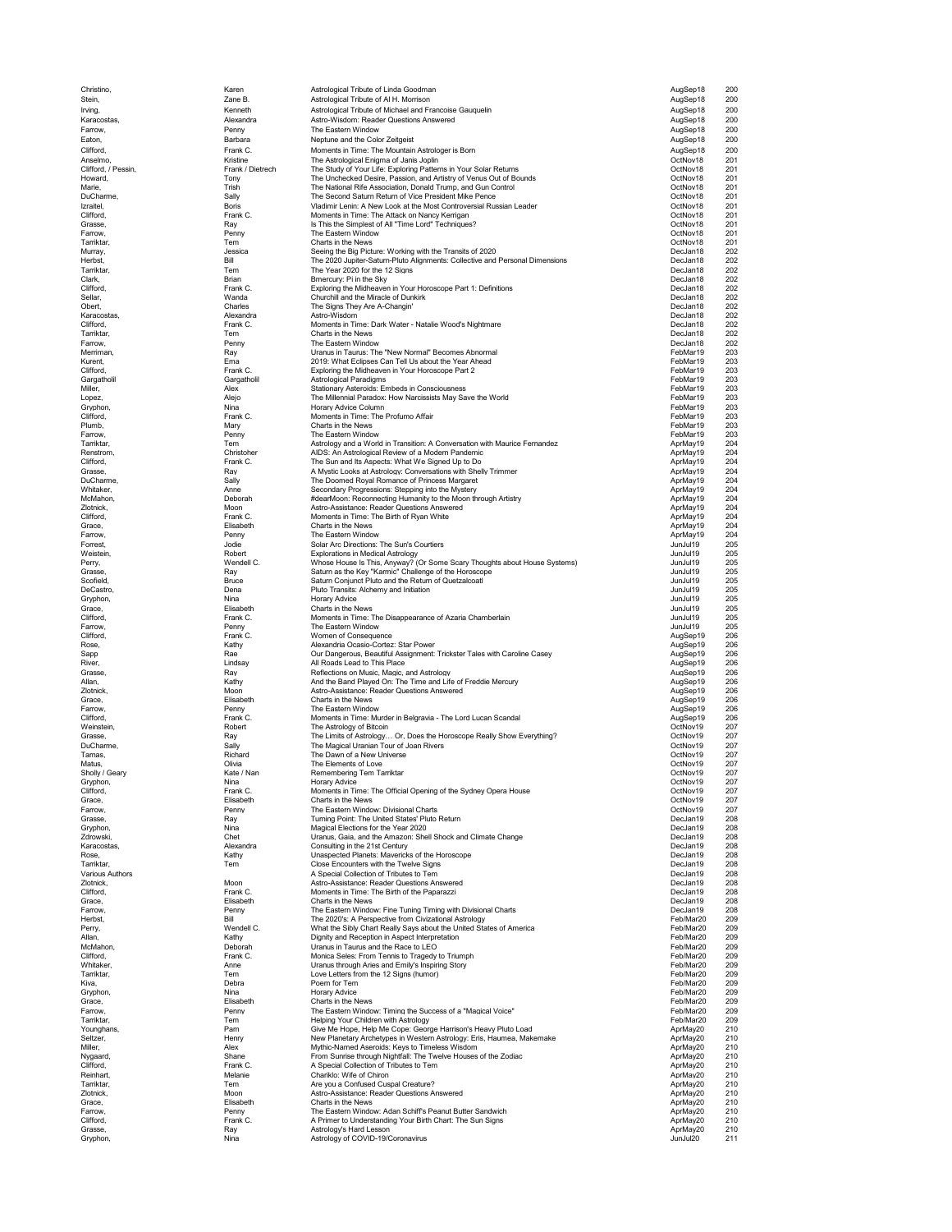| Christino,                 | Karen                  | Astrological Tribute of Linda Goodman                                                                                              | AugSep18               | 200                    |
|----------------------------|------------------------|------------------------------------------------------------------------------------------------------------------------------------|------------------------|------------------------|
| Stein,                     | Zane B.                | Astrological Tribute of Al H. Morrison                                                                                             | AugSep18               | 200                    |
| Irving,                    | Kenneth                | Astrological Tribute of Michael and Francoise Gauquelin                                                                            | AugSep18               | 200                    |
| Karacostas,<br>Farrow,     | Alexandra<br>Penny     | Astro-Wisdom: Reader Questions Answered<br>The Eastern Window                                                                      | AugSep18<br>AugSep18   | 200<br>200             |
| Eaton,                     | Barbara                | Neptune and the Color Zeitgeist                                                                                                    | AugSep18               | 200                    |
| Clifford,                  | Frank C.               | Moments in Time: The Mountain Astrologer is Born                                                                                   | AugSep18               | 200                    |
| Anselmo,                   | Kristine               | The Astrological Enigma of Janis Joplin                                                                                            | OctNov18               | 201                    |
| Clifford, / Pessin,        | Frank / Dietrech       | The Study of Your Life: Exploring Patterns in Your Solar Returns                                                                   | OctNov18               | 201                    |
| Howard,                    | Tony<br>Trish          | The Unchecked Desire, Passion, and Artistry of Venus Out of Bounds<br>The National Rife Association, Donald Trump, and Gun Control | OctNov18<br>OctNov18   | 201<br>201             |
| Marie,<br>DuCharme,        | Sally                  | The Second Saturn Return of Vice President Mike Pence                                                                              | OctNov18               | 201                    |
| Izraitel,                  | Boris                  | Vladimir Lenin: A New Look at the Most Controversial Russian Leader                                                                | OctNov18               | 201                    |
| Clifford,                  | Frank C.               | Moments in Time: The Attack on Nancy Kerrigan                                                                                      | OctNov18               | 201                    |
| Grasse,                    | Ray                    | Is This the Simplest of All "Time Lord" Techniques?<br>The Eastern Window                                                          | OctNov18<br>OctNov18   | 201<br>201             |
| Farrow,<br>Tarriktar,      | Penny<br>Tem           | Charts in the News                                                                                                                 | OctNov18               | 201                    |
| Murray,                    | Jessica                | Seeing the Big Picture: Working with the Transits of 2020                                                                          | DecJan18               | 202                    |
| Herbst,                    | Bill                   | The 2020 Jupiter-Saturn-Pluto Alignments: Collective and Personal Dimensions                                                       | DecJan18               | 202                    |
| Tarriktar,<br>Clark,       | Tem<br>Brian           | The Year 2020 for the 12 Signs<br>Bmercury: Pi in the Sky                                                                          | DecJan18<br>DecJan18   | 202<br>202             |
| Clifford,                  | Frank C.               | Exploring the Midheaven in Your Horoscope Part 1: Definitions                                                                      | DecJan18               | 202                    |
| Sellar,                    | Wanda                  | Churchill and the Miracle of Dunkirk                                                                                               | DecJan18               | 202                    |
| Obert,                     | Charles                | The Signs They Are A-Changin'                                                                                                      | DecJan18               | 202                    |
| Karacostas,<br>Clifford,   | Alexandra<br>Frank C.  | Astro-Wisdom<br>Moments in Time: Dark Water - Natalie Wood's Nightmare                                                             | DecJan18<br>DecJan18   | 202<br>202             |
| Tarriktar,                 | Tem                    | Charts in the News                                                                                                                 | DecJan18               | 202                    |
| Farrow,                    | Penny                  | The Eastern Window                                                                                                                 | DecJan18               | 202                    |
| Merriman,                  | Ray                    | Uranus in Taurus: The "New Normal" Becomes Abnormal                                                                                | FebMar19               | 203                    |
| Kurent,<br>Clifford,       | Ema<br>Frank C.        | 2019: What Eclipses Can Tell Us about the Year Ahead<br>Exploring the Midheaven in Your Horoscope Part 2                           | FebMar19<br>FebMar19   | 20.3<br>203            |
| Gargatholil                | Gargatholil            | Astrological Paradigms                                                                                                             | FebMar19               | 203                    |
| Miller,                    | Alex                   | Stationary Asteroids: Embeds in Consciousness                                                                                      | FebMar19               | 203                    |
| Lopez,                     | Alejo                  | The Millennial Paradox: How Narcissists May Save the World                                                                         | FebMar19               | 203                    |
| Gryphon,<br>Clifford,      | Nina<br>Frank C.       | Horary Advice Column<br>Moments in Time: The Profumo Affair                                                                        | FebMar19<br>FebMar19   | 203<br>203             |
| Plumb,                     | Mary                   | Charts in the News                                                                                                                 | FebMar19               | 203                    |
| Farrow,                    | Penny                  | The Fastern Window                                                                                                                 | FebMar19               | 203                    |
| Tarriktar,                 | Tem                    | Astrology and a World in Transition: A Conversation with Maurice Fernandez                                                         | AprMay19               | 204                    |
| Renstrom,<br>Clifford,     | Christoher<br>Frank C. | AIDS: An Astrological Review of a Modern Pandemic<br>The Sun and Its Aspects: What We Signed Up to Do                              | AprMay19<br>AprMay19   | 204<br>204             |
| Grasse,                    | Ray                    | A Mystic Looks at Astrology: Conversations with Shelly Trimmer                                                                     | AprMay19               | 204                    |
| DuCharme,                  | Sally                  | The Doomed Royal Romance of Princess Margaret                                                                                      | AprMay19               | 204                    |
| Whitaker,                  | Anne                   | Secondary Progressions: Stepping into the Mystery                                                                                  | AprMay19               | 204                    |
| McMahon,<br>Zlotnick,      | Deborah<br>Moon        | #dearMoon: Reconnecting Humanity to the Moon through Artistry<br>Astro-Assistance: Reader Questions Answered                       | AprMay19<br>AprMay19   | 204<br>204             |
| Clifford,                  | Frank C.               | Moments in Time: The Birth of Ryan White                                                                                           | AprMay19               | 204                    |
| Grace,                     | Elisabeth              | Charts in the News                                                                                                                 | AprMay19               | 204                    |
| Farrow,                    | Penny                  | The Eastern Window                                                                                                                 | AprMay19               | 204                    |
| Forrest,<br>Weistein,      | Jodie<br>Robert        | Solar Arc Directions: The Sun's Courtiers<br><b>Explorations in Medical Astrology</b>                                              | JunJul19<br>JunJul19   | 205<br>205             |
| Perry.                     | Wendell C.             | Whose House Is This, Anyway? (Or Some Scary Thoughts about House Systems)                                                          | JunJul19               | 205                    |
| Grasse,                    | Ray                    | Saturn as the Key "Karmic" Challenge of the Horoscope                                                                              | JunJul19               | 205                    |
| Scofield,                  | <b>Bruce</b>           | Saturn Conjunct Pluto and the Return of Quetzalcoatl                                                                               | JunJul19               | 205                    |
| DeCastro,<br>Gryphon,      | Dena<br>Nina           | Pluto Transits: Alchemy and Initiation<br><b>Horary Advice</b>                                                                     | JunJul19<br>JunJul19   | 205<br>205             |
| Grace,                     | Elisabeth              | Charts in the News                                                                                                                 | JunJul19               | 205                    |
| Clifford,                  | Frank C.               | Moments in Time: The Disappearance of Azaria Chamberlain                                                                           | JunJul19               | 205                    |
| Farrow,                    | Penny                  | The Eastern Window                                                                                                                 | JunJul19               | 205                    |
| Clifford,<br>Rose,         | Frank C.<br>Kathy      | Women of Consequence<br>Alexandria Ocasio-Cortez: Star Power                                                                       | AugSep19<br>AugSep19   | 206<br>206             |
| Sapp                       | Rae                    | Our Dangerous, Beautiful Assignment: Trickster Tales with Caroline Casey                                                           | AugSep19               | 206                    |
| River,                     | Lindsay                | All Roads Lead to This Place                                                                                                       | AugSep19               | 206                    |
| Grasse,                    | Ray                    | Reflections on Music, Magic, and Astrology                                                                                         | AugSep19               | 206                    |
| Allan,<br>Zlotnick,        | Kathy<br>Moon          | And the Band Played On: The Time and Life of Freddie Mercury<br>Astro-Assistance: Reader Questions Answered                        | AugSep19<br>AugSep19   | 206<br>20 <sub>e</sub> |
| Grace,                     | Elisabeth              | Charts in the News                                                                                                                 | AugSep19               | 206                    |
| Farrow,                    | Penny                  | The Eastern Window                                                                                                                 | AugSep19               | 206                    |
| Clifford,                  | Frank C.               | Moments in Time: Murder in Belgravia - The Lord Lucan Scandal                                                                      | AugSep19               | 206                    |
| Weinstein,<br>Grasse,      | Robert<br>Ray          | The Astrology of Bitcoin<br>The Limits of Astrology Or, Does the Horoscope Really Show Everything?                                 | OctNov19<br>OctNov19   | 207<br>207             |
| DuCharme,                  | Sally                  | The Magical Uranian Tour of Joan Rivers                                                                                            | OctNov19               | 207                    |
| Tarnas,                    | Richard                | The Dawn of a New Universe                                                                                                         | OctNov19               | 207                    |
| Matus,                     | Olivia                 | The Elements of Love                                                                                                               | OctNov19               | 207                    |
| Sholly / Geary<br>Gryphon, | Kate / Nan<br>Nina     | Remembering Tem Tarriktar<br><b>Horary Advice</b>                                                                                  | OctNov19<br>OctNov19   | 207<br>207             |
| Clifford,                  | Frank C.               | Moments in Time: The Official Opening of the Sydney Opera House                                                                    | OctNov19               | 207                    |
| Grace,                     | Elisabeth              | Charts in the News                                                                                                                 | OctNov19               | 207                    |
| Farrow,                    | Penny                  | The Eastern Window: Divisional Charts                                                                                              | OctNov19               | 207                    |
| Grasse,<br>Gryphon,        | Ray<br>Nina            | Turning Point: The United States' Pluto Return<br>Magical Elections for the Year 2020                                              | DecJan19<br>DecJan19   | 208<br>208             |
| Zdrowski,                  | Chet                   | Uranus, Gaia, and the Amazon: Shell Shock and Climate Change                                                                       | DecJan19               | 208                    |
| Karacostas,                | Alexandra              | Consulting in the 21st Century                                                                                                     | DecJan19               | 208                    |
| Rose,<br>Tarriktar,        | Kathy<br>Tem           | Unaspected Planets: Mavericks of the Horoscope<br>Close Encounters with the Twelve Signs                                           | DecJan19<br>DecJan19   | 208<br>208             |
| Various Authors            |                        | A Special Collection of Tributes to Tem                                                                                            | DecJan19               | 208                    |
| Zlotnick,                  | Moon                   | Astro-Assistance: Reader Questions Answered                                                                                        | DecJan19               | 208                    |
| Clifford,                  | Frank C.               | Moments in Time: The Birth of the Paparazzi                                                                                        | DecJan19               | 208                    |
| Grace,<br>Farrow,          | Elisabeth<br>Penny     | Charts in the News<br>The Eastern Window: Fine Tuning Timing with Divisional Charts                                                | DecJan19<br>DecJan19   | 208<br>208             |
| Herbst,                    | Bill                   | The 2020's: A Perspective from Civizational Astrology                                                                              | Feb/Mar20              | 209                    |
| Perry,                     | Wendell C.             | What the Sibly Chart Really Says about the United States of America                                                                | Feb/Mar20              | 209                    |
| Allan,                     | Kathy                  | Dignity and Reception in Aspect Interpretation                                                                                     | Feb/Mar20              | 209                    |
| McMahon,<br>Clifford,      | Deborah<br>Frank C.    | Uranus in Taurus and the Race to LEO<br>Monica Seles: From Tennis to Tragedy to Triumph                                            | Feb/Mar20<br>Feb/Mar20 | 209<br>209             |
| Whitaker,                  | Anne                   | Uranus through Aries and Emily's Inspiring Story                                                                                   | Feb/Mar20              | 209                    |
| Tarriktar,                 | Tem                    | Love Letters from the 12 Signs (humor)                                                                                             | Feb/Mar20              | 209                    |
| Kiva,                      | Debra                  | Poem for Tem                                                                                                                       | Feb/Mar20              | 209                    |
| Gryphon,                   | Nina                   | <b>Horary Advice</b><br>Charts in the News                                                                                         | Feb/Mar20<br>Feb/Mar20 | 209<br>209             |
| Grace,<br>Farrow,          | Elisabeth<br>Penny     | The Eastern Window: Timing the Success of a "Magical Voice"                                                                        | Feb/Mar20              | 209                    |
| Tarriktar,                 | Tem                    | Helping Your Children with Astrology                                                                                               | Feb/Mar20              | 209                    |
| Younghans,                 | Pam                    | Give Me Hope, Help Me Cope: George Harrison's Heavy Pluto Load                                                                     | AprMay20               | 210                    |
| Seltzer,<br>Miller,        | Henry                  | New Planetary Archetypes in Western Astrology: Eris, Haumea, Makemake<br>Mythic-Named Aseroids: Keys to Timeless Wisdom            | AprMay20               | 210<br>210             |
| Nygaard,                   | Alex<br>Shane          | From Sunrise through Nightfall: The Twelve Houses of the Zodiac                                                                    | AprMay20<br>AprMay20   | 210                    |
| Clifford,                  | Frank C.               | A Special Collection of Tributes to Tem                                                                                            | AprMay20               | 210                    |
| Reinhart,                  | Melanie                | Chariklo: Wife of Chiron                                                                                                           | AprMay20               | 210                    |
| Tarriktar,                 | Tem                    | Are you a Confused Cuspal Creature?                                                                                                | AprMay20               | 210                    |
| Zlotnick,<br>Grace,        | Moon<br>Elisabeth      | Astro-Assistance: Reader Questions Answered<br>Charts in the News                                                                  | AprMay20<br>AprMay20   | 210<br>210             |
| Farrow,                    | Penny                  | The Eastern Window: Adan Schiff's Peanut Butter Sandwich                                                                           | AprMay20               | 210                    |
| Clifford,                  | Frank C.               | A Primer to Understanding Your Birth Chart: The Sun Signs                                                                          | AprMay20               | 210                    |
| Grasse,                    | Ray                    | Astrology's Hard Lesson                                                                                                            | AprMay20               | 210<br>211             |
| Gryphon,                   | Nina                   | Astrology of COVID-19/Coronavirus                                                                                                  | JunJul20               |                        |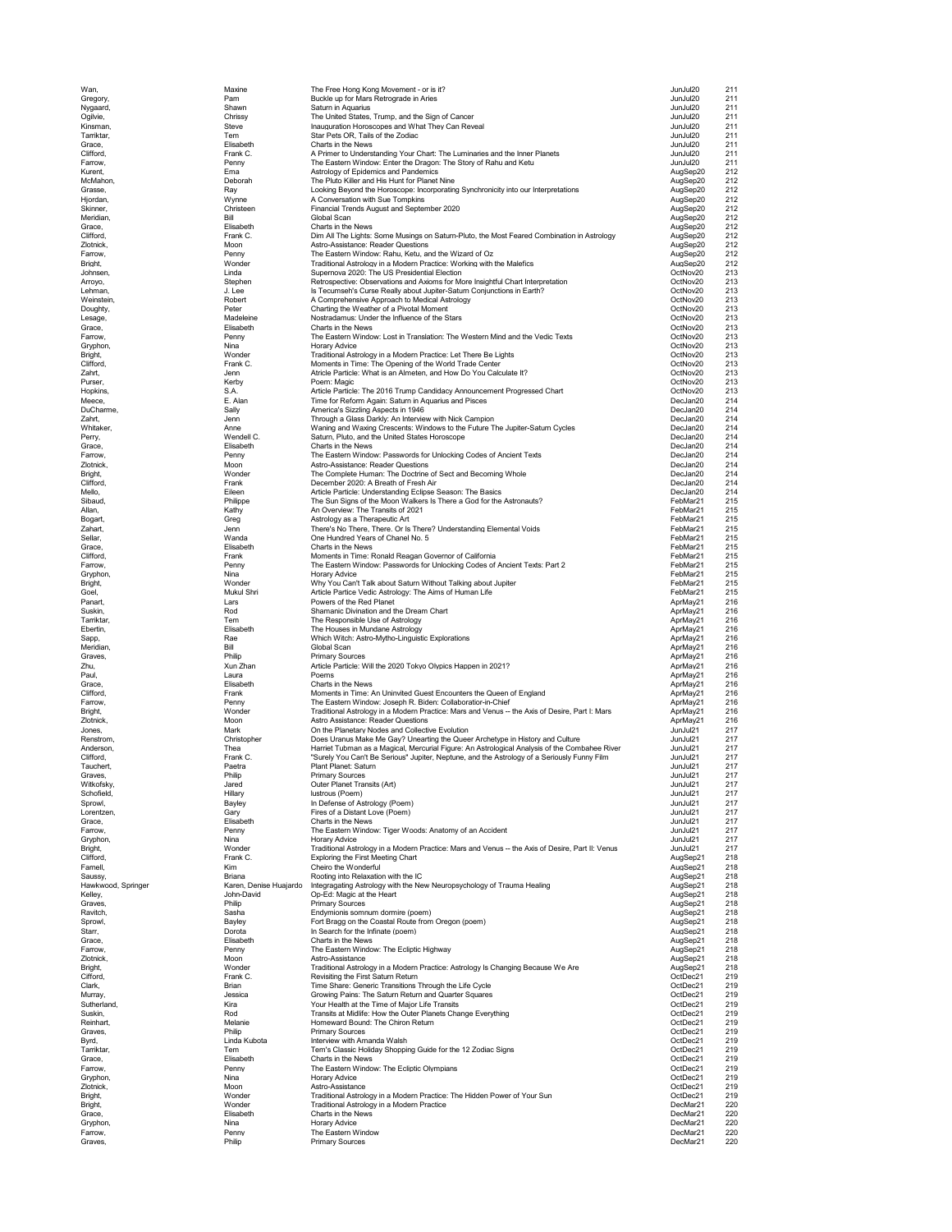| Wan,                            |          |
|---------------------------------|----------|
|                                 |          |
| Gregory                         |          |
| Nygaard                         |          |
| Ogilvie.<br>O                   |          |
| Kinsman,                        |          |
| Tarriktar,                      |          |
| Grace.                          |          |
| Clifford,                       |          |
| Farrow<br>Kurent                |          |
| McMahor                         |          |
| ٦,<br>Grasse,                   |          |
| ŀ<br>ljordan                    |          |
| Skinner                         |          |
| Meridiar                        |          |
| Grace,                          |          |
| Clifford                        |          |
| Zlotnick                        |          |
| –<br>Farrow,                    |          |
| Bright,                         |          |
| Johnsen                         |          |
| Arroyo,                         |          |
| Lehman                          |          |
| Weinsteir<br>ì                  |          |
| Joughty,<br>ſ                   |          |
| L<br>esage<br>Grace,            |          |
| Farrow                          |          |
| Gryphor                         |          |
| Bright                          |          |
| Clifford,<br>C                  |          |
| Zahrt,                          |          |
| Purser                          |          |
| Hopkins                         |          |
| Meece                           |          |
| DuChar<br>'n                    |          |
| Zahrt,                          |          |
| Whitaker                        |          |
| Perry                           |          |
| Grace,                          |          |
| Farrow<br>Zlotnick              |          |
| Bright,                         |          |
| Clifford                        |          |
| Mello,                          |          |
| Sibaud                          |          |
| Allan,                          |          |
| Bogart,                         |          |
| Zahart,                         |          |
| Sellar,                         |          |
| Grace,                          |          |
| Clifford,<br>Ó                  |          |
| Farrow,                         |          |
| Gryphor                         |          |
| <b>Bright</b><br>Goel,          |          |
| Panart,                         |          |
| Suskin,                         |          |
| Tarriktar                       |          |
| Ebertin,                        |          |
| Sapp                            |          |
| Meridiar<br>١,                  |          |
|                                 |          |
| Graves,                         |          |
| Zhu                             |          |
| Paul,                           |          |
| Grace                           |          |
| Clifford<br>Ó                   |          |
| Farrow                          |          |
| Bright                          |          |
| Zlotnick<br>Jones.              |          |
| Renstrom                        |          |
|                                 |          |
| Anderson,<br>Clifford,          |          |
| Tauchert                        |          |
| ï<br>٢<br><b>IVE</b><br>ń       |          |
| Witkofsky                       |          |
| Schofield                       |          |
| Sprowl,<br>ı                    |          |
| orentzen,                       |          |
| Grace,                          |          |
| Farrow,                         |          |
| Gryphon,<br>Bright,             |          |
| lifford,                        |          |
| Farnell,                        |          |
| Saussy                          |          |
| -<br>Hawkwo<br>ŀ<br>ì           | od, Spri |
| Kelley,                         |          |
| Ć<br>Graves                     |          |
| Ravitch                         |          |
| Sprowl                          |          |
| Starr<br>Grace,                 |          |
| Farrow                          |          |
| Zlotnick                        |          |
| Bright.                         |          |
| Cifford,                        |          |
| Clark,                          |          |
| Murray.                         |          |
| Sutherland,                     |          |
| Suskin,                         |          |
| Reinhart                        |          |
| Graves,<br>Byrd                 |          |
| Tarriktar                       |          |
| Grace,                          |          |
| Farrow,                         |          |
| Gryphon,                        |          |
| Zlotnick,                       |          |
| Bright                          |          |
| <b>Bright</b>                   |          |
| Ó<br>Grace,<br>$\epsilon$       |          |
| <b>Gryphor</b><br>١,<br>Farrow, |          |

| Wan,                 | Maxine                 | The Free Hong Kong Movement - or is it?                                                              | JunJul20             | 211        |
|----------------------|------------------------|------------------------------------------------------------------------------------------------------|----------------------|------------|
| Gregory,             | Pam                    | Buckle up for Mars Retrograde in Aries<br>Saturn in Aquarius                                         | JunJul20             | 211        |
| Nygaard,             | Shawn                  |                                                                                                      | JunJul20             | 211        |
| Ogilvie,<br>Kinsman, | Chrissy<br>Steve       | The United States, Trump, and the Sign of Cancer<br>Inauguration Horoscopes and What They Can Reveal | JunJul20<br>JunJul20 | 211<br>211 |
| Tarriktar,           | Tem                    | Star Pets OR, Tails of the Zodiac                                                                    | JunJul20             | 211        |
| Grace,               | Elisabeth              | Charts in the News                                                                                   | JunJul20             | 211        |
| Clifford,            | Frank C.               | A Primer to Understanding Your Chart: The Luminaries and the Inner Planets                           | JunJul20             | 211        |
| Farrow,              | Penny                  | The Eastern Window: Enter the Dragon: The Story of Rahu and Ketu                                     | JunJul20             | 211        |
| Kurent,              | Ema                    | Astrology of Epidemics and Pandemics                                                                 | AugSep20             | 212        |
| McMahon,             | Deborah                | The Pluto Killer and His Hunt for Planet Nine                                                        | AugSep20             | 212        |
| Grasse,              | Ray                    | Looking Beyond the Horoscope: Incorporating Synchronicity into our Interpretations                   | AugSep20             | 212        |
| Hjordan,             | Wynne                  | A Conversation with Sue Tompkins                                                                     | AugSep20             | 212        |
| Skinner,             | Christeen              | Financial Trends August and September 2020                                                           | AugSep20             | 212        |
| Meridian,            | Bill                   | Global Scan                                                                                          | AugSep20             | 212        |
| Grace,               | Elisabeth              | Charts in the News                                                                                   | AugSep20             | 212        |
| Clifford,            | Frank C.               | Dim All The Lights: Some Musings on Saturn-Pluto, the Most Feared Combination in Astrology           | AugSep20             | 212        |
| Zlotnick,            | Moon                   | Astro-Assistance: Reader Questions                                                                   | AugSep20             | 212        |
| Farrow,              | Penny                  | The Eastern Window: Rahu, Ketu, and the Wizard of Oz                                                 | AugSep20             | 212        |
| Bright,              | Wonder                 | Traditional Astrology in a Modern Practice: Working with the Malefics                                | AugSep20             | 212        |
| Johnsen,             | Linda                  | Supernova 2020: The US Presidential Election                                                         | OctNov20             | 213        |
| Arroyo,              | Stephen                | Retrospective: Observations and Axioms for More Insightful Chart Interpretation                      | OctNov20             | 213        |
| Lehman,              | J. Lee                 | Is Tecumseh's Curse Really about Jupiter-Saturn Conjunctions in Earth?                               | OctNov20             | 213        |
| Weinstein,           | Robert                 | A Comprehensive Approach to Medical Astrology                                                        | OctNov20             | 213        |
| Doughty,             | Peter                  | Charting the Weather of a Pivotal Moment                                                             | OctNov20             | 213        |
| Lesage,              | Madeleine              | Nostradamus: Under the Influence of the Stars                                                        | OctNov20             | 213        |
| Grace,               | Elisabeth              | Charts in the News                                                                                   | OctNov20             | 213        |
| Farrow,              | Penny                  | The Eastern Window: Lost in Translation: The Western Mind and the Vedic Texts                        | OctNov20             | 213        |
| Gryphon,             | Nina                   | <b>Horary Advice</b>                                                                                 | OctNov20             | 213        |
| Bright,              | Wonder                 | Traditional Astrology in a Modern Practice: Let There Be Lights                                      | OctNov20             | 213        |
| Clifford,            | Frank C.               | Moments in Time: The Opening of the World Trade Center                                               | OctNov20             | 213        |
| Zahrt,               | Jenn                   | Atricle Particle: What is an Almeten, and How Do You Calculate It?                                   | OctNov20             | 213        |
| Purser,              | Kerby                  | Poem: Magic                                                                                          | OctNov20             | 213        |
| Hopkins,             | S.A.                   | Article Particle: The 2016 Trump Candidacy Announcement Progressed Chart                             | OctNov20             | 213        |
| Meece,               | E. Alan                | Time for Reform Again: Saturn in Aguarius and Pisces                                                 | DecJan20             | 214        |
| DuCharme,            | Sally                  | America's Sizzling Aspects in 1946                                                                   | DecJan20             | 214        |
| Zahrt,               | Jenn                   | Through a Glass Darkly: An Interview with Nick Campion                                               | DecJan20             | 214        |
| Whitaker,            | Anne                   | Waning and Waxing Crescents: Windows to the Future The Jupiter-Saturn Cycles                         | DecJan20             | 214        |
| Perry,               | Wendell C.             | Saturn, Pluto, and the United States Horoscope                                                       | DecJan20             | 214        |
| Grace,               | Elisabeth              | Charts in the News                                                                                   | DecJan20             | 214        |
| Farrow,              | Penny                  | The Eastern Window: Passwords for Unlocking Codes of Ancient Texts                                   | DecJan20             | 214        |
| Zlotnick,            | Moon                   | Astro-Assistance: Reader Questions                                                                   | DecJan20             | 214        |
| Bright,              | Wonder                 | The Complete Human: The Doctrine of Sect and Becoming Whole                                          | DecJan20             | 214        |
| Clifford,            | Frank                  | December 2020: A Breath of Fresh Air                                                                 | DecJan20             | 214        |
| Mello,               | Eileen                 | Article Particle: Understanding Eclipse Season: The Basics                                           | DecJan20             | 214        |
| Sibaud,              | Philippe               | The Sun Signs of the Moon Walkers Is There a God for the Astronauts?                                 | FebMar21             | 215        |
| Allan,               | Kathy                  | An Overview: The Transits of 2021                                                                    | FebMar21             | 215        |
| Bogart,              | Greg                   | Astrology as a Therapeutic Art                                                                       | FebMar21             | 215        |
| Zahart,              | Jenn                   | There's No There, There. Or Is There? Understanding Elemental Voids                                  | FebMar21             | 215        |
| Sellar,              | Wanda                  | One Hundred Years of Chanel No. 5                                                                    | FebMar21             | 215        |
| Grace,               | Elisabeth              | Charts in the News                                                                                   | FebMar21             | 215        |
| Clifford,            | Frank                  | Moments in Time: Ronald Reagan Governor of California                                                | FebMar21             | 215        |
| Farrow,              | Penny                  | The Eastern Window: Passwords for Unlocking Codes of Ancient Texts: Part 2                           | FebMar21             | 215        |
| Gryphon,             | Nina                   | <b>Horary Advice</b>                                                                                 | FebMar21             | 215        |
| Bright,              | Wonder                 | Why You Can't Talk about Saturn Without Talking about Jupiter                                        | FebMar21             | 215        |
| Goel,                | Mukul Shri             | Article Partice Vedic Astrology: The Aims of Human Life                                              | FebMar21             | 215        |
| Panart,              | Lars                   | Powers of the Red Planet                                                                             | AprMay21             | 216        |
| Suskin,              | Rod                    | Shamanic Divination and the Dream Chart                                                              | AprMay21             | 216        |
| Tarriktar,           | Tem                    | The Responsible Use of Astrology                                                                     | AprMay21             | 216        |
| Ebertin,             | Elisabeth              | The Houses in Mundane Astrology                                                                      | AprMay21             | 216        |
| Sapp,                | Rae                    | Which Witch: Astro-Mytho-Linguistic Explorations                                                     | AprMay21             | 216        |
| Meridian,            | Bill                   | Global Scan                                                                                          | AprMay21             | 216        |
| Graves,              | Philip                 | <b>Primary Sources</b>                                                                               | AprMay21             | 216        |
| Zhu,                 | Xun Zhan               | Article Particle: Will the 2020 Tokyo Olypics Happen in 2021?                                        | AprMay21             | 216        |
| Paul,                | Laura                  | Poems                                                                                                | AprMay21             | 216        |
| Grace,               | Elisabeth              | Charts in the News                                                                                   | AprMay21             | 216        |
| Clifford,            | Frank                  | Moments in Time: An Uninvited Guest Encounters the Queen of England                                  | AprMay21             | 216        |
| Farrow,              | Penny                  | The Eastern Window: Joseph R. Biden: Collaboratior-in-Chief                                          | AprMay21             | 216        |
| Bright,              | Wonder                 | Traditional Astrology in a Modern Practice: Mars and Venus -- the Axis of Desire, Part I: Mars       | AprMay21             | 216        |
| Zlotnick,            | Moon                   | Astro Assistance: Reader Questions                                                                   | AprMay21             | 216        |
| Jones,               | Mark                   | On the Planetary Nodes and Collective Evolution                                                      | JunJul21             | 217        |
| Renstrom,            | Christopher            | Does Uranus Make Me Gay? Unearting the Queer Archetype in History and Culture                        | JunJul21             | 217        |
| Anderson,            | Thea                   | Harriet Tubman as a Magical, Mercurial Figure: An Astrological Analysis of the Combahee River        | JunJul21             | 217        |
| Clifford,            | Frank C.               | "Surely You Can't Be Serious" Jupiter, Neptune, and the Astrology of a Seriously Funny Film          | JunJul21             | 217        |
| Tauchert,            | Paetra                 | Plant Planet: Saturn                                                                                 | JunJul21             | 217        |
| Graves,              | Philip                 | <b>Primary Sources</b>                                                                               | JunJul21             | 217        |
| Witkofsky,           | Jared                  | Outer Planet Transits (Art)                                                                          | JunJul21             | 217        |
| Schofield,           | Hillary                | lustrous (Poem)                                                                                      | JunJul21             | 217        |
| Sprowl,              | Bayley                 | In Defense of Astrology (Poem)                                                                       | JunJul21             | 217        |
| Lorentzen,           | Gary                   | Fires of a Distant Love (Poem)                                                                       | JunJul21             | 217        |
| Grace,               | Elisabeth              | Charts in the News                                                                                   | JunJul21             | 217        |
| Farrow,              | Penny                  | The Eastern Window: Tiger Woods: Anatomy of an Accident                                              | JunJul21             | 217        |
| Gryphon,             | Nina                   | Horary Advice                                                                                        | JunJul21             | 217        |
| Bright,              | Wonder                 | Traditional Astrology in a Modern Practice: Mars and Venus -- the Axis of Desire, Part II: Venus     | JunJul21             | 217        |
| Clifford,            | Frank C.               | Exploring the First Meeting Chart                                                                    | AugSep21             | 218        |
| Farnell,             | <b>Kim</b>             | Cheiro the Wonderful                                                                                 | AugSep21             | 218        |
| Saussy,              | Briana                 | Rooting into Relaxation with the IC                                                                  | AugSep21             | 218        |
| Hawkwood, Springer   | Karen, Denise Huajardo | Integragating Astrology with the New Neuropsychology of Trauma Healing                               | AugSep21             | 218        |
| Kelley,              | John-David             | Op-Ed: Magic at the Heart                                                                            | AugSep21             | 218        |
| Graves,              | Philip                 | <b>Primary Sources</b>                                                                               | AugSep21             | 218        |
| Ravitch.             | Sasha                  | Endymionis somnum dormire (poem)                                                                     | AugSep21             | 218        |
| Sprowl,              | Bayley                 | Fort Bragg on the Coastal Route from Oregon (poem)                                                   | AugSep21             | 218        |
| Starr,               | Dorota                 | In Search for the Infinate (poem)                                                                    | AugSep21             | 218        |
| Grace,               | Elisabeth              | Charts in the News                                                                                   | AugSep21             | 218        |
| Farrow,              |                        |                                                                                                      | AugSep21             | 218        |
| Zlotnick,            | Penny                  | The Eastern Window: The Ecliptic Highway                                                             |                      |            |
| Bright,              | Moon                   | Astro-Assistance                                                                                     | AugSep21             | 218        |
| Cifford,             | Wonder                 | Traditional Astrology in a Modern Practice: Astrology Is Changing Because We Are                     | AugSep21             | 218        |
| Clark,               | Frank C.               | Revisiting the First Saturn Return                                                                   | OctDec21             | 219        |
|                      | Brian                  | Time Share: Generic Transitions Through the Life Cycle                                               | OctDec21             | 219        |
| Murray,              | Jessica                | Growing Pains: The Saturn Return and Quarter Squares                                                 | OctDec21             | 219        |
| Sutherland,          | Kira                   | Your Health at the Time of Major Life Transits                                                       | OctDec21             | 219        |
| Suskin,              | Rod                    | Transits at Midlife: How the Outer Planets Change Everything                                         | OctDec21             | 219        |
| Reinhart,            | Melanie                | Homeward Bound: The Chiron Return                                                                    | OctDec21             | 219        |
| Graves.              | Philip                 | <b>Primary Sources</b>                                                                               | OctDec21             | 219        |
|                      | Linda Kubota           | Interview with Amanda Walsh                                                                          | OctDec21             | 219        |
| Byrd,<br>Tarriktar,  | Tem                    | Tem's Classic Holiday Shopping Guide for the 12 Zodiac Signs                                         | OctDec21             | 219        |
| Grace,               | Elisabeth              | Charts in the News                                                                                   | OctDec21             | 219        |
| Farrow,              | Penny                  | The Eastern Window: The Ecliptic Olympians                                                           | OctDec21             | 219        |
| Gryphon,             | Nina                   | <b>Horary Advice</b>                                                                                 | OctDec21             | 219        |
| Zlotnick,            | Moon                   | Astro-Assistance                                                                                     | OctDec21             | 219        |
| Bright,              | Wonder                 | Traditional Astrology in a Modern Practice: The Hidden Power of Your Sun                             | OctDec21             | 219        |
| Bright,              | Wonder                 | Traditional Astrology in a Modern Practice                                                           | DecMar21             | 220        |
| Grace,               | Elisabeth              | Charts in the News                                                                                   | DecMar21             | 220        |
| Gryphon,             | Nina                   | <b>Horary Advice</b>                                                                                 | DecMar21             | 220        |
| Farrow,              | Penny                  | The Eastern Window                                                                                   | DecMar21             | 22C        |
| Graves,              | Philip                 | <b>Primary Sources</b>                                                                               | DecMar21             | 220        |